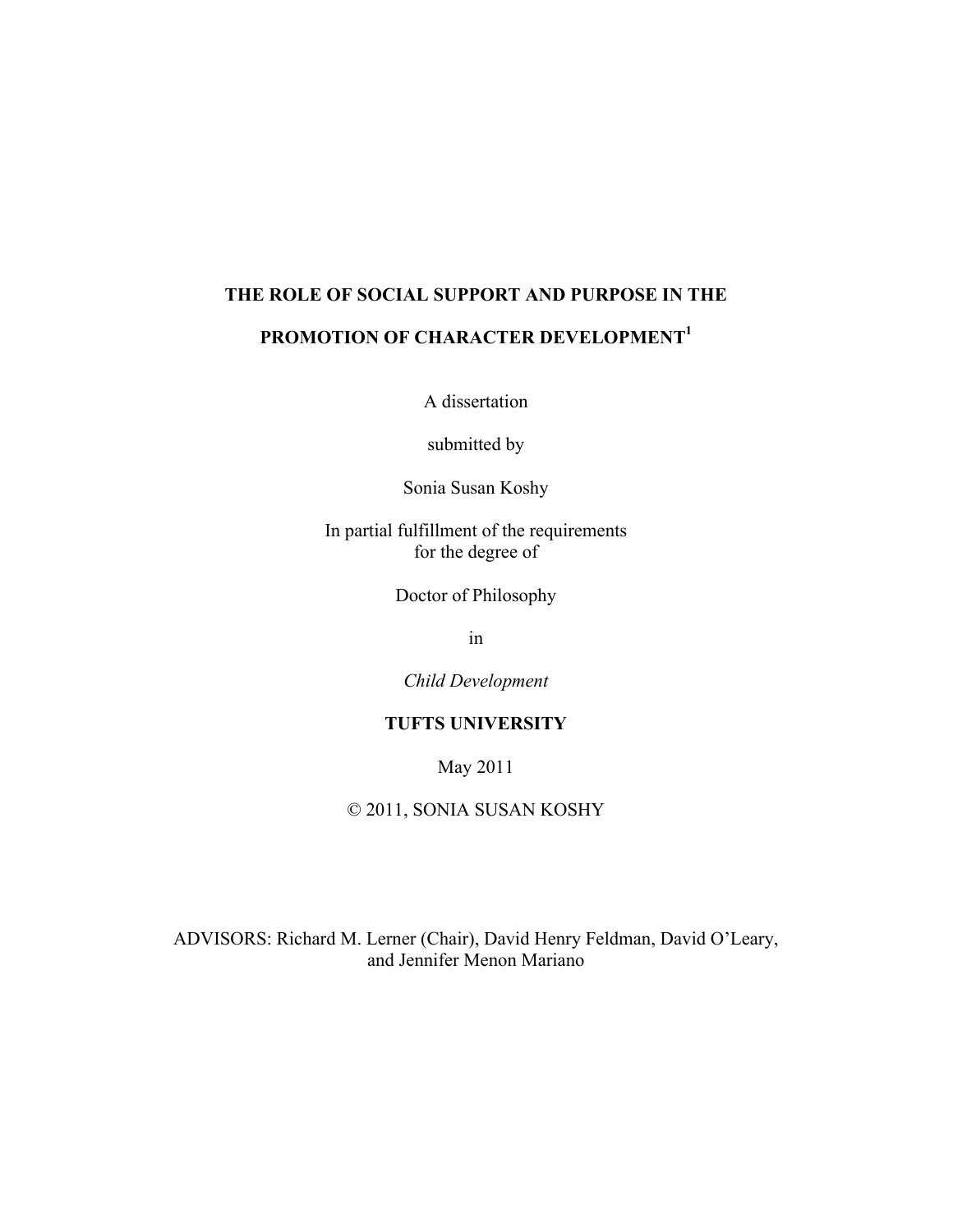# **THE ROLE OF SOCIAL SUPPORT AND PURPOSE IN THE**

# PROMOTION OF CHARACTER DEVELOPMENT<sup>1</sup>

A dissertation

submitted by

Sonia Susan Koshy

In partial fulfillment of the requirements for the degree of

Doctor of Philosophy

in

*Child Development*

# **TUFTS UNIVERSITY**

May 2011

© 2011, SONIA SUSAN KOSHY

ADVISORS: Richard M. Lerner (Chair), David Henry Feldman, David O'Leary, and Jennifer Menon Mariano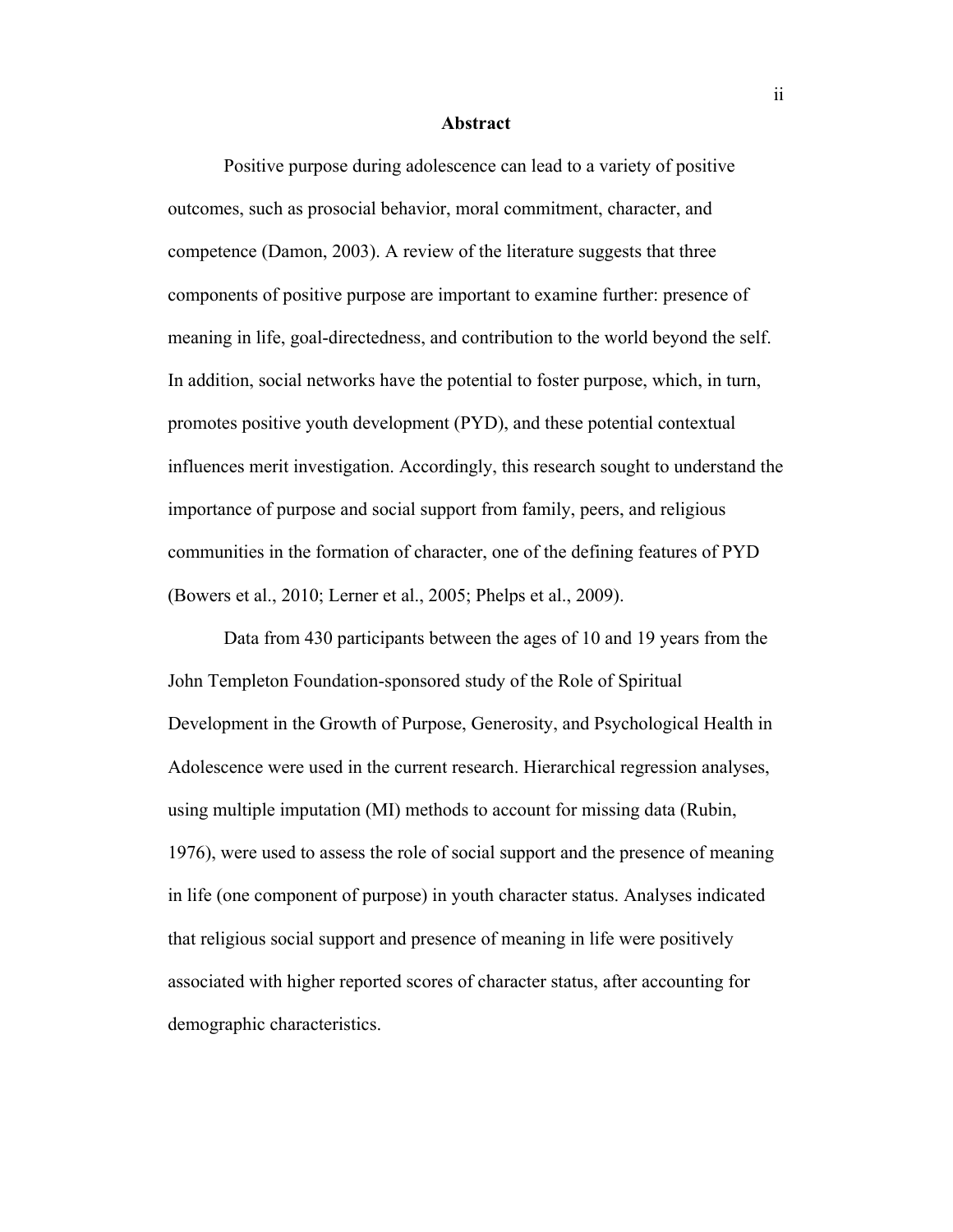#### **Abstract**

Positive purpose during adolescence can lead to a variety of positive outcomes, such as prosocial behavior, moral commitment, character, and competence (Damon, 2003). A review of the literature suggests that three components of positive purpose are important to examine further: presence of meaning in life, goal-directedness, and contribution to the world beyond the self. In addition, social networks have the potential to foster purpose, which, in turn, promotes positive youth development (PYD), and these potential contextual influences merit investigation. Accordingly, this research sought to understand the importance of purpose and social support from family, peers, and religious communities in the formation of character, one of the defining features of PYD (Bowers et al., 2010; Lerner et al., 2005; Phelps et al., 2009).

Data from 430 participants between the ages of 10 and 19 years from the John Templeton Foundation-sponsored study of the Role of Spiritual Development in the Growth of Purpose, Generosity, and Psychological Health in Adolescence were used in the current research. Hierarchical regression analyses, using multiple imputation (MI) methods to account for missing data (Rubin, 1976), were used to assess the role of social support and the presence of meaning in life (one component of purpose) in youth character status. Analyses indicated that religious social support and presence of meaning in life were positively associated with higher reported scores of character status, after accounting for demographic characteristics.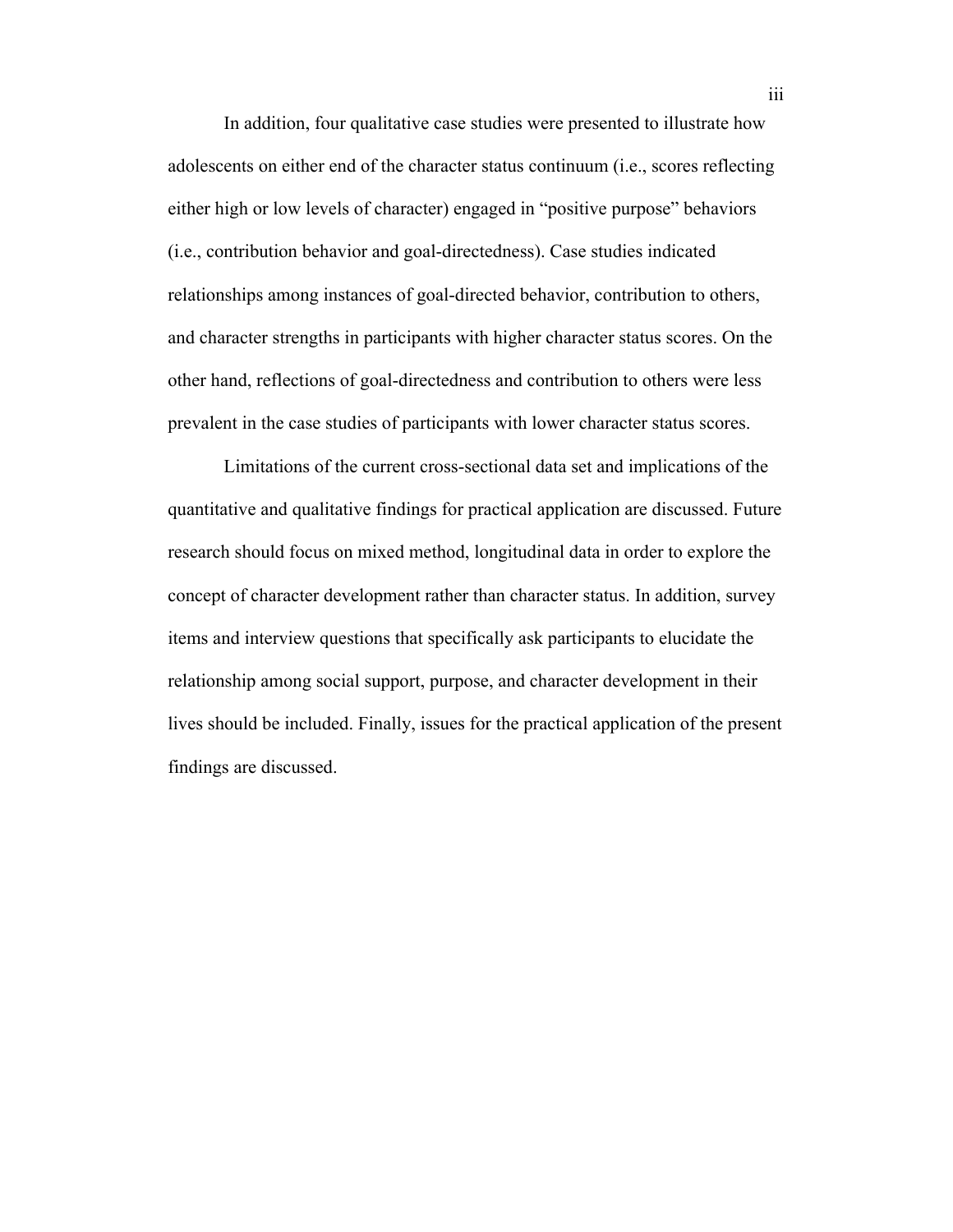In addition, four qualitative case studies were presented to illustrate how adolescents on either end of the character status continuum (i.e., scores reflecting either high or low levels of character) engaged in "positive purpose" behaviors (i.e., contribution behavior and goal-directedness). Case studies indicated relationships among instances of goal-directed behavior, contribution to others, and character strengths in participants with higher character status scores. On the other hand, reflections of goal-directedness and contribution to others were less prevalent in the case studies of participants with lower character status scores.

Limitations of the current cross-sectional data set and implications of the quantitative and qualitative findings for practical application are discussed. Future research should focus on mixed method, longitudinal data in order to explore the concept of character development rather than character status. In addition, survey items and interview questions that specifically ask participants to elucidate the relationship among social support, purpose, and character development in their lives should be included. Finally, issues for the practical application of the present findings are discussed.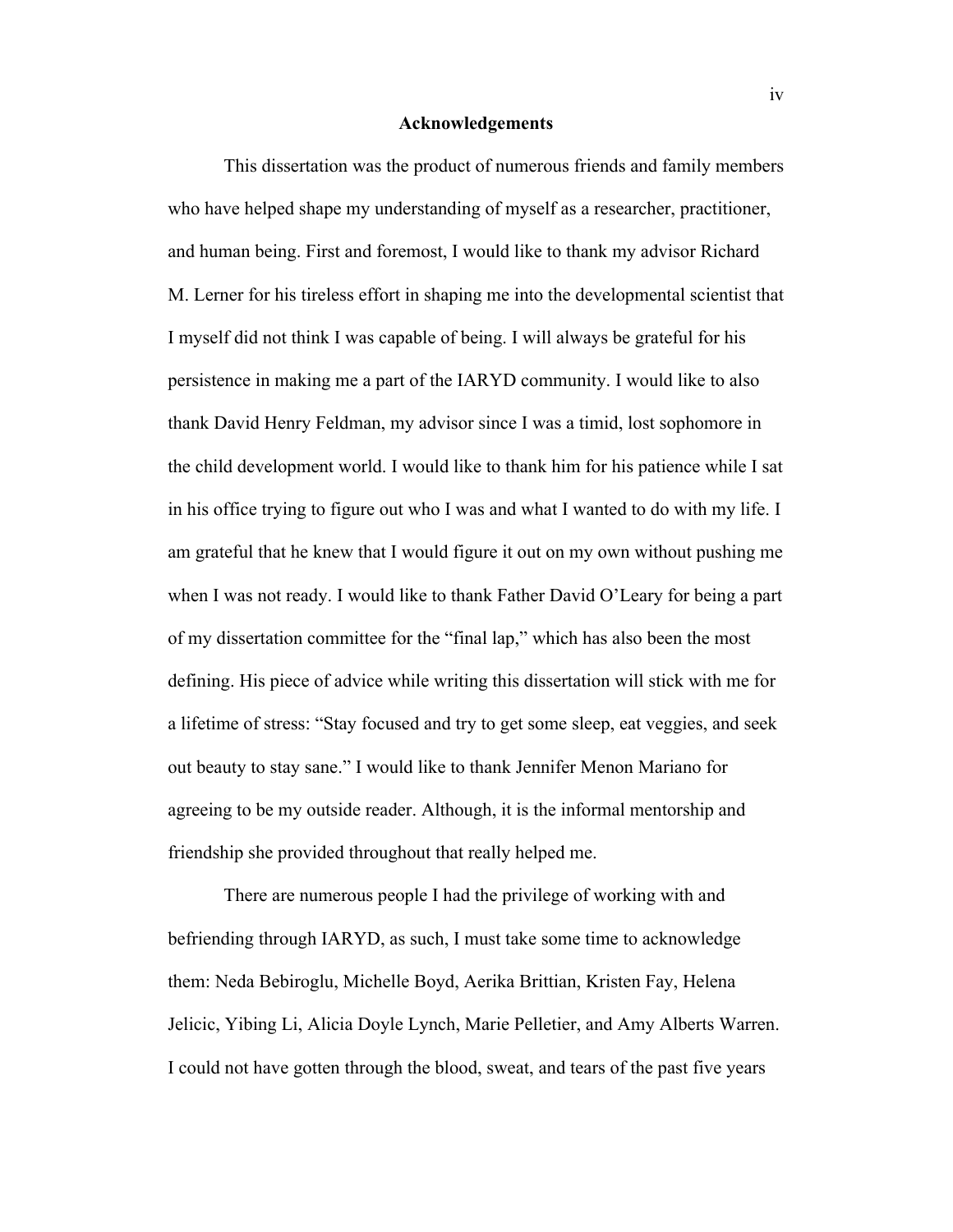#### **Acknowledgements**

This dissertation was the product of numerous friends and family members who have helped shape my understanding of myself as a researcher, practitioner, and human being. First and foremost, I would like to thank my advisor Richard M. Lerner for his tireless effort in shaping me into the developmental scientist that I myself did not think I was capable of being. I will always be grateful for his persistence in making me a part of the IARYD community. I would like to also thank David Henry Feldman, my advisor since I was a timid, lost sophomore in the child development world. I would like to thank him for his patience while I sat in his office trying to figure out who I was and what I wanted to do with my life. I am grateful that he knew that I would figure it out on my own without pushing me when I was not ready. I would like to thank Father David O'Leary for being a part of my dissertation committee for the "final lap," which has also been the most defining. His piece of advice while writing this dissertation will stick with me for a lifetime of stress: "Stay focused and try to get some sleep, eat veggies, and seek out beauty to stay sane." I would like to thank Jennifer Menon Mariano for agreeing to be my outside reader. Although, it is the informal mentorship and friendship she provided throughout that really helped me.

There are numerous people I had the privilege of working with and befriending through IARYD, as such, I must take some time to acknowledge them: Neda Bebiroglu, Michelle Boyd, Aerika Brittian, Kristen Fay, Helena Jelicic, Yibing Li, Alicia Doyle Lynch, Marie Pelletier, and Amy Alberts Warren. I could not have gotten through the blood, sweat, and tears of the past five years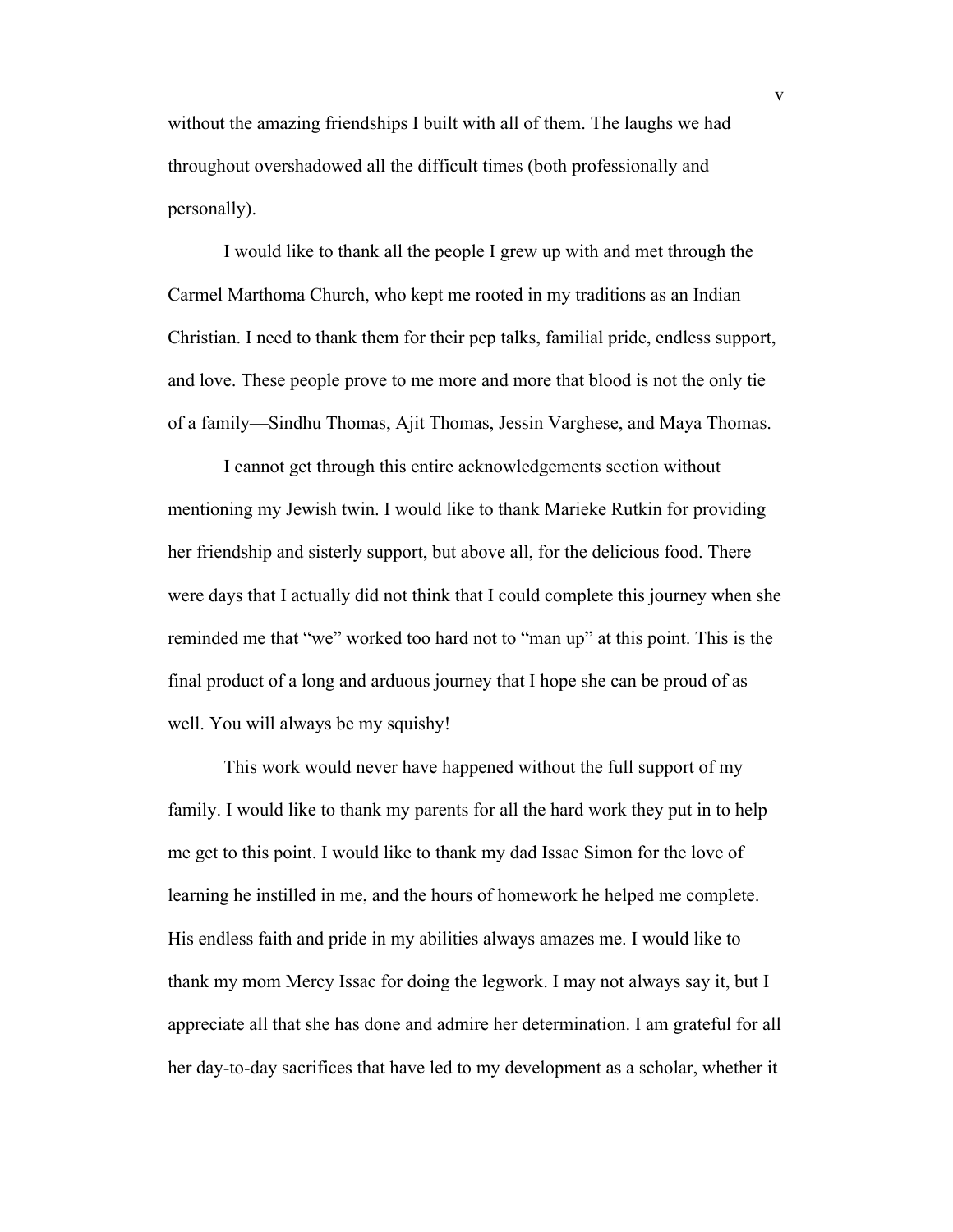without the amazing friendships I built with all of them. The laughs we had throughout overshadowed all the difficult times (both professionally and personally).

I would like to thank all the people I grew up with and met through the Carmel Marthoma Church, who kept me rooted in my traditions as an Indian Christian. I need to thank them for their pep talks, familial pride, endless support, and love. These people prove to me more and more that blood is not the only tie of a family—Sindhu Thomas, Ajit Thomas, Jessin Varghese, and Maya Thomas.

I cannot get through this entire acknowledgements section without mentioning my Jewish twin. I would like to thank Marieke Rutkin for providing her friendship and sisterly support, but above all, for the delicious food. There were days that I actually did not think that I could complete this journey when she reminded me that "we" worked too hard not to "man up" at this point. This is the final product of a long and arduous journey that I hope she can be proud of as well. You will always be my squishy!

This work would never have happened without the full support of my family. I would like to thank my parents for all the hard work they put in to help me get to this point. I would like to thank my dad Issac Simon for the love of learning he instilled in me, and the hours of homework he helped me complete. His endless faith and pride in my abilities always amazes me. I would like to thank my mom Mercy Issac for doing the legwork. I may not always say it, but I appreciate all that she has done and admire her determination. I am grateful for all her day-to-day sacrifices that have led to my development as a scholar, whether it

v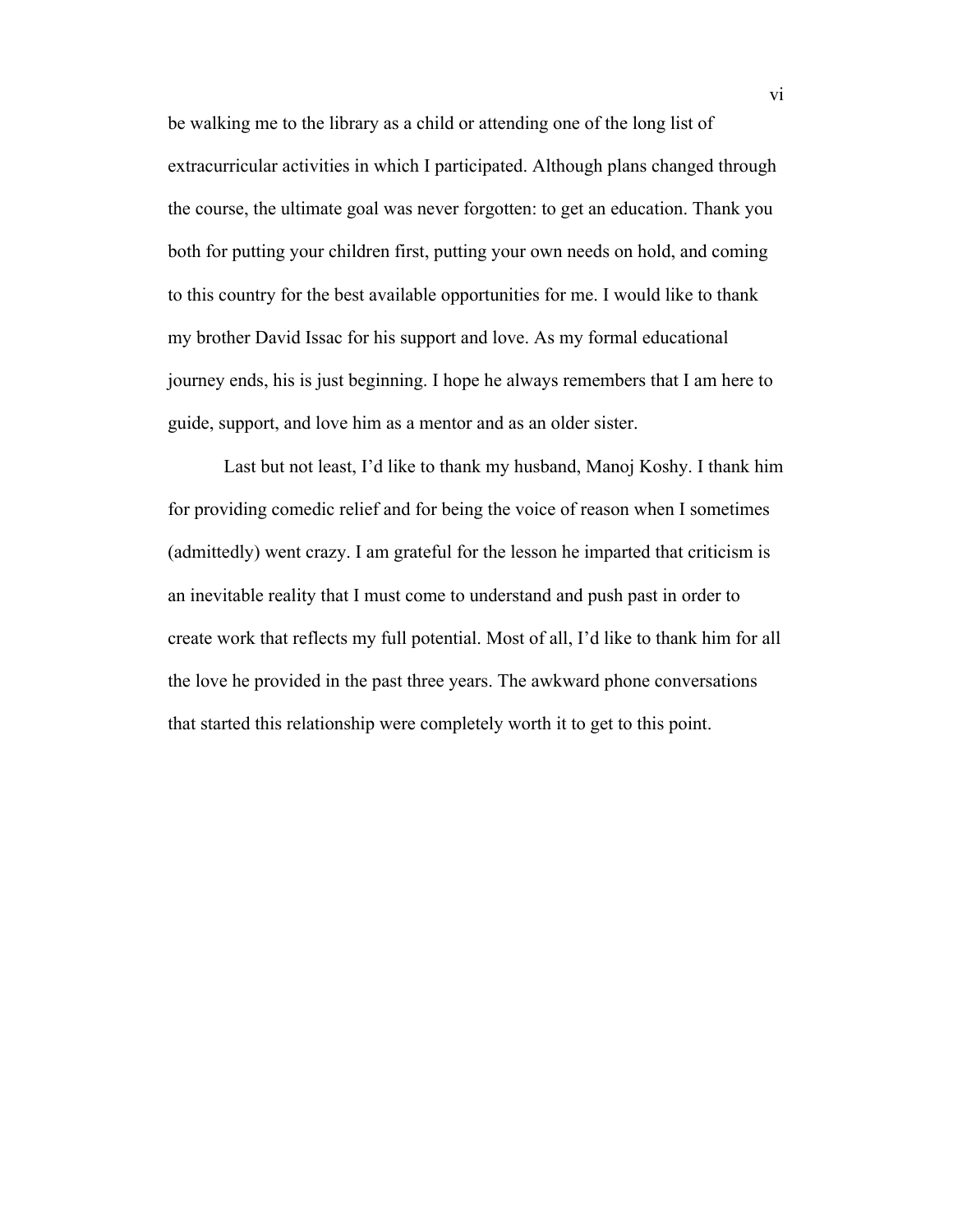be walking me to the library as a child or attending one of the long list of extracurricular activities in which I participated. Although plans changed through the course, the ultimate goal was never forgotten: to get an education. Thank you both for putting your children first, putting your own needs on hold, and coming to this country for the best available opportunities for me. I would like to thank my brother David Issac for his support and love. As my formal educational journey ends, his is just beginning. I hope he always remembers that I am here to guide, support, and love him as a mentor and as an older sister.

Last but not least, I'd like to thank my husband, Manoj Koshy. I thank him for providing comedic relief and for being the voice of reason when I sometimes (admittedly) went crazy. I am grateful for the lesson he imparted that criticism is an inevitable reality that I must come to understand and push past in order to create work that reflects my full potential. Most of all, I'd like to thank him for all the love he provided in the past three years. The awkward phone conversations that started this relationship were completely worth it to get to this point.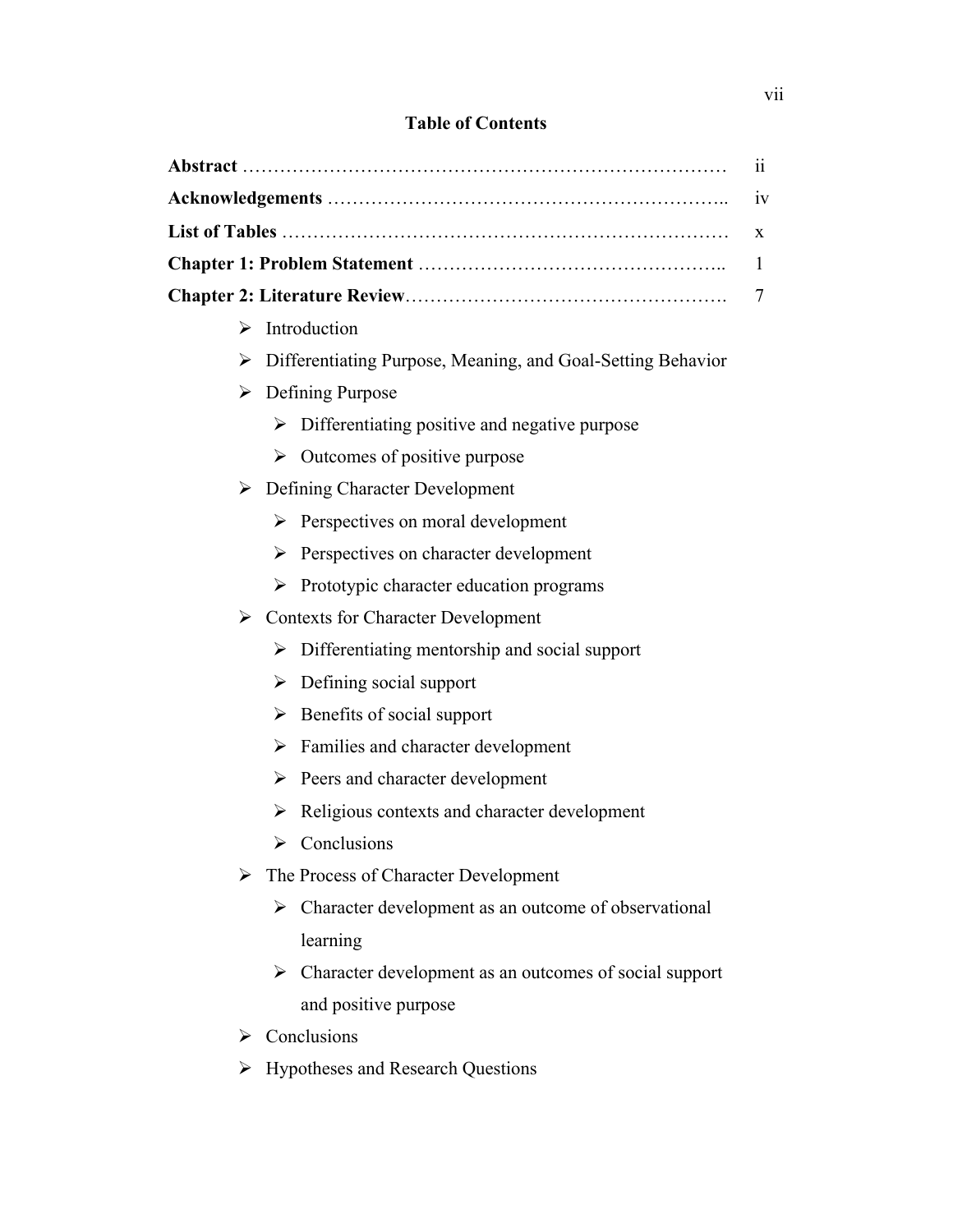# **Table of Contents**

|    | 11                                                          |  |  |
|----|-------------------------------------------------------------|--|--|
| 1V |                                                             |  |  |
| X  |                                                             |  |  |
|    | $\mathbf{1}$                                                |  |  |
|    | 7                                                           |  |  |
| ≻  | Introduction                                                |  |  |
| ➤  | Differentiating Purpose, Meaning, and Goal-Setting Behavior |  |  |
| ➤  | Defining Purpose                                            |  |  |
|    | Differentiating positive and negative purpose<br>➤          |  |  |
|    | Outcomes of positive purpose<br>➤                           |  |  |
|    | $\triangleright$ Defining Character Development             |  |  |
|    | Perspectives on moral development<br>➤                      |  |  |
|    | Perspectives on character development<br>➤                  |  |  |
|    | Prototypic character education programs<br>➤                |  |  |
|    | $\triangleright$ Contexts for Character Development         |  |  |
|    | Differentiating mentorship and social support<br>➤          |  |  |
|    | Defining social support<br>➤                                |  |  |
|    | Benefits of social support<br>➤                             |  |  |
|    | Families and character development<br>≻                     |  |  |
|    | Peers and character development<br>≻                        |  |  |
|    | Religious contexts and character development<br>➤           |  |  |
|    | $\triangleright$ Conclusions                                |  |  |
|    | The Process of Character Development                        |  |  |
|    | Character development as an outcome of observational<br>➤   |  |  |
|    | learning                                                    |  |  |
|    | Character development as an outcomes of social support<br>➤ |  |  |
|    | and positive purpose                                        |  |  |
|    | $\triangleright$ Conclusions                                |  |  |

> Hypotheses and Research Questions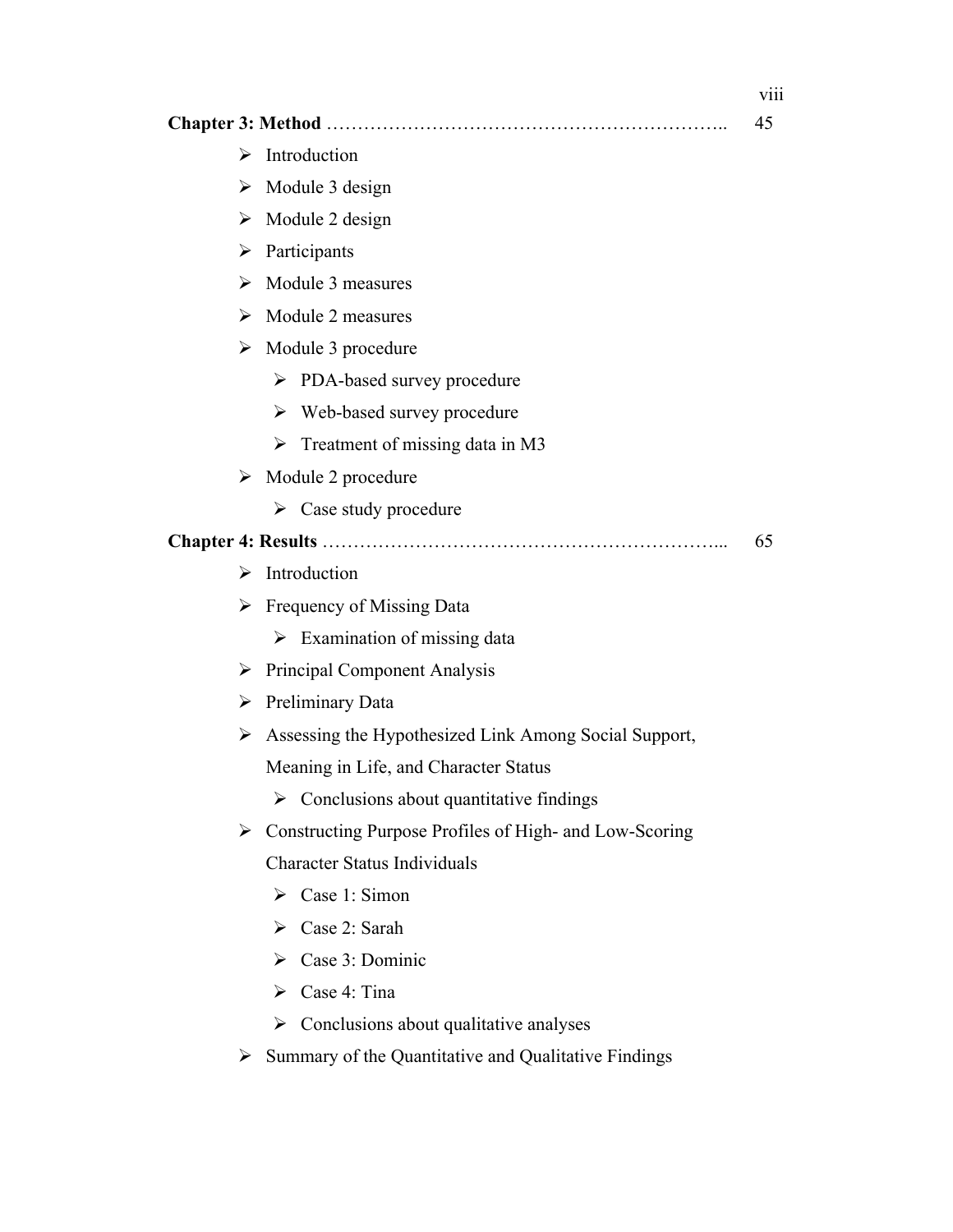|   |                                                                        | 45 |
|---|------------------------------------------------------------------------|----|
| ➤ | Introduction                                                           |    |
|   | $\triangleright$ Module 3 design                                       |    |
|   | $\triangleright$ Module 2 design                                       |    |
| ➤ | Participants                                                           |    |
| ➤ | Module 3 measures                                                      |    |
|   | $\triangleright$ Module 2 measures                                     |    |
|   | $\triangleright$ Module 3 procedure                                    |    |
|   | > PDA-based survey procedure                                           |    |
|   | $\triangleright$ Web-based survey procedure                            |    |
|   | $\triangleright$ Treatment of missing data in M3                       |    |
|   | $\triangleright$ Module 2 procedure                                    |    |
|   | $\triangleright$ Case study procedure                                  |    |
|   |                                                                        | 65 |
| ⋗ | Introduction                                                           |    |
|   | $\triangleright$ Frequency of Missing Data                             |    |
|   | $\triangleright$ Examination of missing data                           |    |
|   | $\triangleright$ Principal Component Analysis                          |    |
|   | $\triangleright$ Preliminary Data                                      |    |
|   | $\triangleright$ Assessing the Hypothesized Link Among Social Support, |    |
|   | Meaning in Life, and Character Status                                  |    |
|   | $\triangleright$ Conclusions about quantitative findings               |    |
| ➤ | Constructing Purpose Profiles of High- and Low-Scoring                 |    |
|   | <b>Character Status Individuals</b>                                    |    |
|   | $\triangleright$ Case 1: Simon                                         |    |
|   | $\triangleright$ Case 2: Sarah                                         |    |
|   | $\triangleright$ Case 3: Dominic                                       |    |
|   | $\triangleright$ Case 4: Tina                                          |    |
|   | $\triangleright$ Conclusions about qualitative analyses                |    |
| ➤ | Summary of the Quantitative and Qualitative Findings                   |    |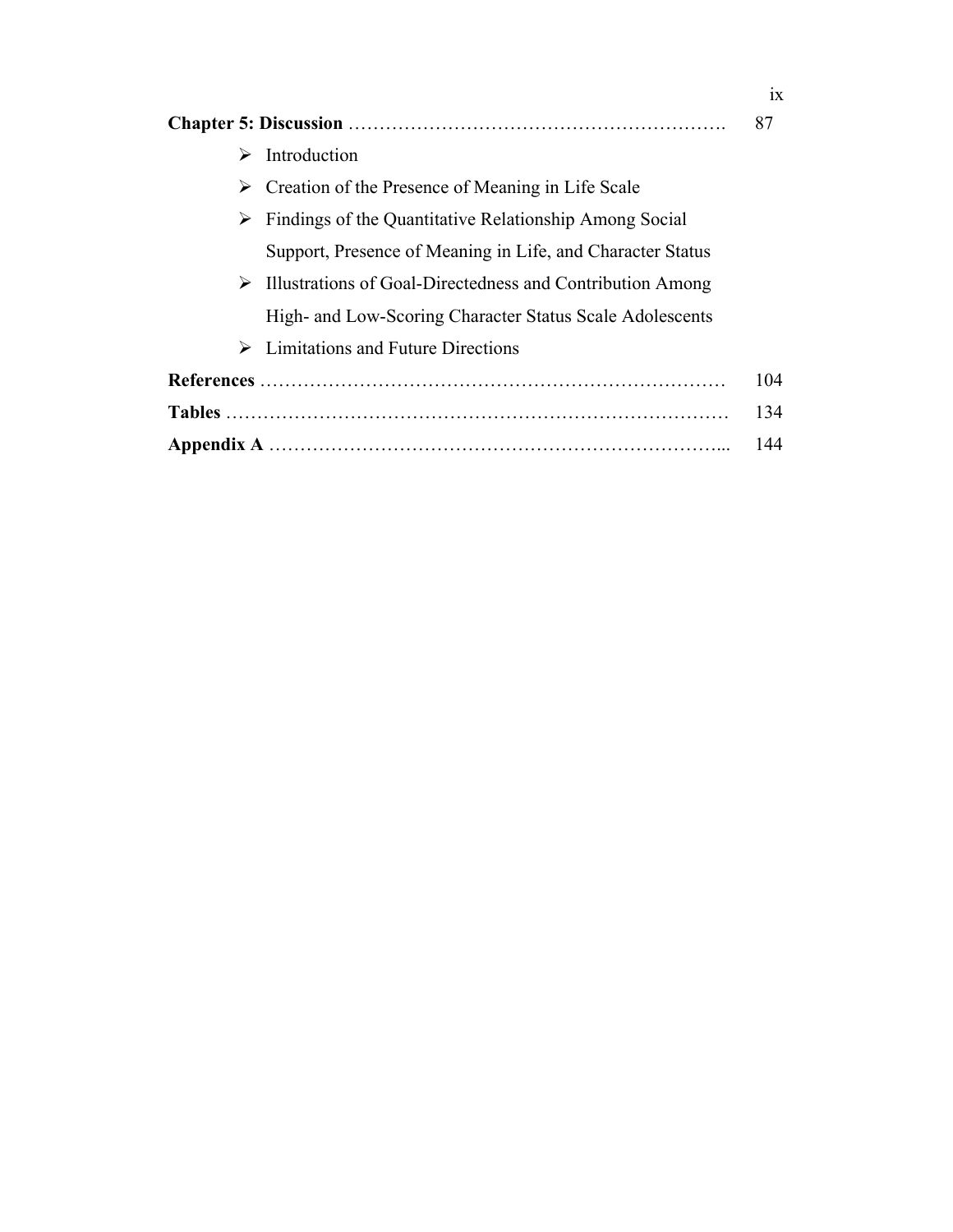| 87 |                                                                         |     |
|----|-------------------------------------------------------------------------|-----|
| ⋗  | Introduction                                                            |     |
| ➤  | Creation of the Presence of Meaning in Life Scale                       |     |
|    | $\triangleright$ Findings of the Quantitative Relationship Among Social |     |
|    | Support, Presence of Meaning in Life, and Character Status              |     |
| ➤  | Illustrations of Goal-Directedness and Contribution Among               |     |
|    | High- and Low-Scoring Character Status Scale Adolescents                |     |
| ➤  | Limitations and Future Directions                                       |     |
|    |                                                                         | 104 |
|    |                                                                         | 134 |
|    |                                                                         | 144 |

ix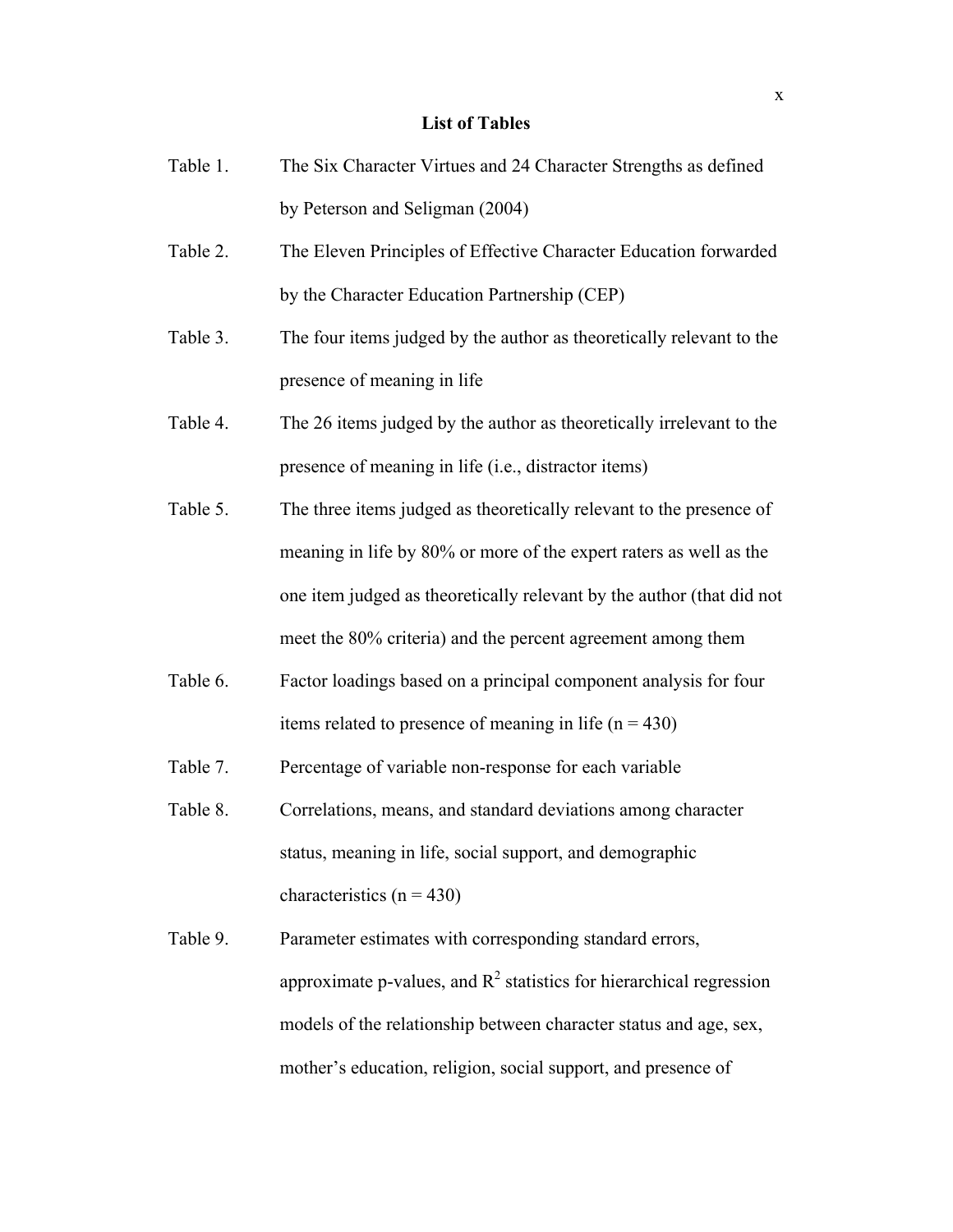# **List of Tables**

| Table 1. | The Six Character Virtues and 24 Character Strengths as defined        |
|----------|------------------------------------------------------------------------|
|          | by Peterson and Seligman (2004)                                        |
| Table 2. | The Eleven Principles of Effective Character Education forwarded       |
|          | by the Character Education Partnership (CEP)                           |
| Table 3. | The four items judged by the author as theoretically relevant to the   |
|          | presence of meaning in life                                            |
| Table 4. | The 26 items judged by the author as theoretically irrelevant to the   |
|          | presence of meaning in life (i.e., distractor items)                   |
| Table 5. | The three items judged as theoretically relevant to the presence of    |
|          | meaning in life by 80% or more of the expert raters as well as the     |
|          | one item judged as theoretically relevant by the author (that did not  |
|          | meet the 80% criteria) and the percent agreement among them            |
| Table 6. | Factor loadings based on a principal component analysis for four       |
|          | items related to presence of meaning in life ( $n = 430$ )             |
| Table 7. | Percentage of variable non-response for each variable                  |
| Table 8. | Correlations, means, and standard deviations among character           |
|          | status, meaning in life, social support, and demographic               |
|          | characteristics ( $n = 430$ )                                          |
| Table 9. | Parameter estimates with corresponding standard errors,                |
|          | approximate p-values, and $R^2$ statistics for hierarchical regression |
|          | models of the relationship between character status and age, sex,      |
|          | mother's education, religion, social support, and presence of          |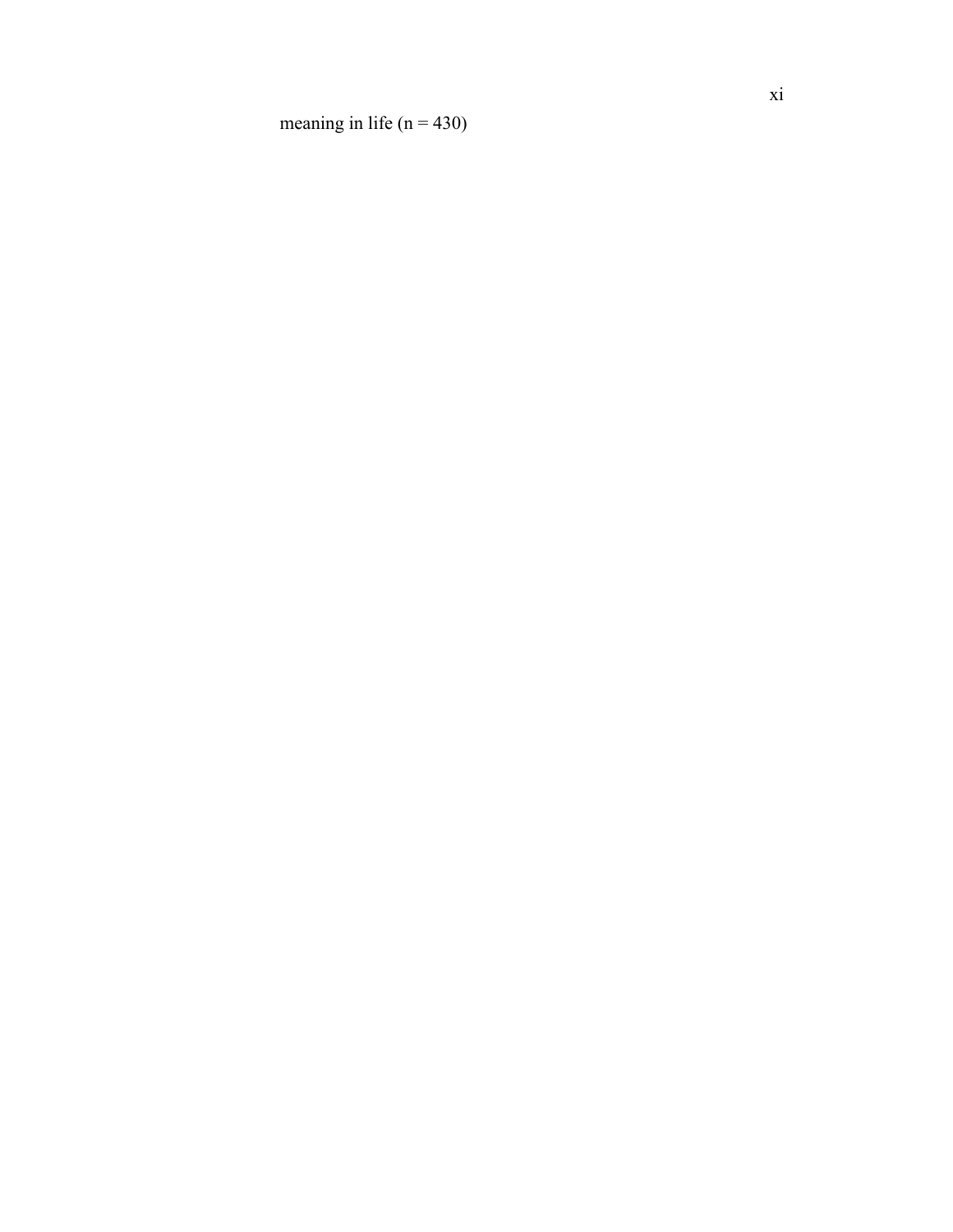meaning in life  $(n = 430)$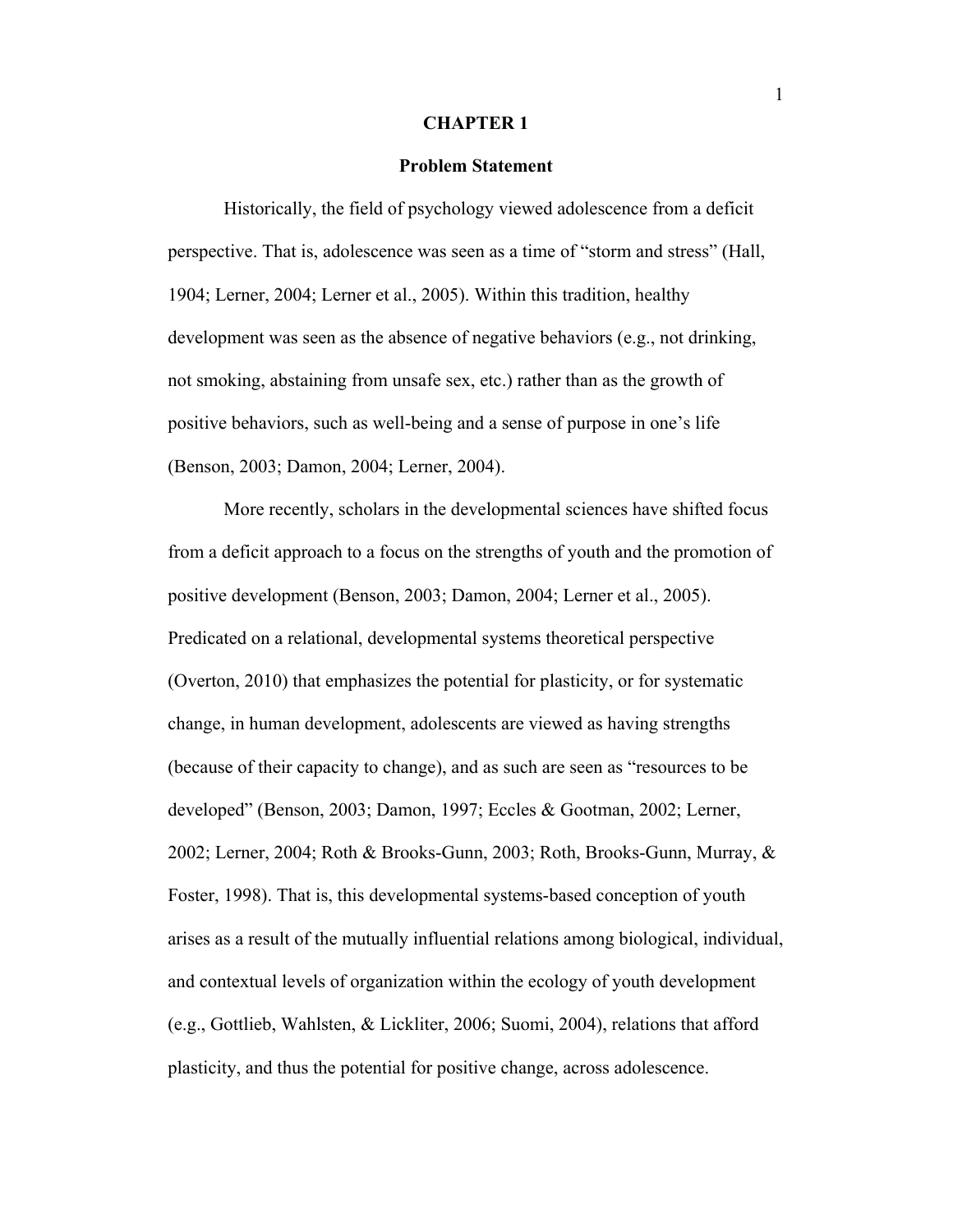#### **CHAPTER 1**

## **Problem Statement**

Historically, the field of psychology viewed adolescence from a deficit perspective. That is, adolescence was seen as a time of "storm and stress" (Hall, 1904; Lerner, 2004; Lerner et al., 2005). Within this tradition, healthy development was seen as the absence of negative behaviors (e.g., not drinking, not smoking, abstaining from unsafe sex, etc.) rather than as the growth of positive behaviors, such as well-being and a sense of purpose in one's life (Benson, 2003; Damon, 2004; Lerner, 2004).

More recently, scholars in the developmental sciences have shifted focus from a deficit approach to a focus on the strengths of youth and the promotion of positive development (Benson, 2003; Damon, 2004; Lerner et al., 2005). Predicated on a relational, developmental systems theoretical perspective (Overton, 2010) that emphasizes the potential for plasticity, or for systematic change, in human development, adolescents are viewed as having strengths (because of their capacity to change), and as such are seen as "resources to be developed" (Benson, 2003; Damon, 1997; Eccles & Gootman, 2002; Lerner, 2002; Lerner, 2004; Roth & Brooks-Gunn, 2003; Roth, Brooks-Gunn, Murray, & Foster, 1998). That is, this developmental systems-based conception of youth arises as a result of the mutually influential relations among biological, individual, and contextual levels of organization within the ecology of youth development (e.g., Gottlieb, Wahlsten, & Lickliter, 2006; Suomi, 2004), relations that afford plasticity, and thus the potential for positive change, across adolescence.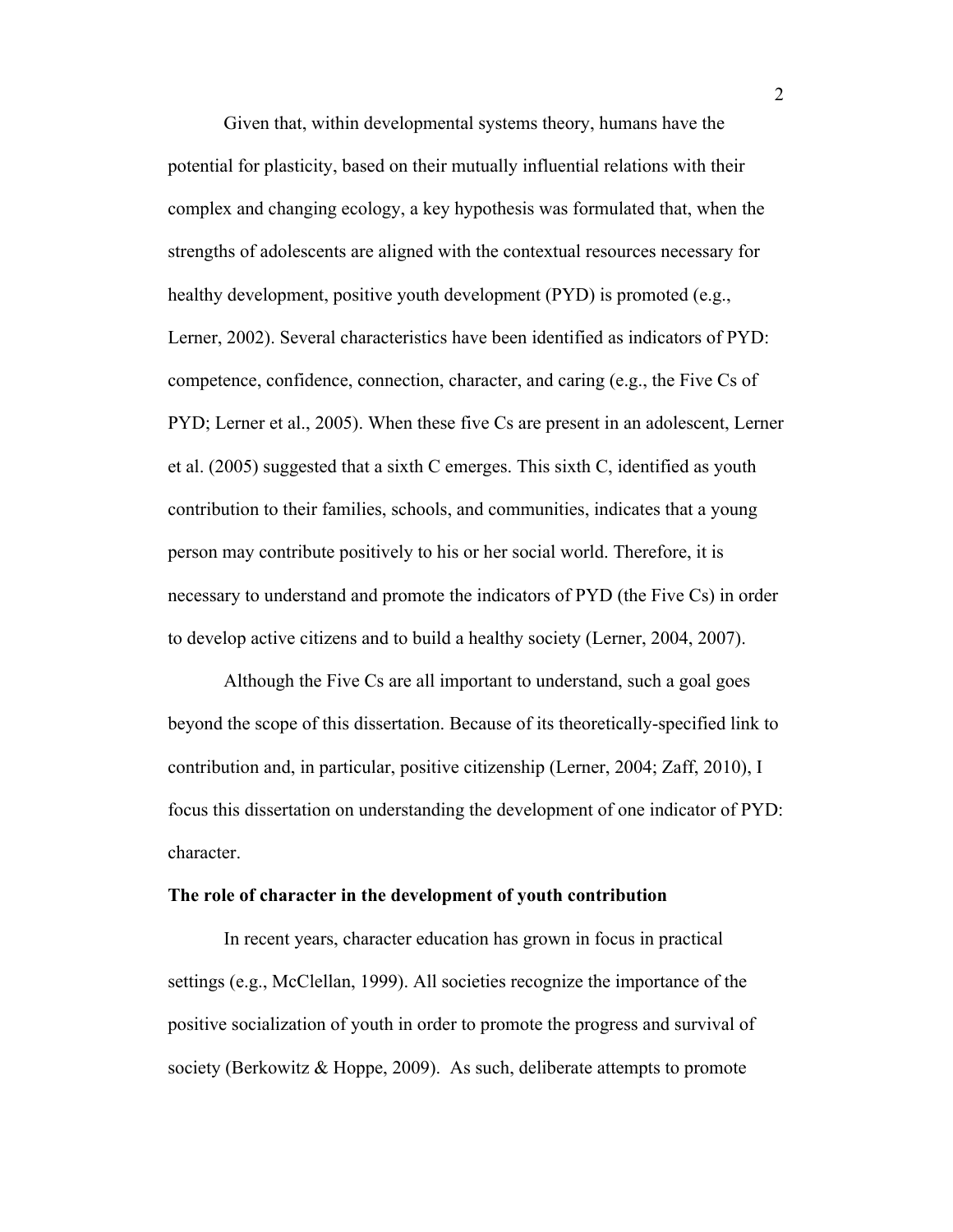Given that, within developmental systems theory, humans have the potential for plasticity, based on their mutually influential relations with their complex and changing ecology, a key hypothesis was formulated that, when the strengths of adolescents are aligned with the contextual resources necessary for healthy development, positive youth development (PYD) is promoted (e.g., Lerner, 2002). Several characteristics have been identified as indicators of PYD: competence, confidence, connection, character, and caring (e.g., the Five Cs of PYD; Lerner et al., 2005). When these five Cs are present in an adolescent, Lerner et al. (2005) suggested that a sixth C emerges. This sixth C, identified as youth contribution to their families, schools, and communities, indicates that a young person may contribute positively to his or her social world. Therefore, it is necessary to understand and promote the indicators of PYD (the Five Cs) in order to develop active citizens and to build a healthy society (Lerner, 2004, 2007).

Although the Five Cs are all important to understand, such a goal goes beyond the scope of this dissertation. Because of its theoretically-specified link to contribution and, in particular, positive citizenship (Lerner, 2004; Zaff, 2010), I focus this dissertation on understanding the development of one indicator of PYD: character.

#### **The role of character in the development of youth contribution**

In recent years, character education has grown in focus in practical settings (e.g., McClellan, 1999). All societies recognize the importance of the positive socialization of youth in order to promote the progress and survival of society (Berkowitz & Hoppe, 2009). As such, deliberate attempts to promote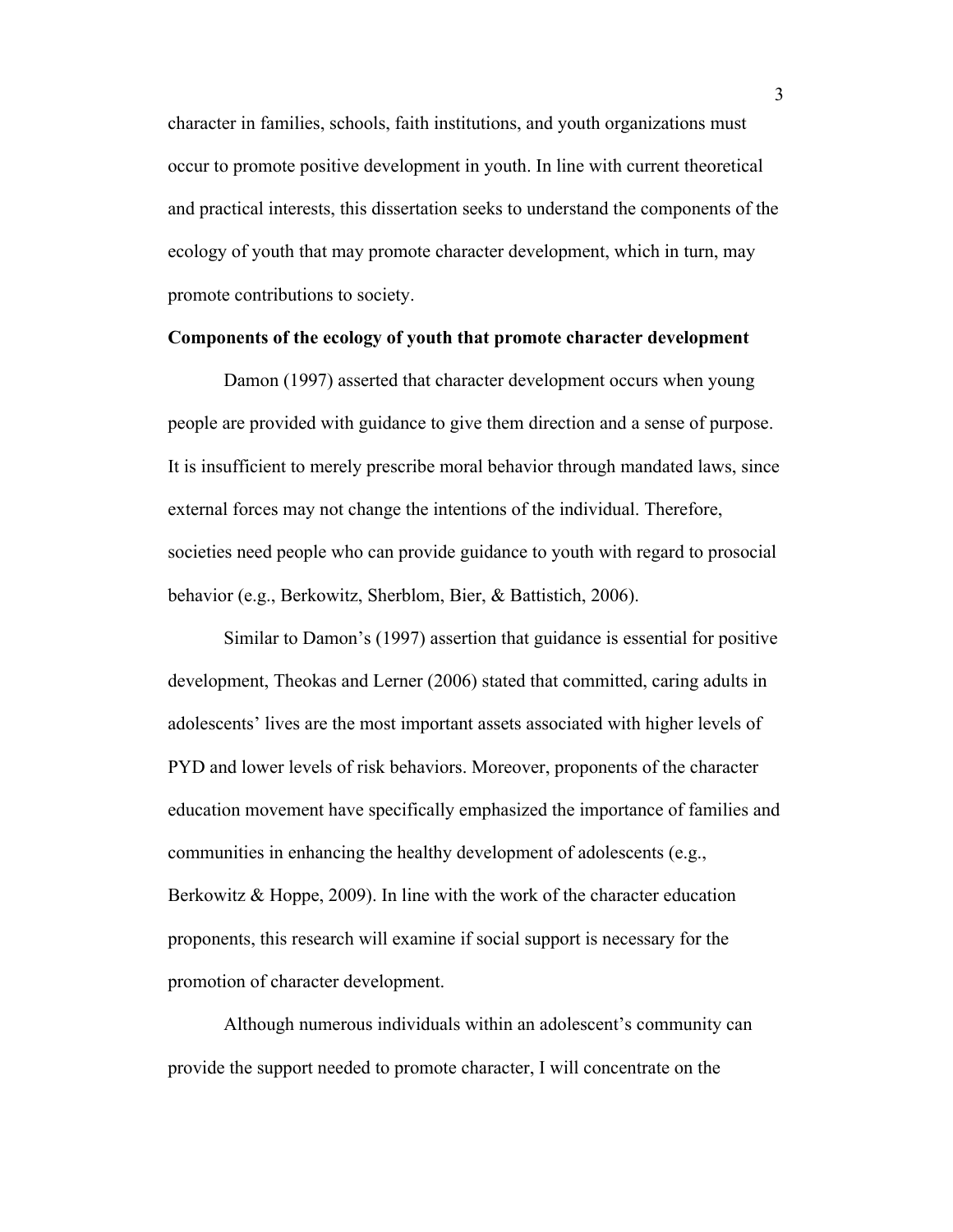character in families, schools, faith institutions, and youth organizations must occur to promote positive development in youth. In line with current theoretical and practical interests, this dissertation seeks to understand the components of the ecology of youth that may promote character development, which in turn, may promote contributions to society.

# **Components of the ecology of youth that promote character development**

Damon (1997) asserted that character development occurs when young people are provided with guidance to give them direction and a sense of purpose. It is insufficient to merely prescribe moral behavior through mandated laws, since external forces may not change the intentions of the individual. Therefore, societies need people who can provide guidance to youth with regard to prosocial behavior (e.g., Berkowitz, Sherblom, Bier, & Battistich, 2006).

Similar to Damon's (1997) assertion that guidance is essential for positive development, Theokas and Lerner (2006) stated that committed, caring adults in adolescents' lives are the most important assets associated with higher levels of PYD and lower levels of risk behaviors. Moreover, proponents of the character education movement have specifically emphasized the importance of families and communities in enhancing the healthy development of adolescents (e.g., Berkowitz & Hoppe, 2009). In line with the work of the character education proponents, this research will examine if social support is necessary for the promotion of character development.

Although numerous individuals within an adolescent's community can provide the support needed to promote character, I will concentrate on the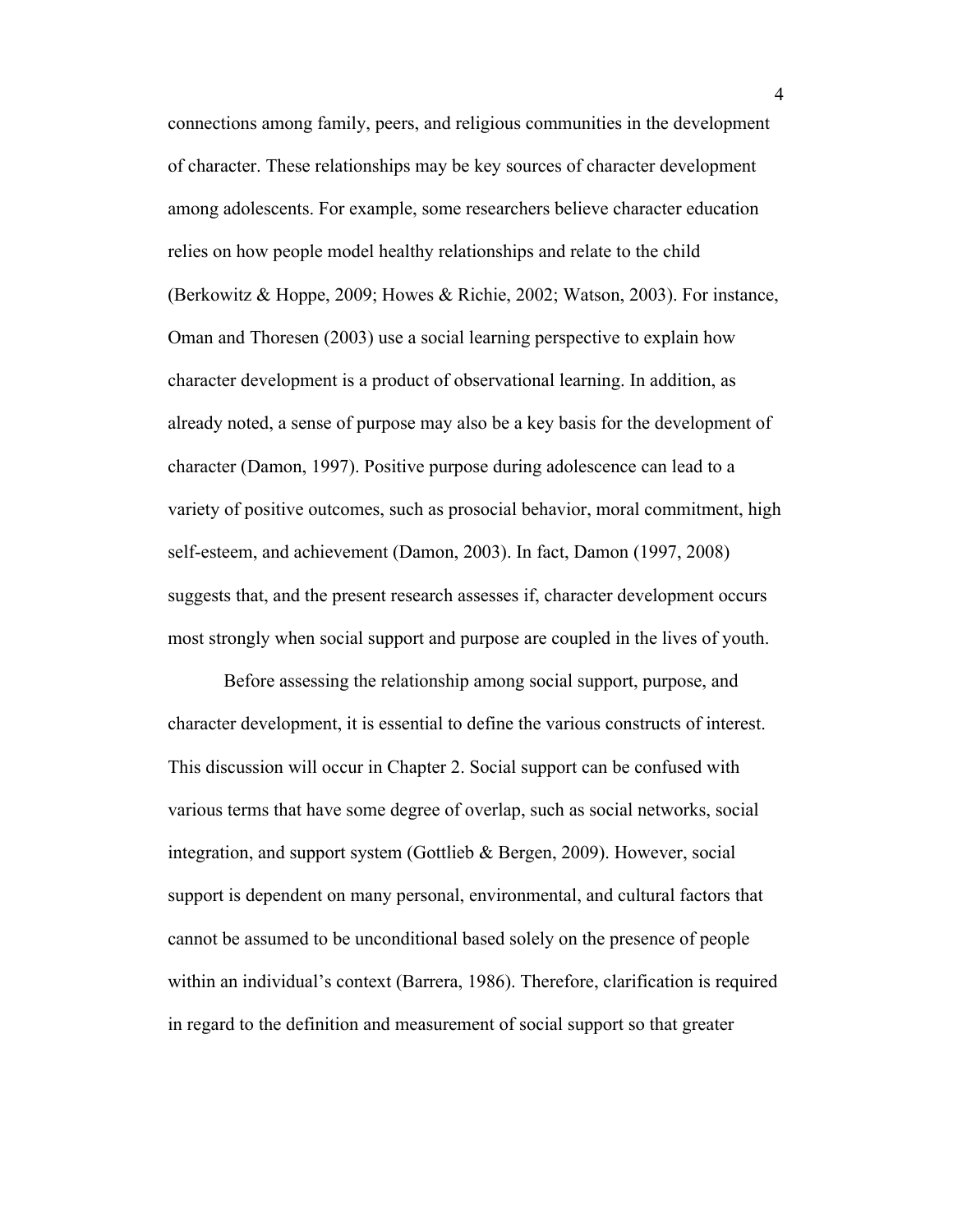connections among family, peers, and religious communities in the development of character. These relationships may be key sources of character development among adolescents. For example, some researchers believe character education relies on how people model healthy relationships and relate to the child (Berkowitz & Hoppe, 2009; Howes & Richie, 2002; Watson, 2003). For instance, Oman and Thoresen (2003) use a social learning perspective to explain how character development is a product of observational learning. In addition, as already noted, a sense of purpose may also be a key basis for the development of character (Damon, 1997). Positive purpose during adolescence can lead to a variety of positive outcomes, such as prosocial behavior, moral commitment, high self-esteem, and achievement (Damon, 2003). In fact, Damon (1997, 2008) suggests that, and the present research assesses if, character development occurs most strongly when social support and purpose are coupled in the lives of youth.

Before assessing the relationship among social support, purpose, and character development, it is essential to define the various constructs of interest. This discussion will occur in Chapter 2. Social support can be confused with various terms that have some degree of overlap, such as social networks, social integration, and support system (Gottlieb & Bergen, 2009). However, social support is dependent on many personal, environmental, and cultural factors that cannot be assumed to be unconditional based solely on the presence of people within an individual's context (Barrera, 1986). Therefore, clarification is required in regard to the definition and measurement of social support so that greater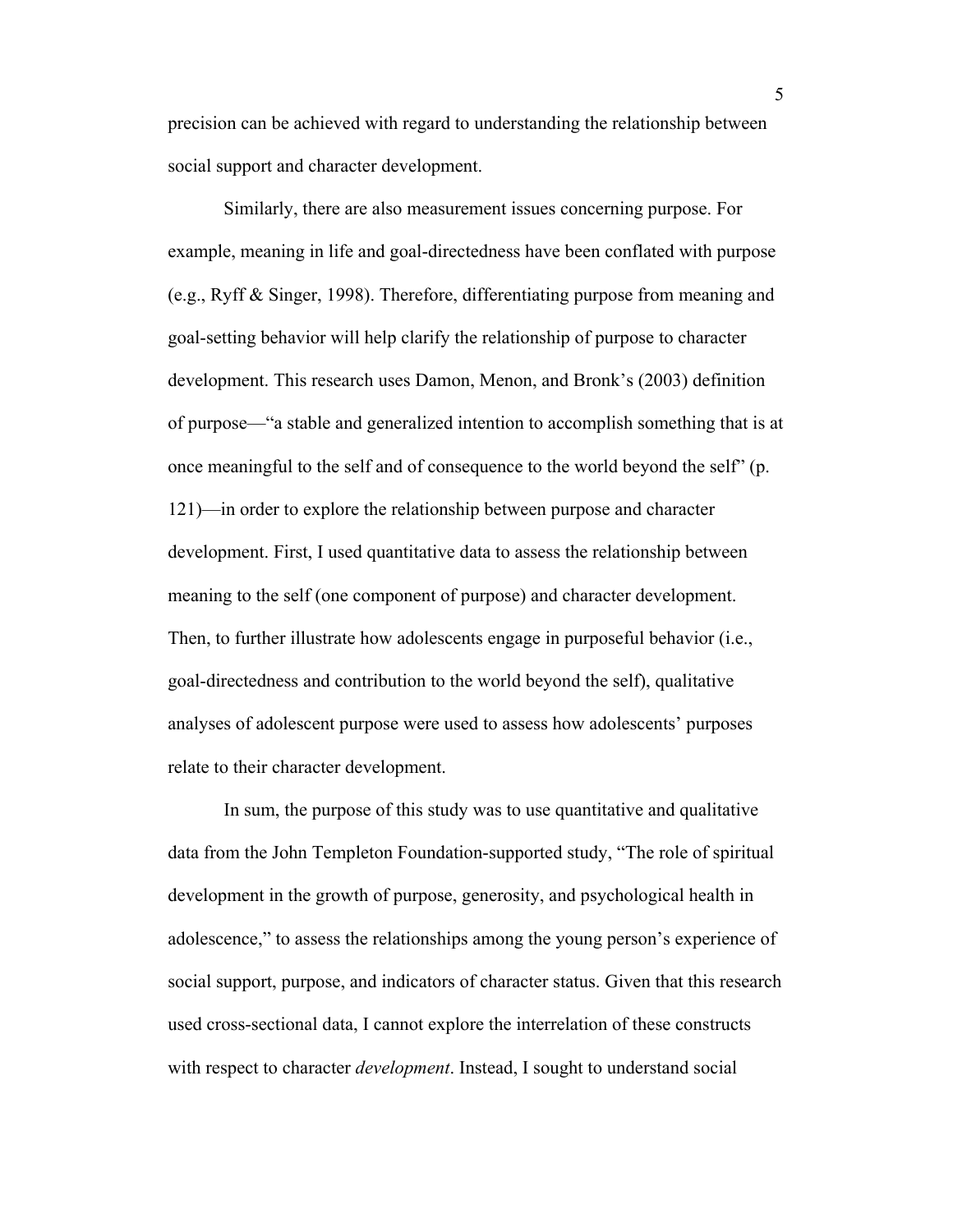precision can be achieved with regard to understanding the relationship between social support and character development.

Similarly, there are also measurement issues concerning purpose. For example, meaning in life and goal-directedness have been conflated with purpose (e.g., Ryff & Singer, 1998). Therefore, differentiating purpose from meaning and goal-setting behavior will help clarify the relationship of purpose to character development. This research uses Damon, Menon, and Bronk's (2003) definition of purpose—"a stable and generalized intention to accomplish something that is at once meaningful to the self and of consequence to the world beyond the self" (p. 121)—in order to explore the relationship between purpose and character development. First, I used quantitative data to assess the relationship between meaning to the self (one component of purpose) and character development. Then, to further illustrate how adolescents engage in purposeful behavior (i.e., goal-directedness and contribution to the world beyond the self), qualitative analyses of adolescent purpose were used to assess how adolescents' purposes relate to their character development.

In sum, the purpose of this study was to use quantitative and qualitative data from the John Templeton Foundation-supported study, "The role of spiritual development in the growth of purpose, generosity, and psychological health in adolescence," to assess the relationships among the young person's experience of social support, purpose, and indicators of character status. Given that this research used cross-sectional data, I cannot explore the interrelation of these constructs with respect to character *development*. Instead, I sought to understand social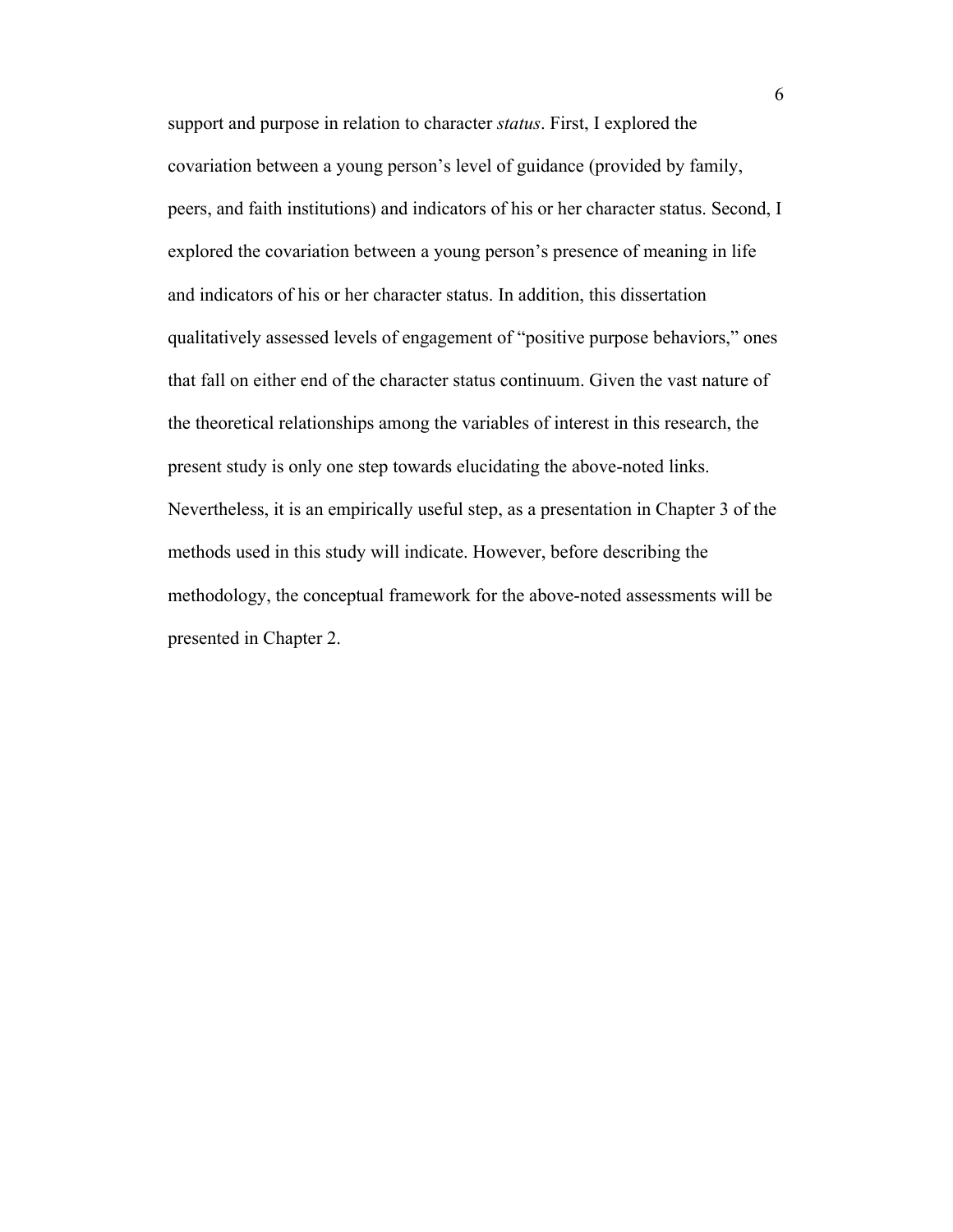support and purpose in relation to character *status*. First, I explored the covariation between a young person's level of guidance (provided by family, peers, and faith institutions) and indicators of his or her character status. Second, I explored the covariation between a young person's presence of meaning in life and indicators of his or her character status. In addition, this dissertation qualitatively assessed levels of engagement of "positive purpose behaviors," ones that fall on either end of the character status continuum. Given the vast nature of the theoretical relationships among the variables of interest in this research, the present study is only one step towards elucidating the above-noted links. Nevertheless, it is an empirically useful step, as a presentation in Chapter 3 of the methods used in this study will indicate. However, before describing the methodology, the conceptual framework for the above-noted assessments will be presented in Chapter 2.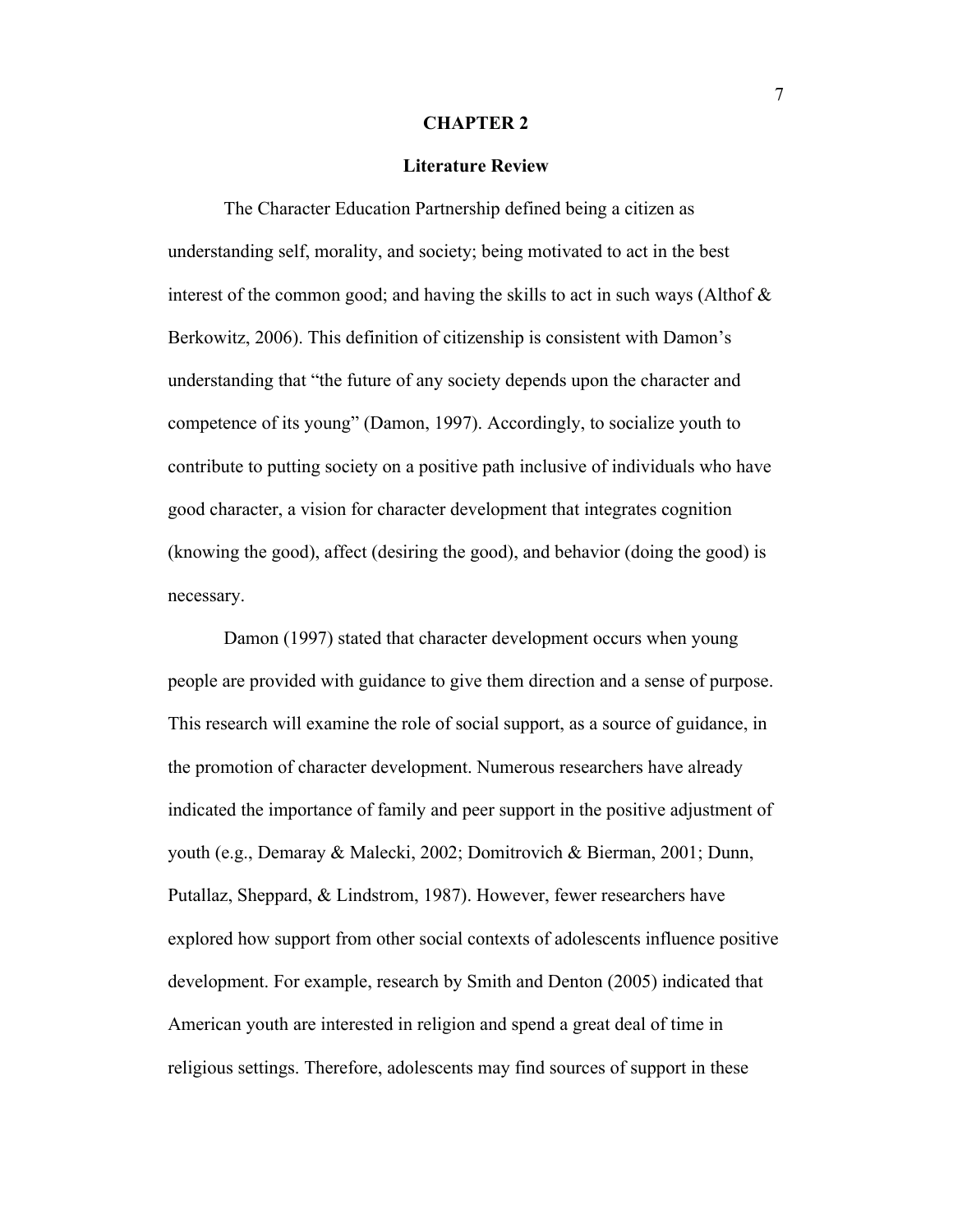#### **CHAPTER 2**

## **Literature Review**

The Character Education Partnership defined being a citizen as understanding self, morality, and society; being motivated to act in the best interest of the common good; and having the skills to act in such ways (Althof  $\&$ Berkowitz, 2006). This definition of citizenship is consistent with Damon's understanding that "the future of any society depends upon the character and competence of its young" (Damon, 1997). Accordingly, to socialize youth to contribute to putting society on a positive path inclusive of individuals who have good character, a vision for character development that integrates cognition (knowing the good), affect (desiring the good), and behavior (doing the good) is necessary.

Damon (1997) stated that character development occurs when young people are provided with guidance to give them direction and a sense of purpose. This research will examine the role of social support, as a source of guidance, in the promotion of character development. Numerous researchers have already indicated the importance of family and peer support in the positive adjustment of youth (e.g., Demaray & Malecki, 2002; Domitrovich & Bierman, 2001; Dunn, Putallaz, Sheppard, & Lindstrom, 1987). However, fewer researchers have explored how support from other social contexts of adolescents influence positive development. For example, research by Smith and Denton (2005) indicated that American youth are interested in religion and spend a great deal of time in religious settings. Therefore, adolescents may find sources of support in these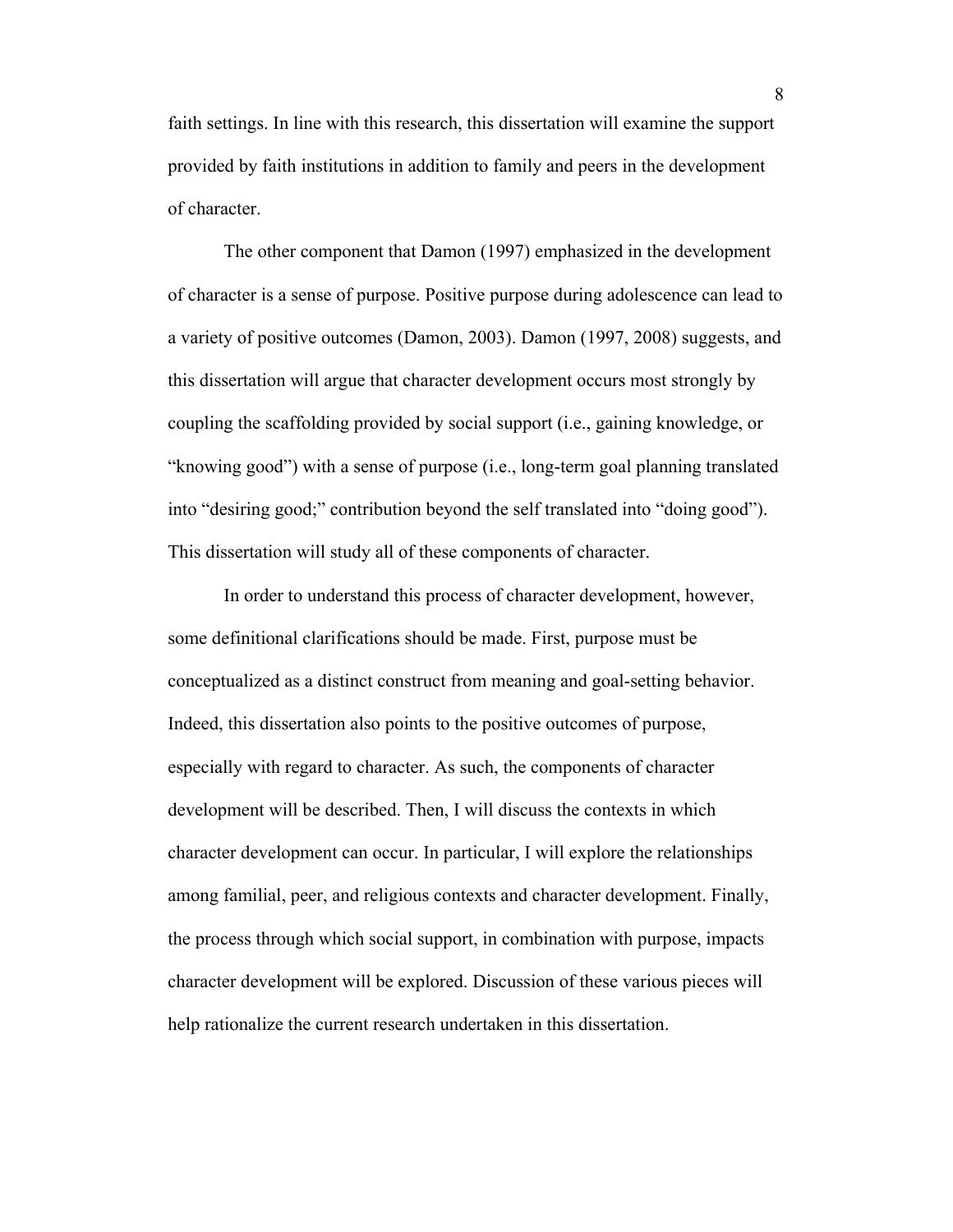faith settings. In line with this research, this dissertation will examine the support provided by faith institutions in addition to family and peers in the development of character.

The other component that Damon (1997) emphasized in the development of character is a sense of purpose. Positive purpose during adolescence can lead to a variety of positive outcomes (Damon, 2003). Damon (1997, 2008) suggests, and this dissertation will argue that character development occurs most strongly by coupling the scaffolding provided by social support (i.e., gaining knowledge, or "knowing good") with a sense of purpose (i.e., long-term goal planning translated into "desiring good;" contribution beyond the self translated into "doing good"). This dissertation will study all of these components of character.

In order to understand this process of character development, however, some definitional clarifications should be made. First, purpose must be conceptualized as a distinct construct from meaning and goal-setting behavior. Indeed, this dissertation also points to the positive outcomes of purpose, especially with regard to character. As such, the components of character development will be described. Then, I will discuss the contexts in which character development can occur. In particular, I will explore the relationships among familial, peer, and religious contexts and character development. Finally, the process through which social support, in combination with purpose, impacts character development will be explored. Discussion of these various pieces will help rationalize the current research undertaken in this dissertation.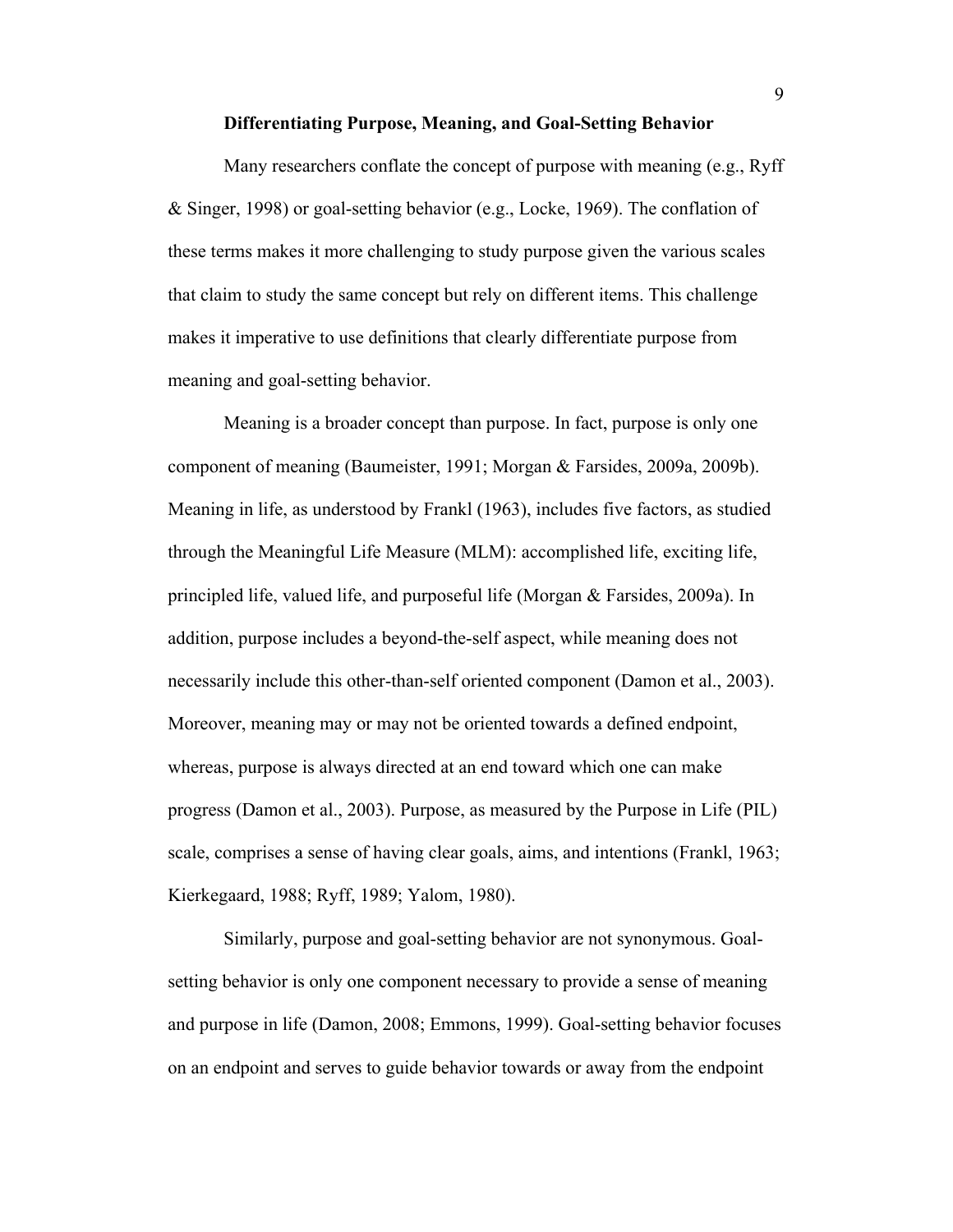#### **Differentiating Purpose, Meaning, and Goal-Setting Behavior**

Many researchers conflate the concept of purpose with meaning (e.g., Ryff & Singer, 1998) or goal-setting behavior (e.g., Locke, 1969). The conflation of these terms makes it more challenging to study purpose given the various scales that claim to study the same concept but rely on different items. This challenge makes it imperative to use definitions that clearly differentiate purpose from meaning and goal-setting behavior.

Meaning is a broader concept than purpose. In fact, purpose is only one component of meaning (Baumeister, 1991; Morgan & Farsides, 2009a, 2009b). Meaning in life, as understood by Frankl (1963), includes five factors, as studied through the Meaningful Life Measure (MLM): accomplished life, exciting life, principled life, valued life, and purposeful life (Morgan & Farsides, 2009a). In addition, purpose includes a beyond-the-self aspect, while meaning does not necessarily include this other-than-self oriented component (Damon et al., 2003). Moreover, meaning may or may not be oriented towards a defined endpoint, whereas, purpose is always directed at an end toward which one can make progress (Damon et al., 2003). Purpose, as measured by the Purpose in Life (PIL) scale, comprises a sense of having clear goals, aims, and intentions (Frankl, 1963; Kierkegaard, 1988; Ryff, 1989; Yalom, 1980).

Similarly, purpose and goal-setting behavior are not synonymous. Goalsetting behavior is only one component necessary to provide a sense of meaning and purpose in life (Damon, 2008; Emmons, 1999). Goal-setting behavior focuses on an endpoint and serves to guide behavior towards or away from the endpoint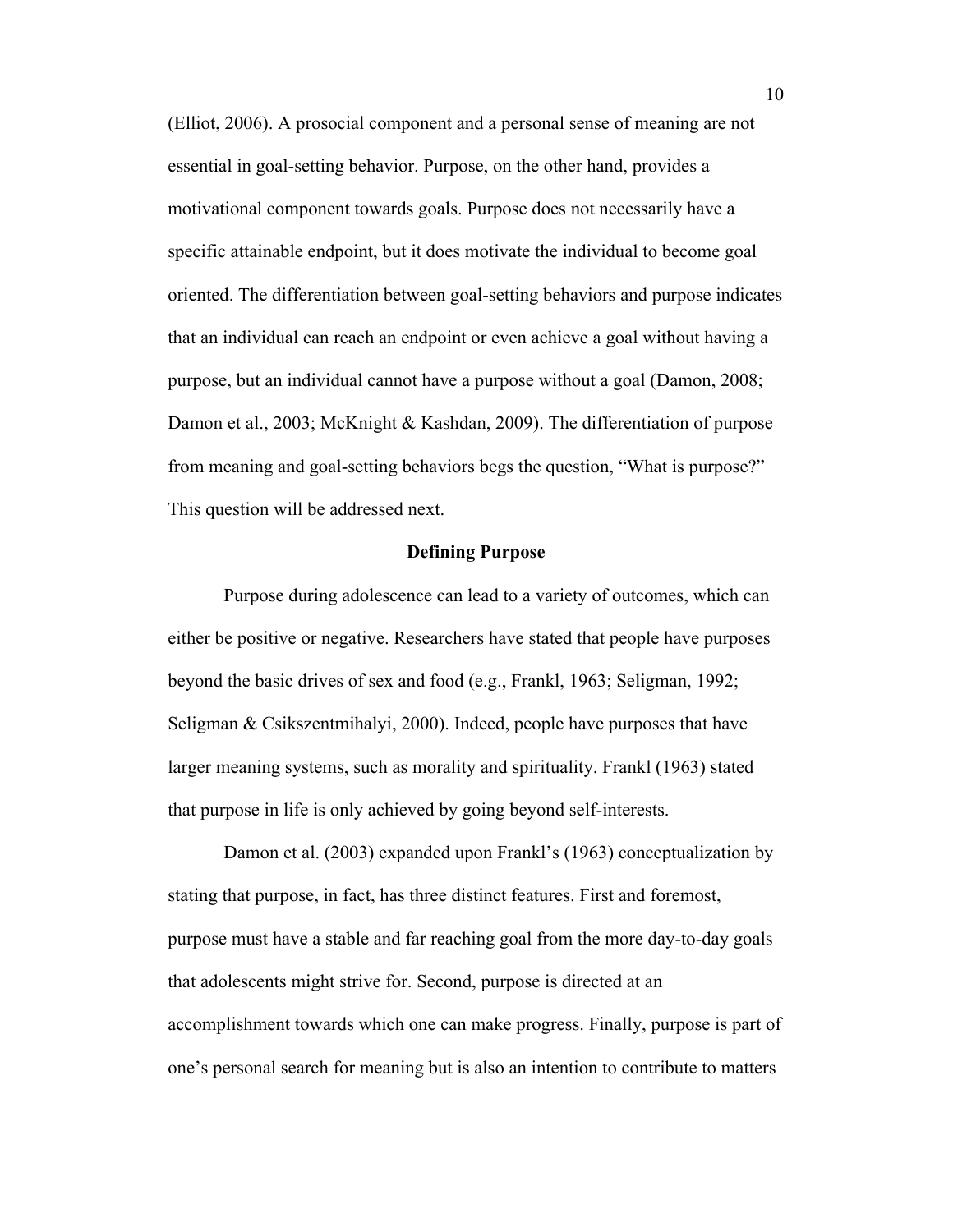(Elliot, 2006). A prosocial component and a personal sense of meaning are not essential in goal-setting behavior. Purpose, on the other hand, provides a motivational component towards goals. Purpose does not necessarily have a specific attainable endpoint, but it does motivate the individual to become goal oriented. The differentiation between goal-setting behaviors and purpose indicates that an individual can reach an endpoint or even achieve a goal without having a purpose, but an individual cannot have a purpose without a goal (Damon, 2008; Damon et al., 2003; McKnight & Kashdan, 2009). The differentiation of purpose from meaning and goal-setting behaviors begs the question, "What is purpose?" This question will be addressed next.

## **Defining Purpose**

Purpose during adolescence can lead to a variety of outcomes, which can either be positive or negative. Researchers have stated that people have purposes beyond the basic drives of sex and food (e.g., Frankl, 1963; Seligman, 1992; Seligman & Csikszentmihalyi, 2000). Indeed, people have purposes that have larger meaning systems, such as morality and spirituality. Frankl (1963) stated that purpose in life is only achieved by going beyond self-interests.

Damon et al. (2003) expanded upon Frankl's (1963) conceptualization by stating that purpose, in fact, has three distinct features. First and foremost, purpose must have a stable and far reaching goal from the more day-to-day goals that adolescents might strive for. Second, purpose is directed at an accomplishment towards which one can make progress. Finally, purpose is part of one's personal search for meaning but is also an intention to contribute to matters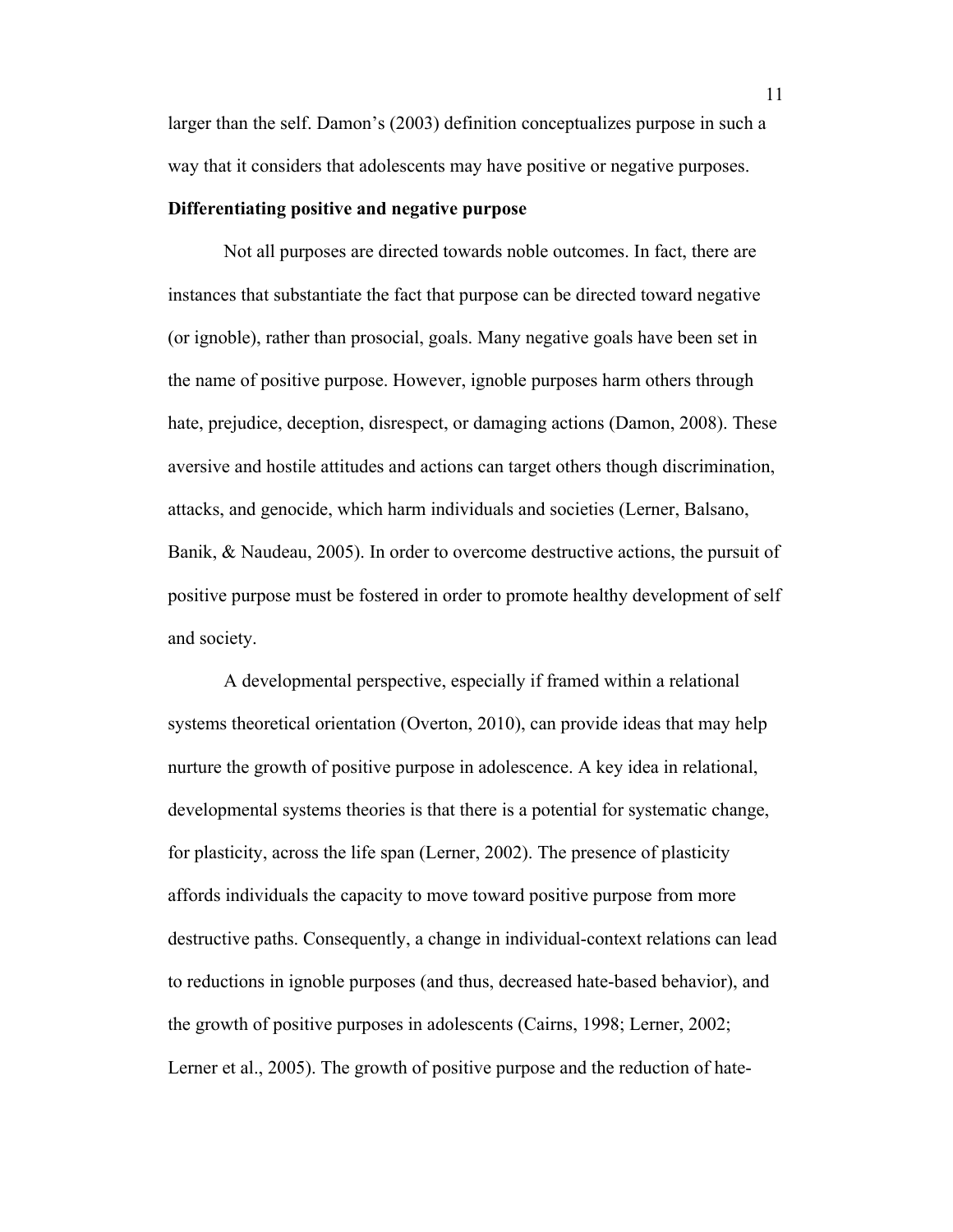larger than the self. Damon's (2003) definition conceptualizes purpose in such a way that it considers that adolescents may have positive or negative purposes.

# **Differentiating positive and negative purpose**

Not all purposes are directed towards noble outcomes. In fact, there are instances that substantiate the fact that purpose can be directed toward negative (or ignoble), rather than prosocial, goals. Many negative goals have been set in the name of positive purpose. However, ignoble purposes harm others through hate, prejudice, deception, disrespect, or damaging actions (Damon, 2008). These aversive and hostile attitudes and actions can target others though discrimination, attacks, and genocide, which harm individuals and societies (Lerner, Balsano, Banik, & Naudeau, 2005). In order to overcome destructive actions, the pursuit of positive purpose must be fostered in order to promote healthy development of self and society.

A developmental perspective, especially if framed within a relational systems theoretical orientation (Overton, 2010), can provide ideas that may help nurture the growth of positive purpose in adolescence. A key idea in relational, developmental systems theories is that there is a potential for systematic change, for plasticity, across the life span (Lerner, 2002). The presence of plasticity affords individuals the capacity to move toward positive purpose from more destructive paths. Consequently, a change in individual-context relations can lead to reductions in ignoble purposes (and thus, decreased hate-based behavior), and the growth of positive purposes in adolescents (Cairns, 1998; Lerner, 2002; Lerner et al., 2005). The growth of positive purpose and the reduction of hate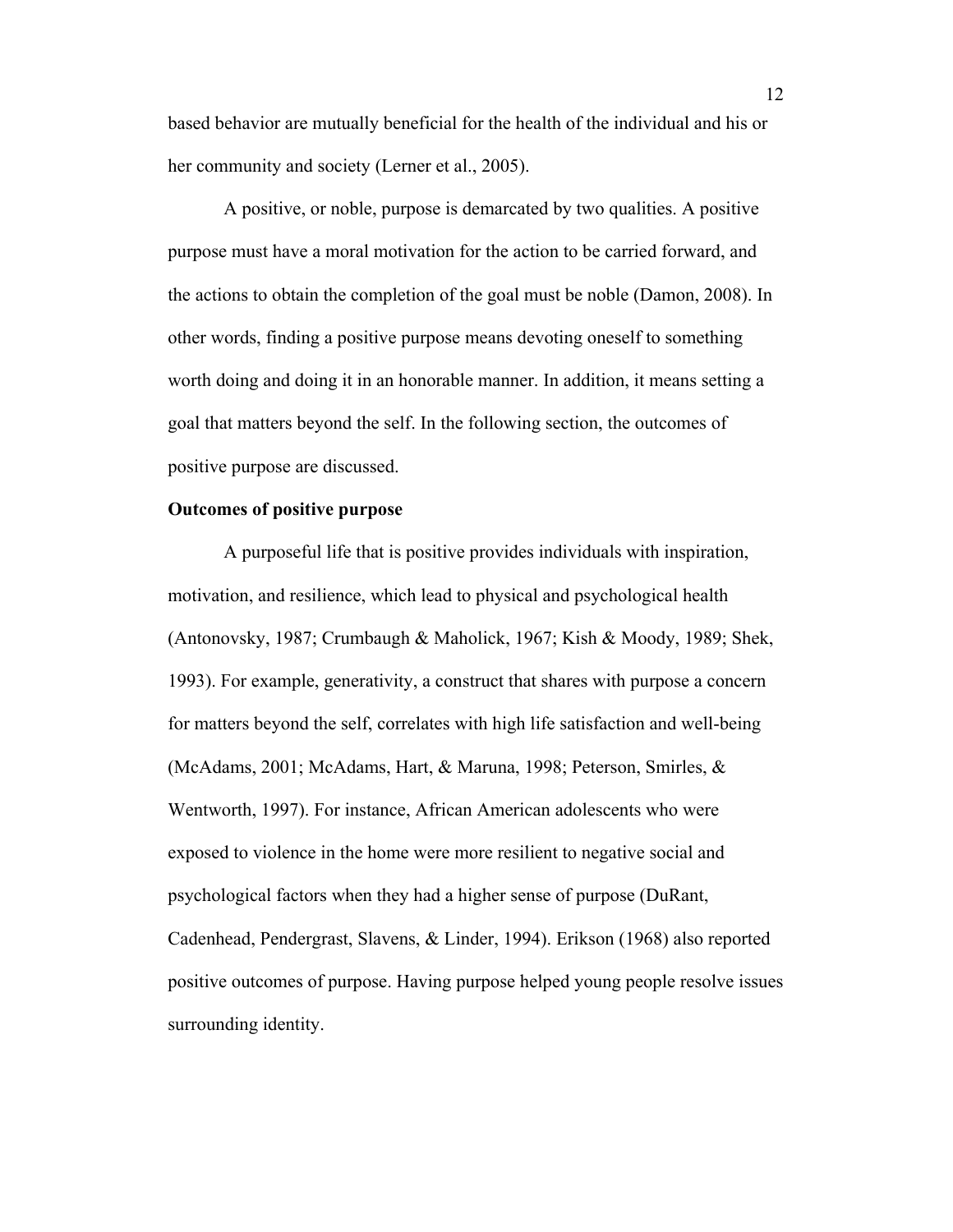based behavior are mutually beneficial for the health of the individual and his or her community and society (Lerner et al., 2005).

A positive, or noble, purpose is demarcated by two qualities. A positive purpose must have a moral motivation for the action to be carried forward, and the actions to obtain the completion of the goal must be noble (Damon, 2008). In other words, finding a positive purpose means devoting oneself to something worth doing and doing it in an honorable manner. In addition, it means setting a goal that matters beyond the self. In the following section, the outcomes of positive purpose are discussed.

# **Outcomes of positive purpose**

A purposeful life that is positive provides individuals with inspiration, motivation, and resilience, which lead to physical and psychological health (Antonovsky, 1987; Crumbaugh & Maholick, 1967; Kish & Moody, 1989; Shek, 1993). For example, generativity, a construct that shares with purpose a concern for matters beyond the self, correlates with high life satisfaction and well-being (McAdams, 2001; McAdams, Hart, & Maruna, 1998; Peterson, Smirles, & Wentworth, 1997). For instance, African American adolescents who were exposed to violence in the home were more resilient to negative social and psychological factors when they had a higher sense of purpose (DuRant, Cadenhead, Pendergrast, Slavens, & Linder, 1994). Erikson (1968) also reported positive outcomes of purpose. Having purpose helped young people resolve issues surrounding identity.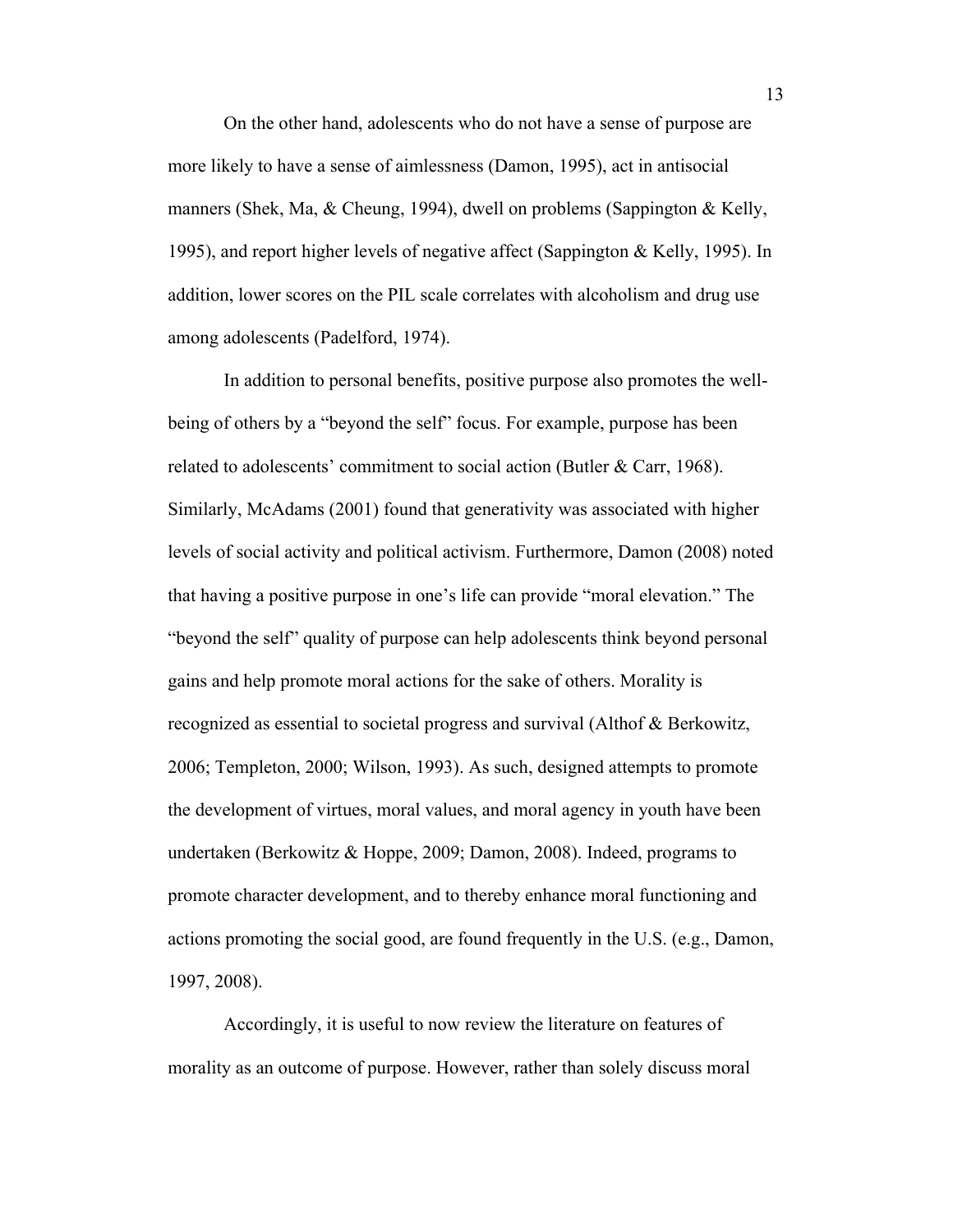On the other hand, adolescents who do not have a sense of purpose are more likely to have a sense of aimlessness (Damon, 1995), act in antisocial manners (Shek, Ma,  $&$  Cheung, 1994), dwell on problems (Sappington  $&$  Kelly, 1995), and report higher levels of negative affect (Sappington & Kelly, 1995). In addition, lower scores on the PIL scale correlates with alcoholism and drug use among adolescents (Padelford, 1974).

In addition to personal benefits, positive purpose also promotes the wellbeing of others by a "beyond the self" focus. For example, purpose has been related to adolescents' commitment to social action (Butler & Carr, 1968). Similarly, McAdams (2001) found that generativity was associated with higher levels of social activity and political activism. Furthermore, Damon (2008) noted that having a positive purpose in one's life can provide "moral elevation." The "beyond the self" quality of purpose can help adolescents think beyond personal gains and help promote moral actions for the sake of others. Morality is recognized as essential to societal progress and survival (Althof & Berkowitz, 2006; Templeton, 2000; Wilson, 1993). As such, designed attempts to promote the development of virtues, moral values, and moral agency in youth have been undertaken (Berkowitz & Hoppe, 2009; Damon, 2008). Indeed, programs to promote character development, and to thereby enhance moral functioning and actions promoting the social good, are found frequently in the U.S. (e.g., Damon, 1997, 2008).

Accordingly, it is useful to now review the literature on features of morality as an outcome of purpose. However, rather than solely discuss moral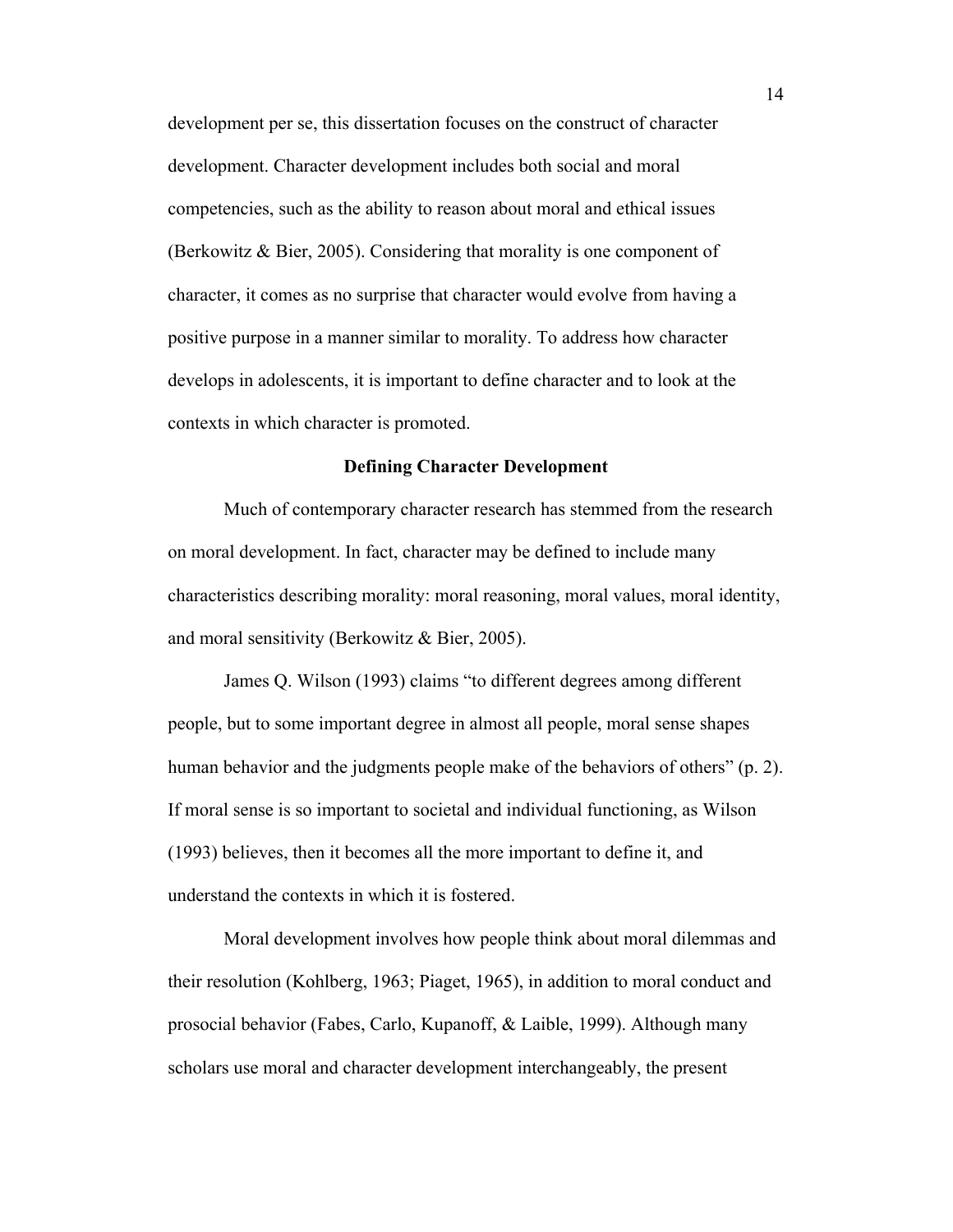development per se, this dissertation focuses on the construct of character development. Character development includes both social and moral competencies, such as the ability to reason about moral and ethical issues (Berkowitz & Bier, 2005). Considering that morality is one component of character, it comes as no surprise that character would evolve from having a positive purpose in a manner similar to morality. To address how character develops in adolescents, it is important to define character and to look at the contexts in which character is promoted.

#### **Defining Character Development**

Much of contemporary character research has stemmed from the research on moral development. In fact, character may be defined to include many characteristics describing morality: moral reasoning, moral values, moral identity, and moral sensitivity (Berkowitz & Bier, 2005).

James Q. Wilson (1993) claims "to different degrees among different people, but to some important degree in almost all people, moral sense shapes human behavior and the judgments people make of the behaviors of others" (p. 2). If moral sense is so important to societal and individual functioning, as Wilson (1993) believes, then it becomes all the more important to define it, and understand the contexts in which it is fostered.

Moral development involves how people think about moral dilemmas and their resolution (Kohlberg, 1963; Piaget, 1965), in addition to moral conduct and prosocial behavior (Fabes, Carlo, Kupanoff, & Laible, 1999). Although many scholars use moral and character development interchangeably, the present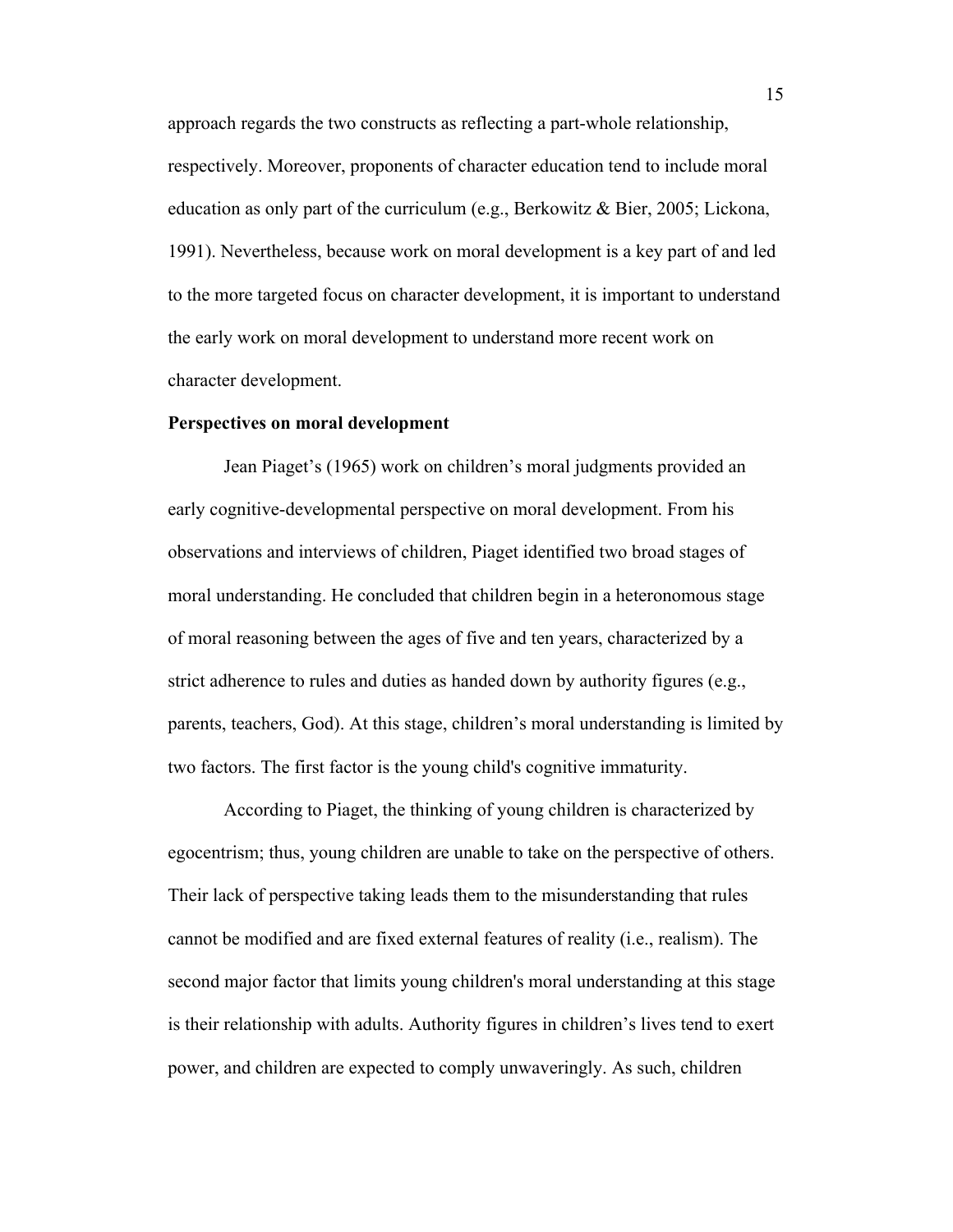approach regards the two constructs as reflecting a part-whole relationship, respectively. Moreover, proponents of character education tend to include moral education as only part of the curriculum (e.g., Berkowitz & Bier, 2005; Lickona, 1991). Nevertheless, because work on moral development is a key part of and led to the more targeted focus on character development, it is important to understand the early work on moral development to understand more recent work on character development.

#### **Perspectives on moral development**

Jean Piaget's (1965) work on children's moral judgments provided an early cognitive-developmental perspective on moral development. From his observations and interviews of children, Piaget identified two broad stages of moral understanding. He concluded that children begin in a heteronomous stage of moral reasoning between the ages of five and ten years, characterized by a strict adherence to rules and duties as handed down by authority figures (e.g., parents, teachers, God). At this stage, children's moral understanding is limited by two factors. The first factor is the young child's cognitive immaturity.

According to Piaget, the thinking of young children is characterized by egocentrism; thus, young children are unable to take on the perspective of others. Their lack of perspective taking leads them to the misunderstanding that rules cannot be modified and are fixed external features of reality (i.e., realism). The second major factor that limits young children's moral understanding at this stage is their relationship with adults. Authority figures in children's lives tend to exert power, and children are expected to comply unwaveringly. As such, children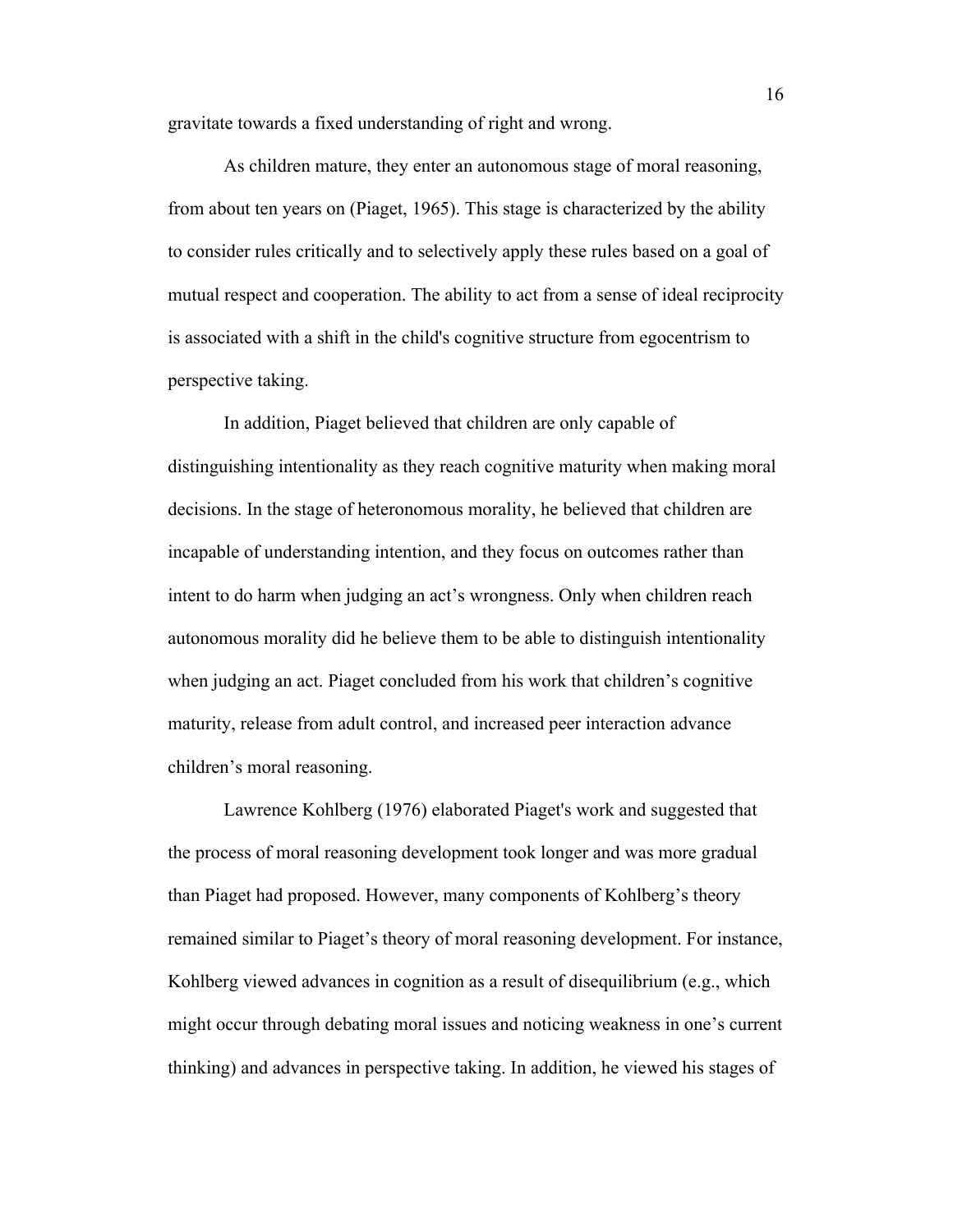gravitate towards a fixed understanding of right and wrong.

As children mature, they enter an autonomous stage of moral reasoning, from about ten years on (Piaget, 1965). This stage is characterized by the ability to consider rules critically and to selectively apply these rules based on a goal of mutual respect and cooperation. The ability to act from a sense of ideal reciprocity is associated with a shift in the child's cognitive structure from egocentrism to perspective taking.

In addition, Piaget believed that children are only capable of distinguishing intentionality as they reach cognitive maturity when making moral decisions. In the stage of heteronomous morality, he believed that children are incapable of understanding intention, and they focus on outcomes rather than intent to do harm when judging an act's wrongness. Only when children reach autonomous morality did he believe them to be able to distinguish intentionality when judging an act. Piaget concluded from his work that children's cognitive maturity, release from adult control, and increased peer interaction advance children's moral reasoning.

Lawrence Kohlberg (1976) elaborated Piaget's work and suggested that the process of moral reasoning development took longer and was more gradual than Piaget had proposed. However, many components of Kohlberg's theory remained similar to Piaget's theory of moral reasoning development. For instance, Kohlberg viewed advances in cognition as a result of disequilibrium (e.g., which might occur through debating moral issues and noticing weakness in one's current thinking) and advances in perspective taking. In addition, he viewed his stages of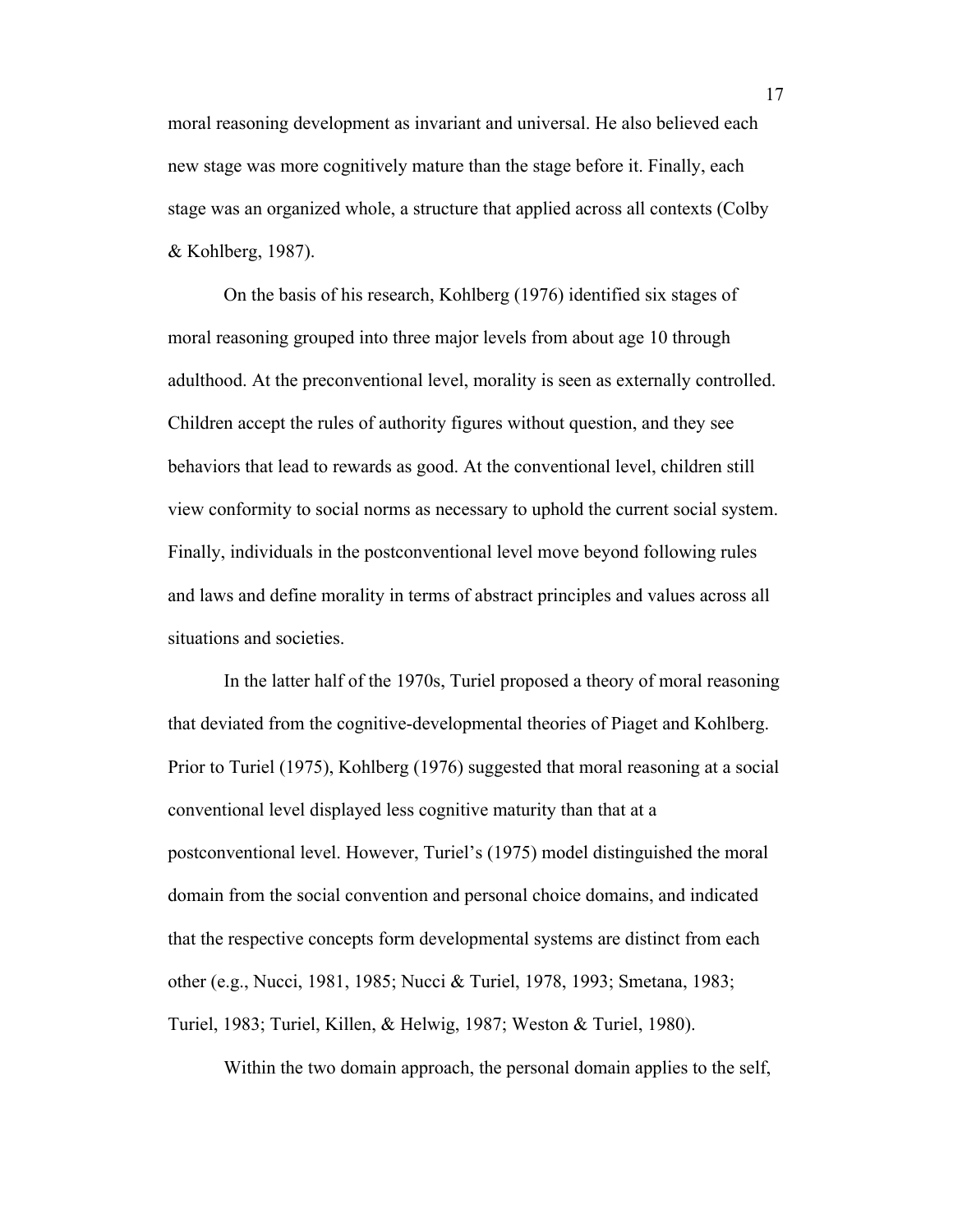moral reasoning development as invariant and universal. He also believed each new stage was more cognitively mature than the stage before it. Finally, each stage was an organized whole, a structure that applied across all contexts (Colby & Kohlberg, 1987).

On the basis of his research, Kohlberg (1976) identified six stages of moral reasoning grouped into three major levels from about age 10 through adulthood. At the preconventional level, morality is seen as externally controlled. Children accept the rules of authority figures without question, and they see behaviors that lead to rewards as good. At the conventional level, children still view conformity to social norms as necessary to uphold the current social system. Finally, individuals in the postconventional level move beyond following rules and laws and define morality in terms of abstract principles and values across all situations and societies.

In the latter half of the 1970s, Turiel proposed a theory of moral reasoning that deviated from the cognitive-developmental theories of Piaget and Kohlberg. Prior to Turiel (1975), Kohlberg (1976) suggested that moral reasoning at a social conventional level displayed less cognitive maturity than that at a postconventional level. However, Turiel's (1975) model distinguished the moral domain from the social convention and personal choice domains, and indicated that the respective concepts form developmental systems are distinct from each other (e.g., Nucci, 1981, 1985; Nucci & Turiel, 1978, 1993; Smetana, 1983; Turiel, 1983; Turiel, Killen, & Helwig, 1987; Weston & Turiel, 1980).

Within the two domain approach, the personal domain applies to the self,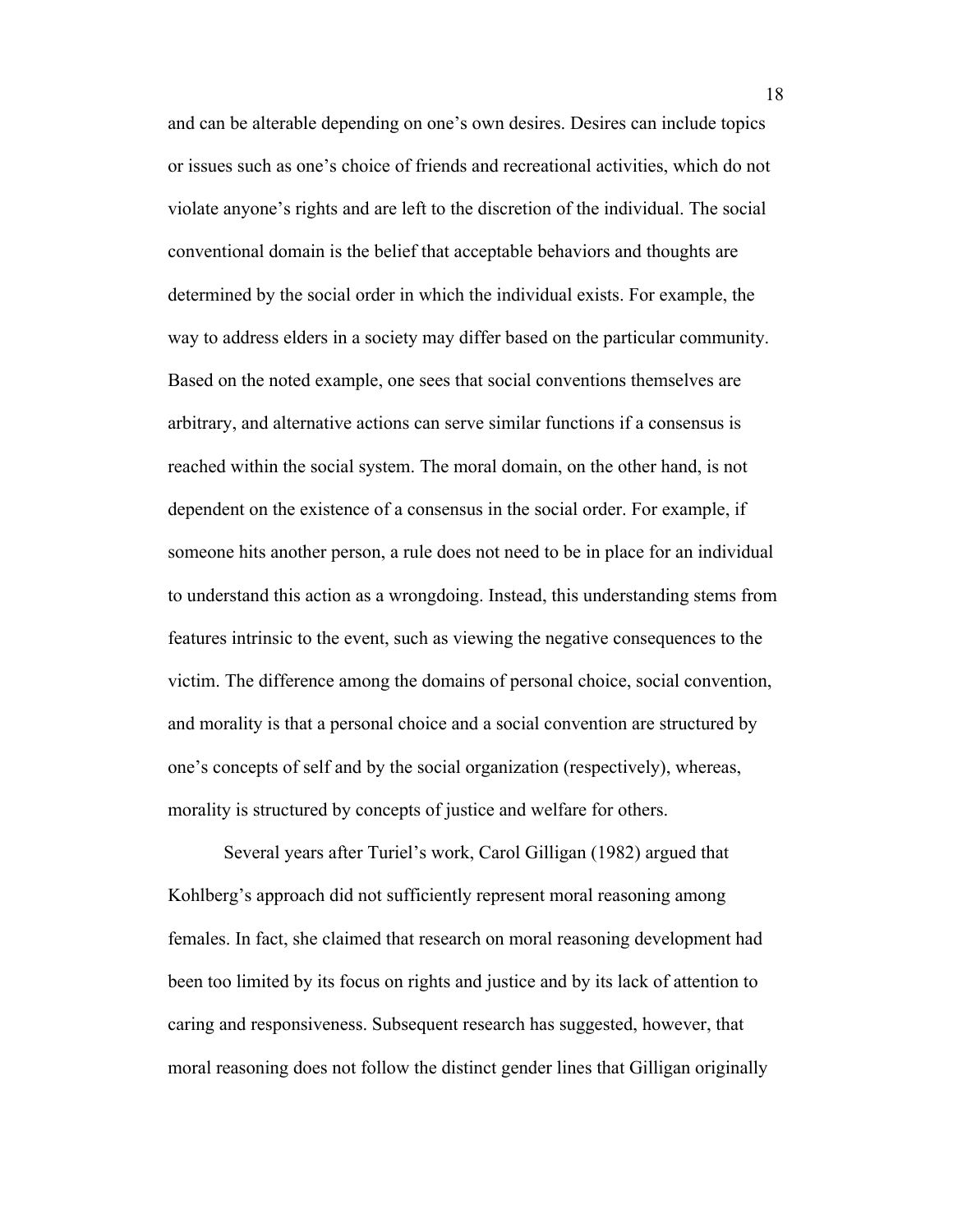and can be alterable depending on one's own desires. Desires can include topics or issues such as one's choice of friends and recreational activities, which do not violate anyone's rights and are left to the discretion of the individual. The social conventional domain is the belief that acceptable behaviors and thoughts are determined by the social order in which the individual exists. For example, the way to address elders in a society may differ based on the particular community. Based on the noted example, one sees that social conventions themselves are arbitrary, and alternative actions can serve similar functions if a consensus is reached within the social system. The moral domain, on the other hand, is not dependent on the existence of a consensus in the social order. For example, if someone hits another person, a rule does not need to be in place for an individual to understand this action as a wrongdoing. Instead, this understanding stems from features intrinsic to the event, such as viewing the negative consequences to the victim. The difference among the domains of personal choice, social convention, and morality is that a personal choice and a social convention are structured by one's concepts of self and by the social organization (respectively), whereas, morality is structured by concepts of justice and welfare for others.

Several years after Turiel's work, Carol Gilligan (1982) argued that Kohlberg's approach did not sufficiently represent moral reasoning among females. In fact, she claimed that research on moral reasoning development had been too limited by its focus on rights and justice and by its lack of attention to caring and responsiveness. Subsequent research has suggested, however, that moral reasoning does not follow the distinct gender lines that Gilligan originally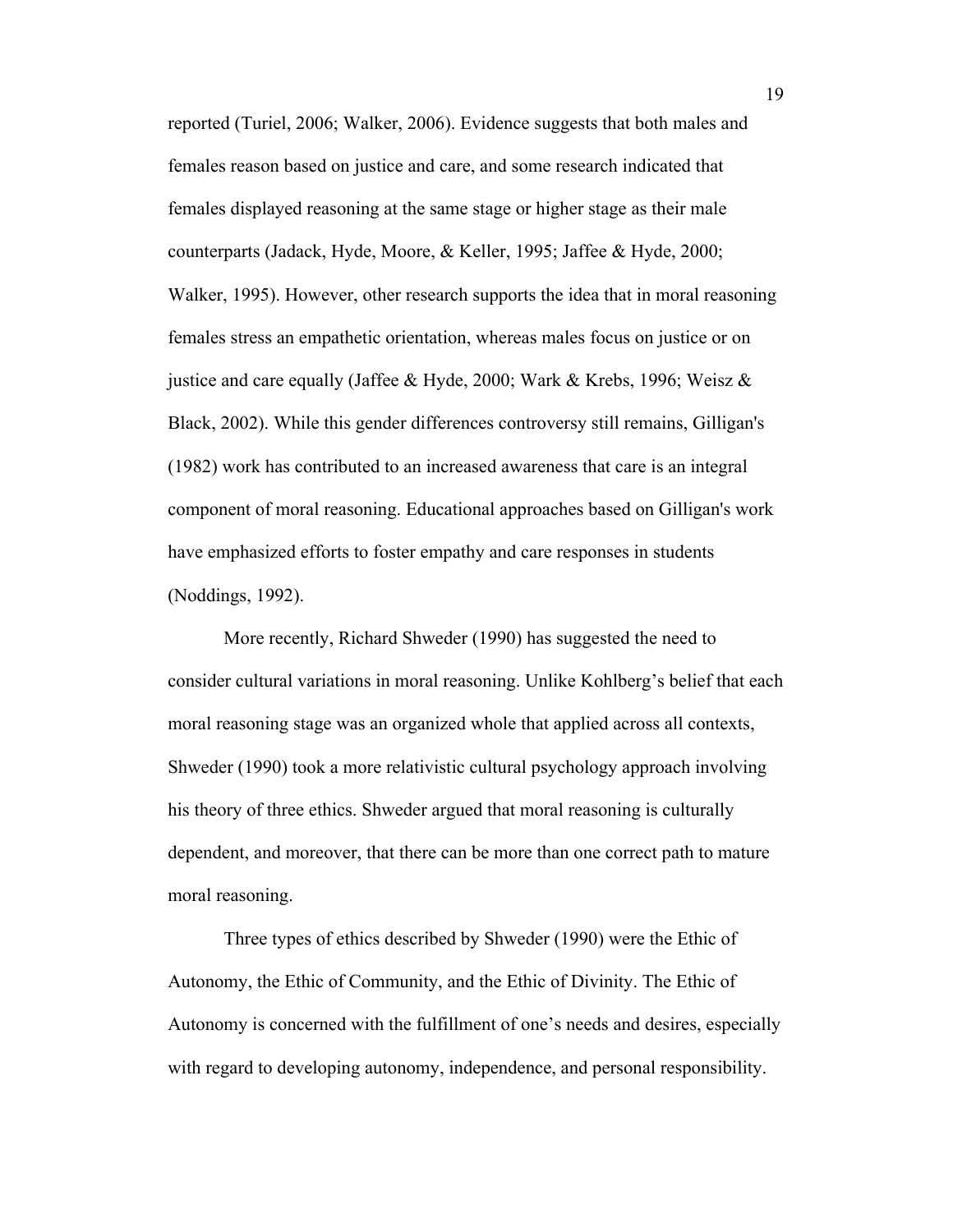reported (Turiel, 2006; Walker, 2006). Evidence suggests that both males and females reason based on justice and care, and some research indicated that females displayed reasoning at the same stage or higher stage as their male counterparts (Jadack, Hyde, Moore, & Keller, 1995; Jaffee & Hyde, 2000; Walker, 1995). However, other research supports the idea that in moral reasoning females stress an empathetic orientation, whereas males focus on justice or on justice and care equally (Jaffee & Hyde, 2000; Wark & Krebs, 1996; Weisz & Black, 2002). While this gender differences controversy still remains, Gilligan's (1982) work has contributed to an increased awareness that care is an integral component of moral reasoning. Educational approaches based on Gilligan's work have emphasized efforts to foster empathy and care responses in students (Noddings, 1992).

More recently, Richard Shweder (1990) has suggested the need to consider cultural variations in moral reasoning. Unlike Kohlberg's belief that each moral reasoning stage was an organized whole that applied across all contexts, Shweder (1990) took a more relativistic cultural psychology approach involving his theory of three ethics. Shweder argued that moral reasoning is culturally dependent, and moreover, that there can be more than one correct path to mature moral reasoning.

Three types of ethics described by Shweder (1990) were the Ethic of Autonomy, the Ethic of Community, and the Ethic of Divinity. The Ethic of Autonomy is concerned with the fulfillment of one's needs and desires, especially with regard to developing autonomy, independence, and personal responsibility.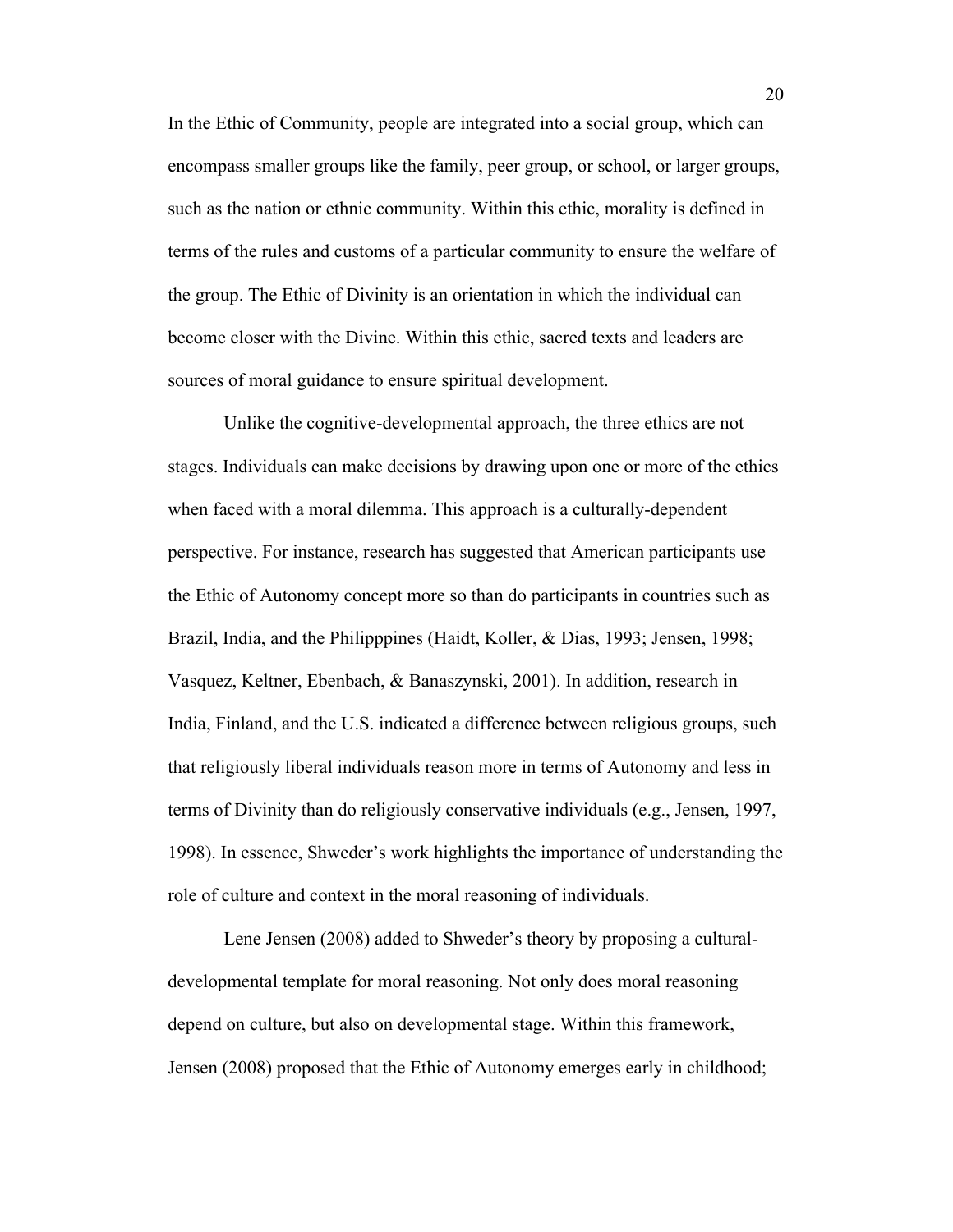In the Ethic of Community, people are integrated into a social group, which can encompass smaller groups like the family, peer group, or school, or larger groups, such as the nation or ethnic community. Within this ethic, morality is defined in terms of the rules and customs of a particular community to ensure the welfare of the group. The Ethic of Divinity is an orientation in which the individual can become closer with the Divine. Within this ethic, sacred texts and leaders are sources of moral guidance to ensure spiritual development.

Unlike the cognitive-developmental approach, the three ethics are not stages. Individuals can make decisions by drawing upon one or more of the ethics when faced with a moral dilemma. This approach is a culturally-dependent perspective. For instance, research has suggested that American participants use the Ethic of Autonomy concept more so than do participants in countries such as Brazil, India, and the Philipppines (Haidt, Koller, & Dias, 1993; Jensen, 1998; Vasquez, Keltner, Ebenbach, & Banaszynski, 2001). In addition, research in India, Finland, and the U.S. indicated a difference between religious groups, such that religiously liberal individuals reason more in terms of Autonomy and less in terms of Divinity than do religiously conservative individuals (e.g., Jensen, 1997, 1998). In essence, Shweder's work highlights the importance of understanding the role of culture and context in the moral reasoning of individuals.

Lene Jensen (2008) added to Shweder's theory by proposing a culturaldevelopmental template for moral reasoning. Not only does moral reasoning depend on culture, but also on developmental stage. Within this framework, Jensen (2008) proposed that the Ethic of Autonomy emerges early in childhood;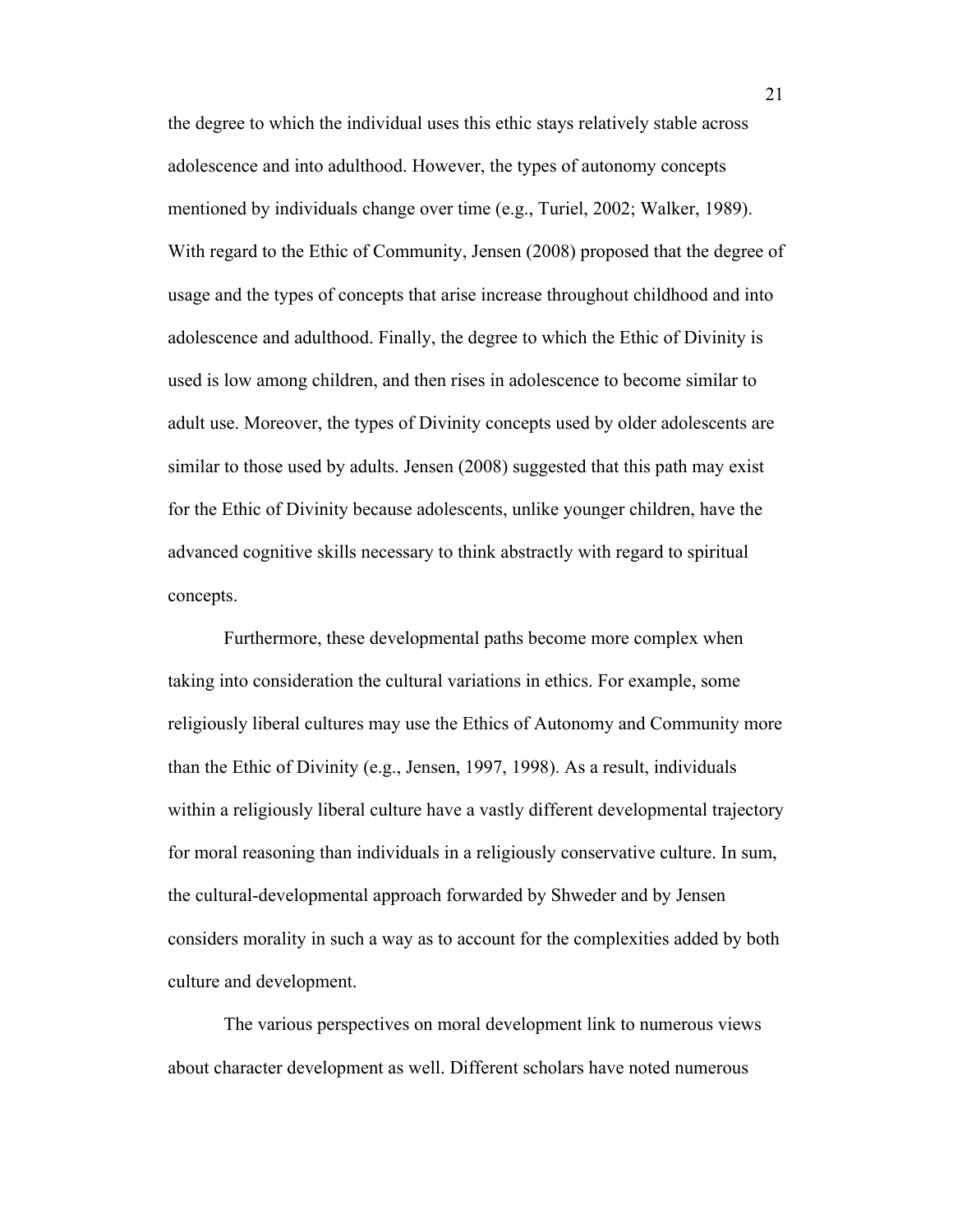the degree to which the individual uses this ethic stays relatively stable across adolescence and into adulthood. However, the types of autonomy concepts mentioned by individuals change over time (e.g., Turiel, 2002; Walker, 1989). With regard to the Ethic of Community, Jensen (2008) proposed that the degree of usage and the types of concepts that arise increase throughout childhood and into adolescence and adulthood. Finally, the degree to which the Ethic of Divinity is used is low among children, and then rises in adolescence to become similar to adult use. Moreover, the types of Divinity concepts used by older adolescents are similar to those used by adults. Jensen (2008) suggested that this path may exist for the Ethic of Divinity because adolescents, unlike younger children, have the advanced cognitive skills necessary to think abstractly with regard to spiritual concepts.

Furthermore, these developmental paths become more complex when taking into consideration the cultural variations in ethics. For example, some religiously liberal cultures may use the Ethics of Autonomy and Community more than the Ethic of Divinity (e.g., Jensen, 1997, 1998). As a result, individuals within a religiously liberal culture have a vastly different developmental trajectory for moral reasoning than individuals in a religiously conservative culture. In sum, the cultural-developmental approach forwarded by Shweder and by Jensen considers morality in such a way as to account for the complexities added by both culture and development.

The various perspectives on moral development link to numerous views about character development as well. Different scholars have noted numerous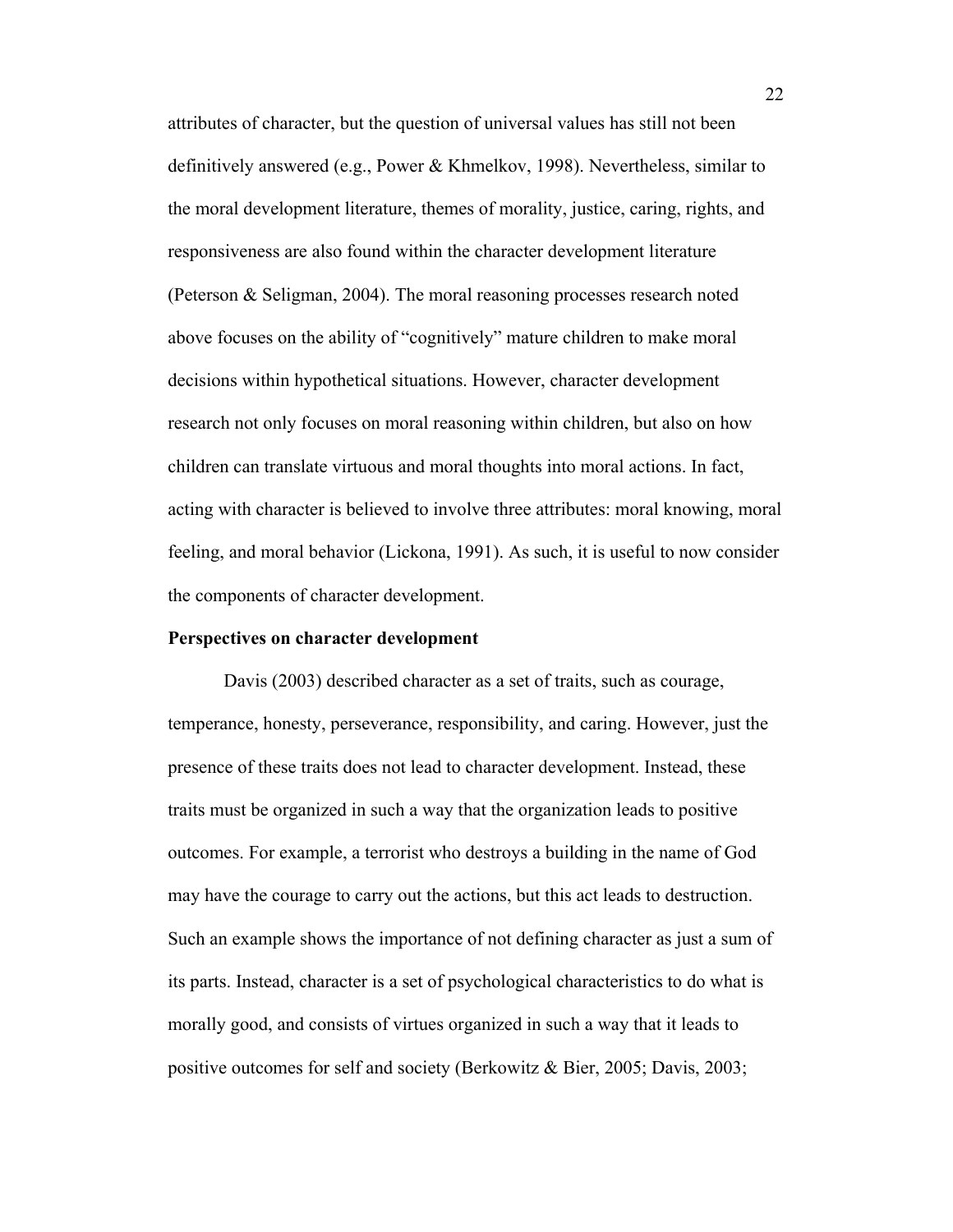attributes of character, but the question of universal values has still not been definitively answered (e.g., Power & Khmelkov, 1998). Nevertheless, similar to the moral development literature, themes of morality, justice, caring, rights, and responsiveness are also found within the character development literature (Peterson & Seligman, 2004). The moral reasoning processes research noted above focuses on the ability of "cognitively" mature children to make moral decisions within hypothetical situations. However, character development research not only focuses on moral reasoning within children, but also on how children can translate virtuous and moral thoughts into moral actions. In fact, acting with character is believed to involve three attributes: moral knowing, moral feeling, and moral behavior (Lickona, 1991). As such, it is useful to now consider the components of character development.

## **Perspectives on character development**

Davis (2003) described character as a set of traits, such as courage, temperance, honesty, perseverance, responsibility, and caring. However, just the presence of these traits does not lead to character development. Instead, these traits must be organized in such a way that the organization leads to positive outcomes. For example, a terrorist who destroys a building in the name of God may have the courage to carry out the actions, but this act leads to destruction. Such an example shows the importance of not defining character as just a sum of its parts. Instead, character is a set of psychological characteristics to do what is morally good, and consists of virtues organized in such a way that it leads to positive outcomes for self and society (Berkowitz & Bier, 2005; Davis, 2003;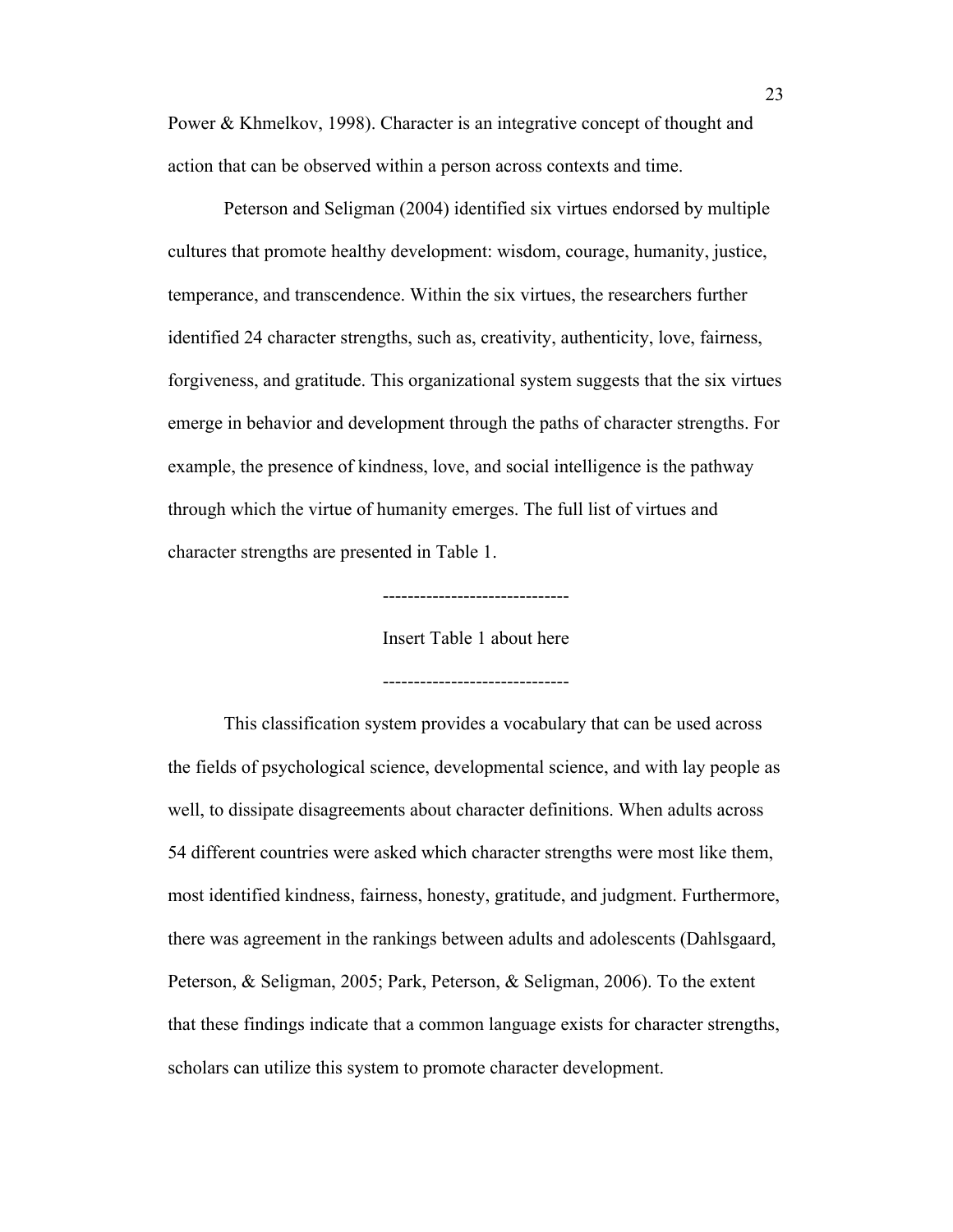Power & Khmelkov, 1998). Character is an integrative concept of thought and action that can be observed within a person across contexts and time.

Peterson and Seligman (2004) identified six virtues endorsed by multiple cultures that promote healthy development: wisdom, courage, humanity, justice, temperance, and transcendence. Within the six virtues, the researchers further identified 24 character strengths, such as, creativity, authenticity, love, fairness, forgiveness, and gratitude. This organizational system suggests that the six virtues emerge in behavior and development through the paths of character strengths. For example, the presence of kindness, love, and social intelligence is the pathway through which the virtue of humanity emerges. The full list of virtues and character strengths are presented in Table 1.

------------------------------

Insert Table 1 about here

------------------------------

This classification system provides a vocabulary that can be used across the fields of psychological science, developmental science, and with lay people as well, to dissipate disagreements about character definitions. When adults across 54 different countries were asked which character strengths were most like them, most identified kindness, fairness, honesty, gratitude, and judgment. Furthermore, there was agreement in the rankings between adults and adolescents (Dahlsgaard, Peterson, & Seligman, 2005; Park, Peterson, & Seligman, 2006). To the extent that these findings indicate that a common language exists for character strengths, scholars can utilize this system to promote character development.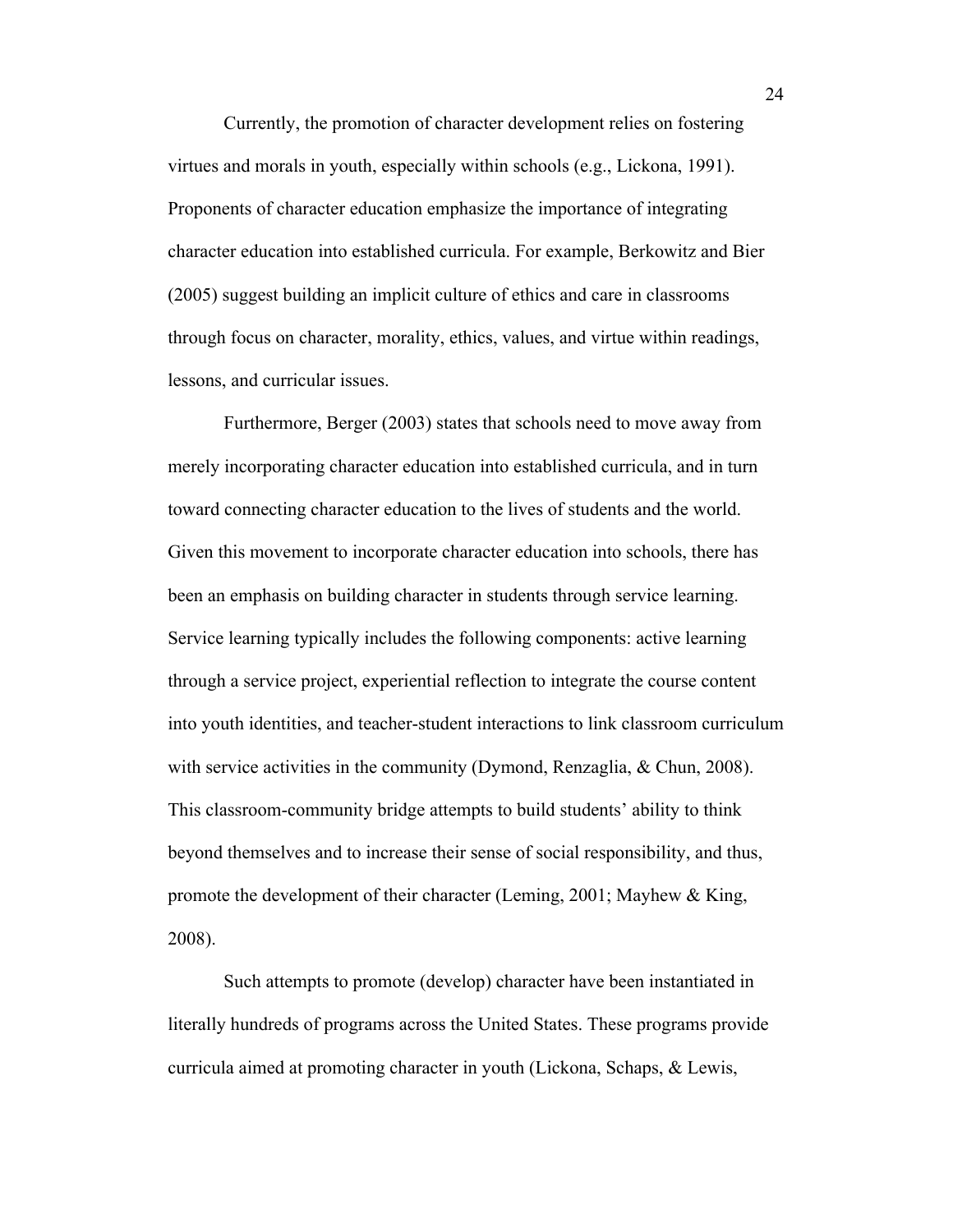Currently, the promotion of character development relies on fostering virtues and morals in youth, especially within schools (e.g., Lickona, 1991). Proponents of character education emphasize the importance of integrating character education into established curricula. For example, Berkowitz and Bier (2005) suggest building an implicit culture of ethics and care in classrooms through focus on character, morality, ethics, values, and virtue within readings, lessons, and curricular issues.

Furthermore, Berger (2003) states that schools need to move away from merely incorporating character education into established curricula, and in turn toward connecting character education to the lives of students and the world. Given this movement to incorporate character education into schools, there has been an emphasis on building character in students through service learning. Service learning typically includes the following components: active learning through a service project, experiential reflection to integrate the course content into youth identities, and teacher-student interactions to link classroom curriculum with service activities in the community (Dymond, Renzaglia, & Chun, 2008). This classroom-community bridge attempts to build students' ability to think beyond themselves and to increase their sense of social responsibility, and thus, promote the development of their character (Leming, 2001; Mayhew & King, 2008).

Such attempts to promote (develop) character have been instantiated in literally hundreds of programs across the United States. These programs provide curricula aimed at promoting character in youth (Lickona, Schaps, & Lewis,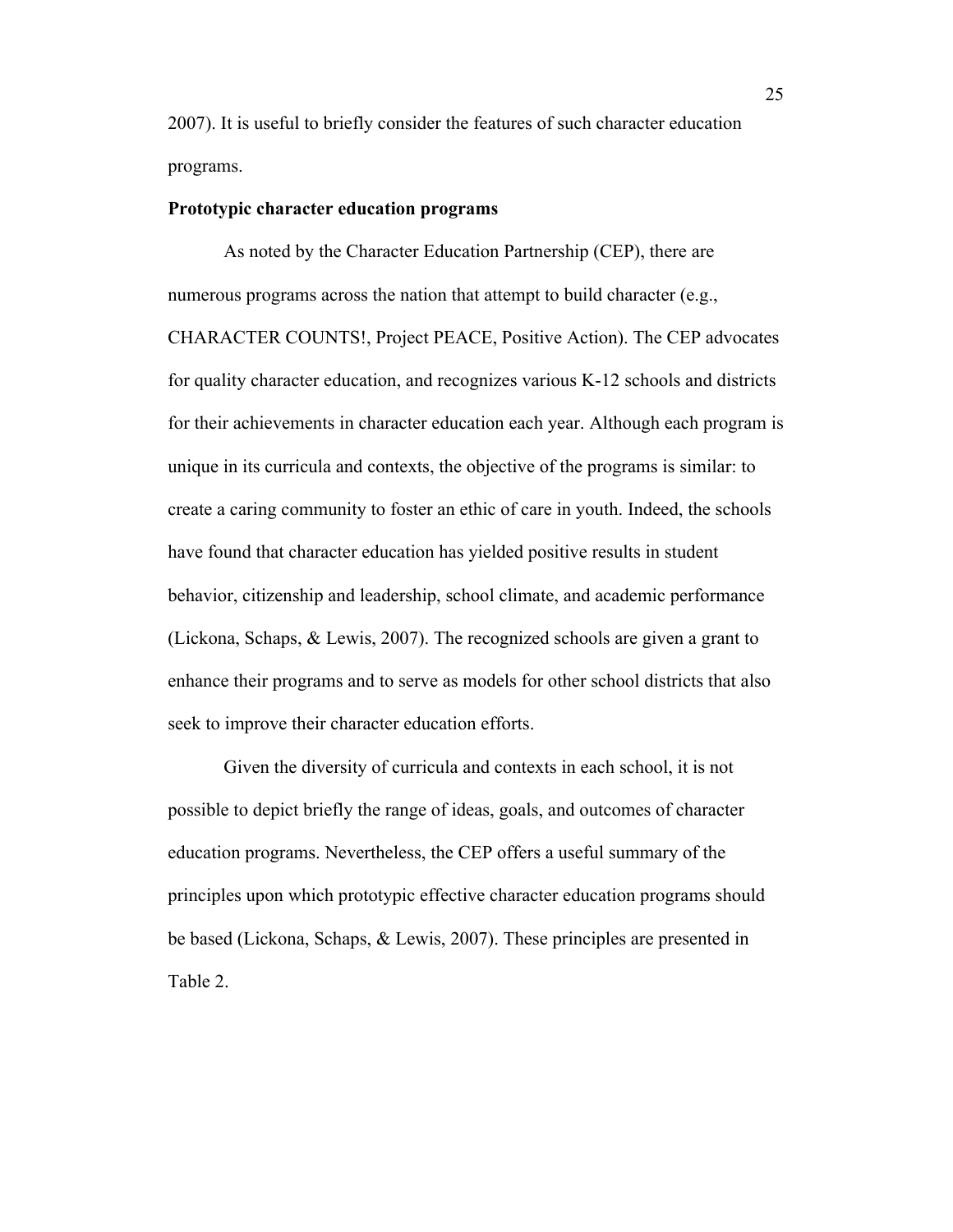2007). It is useful to briefly consider the features of such character education programs.

## **Prototypic character education programs**

As noted by the Character Education Partnership (CEP), there are numerous programs across the nation that attempt to build character (e.g., CHARACTER COUNTS!, Project PEACE, Positive Action). The CEP advocates for quality character education, and recognizes various K-12 schools and districts for their achievements in character education each year. Although each program is unique in its curricula and contexts, the objective of the programs is similar: to create a caring community to foster an ethic of care in youth. Indeed, the schools have found that character education has yielded positive results in student behavior, citizenship and leadership, school climate, and academic performance (Lickona, Schaps, & Lewis, 2007). The recognized schools are given a grant to enhance their programs and to serve as models for other school districts that also seek to improve their character education efforts.

Given the diversity of curricula and contexts in each school, it is not possible to depict briefly the range of ideas, goals, and outcomes of character education programs. Nevertheless, the CEP offers a useful summary of the principles upon which prototypic effective character education programs should be based (Lickona, Schaps, & Lewis, 2007). These principles are presented in Table 2.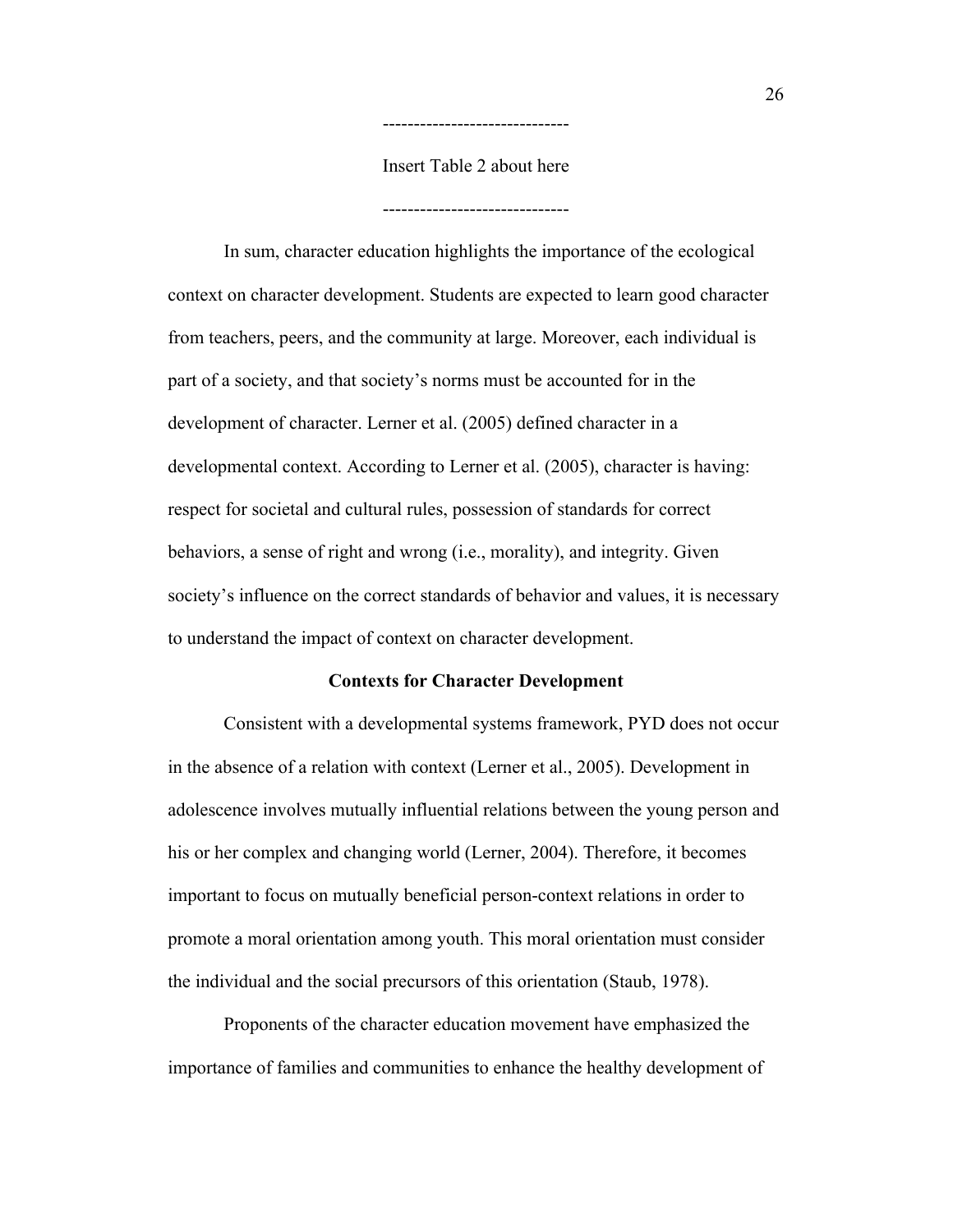Insert Table 2 about here

------------------------------

------------------------------

In sum, character education highlights the importance of the ecological context on character development. Students are expected to learn good character from teachers, peers, and the community at large. Moreover, each individual is part of a society, and that society's norms must be accounted for in the development of character. Lerner et al. (2005) defined character in a developmental context. According to Lerner et al. (2005), character is having: respect for societal and cultural rules, possession of standards for correct behaviors, a sense of right and wrong (i.e., morality), and integrity. Given society's influence on the correct standards of behavior and values, it is necessary to understand the impact of context on character development.

#### **Contexts for Character Development**

Consistent with a developmental systems framework, PYD does not occur in the absence of a relation with context (Lerner et al., 2005). Development in adolescence involves mutually influential relations between the young person and his or her complex and changing world (Lerner, 2004). Therefore, it becomes important to focus on mutually beneficial person-context relations in order to promote a moral orientation among youth. This moral orientation must consider the individual and the social precursors of this orientation (Staub, 1978).

Proponents of the character education movement have emphasized the importance of families and communities to enhance the healthy development of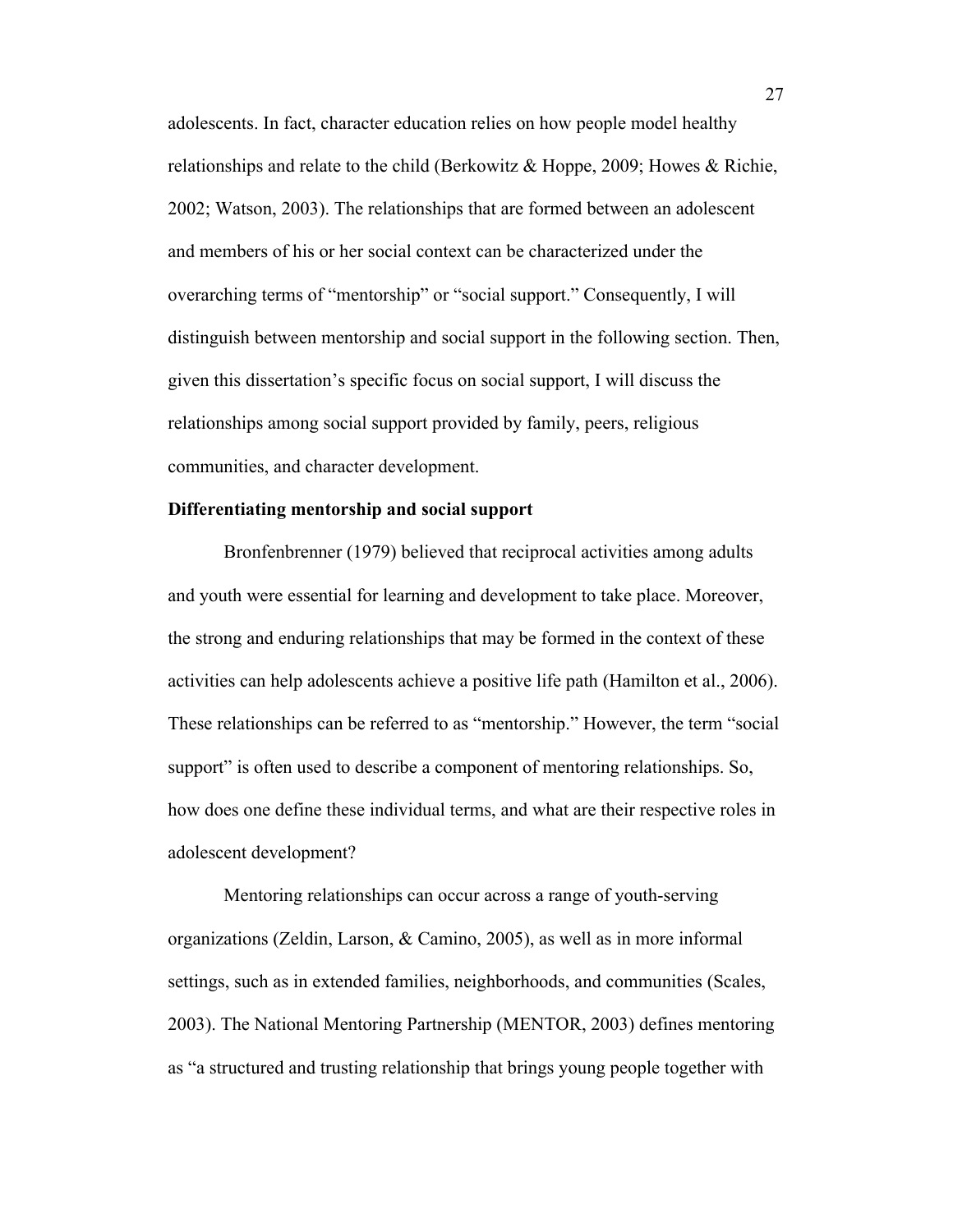adolescents. In fact, character education relies on how people model healthy relationships and relate to the child (Berkowitz & Hoppe, 2009; Howes & Richie, 2002; Watson, 2003). The relationships that are formed between an adolescent and members of his or her social context can be characterized under the overarching terms of "mentorship" or "social support." Consequently, I will distinguish between mentorship and social support in the following section. Then, given this dissertation's specific focus on social support, I will discuss the relationships among social support provided by family, peers, religious communities, and character development.

# **Differentiating mentorship and social support**

Bronfenbrenner (1979) believed that reciprocal activities among adults and youth were essential for learning and development to take place. Moreover, the strong and enduring relationships that may be formed in the context of these activities can help adolescents achieve a positive life path (Hamilton et al., 2006). These relationships can be referred to as "mentorship." However, the term "social support" is often used to describe a component of mentoring relationships. So, how does one define these individual terms, and what are their respective roles in adolescent development?

Mentoring relationships can occur across a range of youth-serving organizations (Zeldin, Larson, & Camino, 2005), as well as in more informal settings, such as in extended families, neighborhoods, and communities (Scales, 2003). The National Mentoring Partnership (MENTOR, 2003) defines mentoring as "a structured and trusting relationship that brings young people together with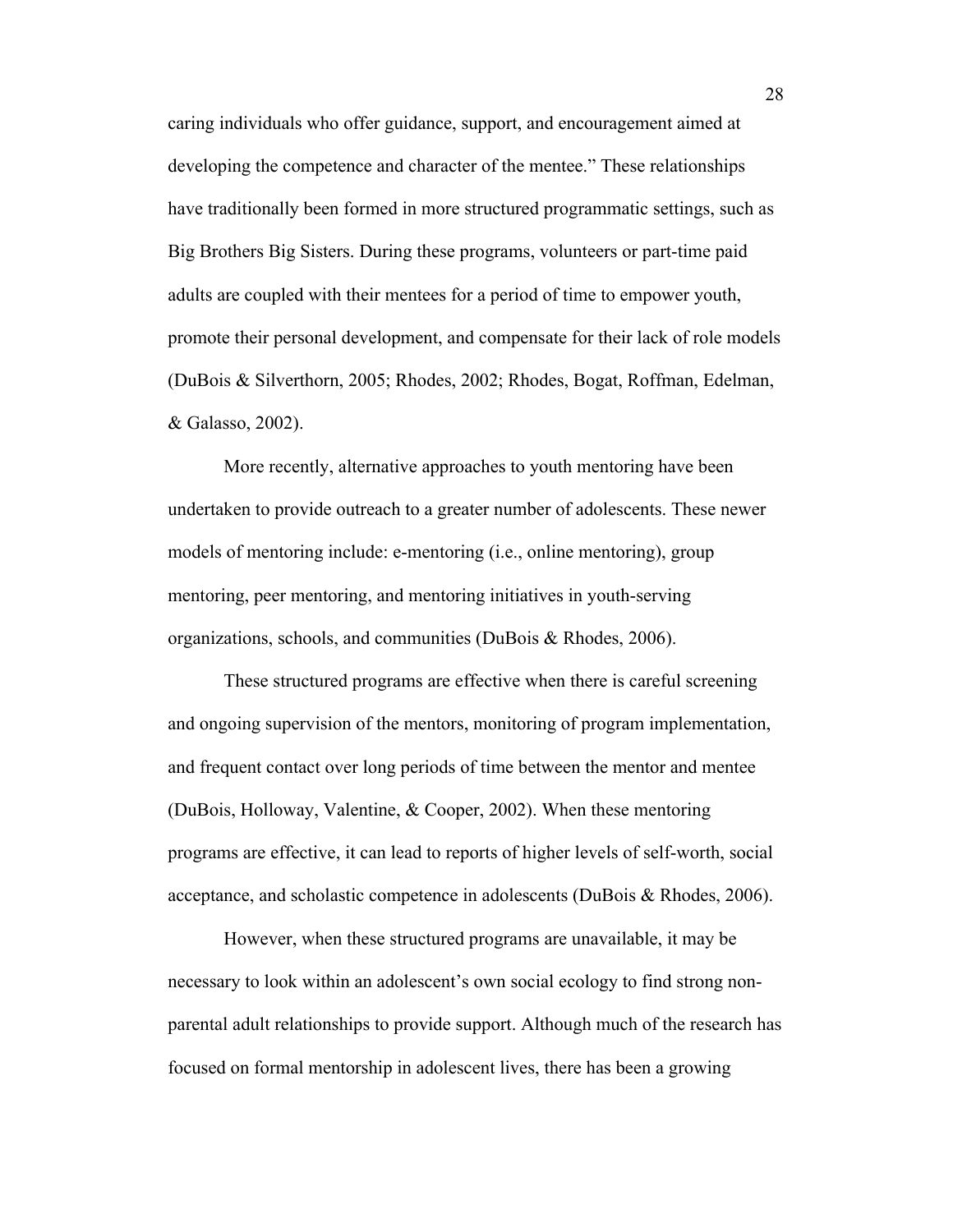caring individuals who offer guidance, support, and encouragement aimed at developing the competence and character of the mentee." These relationships have traditionally been formed in more structured programmatic settings, such as Big Brothers Big Sisters. During these programs, volunteers or part-time paid adults are coupled with their mentees for a period of time to empower youth, promote their personal development, and compensate for their lack of role models (DuBois & Silverthorn, 2005; Rhodes, 2002; Rhodes, Bogat, Roffman, Edelman, & Galasso, 2002).

More recently, alternative approaches to youth mentoring have been undertaken to provide outreach to a greater number of adolescents. These newer models of mentoring include: e-mentoring (i.e., online mentoring), group mentoring, peer mentoring, and mentoring initiatives in youth-serving organizations, schools, and communities (DuBois & Rhodes, 2006).

These structured programs are effective when there is careful screening and ongoing supervision of the mentors, monitoring of program implementation, and frequent contact over long periods of time between the mentor and mentee (DuBois, Holloway, Valentine, & Cooper, 2002). When these mentoring programs are effective, it can lead to reports of higher levels of self-worth, social acceptance, and scholastic competence in adolescents (DuBois & Rhodes, 2006).

However, when these structured programs are unavailable, it may be necessary to look within an adolescent's own social ecology to find strong nonparental adult relationships to provide support. Although much of the research has focused on formal mentorship in adolescent lives, there has been a growing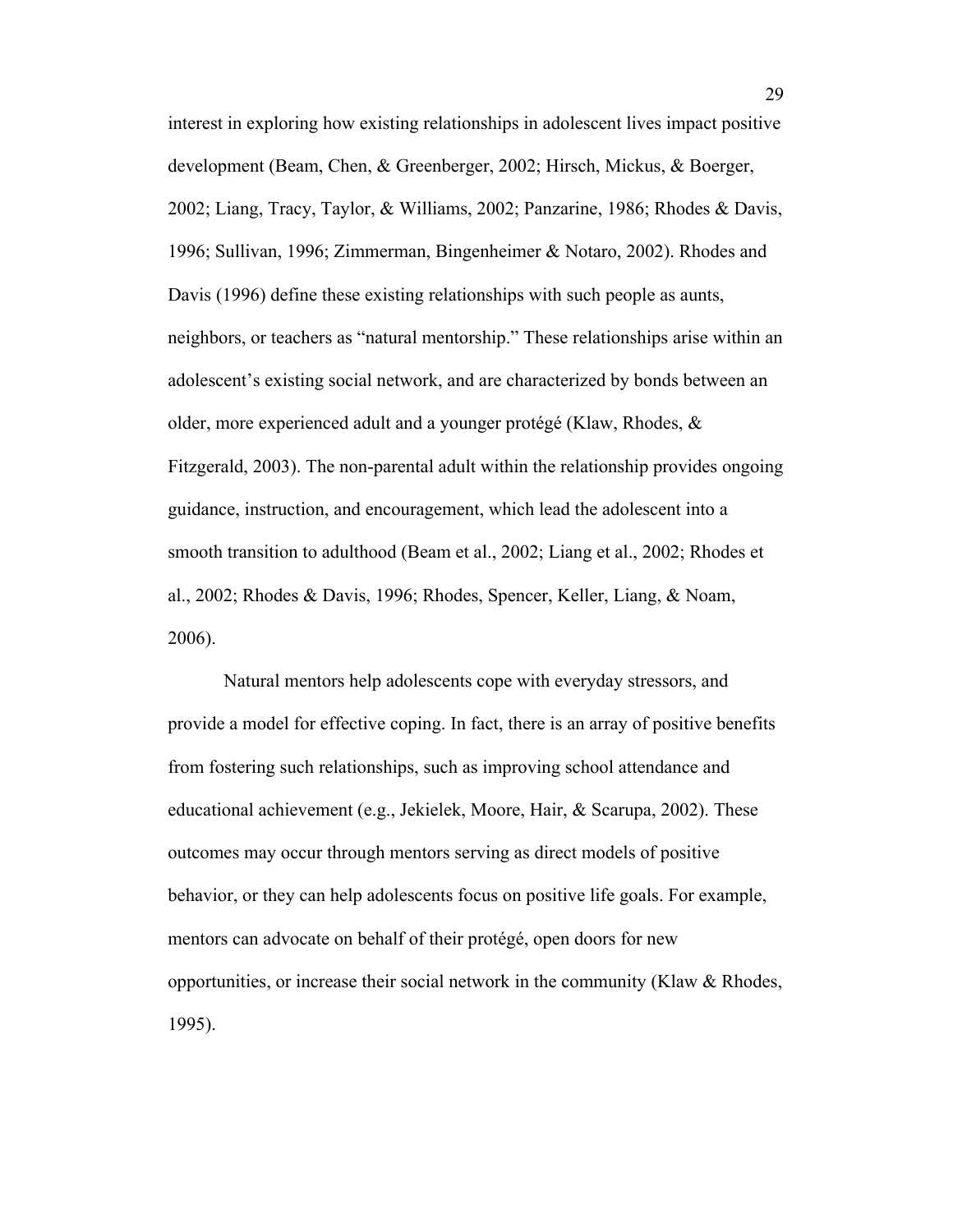interest in exploring how existing relationships in adolescent lives impact positive development (Beam, Chen, & Greenberger, 2002; Hirsch, Mickus, & Boerger, 2002; Liang, Tracy, Taylor, & Williams, 2002; Panzarine, 1986; Rhodes & Davis, 1996; Sullivan, 1996; Zimmerman, Bingenheimer & Notaro, 2002). Rhodes and Davis (1996) define these existing relationships with such people as aunts, neighbors, or teachers as "natural mentorship." These relationships arise within an adolescent's existing social network, and are characterized by bonds between an older, more experienced adult and a younger protégé (Klaw, Rhodes, & Fitzgerald, 2003). The non-parental adult within the relationship provides ongoing guidance, instruction, and encouragement, which lead the adolescent into a smooth transition to adulthood (Beam et al., 2002; Liang et al., 2002; Rhodes et al., 2002; Rhodes & Davis, 1996; Rhodes, Spencer, Keller, Liang, & Noam, 2006).

Natural mentors help adolescents cope with everyday stressors, and provide a model for effective coping. In fact, there is an array of positive benefits from fostering such relationships, such as improving school attendance and educational achievement (e.g., Jekielek, Moore, Hair, & Scarupa, 2002). These outcomes may occur through mentors serving as direct models of positive behavior, or they can help adolescents focus on positive life goals. For example, mentors can advocate on behalf of their protégé, open doors for new opportunities, or increase their social network in the community (Klaw  $\&$  Rhodes, 1995).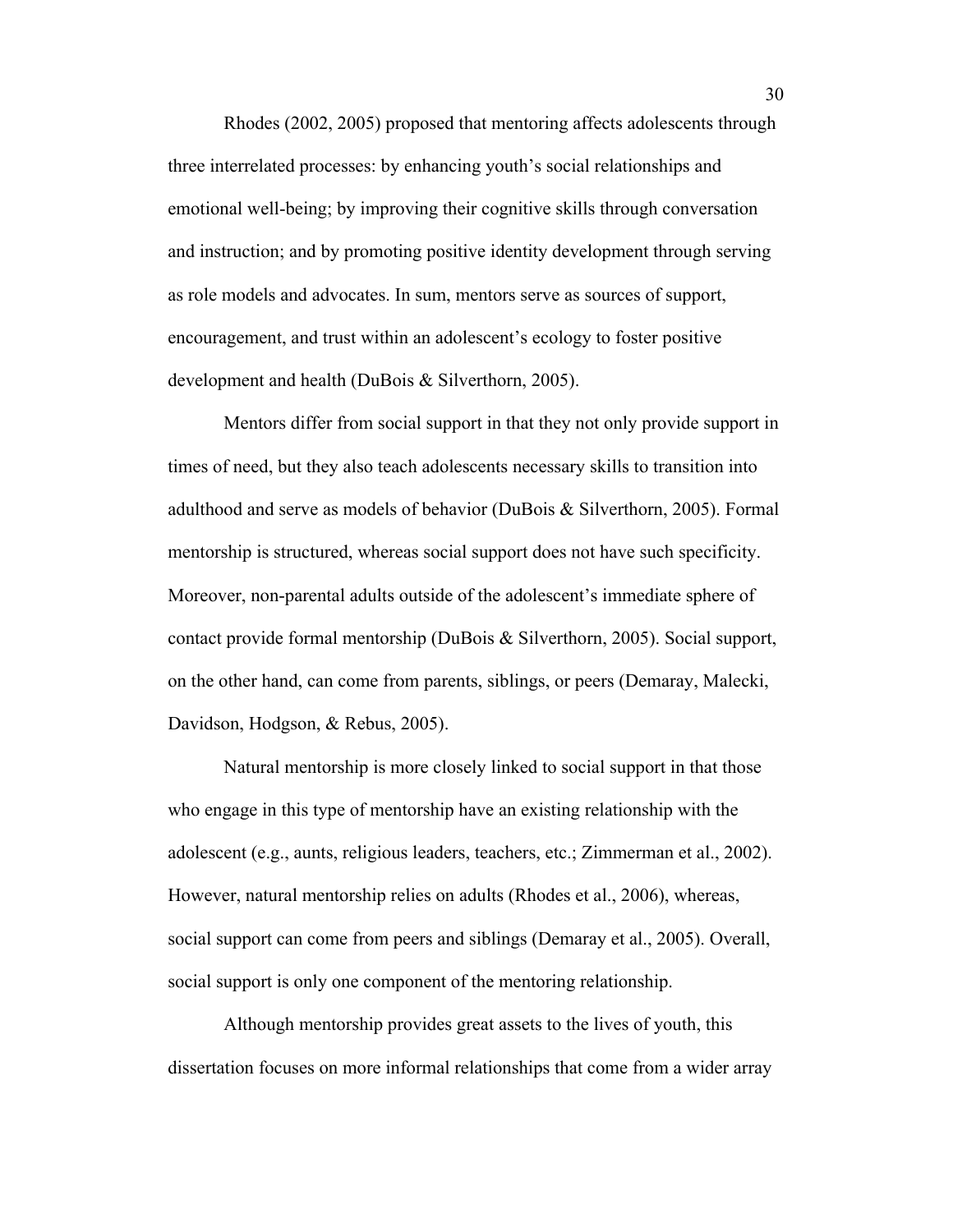Rhodes (2002, 2005) proposed that mentoring affects adolescents through three interrelated processes: by enhancing youth's social relationships and emotional well-being; by improving their cognitive skills through conversation and instruction; and by promoting positive identity development through serving as role models and advocates. In sum, mentors serve as sources of support, encouragement, and trust within an adolescent's ecology to foster positive development and health (DuBois & Silverthorn, 2005).

Mentors differ from social support in that they not only provide support in times of need, but they also teach adolescents necessary skills to transition into adulthood and serve as models of behavior (DuBois & Silverthorn, 2005). Formal mentorship is structured, whereas social support does not have such specificity. Moreover, non-parental adults outside of the adolescent's immediate sphere of contact provide formal mentorship (DuBois & Silverthorn, 2005). Social support, on the other hand, can come from parents, siblings, or peers (Demaray, Malecki, Davidson, Hodgson, & Rebus, 2005).

Natural mentorship is more closely linked to social support in that those who engage in this type of mentorship have an existing relationship with the adolescent (e.g., aunts, religious leaders, teachers, etc.; Zimmerman et al., 2002). However, natural mentorship relies on adults (Rhodes et al., 2006), whereas, social support can come from peers and siblings (Demaray et al., 2005). Overall, social support is only one component of the mentoring relationship.

Although mentorship provides great assets to the lives of youth, this dissertation focuses on more informal relationships that come from a wider array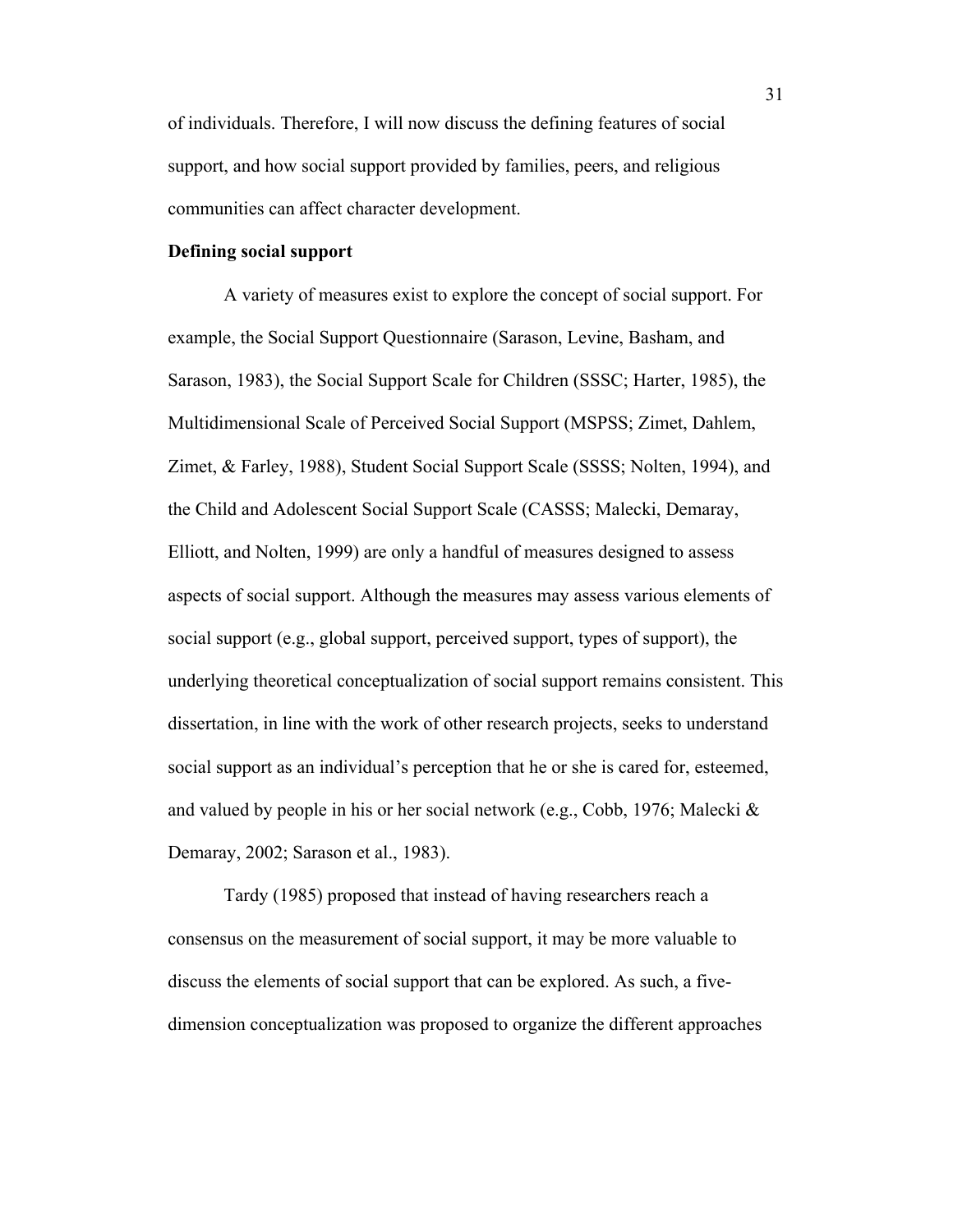of individuals. Therefore, I will now discuss the defining features of social support, and how social support provided by families, peers, and religious communities can affect character development.

## **Defining social support**

A variety of measures exist to explore the concept of social support. For example, the Social Support Questionnaire (Sarason, Levine, Basham, and Sarason, 1983), the Social Support Scale for Children (SSSC; Harter, 1985), the Multidimensional Scale of Perceived Social Support (MSPSS; Zimet, Dahlem, Zimet, & Farley, 1988), Student Social Support Scale (SSSS; Nolten, 1994), and the Child and Adolescent Social Support Scale (CASSS; Malecki, Demaray, Elliott, and Nolten, 1999) are only a handful of measures designed to assess aspects of social support. Although the measures may assess various elements of social support (e.g., global support, perceived support, types of support), the underlying theoretical conceptualization of social support remains consistent. This dissertation, in line with the work of other research projects, seeks to understand social support as an individual's perception that he or she is cared for, esteemed, and valued by people in his or her social network (e.g., Cobb, 1976; Malecki & Demaray, 2002; Sarason et al., 1983).

Tardy (1985) proposed that instead of having researchers reach a consensus on the measurement of social support, it may be more valuable to discuss the elements of social support that can be explored. As such, a fivedimension conceptualization was proposed to organize the different approaches

31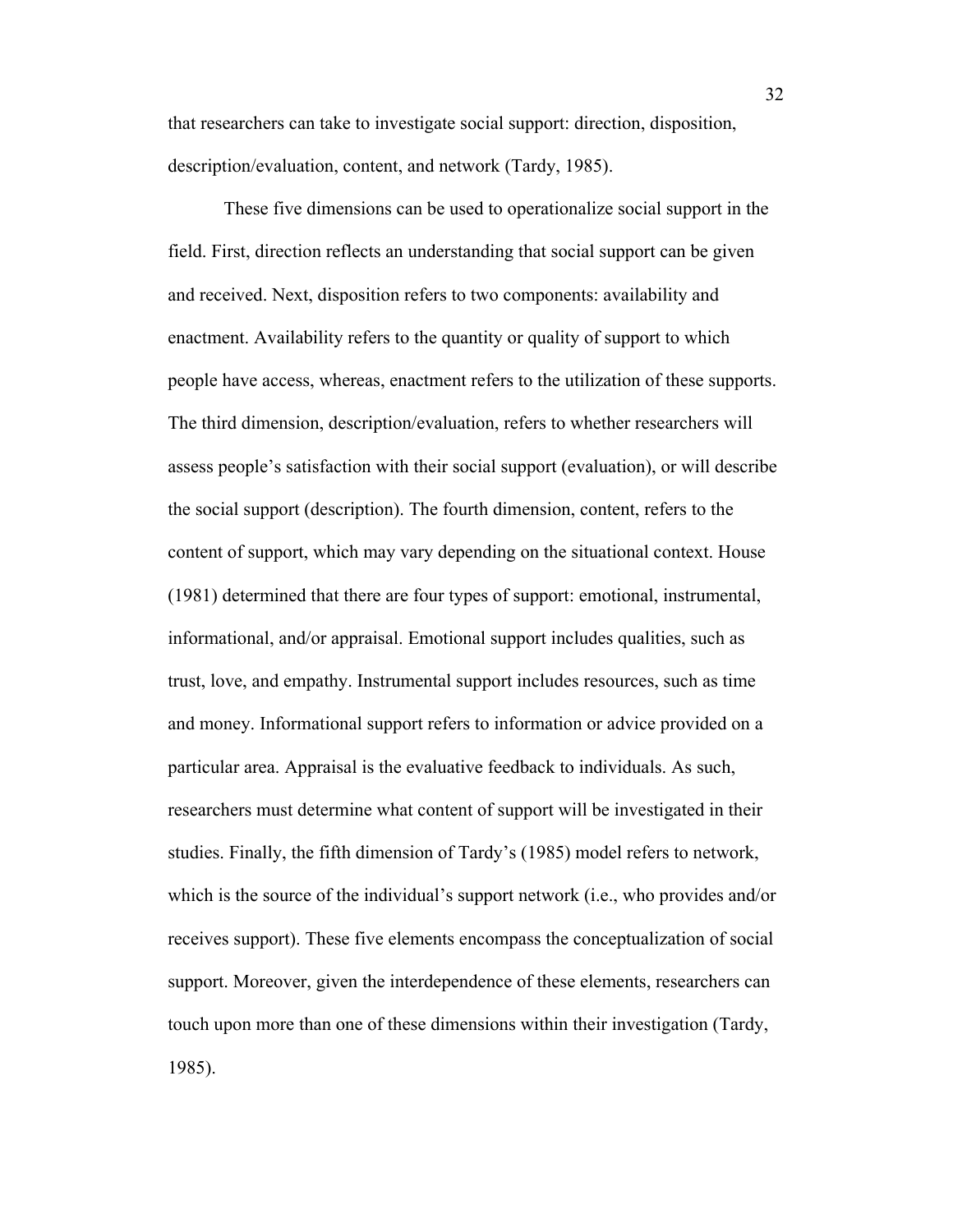that researchers can take to investigate social support: direction, disposition, description/evaluation, content, and network (Tardy, 1985).

These five dimensions can be used to operationalize social support in the field. First, direction reflects an understanding that social support can be given and received. Next, disposition refers to two components: availability and enactment. Availability refers to the quantity or quality of support to which people have access, whereas, enactment refers to the utilization of these supports. The third dimension, description/evaluation, refers to whether researchers will assess people's satisfaction with their social support (evaluation), or will describe the social support (description). The fourth dimension, content, refers to the content of support, which may vary depending on the situational context. House (1981) determined that there are four types of support: emotional, instrumental, informational, and/or appraisal. Emotional support includes qualities, such as trust, love, and empathy. Instrumental support includes resources, such as time and money. Informational support refers to information or advice provided on a particular area. Appraisal is the evaluative feedback to individuals. As such, researchers must determine what content of support will be investigated in their studies. Finally, the fifth dimension of Tardy's (1985) model refers to network, which is the source of the individual's support network (i.e., who provides and/or receives support). These five elements encompass the conceptualization of social support. Moreover, given the interdependence of these elements, researchers can touch upon more than one of these dimensions within their investigation (Tardy, 1985).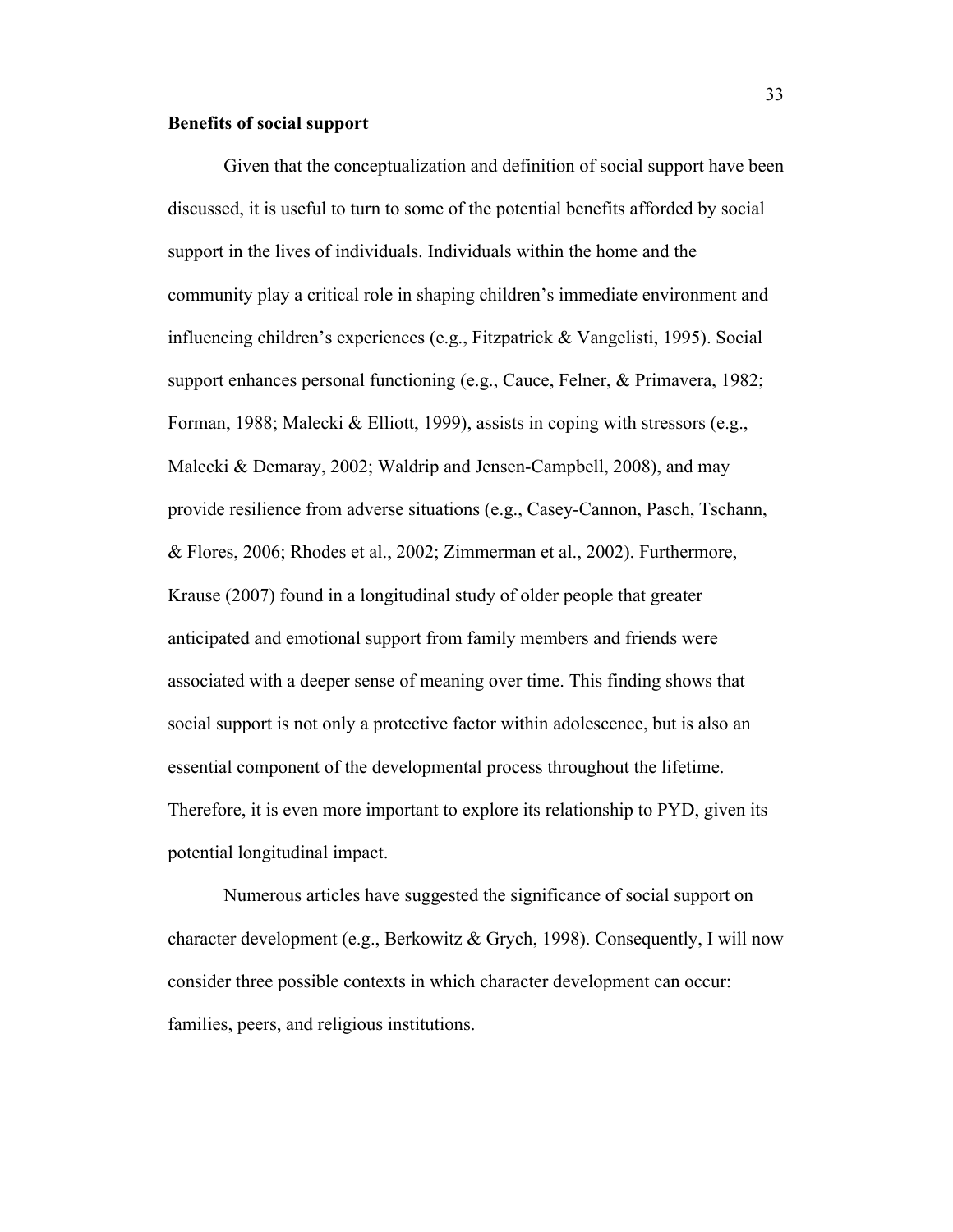## **Benefits of social support**

Given that the conceptualization and definition of social support have been discussed, it is useful to turn to some of the potential benefits afforded by social support in the lives of individuals. Individuals within the home and the community play a critical role in shaping children's immediate environment and influencing children's experiences (e.g., Fitzpatrick & Vangelisti, 1995). Social support enhances personal functioning (e.g., Cauce, Felner, & Primavera, 1982; Forman, 1988; Malecki & Elliott, 1999), assists in coping with stressors (e.g., Malecki & Demaray, 2002; Waldrip and Jensen-Campbell, 2008), and may provide resilience from adverse situations (e.g., Casey-Cannon, Pasch, Tschann, & Flores, 2006; Rhodes et al., 2002; Zimmerman et al., 2002). Furthermore, Krause (2007) found in a longitudinal study of older people that greater anticipated and emotional support from family members and friends were associated with a deeper sense of meaning over time. This finding shows that social support is not only a protective factor within adolescence, but is also an essential component of the developmental process throughout the lifetime. Therefore, it is even more important to explore its relationship to PYD, given its potential longitudinal impact.

Numerous articles have suggested the significance of social support on character development (e.g., Berkowitz & Grych, 1998). Consequently, I will now consider three possible contexts in which character development can occur: families, peers, and religious institutions.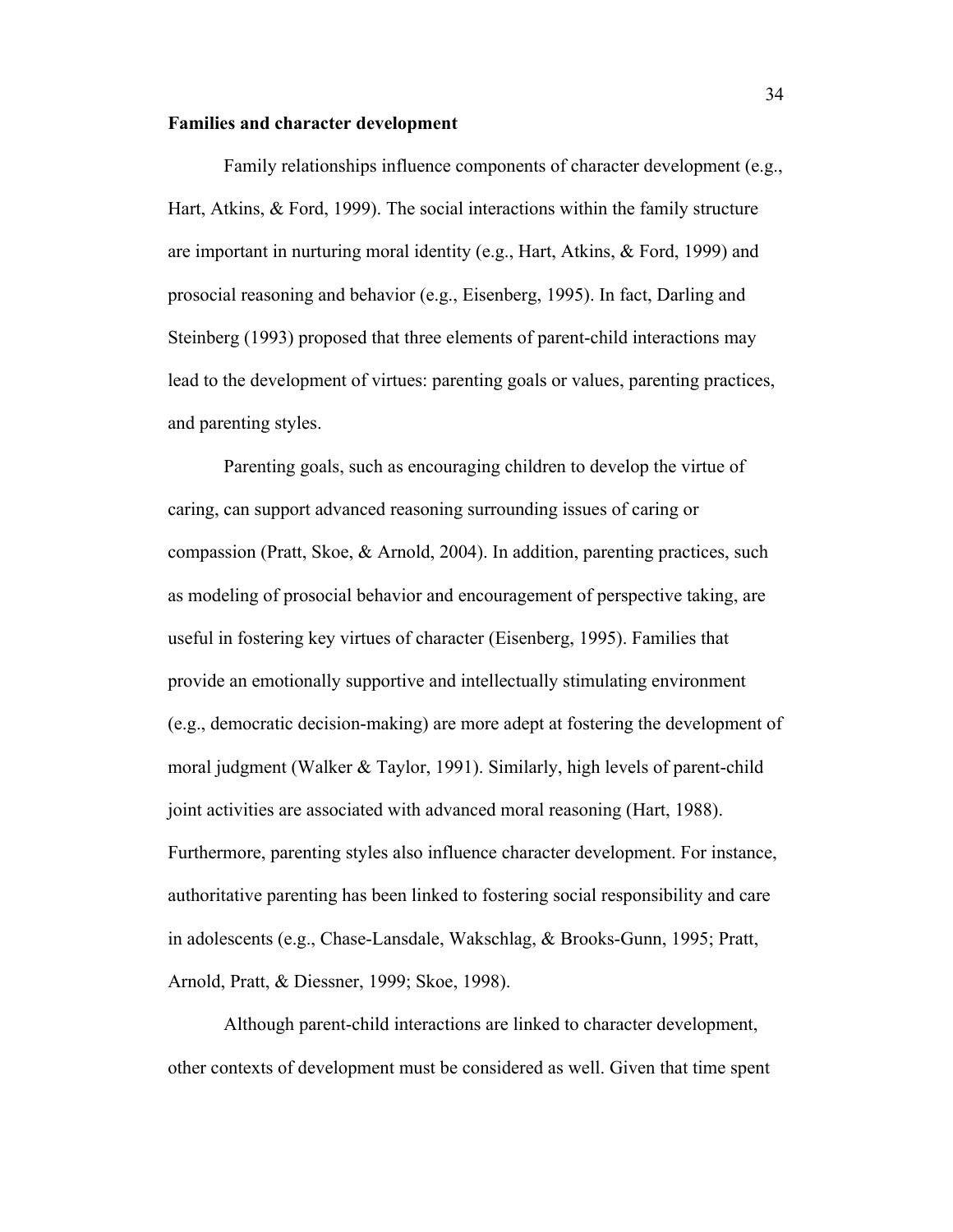### **Families and character development**

Family relationships influence components of character development (e.g., Hart, Atkins, & Ford, 1999). The social interactions within the family structure are important in nurturing moral identity (e.g., Hart, Atkins, & Ford, 1999) and prosocial reasoning and behavior (e.g., Eisenberg, 1995). In fact, Darling and Steinberg (1993) proposed that three elements of parent-child interactions may lead to the development of virtues: parenting goals or values, parenting practices, and parenting styles.

Parenting goals, such as encouraging children to develop the virtue of caring, can support advanced reasoning surrounding issues of caring or compassion (Pratt, Skoe, & Arnold, 2004). In addition, parenting practices, such as modeling of prosocial behavior and encouragement of perspective taking, are useful in fostering key virtues of character (Eisenberg, 1995). Families that provide an emotionally supportive and intellectually stimulating environment (e.g., democratic decision-making) are more adept at fostering the development of moral judgment (Walker & Taylor, 1991). Similarly, high levels of parent-child joint activities are associated with advanced moral reasoning (Hart, 1988). Furthermore, parenting styles also influence character development. For instance, authoritative parenting has been linked to fostering social responsibility and care in adolescents (e.g., Chase-Lansdale, Wakschlag, & Brooks-Gunn, 1995; Pratt, Arnold, Pratt, & Diessner, 1999; Skoe, 1998).

Although parent-child interactions are linked to character development, other contexts of development must be considered as well. Given that time spent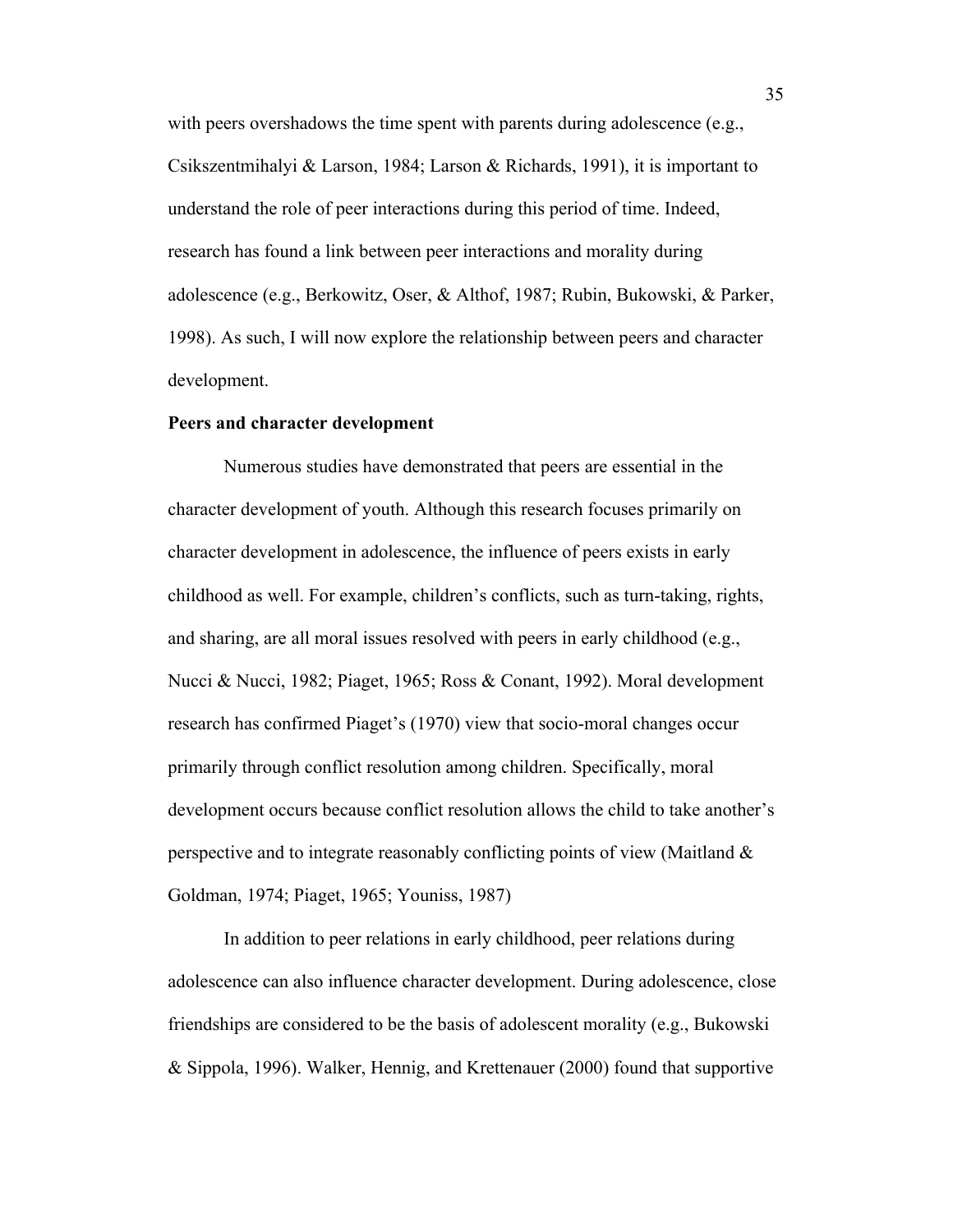with peers overshadows the time spent with parents during adolescence (e.g., Csikszentmihalyi & Larson, 1984; Larson & Richards, 1991), it is important to understand the role of peer interactions during this period of time. Indeed, research has found a link between peer interactions and morality during adolescence (e.g., Berkowitz, Oser, & Althof, 1987; Rubin, Bukowski, & Parker, 1998). As such, I will now explore the relationship between peers and character development.

#### **Peers and character development**

Numerous studies have demonstrated that peers are essential in the character development of youth. Although this research focuses primarily on character development in adolescence, the influence of peers exists in early childhood as well. For example, children's conflicts, such as turn-taking, rights, and sharing, are all moral issues resolved with peers in early childhood (e.g., Nucci & Nucci, 1982; Piaget, 1965; Ross & Conant, 1992). Moral development research has confirmed Piaget's (1970) view that socio-moral changes occur primarily through conflict resolution among children. Specifically, moral development occurs because conflict resolution allows the child to take another's perspective and to integrate reasonably conflicting points of view (Maitland & Goldman, 1974; Piaget, 1965; Youniss, 1987)

In addition to peer relations in early childhood, peer relations during adolescence can also influence character development. During adolescence, close friendships are considered to be the basis of adolescent morality (e.g., Bukowski & Sippola, 1996). Walker, Hennig, and Krettenauer (2000) found that supportive

35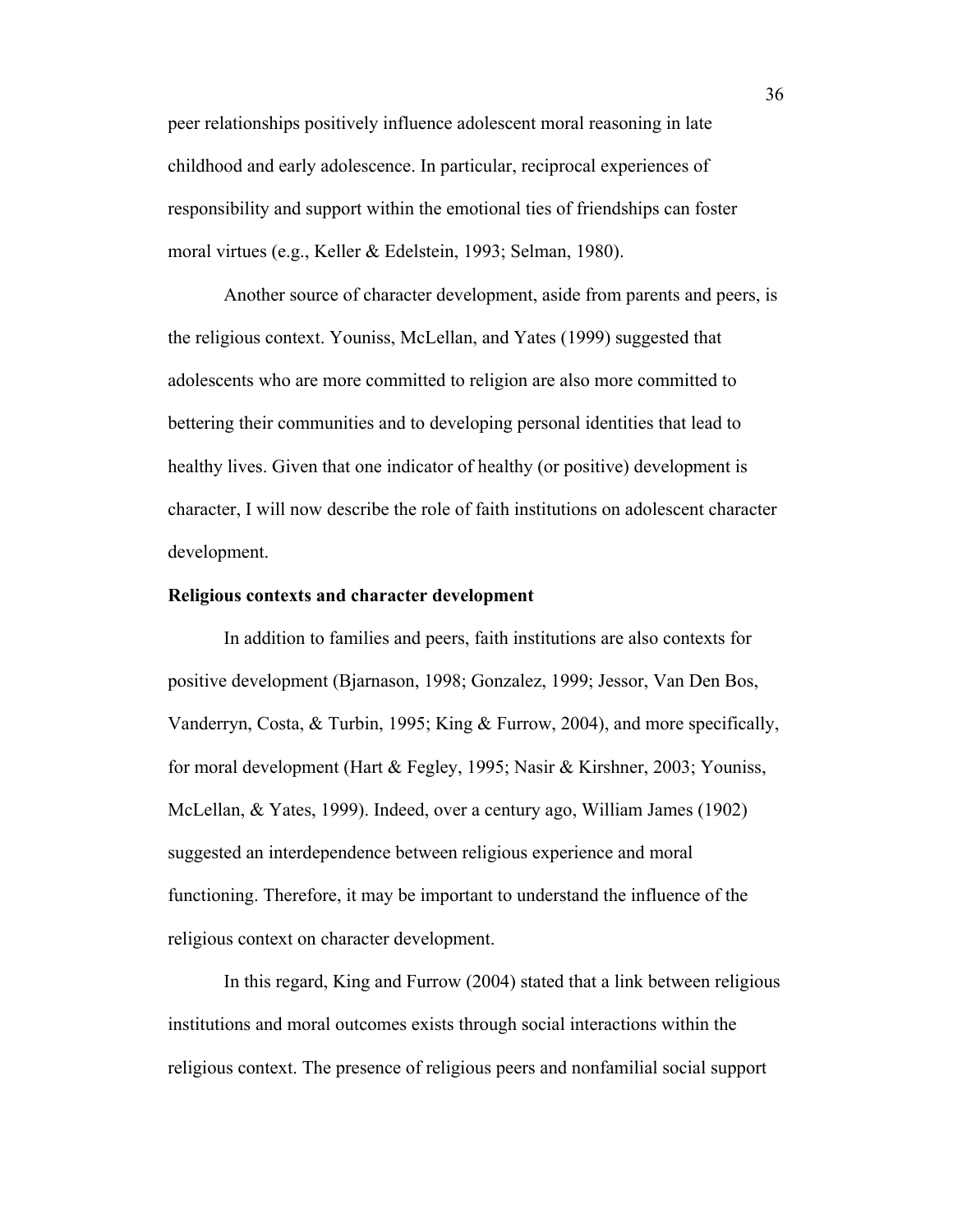peer relationships positively influence adolescent moral reasoning in late childhood and early adolescence. In particular, reciprocal experiences of responsibility and support within the emotional ties of friendships can foster moral virtues (e.g., Keller & Edelstein, 1993; Selman, 1980).

Another source of character development, aside from parents and peers, is the religious context. Youniss, McLellan, and Yates (1999) suggested that adolescents who are more committed to religion are also more committed to bettering their communities and to developing personal identities that lead to healthy lives. Given that one indicator of healthy (or positive) development is character, I will now describe the role of faith institutions on adolescent character development.

#### **Religious contexts and character development**

In addition to families and peers, faith institutions are also contexts for positive development (Bjarnason, 1998; Gonzalez, 1999; Jessor, Van Den Bos, Vanderryn, Costa, & Turbin, 1995; King & Furrow, 2004), and more specifically, for moral development (Hart & Fegley, 1995; Nasir & Kirshner, 2003; Youniss, McLellan, & Yates, 1999). Indeed, over a century ago, William James (1902) suggested an interdependence between religious experience and moral functioning. Therefore, it may be important to understand the influence of the religious context on character development.

In this regard, King and Furrow (2004) stated that a link between religious institutions and moral outcomes exists through social interactions within the religious context. The presence of religious peers and nonfamilial social support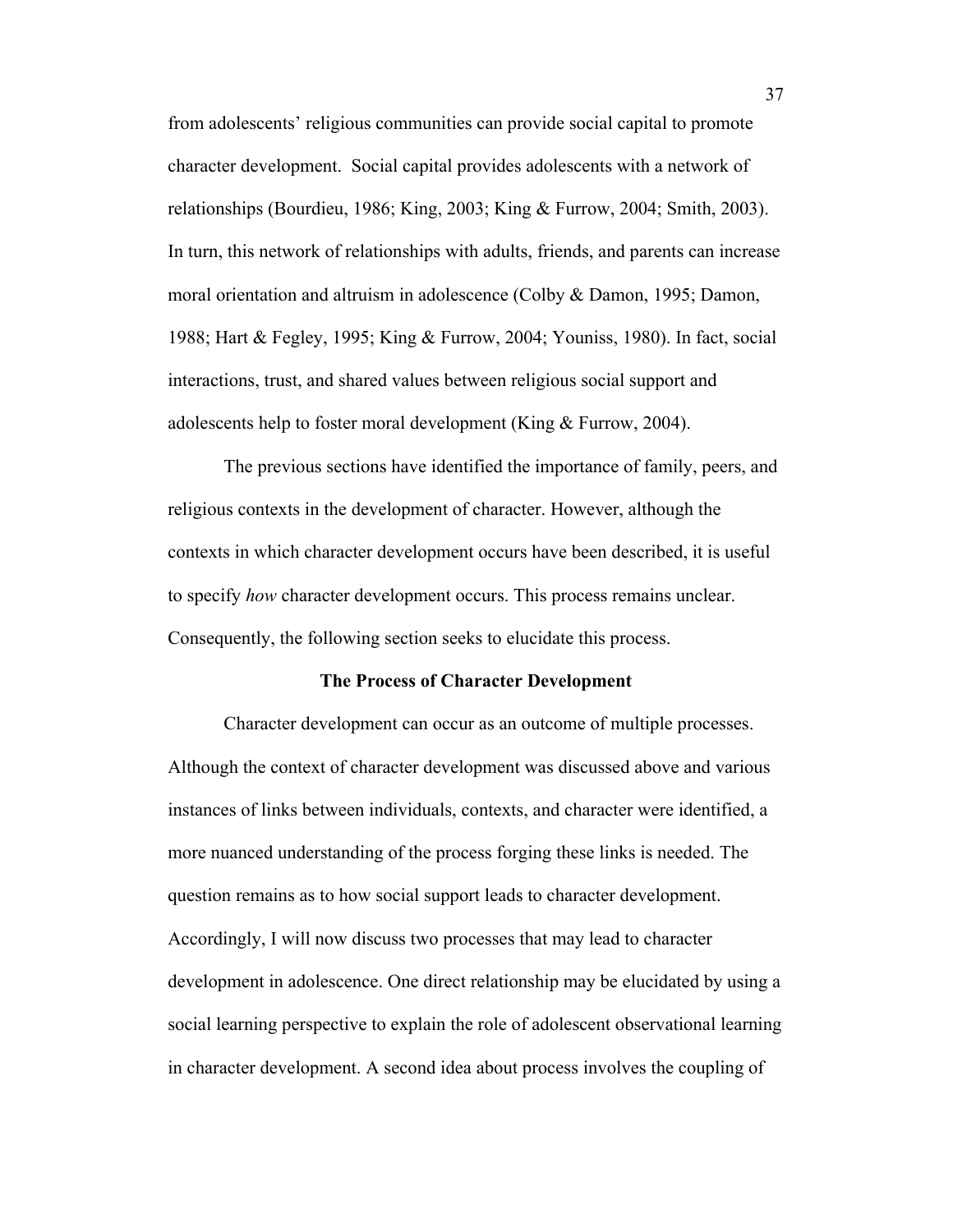from adolescents' religious communities can provide social capital to promote character development. Social capital provides adolescents with a network of relationships (Bourdieu, 1986; King, 2003; King & Furrow, 2004; Smith, 2003). In turn, this network of relationships with adults, friends, and parents can increase moral orientation and altruism in adolescence (Colby & Damon, 1995; Damon, 1988; Hart & Fegley, 1995; King & Furrow, 2004; Youniss, 1980). In fact, social interactions, trust, and shared values between religious social support and adolescents help to foster moral development (King & Furrow, 2004).

The previous sections have identified the importance of family, peers, and religious contexts in the development of character. However, although the contexts in which character development occurs have been described, it is useful to specify *how* character development occurs. This process remains unclear. Consequently, the following section seeks to elucidate this process.

#### **The Process of Character Development**

Character development can occur as an outcome of multiple processes. Although the context of character development was discussed above and various instances of links between individuals, contexts, and character were identified, a more nuanced understanding of the process forging these links is needed. The question remains as to how social support leads to character development. Accordingly, I will now discuss two processes that may lead to character development in adolescence. One direct relationship may be elucidated by using a social learning perspective to explain the role of adolescent observational learning in character development. A second idea about process involves the coupling of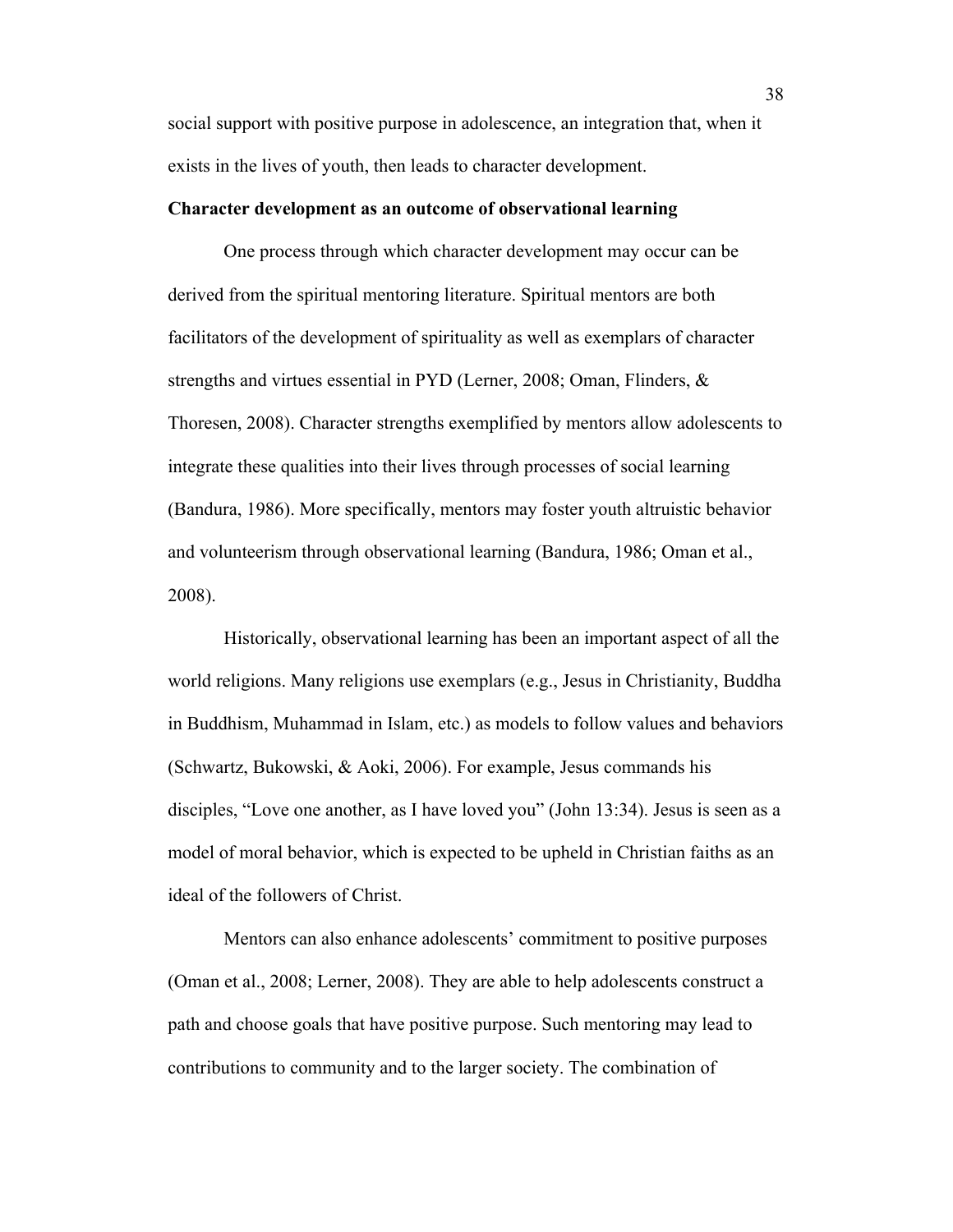social support with positive purpose in adolescence, an integration that, when it exists in the lives of youth, then leads to character development.

### **Character development as an outcome of observational learning**

One process through which character development may occur can be derived from the spiritual mentoring literature. Spiritual mentors are both facilitators of the development of spirituality as well as exemplars of character strengths and virtues essential in PYD (Lerner, 2008; Oman, Flinders, & Thoresen, 2008). Character strengths exemplified by mentors allow adolescents to integrate these qualities into their lives through processes of social learning (Bandura, 1986). More specifically, mentors may foster youth altruistic behavior and volunteerism through observational learning (Bandura, 1986; Oman et al., 2008).

Historically, observational learning has been an important aspect of all the world religions. Many religions use exemplars (e.g., Jesus in Christianity, Buddha in Buddhism, Muhammad in Islam, etc.) as models to follow values and behaviors (Schwartz, Bukowski, & Aoki, 2006). For example, Jesus commands his disciples, "Love one another, as I have loved you" (John 13:34). Jesus is seen as a model of moral behavior, which is expected to be upheld in Christian faiths as an ideal of the followers of Christ.

Mentors can also enhance adolescents' commitment to positive purposes (Oman et al., 2008; Lerner, 2008). They are able to help adolescents construct a path and choose goals that have positive purpose. Such mentoring may lead to contributions to community and to the larger society. The combination of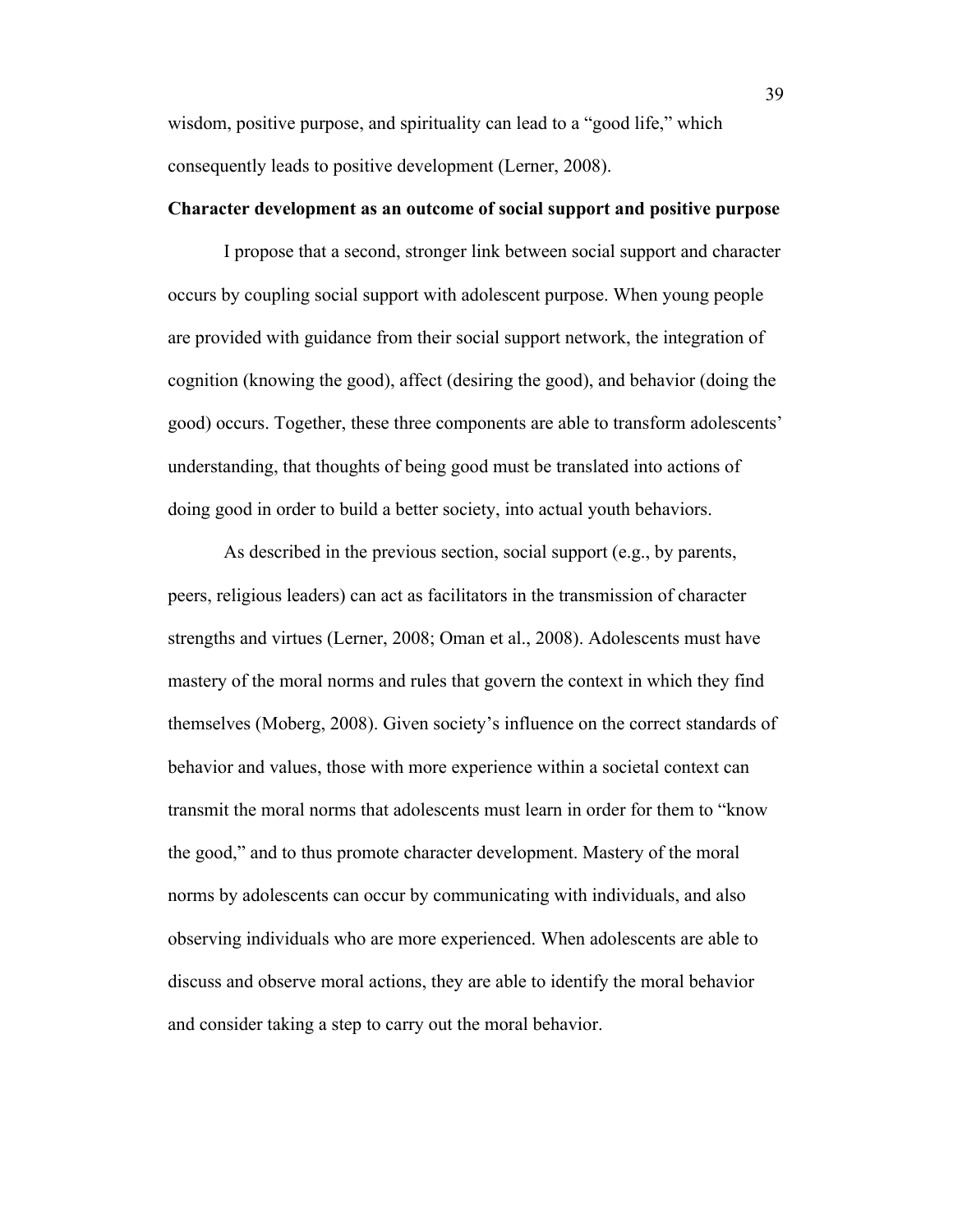wisdom, positive purpose, and spirituality can lead to a "good life," which consequently leads to positive development (Lerner, 2008).

# **Character development as an outcome of social support and positive purpose**

I propose that a second, stronger link between social support and character occurs by coupling social support with adolescent purpose. When young people are provided with guidance from their social support network, the integration of cognition (knowing the good), affect (desiring the good), and behavior (doing the good) occurs. Together, these three components are able to transform adolescents' understanding, that thoughts of being good must be translated into actions of doing good in order to build a better society, into actual youth behaviors.

As described in the previous section, social support (e.g., by parents, peers, religious leaders) can act as facilitators in the transmission of character strengths and virtues (Lerner, 2008; Oman et al., 2008). Adolescents must have mastery of the moral norms and rules that govern the context in which they find themselves (Moberg, 2008). Given society's influence on the correct standards of behavior and values, those with more experience within a societal context can transmit the moral norms that adolescents must learn in order for them to "know the good," and to thus promote character development. Mastery of the moral norms by adolescents can occur by communicating with individuals, and also observing individuals who are more experienced. When adolescents are able to discuss and observe moral actions, they are able to identify the moral behavior and consider taking a step to carry out the moral behavior.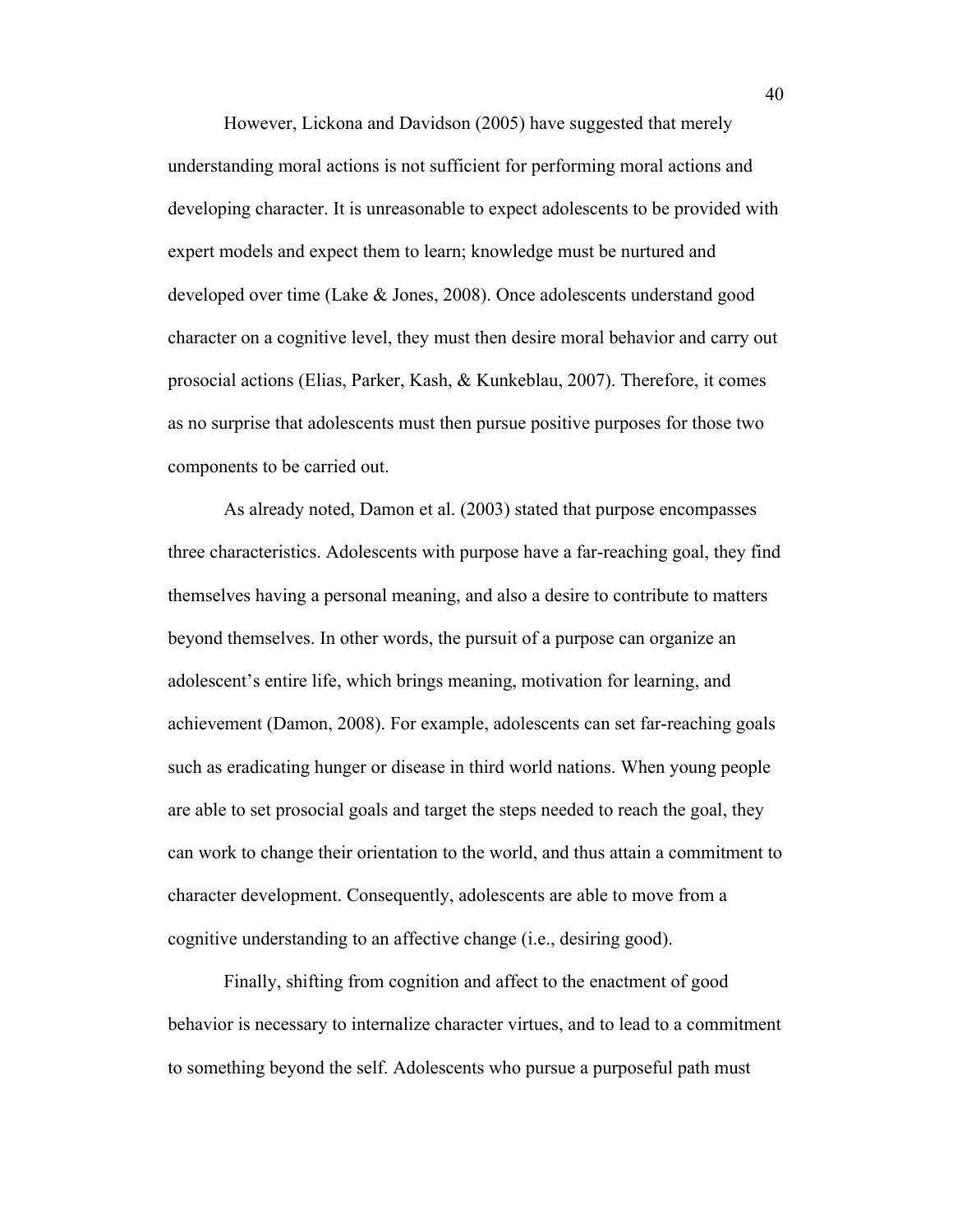However, Lickona and Davidson (2005) have suggested that merely understanding moral actions is not sufficient for performing moral actions and developing character. It is unreasonable to expect adolescents to be provided with expert models and expect them to learn; knowledge must be nurtured and developed over time (Lake & Jones, 2008). Once adolescents understand good character on a cognitive level, they must then desire moral behavior and carry out prosocial actions (Elias, Parker, Kash, & Kunkeblau, 2007). Therefore, it comes as no surprise that adolescents must then pursue positive purposes for those two components to be carried out.

As already noted, Damon et al. (2003) stated that purpose encompasses three characteristics. Adolescents with purpose have a far-reaching goal, they find themselves having a personal meaning, and also a desire to contribute to matters beyond themselves. In other words, the pursuit of a purpose can organize an adolescent's entire life, which brings meaning, motivation for learning, and achievement (Damon, 2008). For example, adolescents can set far-reaching goals such as eradicating hunger or disease in third world nations. When young people are able to set prosocial goals and target the steps needed to reach the goal, they can work to change their orientation to the world, and thus attain a commitment to character development. Consequently, adolescents are able to move from a cognitive understanding to an affective change (i.e., desiring good).

Finally, shifting from cognition and affect to the enactment of good behavior is necessary to internalize character virtues, and to lead to a commitment to something beyond the self. Adolescents who pursue a purposeful path must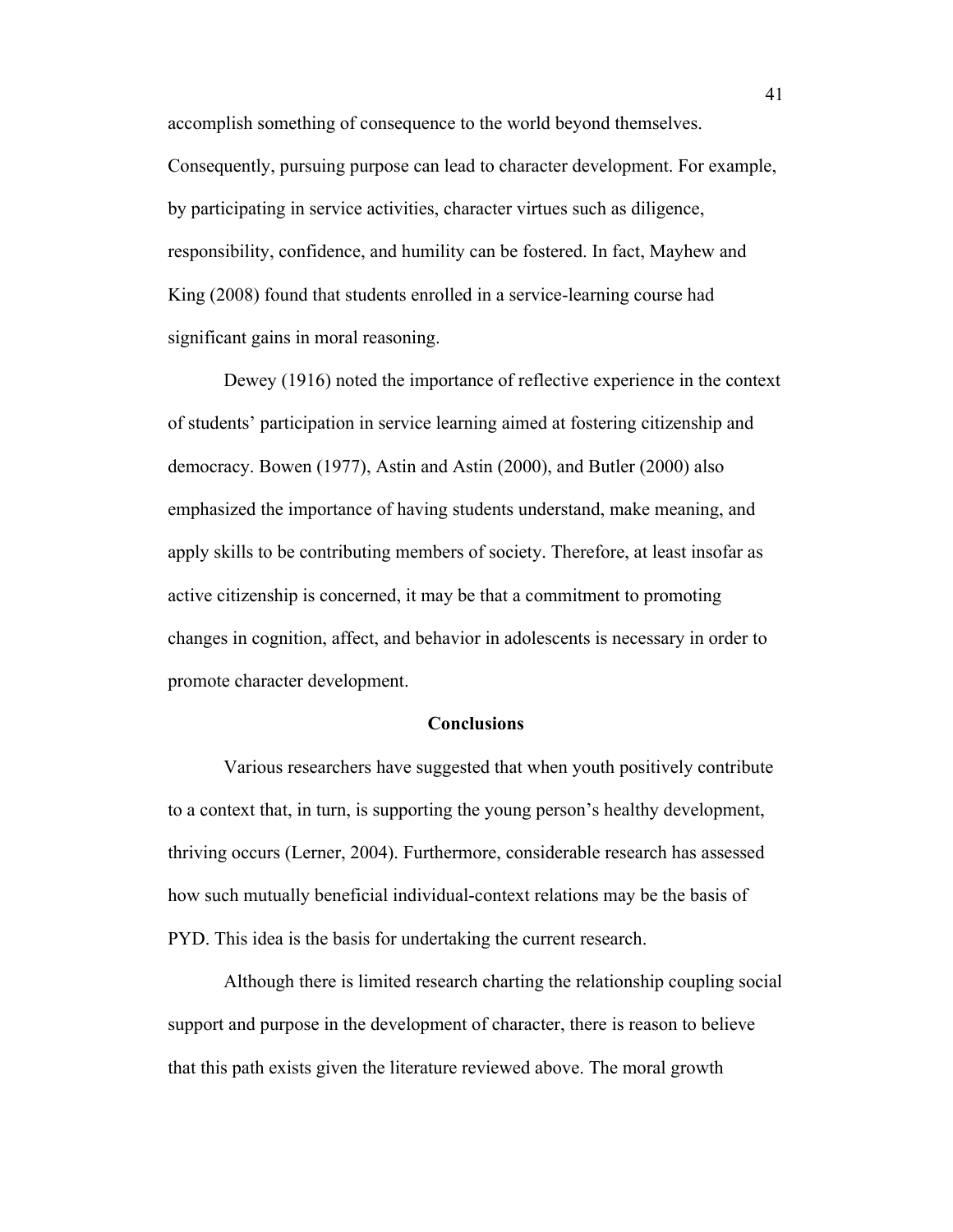accomplish something of consequence to the world beyond themselves. Consequently, pursuing purpose can lead to character development. For example, by participating in service activities, character virtues such as diligence, responsibility, confidence, and humility can be fostered. In fact, Mayhew and King (2008) found that students enrolled in a service-learning course had significant gains in moral reasoning.

Dewey (1916) noted the importance of reflective experience in the context of students' participation in service learning aimed at fostering citizenship and democracy. Bowen (1977), Astin and Astin (2000), and Butler (2000) also emphasized the importance of having students understand, make meaning, and apply skills to be contributing members of society. Therefore, at least insofar as active citizenship is concerned, it may be that a commitment to promoting changes in cognition, affect, and behavior in adolescents is necessary in order to promote character development.

### **Conclusions**

Various researchers have suggested that when youth positively contribute to a context that, in turn, is supporting the young person's healthy development, thriving occurs (Lerner, 2004). Furthermore, considerable research has assessed how such mutually beneficial individual-context relations may be the basis of PYD. This idea is the basis for undertaking the current research.

Although there is limited research charting the relationship coupling social support and purpose in the development of character, there is reason to believe that this path exists given the literature reviewed above. The moral growth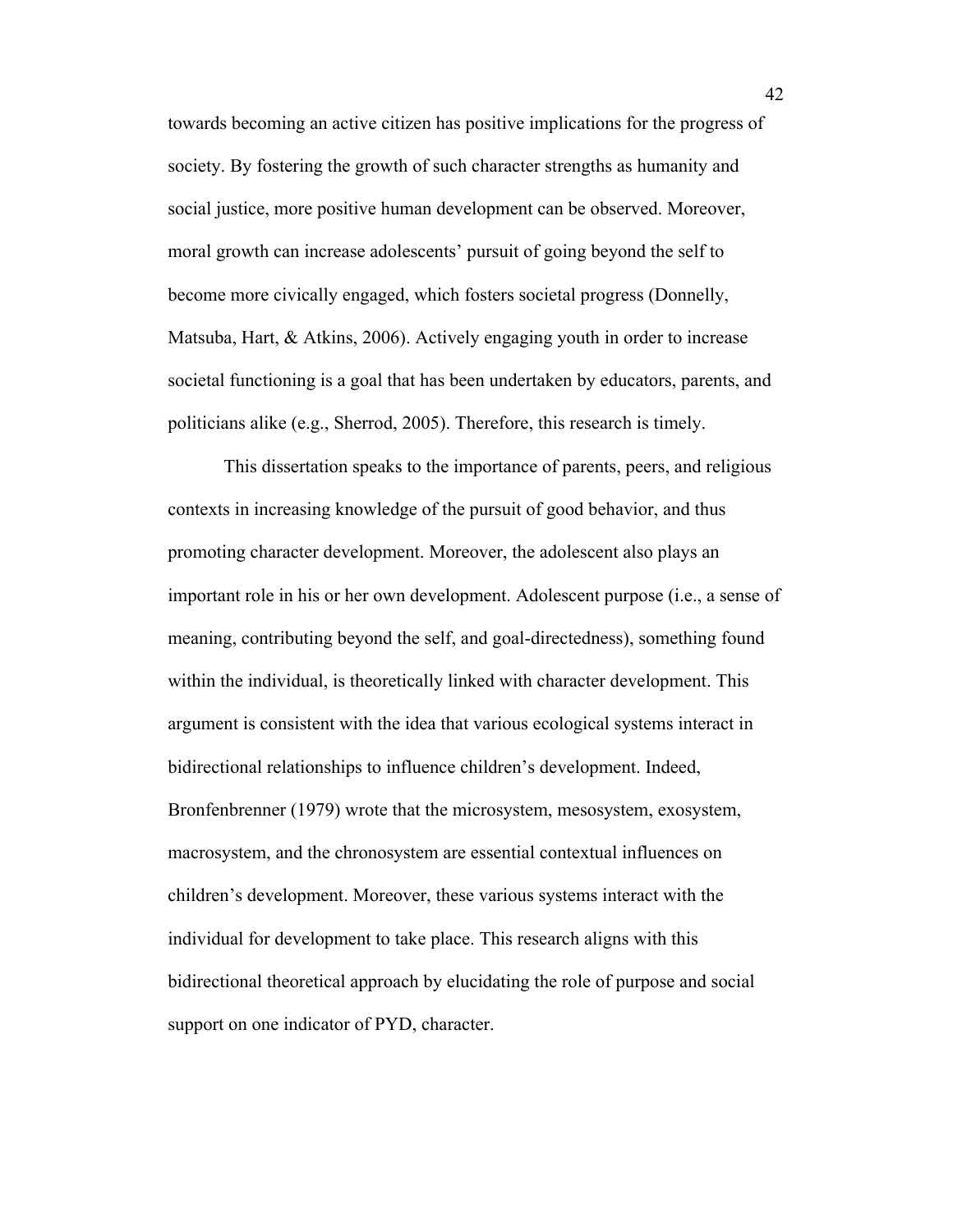towards becoming an active citizen has positive implications for the progress of society. By fostering the growth of such character strengths as humanity and social justice, more positive human development can be observed. Moreover, moral growth can increase adolescents' pursuit of going beyond the self to become more civically engaged, which fosters societal progress (Donnelly, Matsuba, Hart, & Atkins, 2006). Actively engaging youth in order to increase societal functioning is a goal that has been undertaken by educators, parents, and politicians alike (e.g., Sherrod, 2005). Therefore, this research is timely.

This dissertation speaks to the importance of parents, peers, and religious contexts in increasing knowledge of the pursuit of good behavior, and thus promoting character development. Moreover, the adolescent also plays an important role in his or her own development. Adolescent purpose (i.e., a sense of meaning, contributing beyond the self, and goal-directedness), something found within the individual, is theoretically linked with character development. This argument is consistent with the idea that various ecological systems interact in bidirectional relationships to influence children's development. Indeed, Bronfenbrenner (1979) wrote that the microsystem, mesosystem, exosystem, macrosystem, and the chronosystem are essential contextual influences on children's development. Moreover, these various systems interact with the individual for development to take place. This research aligns with this bidirectional theoretical approach by elucidating the role of purpose and social support on one indicator of PYD, character.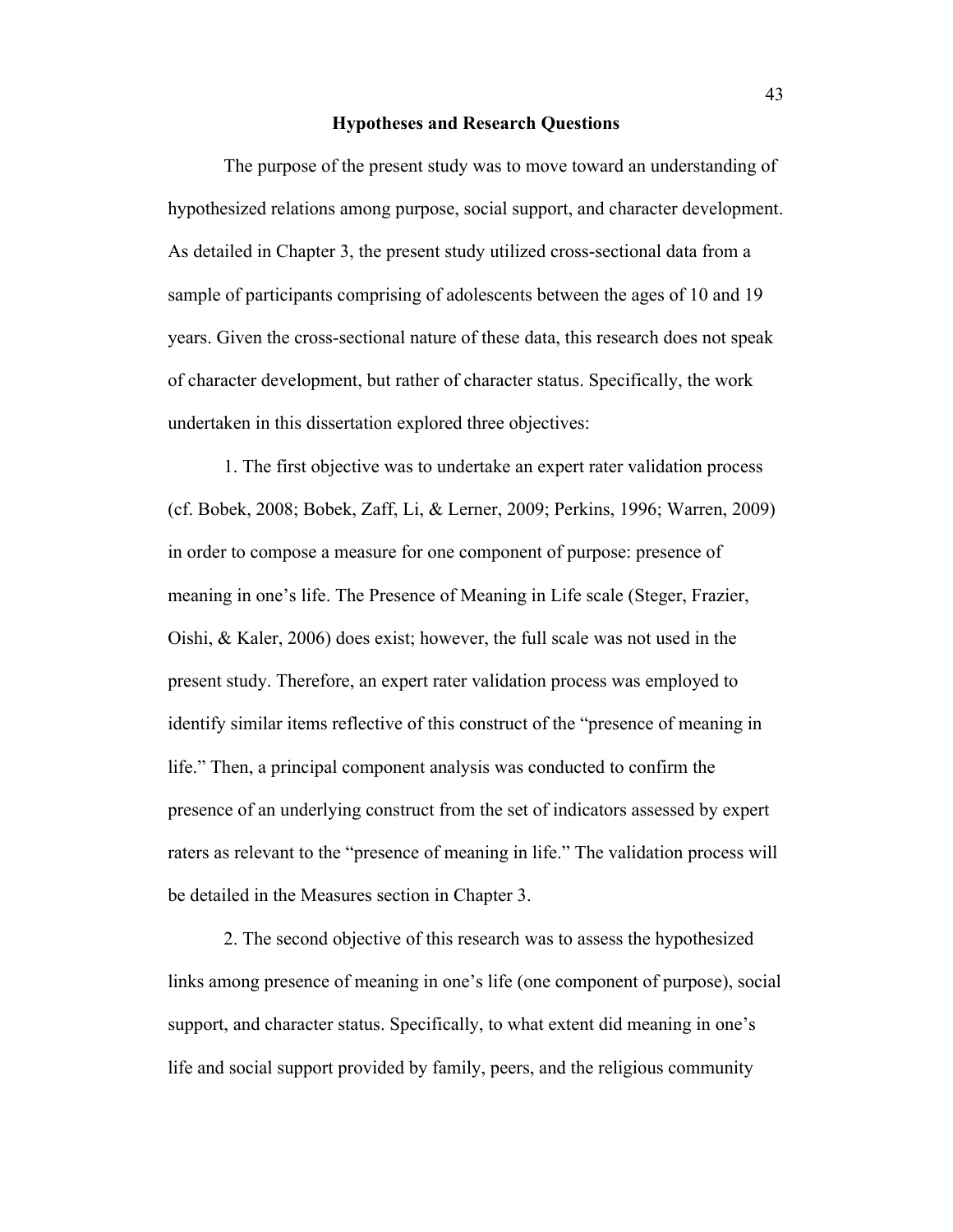### **Hypotheses and Research Questions**

The purpose of the present study was to move toward an understanding of hypothesized relations among purpose, social support, and character development. As detailed in Chapter 3, the present study utilized cross-sectional data from a sample of participants comprising of adolescents between the ages of 10 and 19 years. Given the cross-sectional nature of these data, this research does not speak of character development, but rather of character status. Specifically, the work undertaken in this dissertation explored three objectives:

1. The first objective was to undertake an expert rater validation process (cf. Bobek, 2008; Bobek, Zaff, Li, & Lerner, 2009; Perkins, 1996; Warren, 2009) in order to compose a measure for one component of purpose: presence of meaning in one's life. The Presence of Meaning in Life scale (Steger, Frazier, Oishi, & Kaler, 2006) does exist; however, the full scale was not used in the present study. Therefore, an expert rater validation process was employed to identify similar items reflective of this construct of the "presence of meaning in life." Then, a principal component analysis was conducted to confirm the presence of an underlying construct from the set of indicators assessed by expert raters as relevant to the "presence of meaning in life." The validation process will be detailed in the Measures section in Chapter 3.

2. The second objective of this research was to assess the hypothesized links among presence of meaning in one's life (one component of purpose), social support, and character status. Specifically, to what extent did meaning in one's life and social support provided by family, peers, and the religious community

43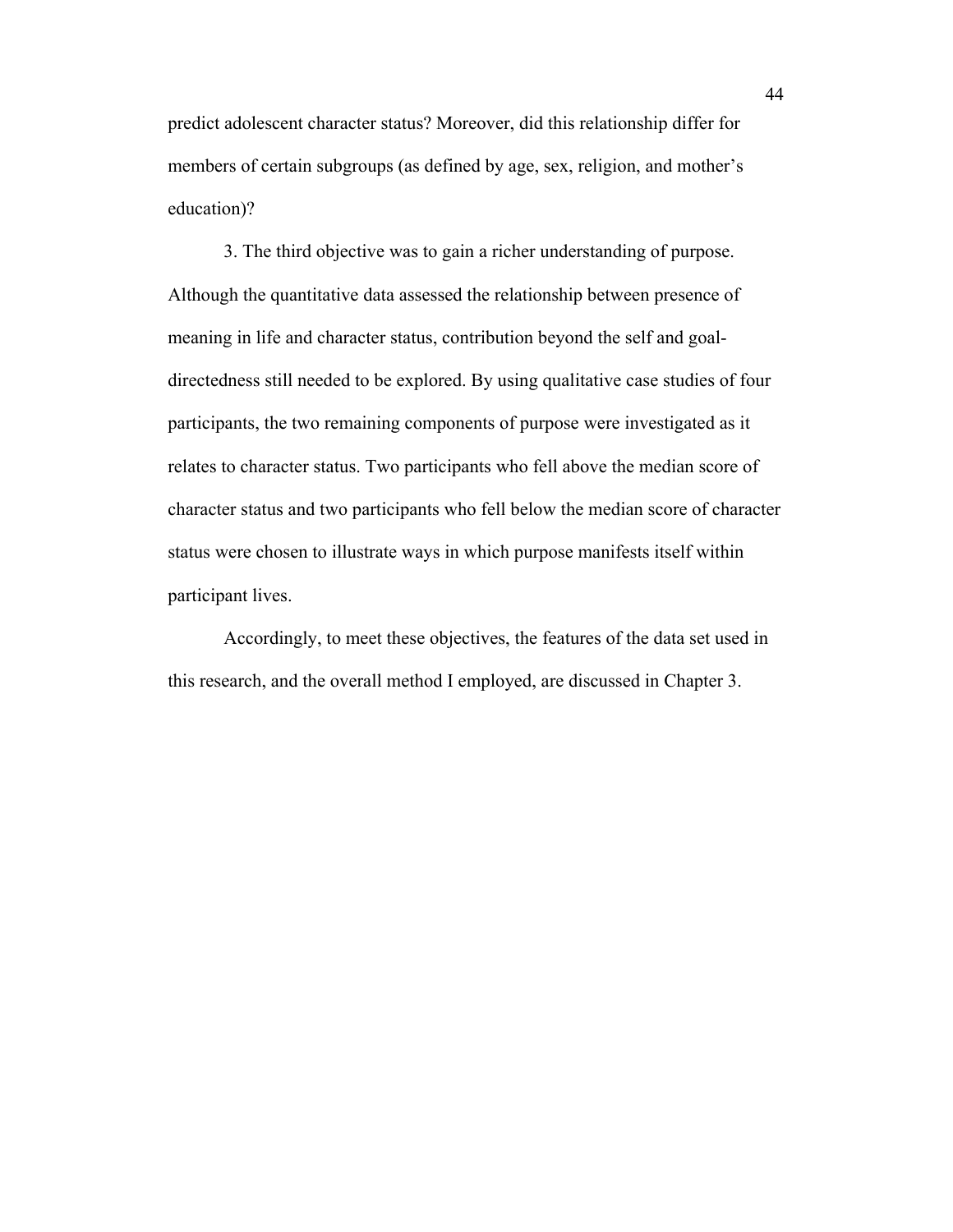predict adolescent character status? Moreover, did this relationship differ for members of certain subgroups (as defined by age, sex, religion, and mother's education)?

3. The third objective was to gain a richer understanding of purpose. Although the quantitative data assessed the relationship between presence of meaning in life and character status, contribution beyond the self and goaldirectedness still needed to be explored. By using qualitative case studies of four participants, the two remaining components of purpose were investigated as it relates to character status. Two participants who fell above the median score of character status and two participants who fell below the median score of character status were chosen to illustrate ways in which purpose manifests itself within participant lives.

Accordingly, to meet these objectives, the features of the data set used in this research, and the overall method I employed, are discussed in Chapter 3.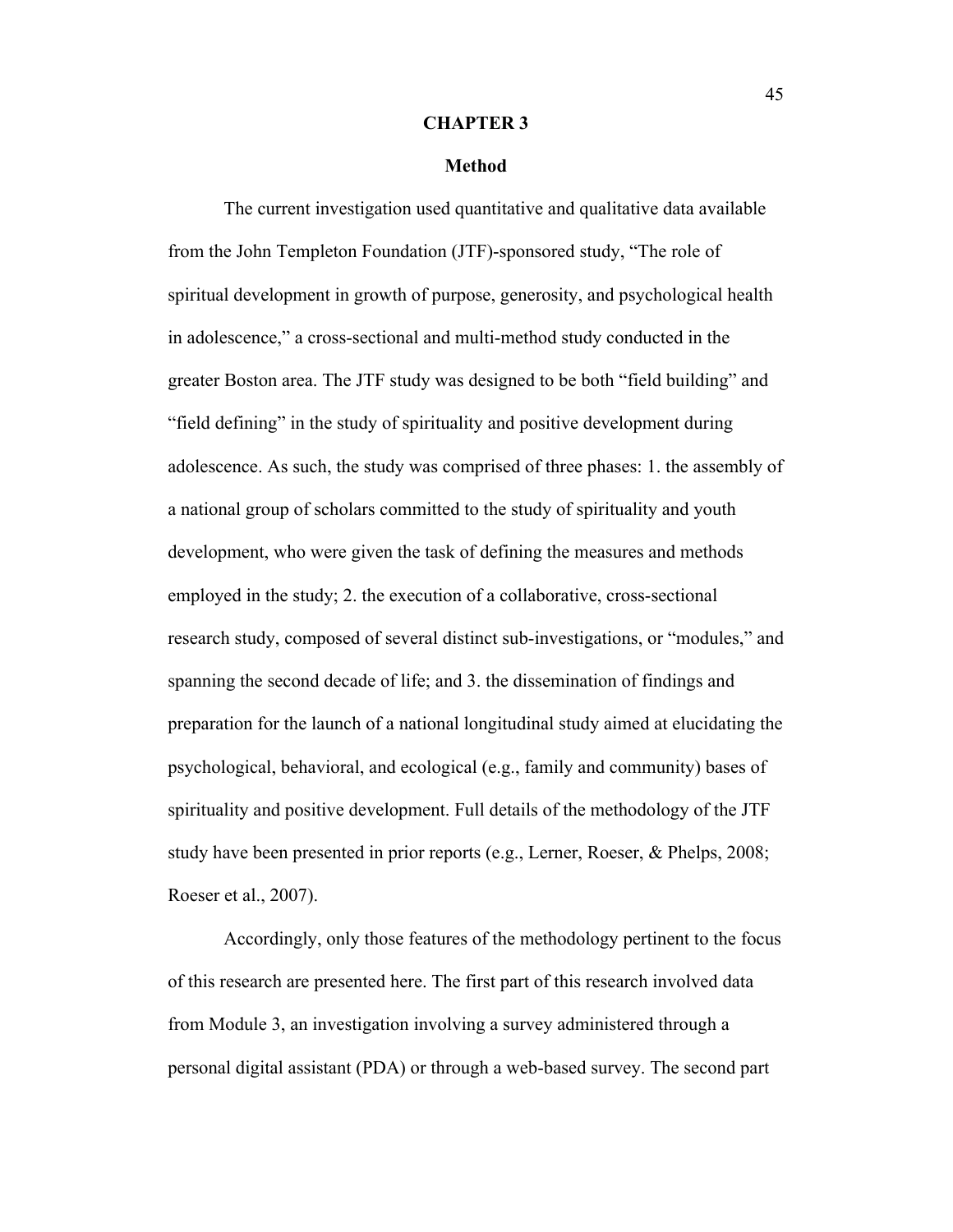#### **CHAPTER 3**

#### **Method**

The current investigation used quantitative and qualitative data available from the John Templeton Foundation (JTF)-sponsored study, "The role of spiritual development in growth of purpose, generosity, and psychological health in adolescence," a cross-sectional and multi-method study conducted in the greater Boston area. The JTF study was designed to be both "field building" and "field defining" in the study of spirituality and positive development during adolescence. As such, the study was comprised of three phases: 1. the assembly of a national group of scholars committed to the study of spirituality and youth development, who were given the task of defining the measures and methods employed in the study; 2. the execution of a collaborative, cross-sectional research study, composed of several distinct sub-investigations, or "modules," and spanning the second decade of life; and 3. the dissemination of findings and preparation for the launch of a national longitudinal study aimed at elucidating the psychological, behavioral, and ecological (e.g., family and community) bases of spirituality and positive development. Full details of the methodology of the JTF study have been presented in prior reports (e.g., Lerner, Roeser, & Phelps, 2008; Roeser et al., 2007).

Accordingly, only those features of the methodology pertinent to the focus of this research are presented here. The first part of this research involved data from Module 3, an investigation involving a survey administered through a personal digital assistant (PDA) or through a web-based survey. The second part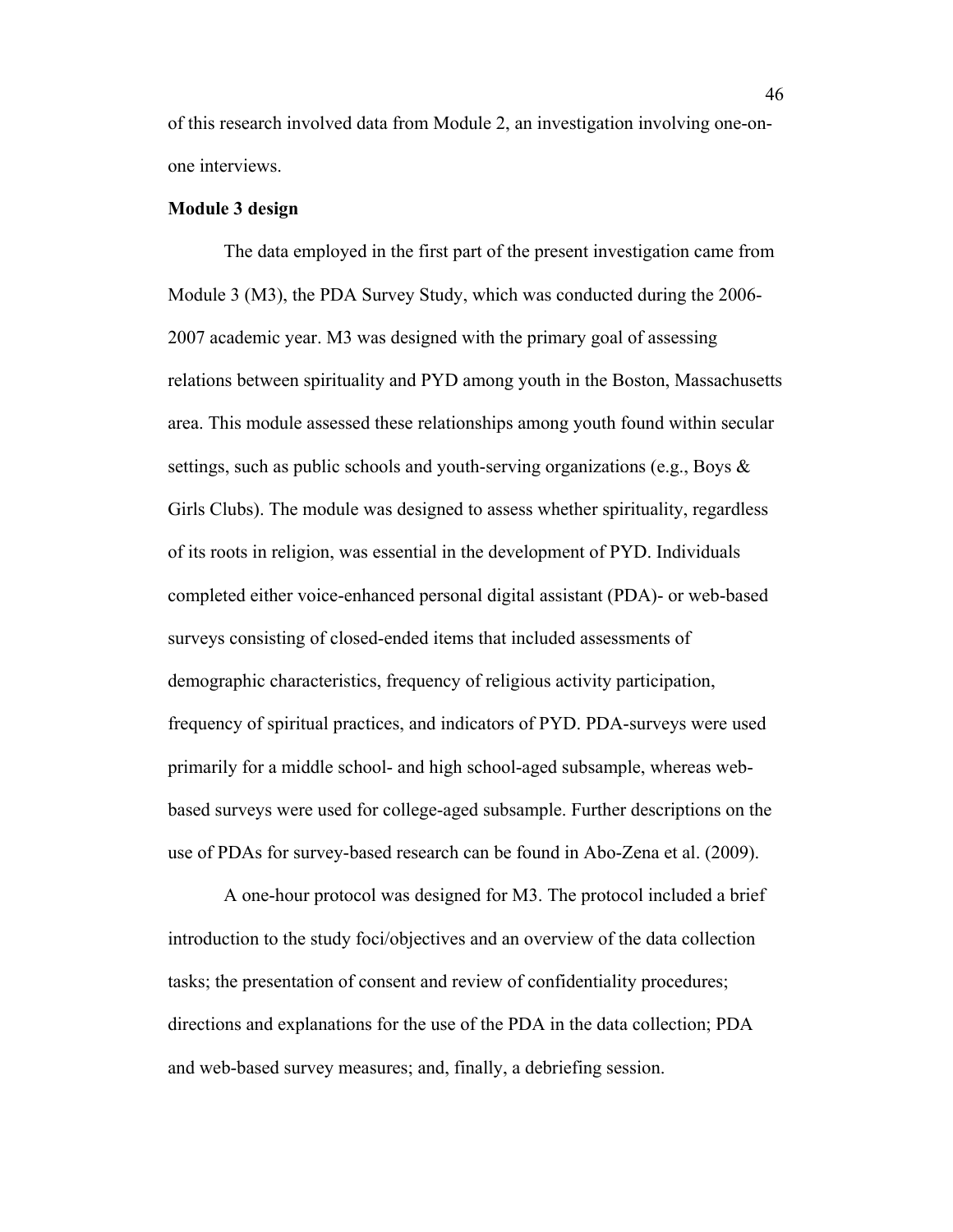of this research involved data from Module 2, an investigation involving one-onone interviews.

## **Module 3 design**

The data employed in the first part of the present investigation came from Module 3 (M3), the PDA Survey Study, which was conducted during the 2006- 2007 academic year. M3 was designed with the primary goal of assessing relations between spirituality and PYD among youth in the Boston, Massachusetts area. This module assessed these relationships among youth found within secular settings, such as public schools and youth-serving organizations (e.g., Boys & Girls Clubs). The module was designed to assess whether spirituality, regardless of its roots in religion, was essential in the development of PYD. Individuals completed either voice-enhanced personal digital assistant (PDA)- or web-based surveys consisting of closed-ended items that included assessments of demographic characteristics, frequency of religious activity participation, frequency of spiritual practices, and indicators of PYD. PDA-surveys were used primarily for a middle school- and high school-aged subsample, whereas webbased surveys were used for college-aged subsample. Further descriptions on the use of PDAs for survey-based research can be found in Abo-Zena et al. (2009).

A one-hour protocol was designed for M3. The protocol included a brief introduction to the study foci/objectives and an overview of the data collection tasks; the presentation of consent and review of confidentiality procedures; directions and explanations for the use of the PDA in the data collection; PDA and web-based survey measures; and, finally, a debriefing session.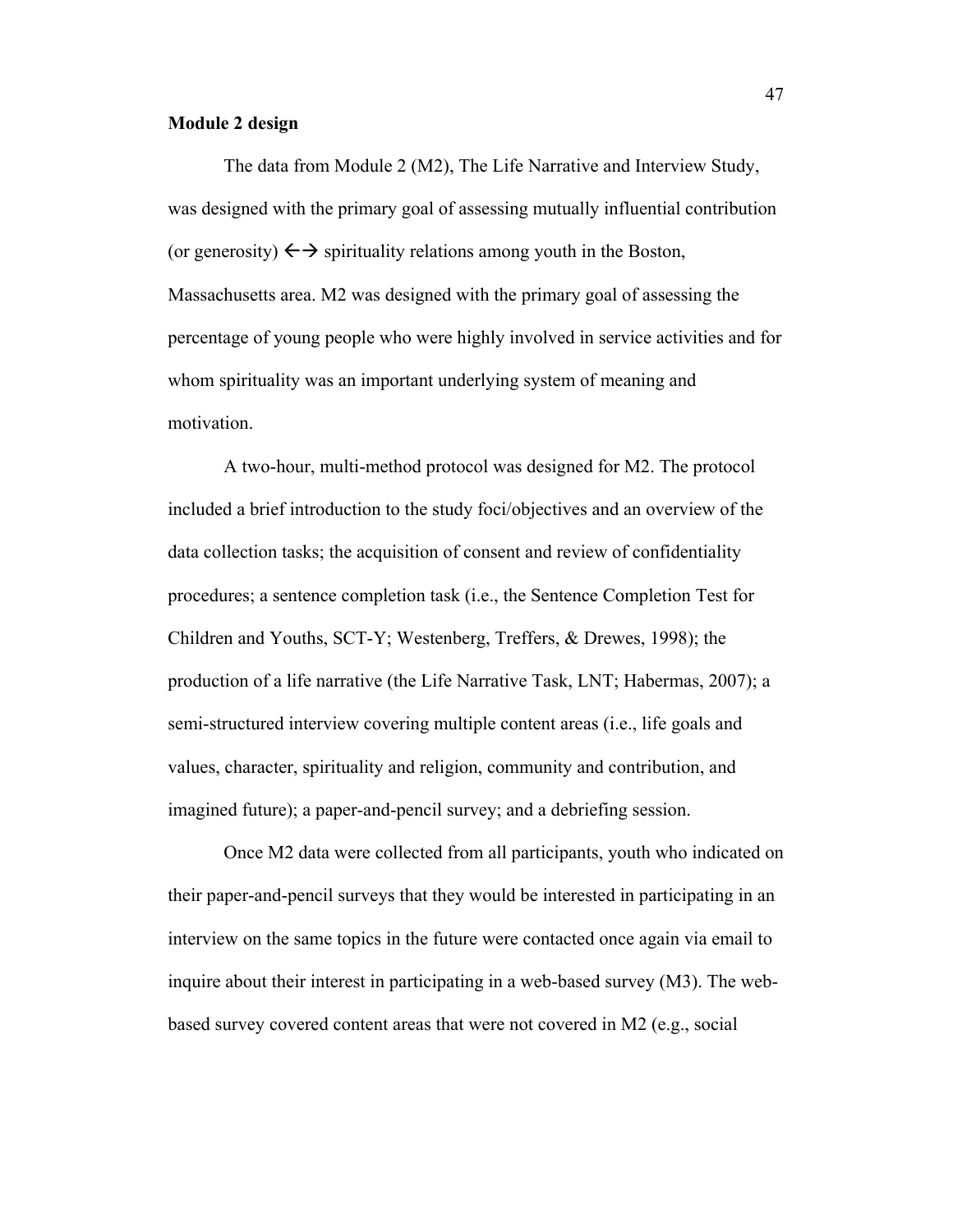## **Module 2 design**

The data from Module 2 (M2), The Life Narrative and Interview Study, was designed with the primary goal of assessing mutually influential contribution (or generosity)  $\leftrightarrow$  spirituality relations among youth in the Boston, Massachusetts area. M2 was designed with the primary goal of assessing the percentage of young people who were highly involved in service activities and for whom spirituality was an important underlying system of meaning and motivation.

A two-hour, multi-method protocol was designed for M2. The protocol included a brief introduction to the study foci/objectives and an overview of the data collection tasks; the acquisition of consent and review of confidentiality procedures; a sentence completion task (i.e., the Sentence Completion Test for Children and Youths, SCT-Y; Westenberg, Treffers, & Drewes, 1998); the production of a life narrative (the Life Narrative Task, LNT; Habermas, 2007); a semi-structured interview covering multiple content areas (i.e., life goals and values, character, spirituality and religion, community and contribution, and imagined future); a paper-and-pencil survey; and a debriefing session.

Once M2 data were collected from all participants, youth who indicated on their paper-and-pencil surveys that they would be interested in participating in an interview on the same topics in the future were contacted once again via email to inquire about their interest in participating in a web-based survey (M3). The webbased survey covered content areas that were not covered in M2 (e.g., social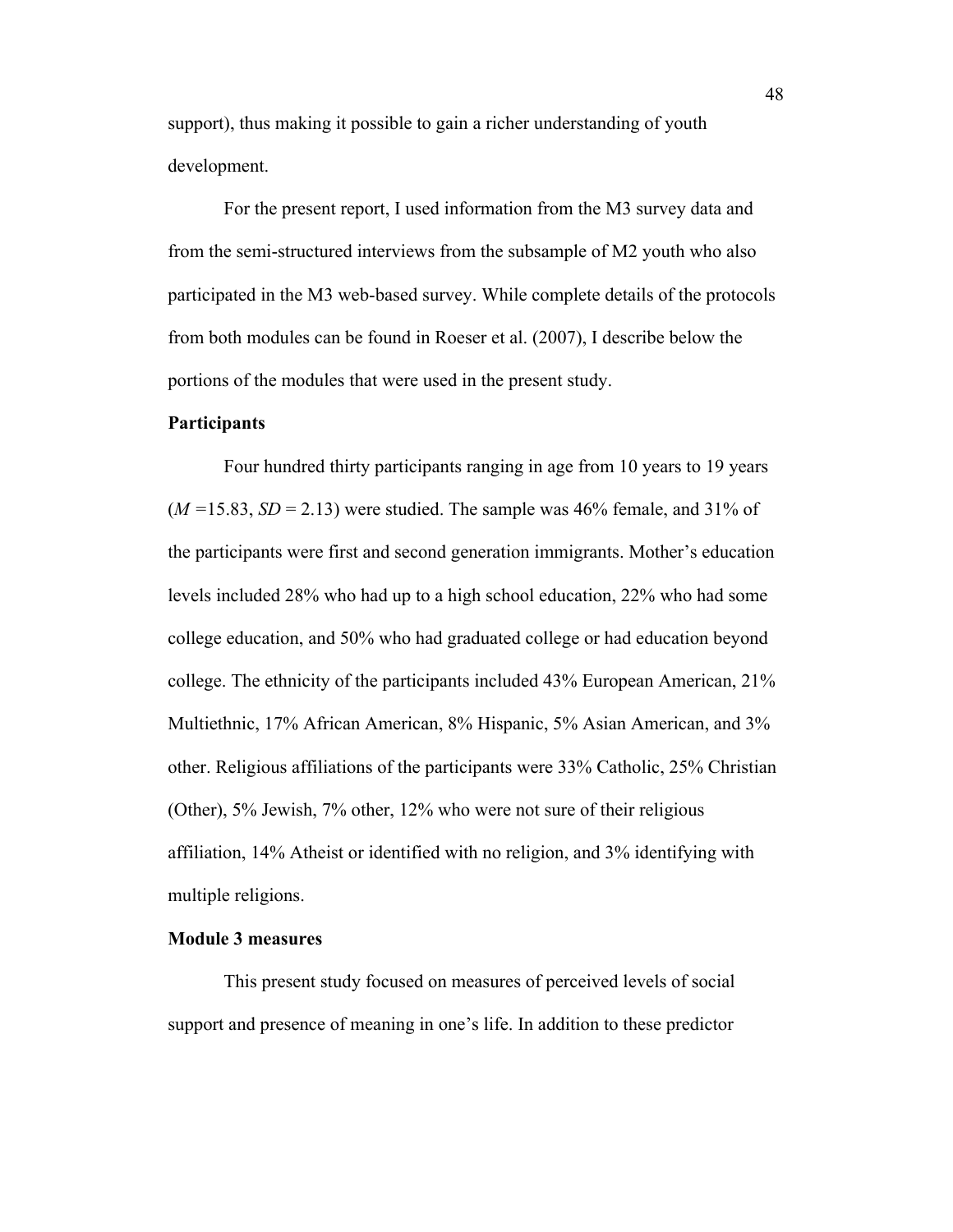support), thus making it possible to gain a richer understanding of youth development.

For the present report, I used information from the M3 survey data and from the semi-structured interviews from the subsample of M2 youth who also participated in the M3 web-based survey. While complete details of the protocols from both modules can be found in Roeser et al. (2007), I describe below the portions of the modules that were used in the present study.

#### **Participants**

Four hundred thirty participants ranging in age from 10 years to 19 years (*M =*15.83, *SD* = 2.13) were studied. The sample was 46% female, and 31% of the participants were first and second generation immigrants. Mother's education levels included 28% who had up to a high school education, 22% who had some college education, and 50% who had graduated college or had education beyond college. The ethnicity of the participants included 43% European American, 21% Multiethnic, 17% African American, 8% Hispanic, 5% Asian American, and 3% other. Religious affiliations of the participants were 33% Catholic, 25% Christian (Other), 5% Jewish, 7% other, 12% who were not sure of their religious affiliation, 14% Atheist or identified with no religion, and 3% identifying with multiple religions.

## **Module 3 measures**

This present study focused on measures of perceived levels of social support and presence of meaning in one's life. In addition to these predictor

48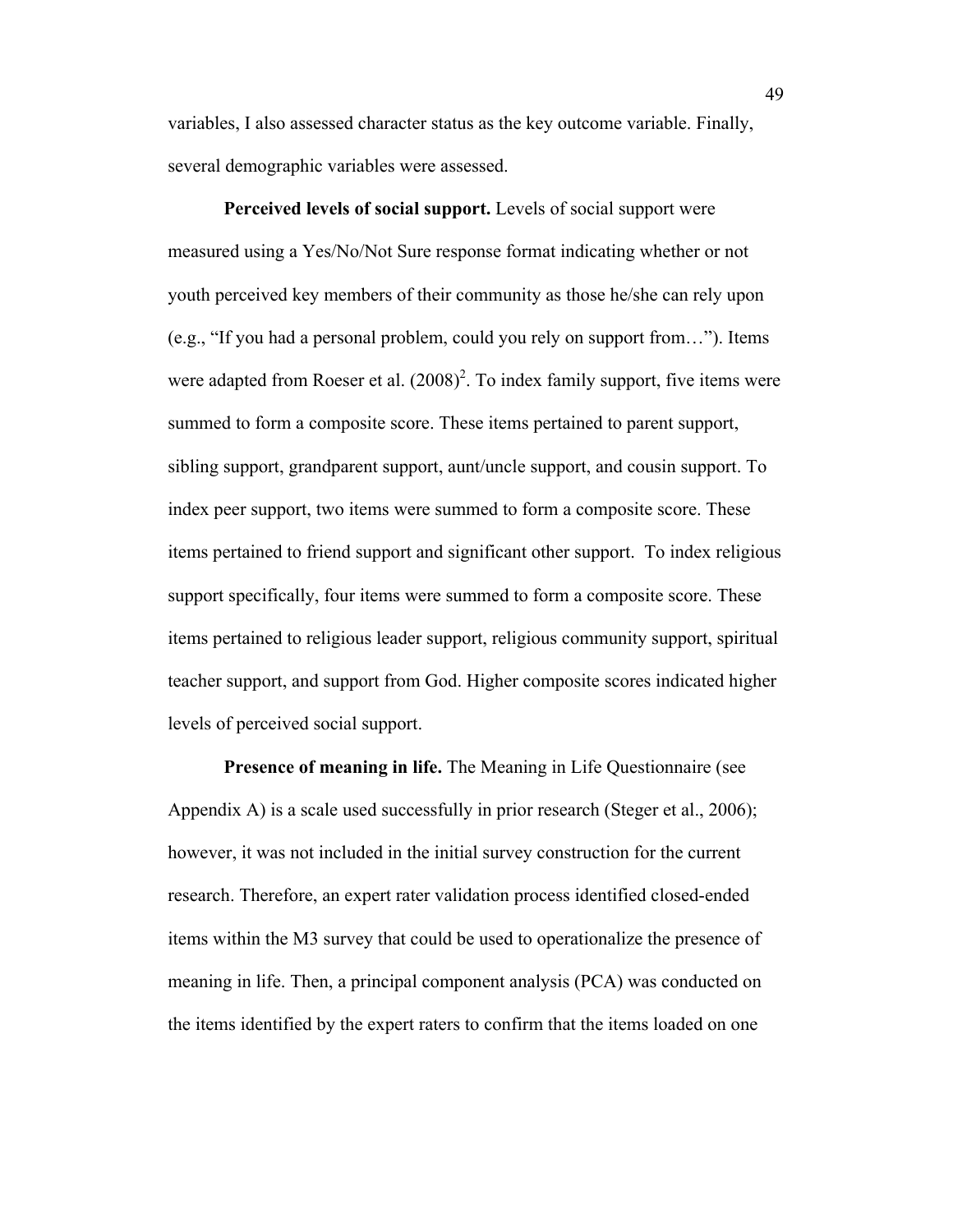variables, I also assessed character status as the key outcome variable. Finally, several demographic variables were assessed.

**Perceived levels of social support.** Levels of social support were measured using a Yes/No/Not Sure response format indicating whether or not youth perceived key members of their community as those he/she can rely upon (e.g., "If you had a personal problem, could you rely on support from…"). Items were adapted from Roeser et al.  $(2008)^2$ . To index family support, five items were summed to form a composite score. These items pertained to parent support, sibling support, grandparent support, aunt/uncle support, and cousin support. To index peer support, two items were summed to form a composite score. These items pertained to friend support and significant other support. To index religious support specifically, four items were summed to form a composite score. These items pertained to religious leader support, religious community support, spiritual teacher support, and support from God. Higher composite scores indicated higher levels of perceived social support.

**Presence of meaning in life.** The Meaning in Life Questionnaire (see Appendix A) is a scale used successfully in prior research (Steger et al., 2006); however, it was not included in the initial survey construction for the current research. Therefore, an expert rater validation process identified closed-ended items within the M3 survey that could be used to operationalize the presence of meaning in life. Then, a principal component analysis (PCA) was conducted on the items identified by the expert raters to confirm that the items loaded on one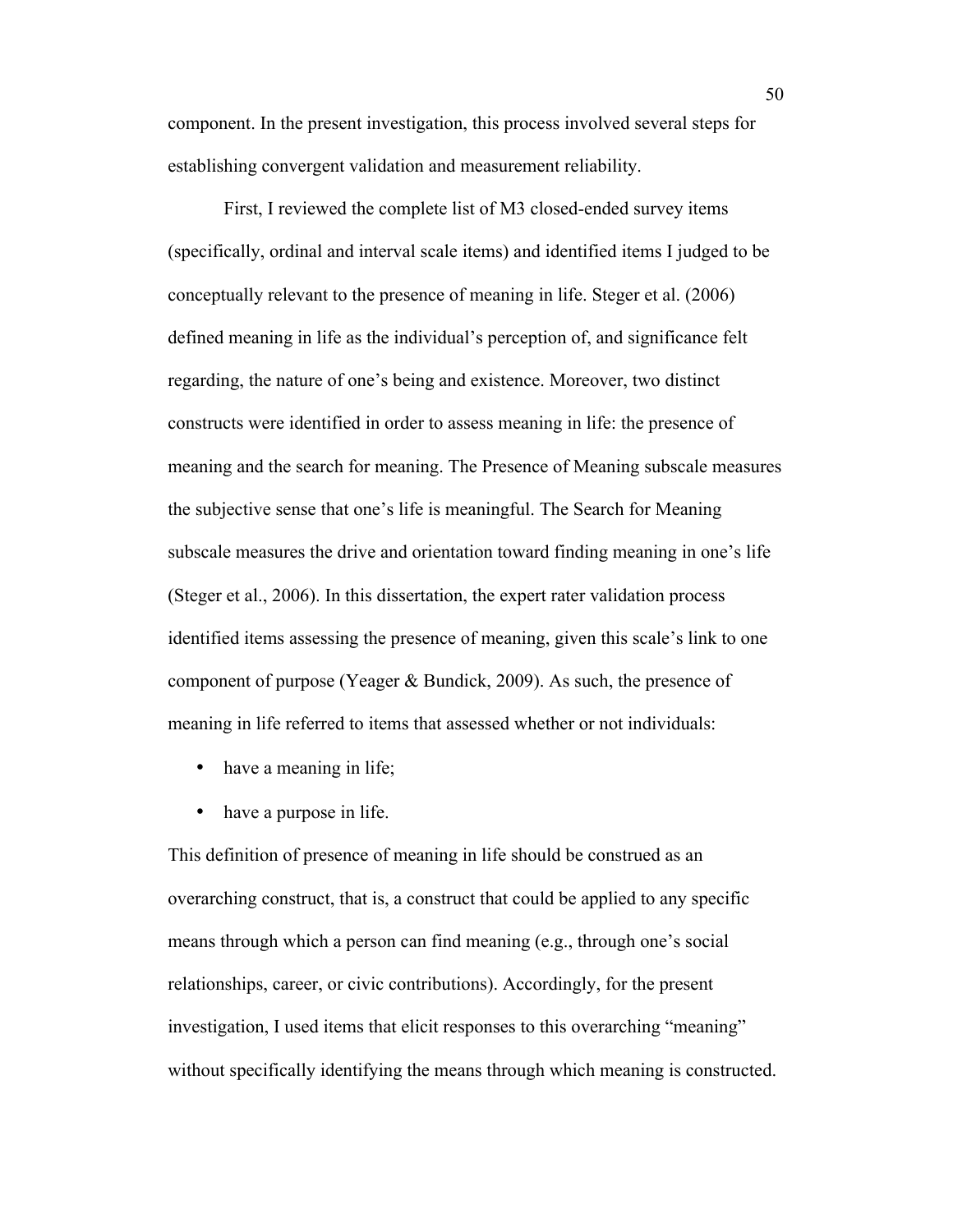component. In the present investigation, this process involved several steps for establishing convergent validation and measurement reliability.

First, I reviewed the complete list of M3 closed-ended survey items (specifically, ordinal and interval scale items) and identified items I judged to be conceptually relevant to the presence of meaning in life. Steger et al. (2006) defined meaning in life as the individual's perception of, and significance felt regarding, the nature of one's being and existence. Moreover, two distinct constructs were identified in order to assess meaning in life: the presence of meaning and the search for meaning. The Presence of Meaning subscale measures the subjective sense that one's life is meaningful. The Search for Meaning subscale measures the drive and orientation toward finding meaning in one's life (Steger et al., 2006). In this dissertation, the expert rater validation process identified items assessing the presence of meaning, given this scale's link to one component of purpose (Yeager & Bundick, 2009). As such, the presence of meaning in life referred to items that assessed whether or not individuals:

- have a meaning in life;
- have a purpose in life.

This definition of presence of meaning in life should be construed as an overarching construct, that is, a construct that could be applied to any specific means through which a person can find meaning (e.g., through one's social relationships, career, or civic contributions). Accordingly, for the present investigation, I used items that elicit responses to this overarching "meaning" without specifically identifying the means through which meaning is constructed.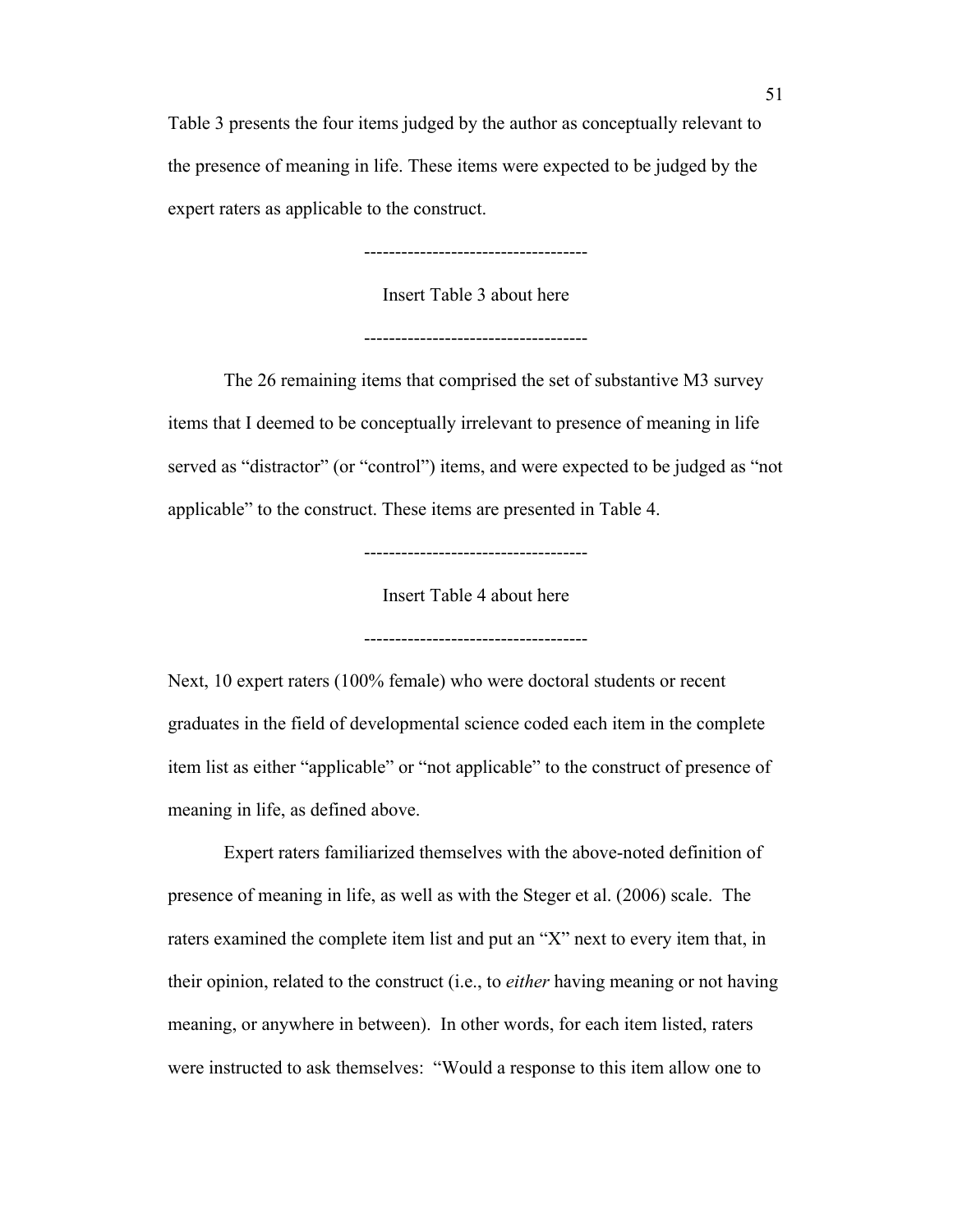Table 3 presents the four items judged by the author as conceptually relevant to the presence of meaning in life. These items were expected to be judged by the expert raters as applicable to the construct.

------------------------------------

Insert Table 3 about here

------------------------------------

The 26 remaining items that comprised the set of substantive M3 survey items that I deemed to be conceptually irrelevant to presence of meaning in life served as "distractor" (or "control") items, and were expected to be judged as "not applicable" to the construct. These items are presented in Table 4.

------------------------------------

Insert Table 4 about here

------------------------------------

Next, 10 expert raters (100% female) who were doctoral students or recent graduates in the field of developmental science coded each item in the complete item list as either "applicable" or "not applicable" to the construct of presence of meaning in life, as defined above.

Expert raters familiarized themselves with the above-noted definition of presence of meaning in life, as well as with the Steger et al. (2006) scale. The raters examined the complete item list and put an "X" next to every item that, in their opinion, related to the construct (i.e., to *either* having meaning or not having meaning, or anywhere in between). In other words, for each item listed, raters were instructed to ask themselves: "Would a response to this item allow one to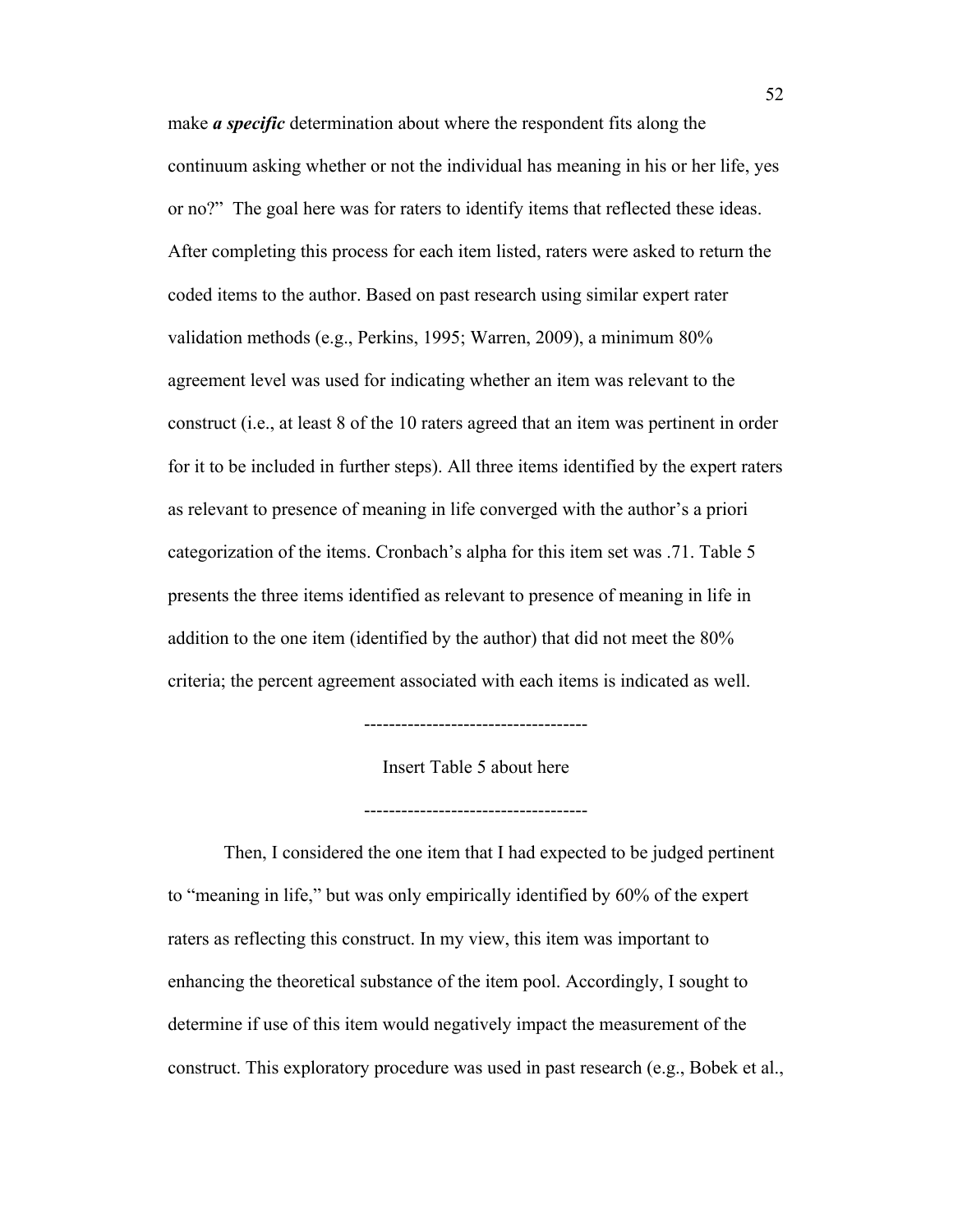make *a specific* determination about where the respondent fits along the continuum asking whether or not the individual has meaning in his or her life, yes or no?" The goal here was for raters to identify items that reflected these ideas. After completing this process for each item listed, raters were asked to return the coded items to the author. Based on past research using similar expert rater validation methods (e.g., Perkins, 1995; Warren, 2009), a minimum 80% agreement level was used for indicating whether an item was relevant to the construct (i.e., at least 8 of the 10 raters agreed that an item was pertinent in order for it to be included in further steps). All three items identified by the expert raters as relevant to presence of meaning in life converged with the author's a priori categorization of the items. Cronbach's alpha for this item set was .71. Table 5 presents the three items identified as relevant to presence of meaning in life in addition to the one item (identified by the author) that did not meet the 80% criteria; the percent agreement associated with each items is indicated as well.

Insert Table 5 about here

------------------------------------

------------------------------------

Then, I considered the one item that I had expected to be judged pertinent to "meaning in life," but was only empirically identified by 60% of the expert raters as reflecting this construct. In my view, this item was important to enhancing the theoretical substance of the item pool. Accordingly, I sought to determine if use of this item would negatively impact the measurement of the construct. This exploratory procedure was used in past research (e.g., Bobek et al.,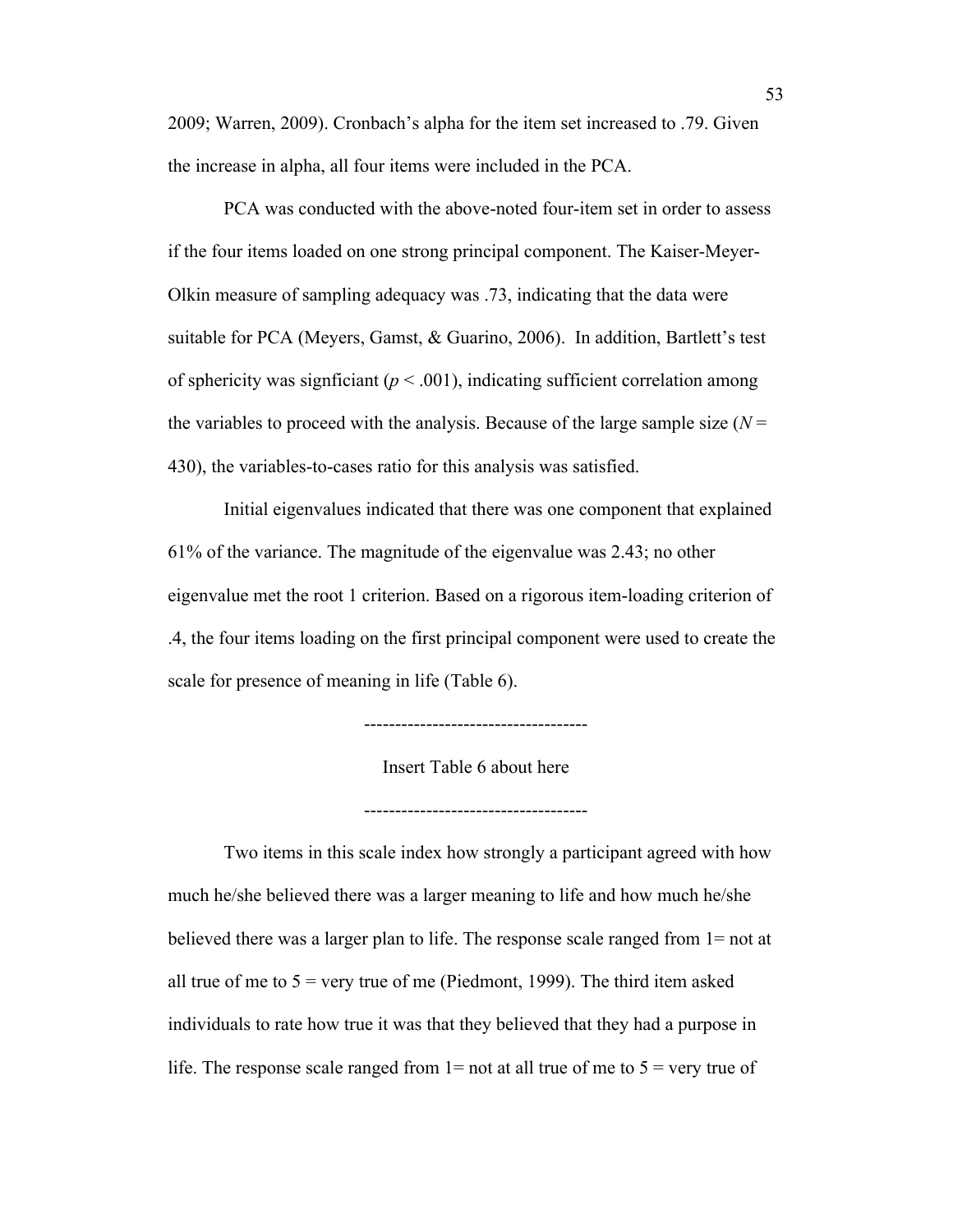2009; Warren, 2009). Cronbach's alpha for the item set increased to .79. Given the increase in alpha, all four items were included in the PCA.

PCA was conducted with the above-noted four-item set in order to assess if the four items loaded on one strong principal component. The Kaiser-Meyer-Olkin measure of sampling adequacy was .73, indicating that the data were suitable for PCA (Meyers, Gamst, & Guarino, 2006). In addition, Bartlett's test of sphericity was signficiant  $(p < .001)$ , indicating sufficient correlation among the variables to proceed with the analysis. Because of the large sample size  $(N =$ 430), the variables-to-cases ratio for this analysis was satisfied.

Initial eigenvalues indicated that there was one component that explained 61% of the variance. The magnitude of the eigenvalue was 2.43; no other eigenvalue met the root 1 criterion. Based on a rigorous item-loading criterion of .4, the four items loading on the first principal component were used to create the scale for presence of meaning in life (Table 6).



------------------------------------

Insert Table 6 about here

------------------------------------

Two items in this scale index how strongly a participant agreed with how much he/she believed there was a larger meaning to life and how much he/she believed there was a larger plan to life. The response scale ranged from 1= not at all true of me to  $5 = \text{very true of me}$  (Piedmont, 1999). The third item asked individuals to rate how true it was that they believed that they had a purpose in life. The response scale ranged from  $1=$  not at all true of me to  $5=$  very true of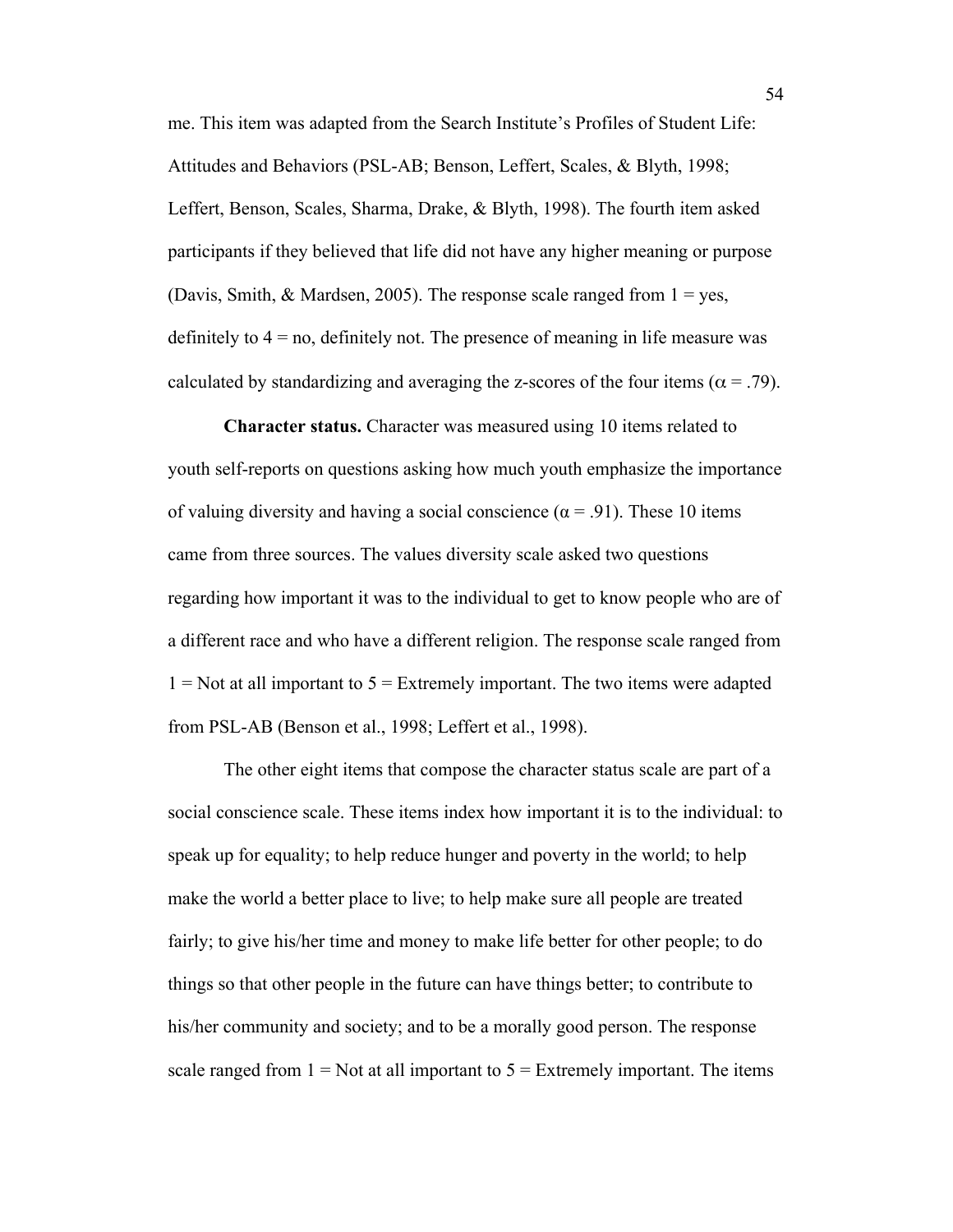me. This item was adapted from the Search Institute's Profiles of Student Life: Attitudes and Behaviors (PSL-AB; Benson, Leffert, Scales, & Blyth, 1998; Leffert, Benson, Scales, Sharma, Drake, & Blyth, 1998). The fourth item asked participants if they believed that life did not have any higher meaning or purpose (Davis, Smith,  $\&$  Mardsen, 2005). The response scale ranged from  $1 = yes$ , definitely to  $4 = no$ , definitely not. The presence of meaning in life measure was calculated by standardizing and averaging the z-scores of the four items ( $\alpha = .79$ ).

**Character status.** Character was measured using 10 items related to youth self-reports on questions asking how much youth emphasize the importance of valuing diversity and having a social conscience ( $\alpha$  = .91). These 10 items came from three sources. The values diversity scale asked two questions regarding how important it was to the individual to get to know people who are of a different race and who have a different religion. The response scale ranged from  $1 = Not$  at all important to  $5 = Extremely$  important. The two items were adapted from PSL-AB (Benson et al., 1998; Leffert et al., 1998).

The other eight items that compose the character status scale are part of a social conscience scale. These items index how important it is to the individual: to speak up for equality; to help reduce hunger and poverty in the world; to help make the world a better place to live; to help make sure all people are treated fairly; to give his/her time and money to make life better for other people; to do things so that other people in the future can have things better; to contribute to his/her community and society; and to be a morally good person. The response scale ranged from  $1 = Not$  at all important to  $5 = Extremely$  important. The items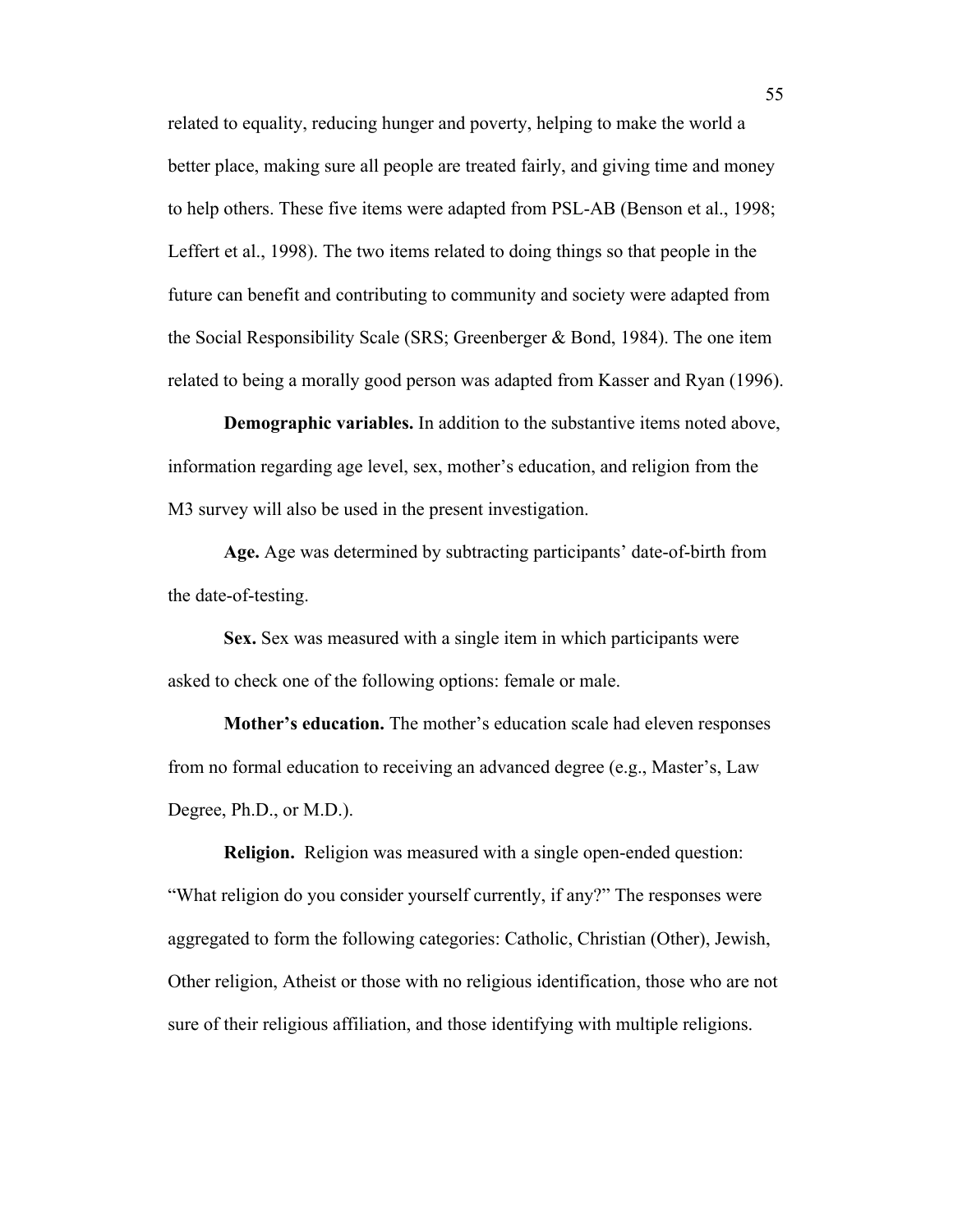related to equality, reducing hunger and poverty, helping to make the world a better place, making sure all people are treated fairly, and giving time and money to help others. These five items were adapted from PSL-AB (Benson et al., 1998; Leffert et al., 1998). The two items related to doing things so that people in the future can benefit and contributing to community and society were adapted from the Social Responsibility Scale (SRS; Greenberger & Bond, 1984). The one item related to being a morally good person was adapted from Kasser and Ryan (1996).

**Demographic variables.** In addition to the substantive items noted above, information regarding age level, sex, mother's education, and religion from the M3 survey will also be used in the present investigation.

**Age.** Age was determined by subtracting participants' date-of-birth from the date-of-testing.

**Sex.** Sex was measured with a single item in which participants were asked to check one of the following options: female or male.

**Mother's education.** The mother's education scale had eleven responses from no formal education to receiving an advanced degree (e.g., Master's, Law Degree, Ph.D., or M.D.).

**Religion.** Religion was measured with a single open-ended question: "What religion do you consider yourself currently, if any?" The responses were aggregated to form the following categories: Catholic, Christian (Other), Jewish, Other religion, Atheist or those with no religious identification, those who are not sure of their religious affiliation, and those identifying with multiple religions.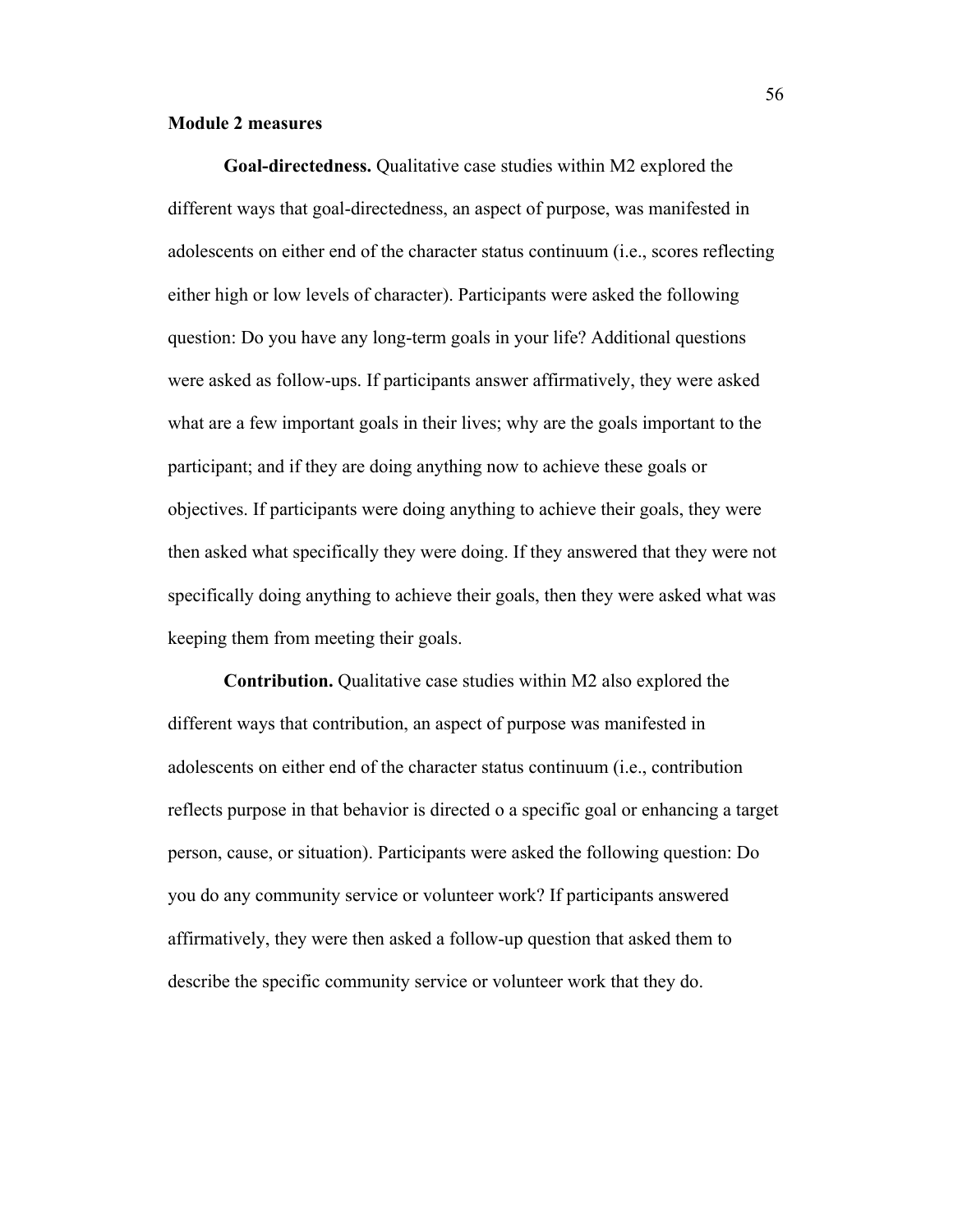## **Module 2 measures**

**Goal-directedness.** Qualitative case studies within M2 explored the different ways that goal-directedness, an aspect of purpose, was manifested in adolescents on either end of the character status continuum (i.e., scores reflecting either high or low levels of character). Participants were asked the following question: Do you have any long-term goals in your life? Additional questions were asked as follow-ups. If participants answer affirmatively, they were asked what are a few important goals in their lives; why are the goals important to the participant; and if they are doing anything now to achieve these goals or objectives. If participants were doing anything to achieve their goals, they were then asked what specifically they were doing. If they answered that they were not specifically doing anything to achieve their goals, then they were asked what was keeping them from meeting their goals.

**Contribution.** Qualitative case studies within M2 also explored the different ways that contribution, an aspect of purpose was manifested in adolescents on either end of the character status continuum (i.e., contribution reflects purpose in that behavior is directed o a specific goal or enhancing a target person, cause, or situation). Participants were asked the following question: Do you do any community service or volunteer work? If participants answered affirmatively, they were then asked a follow-up question that asked them to describe the specific community service or volunteer work that they do.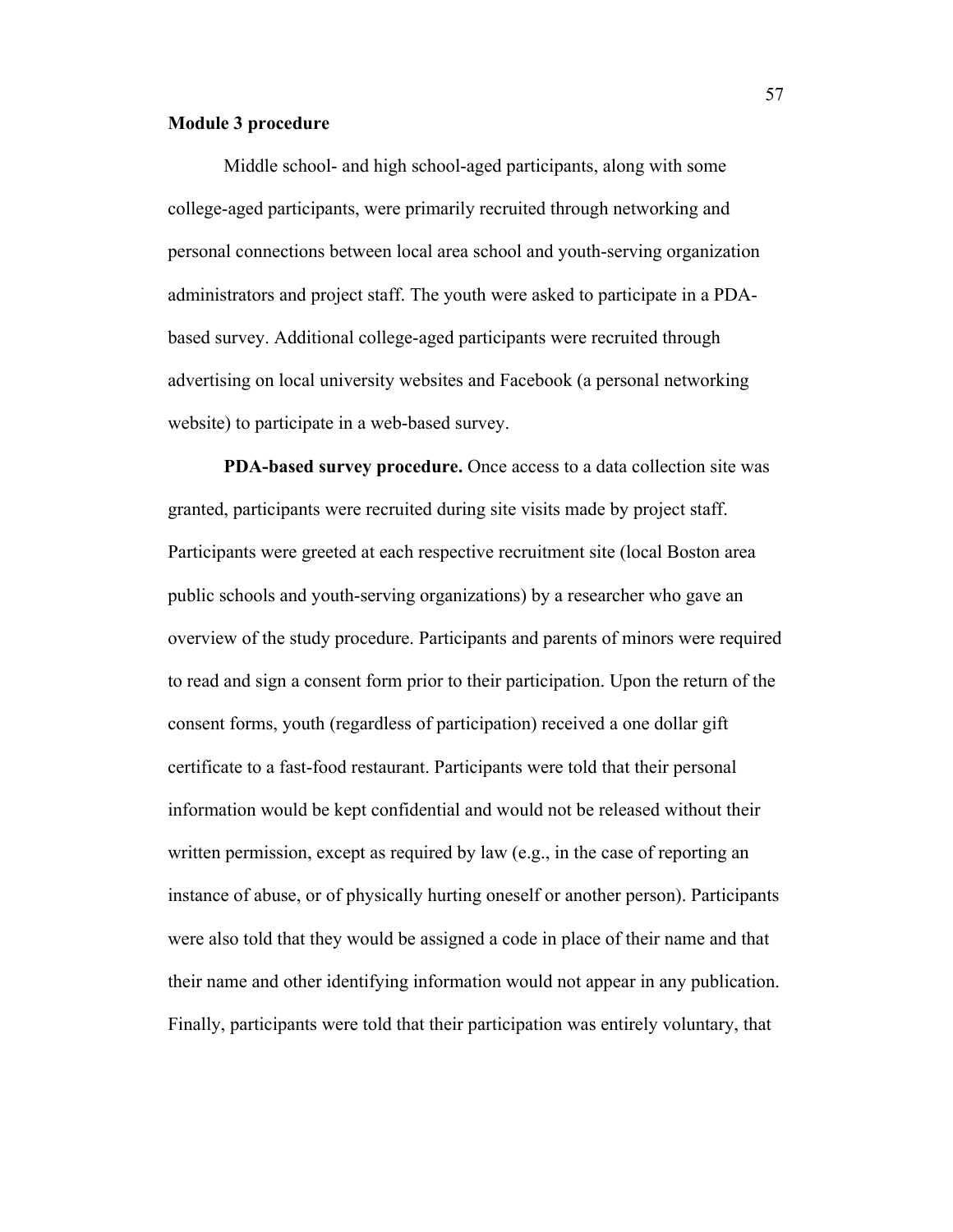## **Module 3 procedure**

Middle school- and high school-aged participants, along with some college-aged participants, were primarily recruited through networking and personal connections between local area school and youth-serving organization administrators and project staff. The youth were asked to participate in a PDAbased survey. Additional college-aged participants were recruited through advertising on local university websites and Facebook (a personal networking website) to participate in a web-based survey.

**PDA-based survey procedure.** Once access to a data collection site was granted, participants were recruited during site visits made by project staff. Participants were greeted at each respective recruitment site (local Boston area public schools and youth-serving organizations) by a researcher who gave an overview of the study procedure. Participants and parents of minors were required to read and sign a consent form prior to their participation. Upon the return of the consent forms, youth (regardless of participation) received a one dollar gift certificate to a fast-food restaurant. Participants were told that their personal information would be kept confidential and would not be released without their written permission, except as required by law (e.g., in the case of reporting an instance of abuse, or of physically hurting oneself or another person). Participants were also told that they would be assigned a code in place of their name and that their name and other identifying information would not appear in any publication. Finally, participants were told that their participation was entirely voluntary, that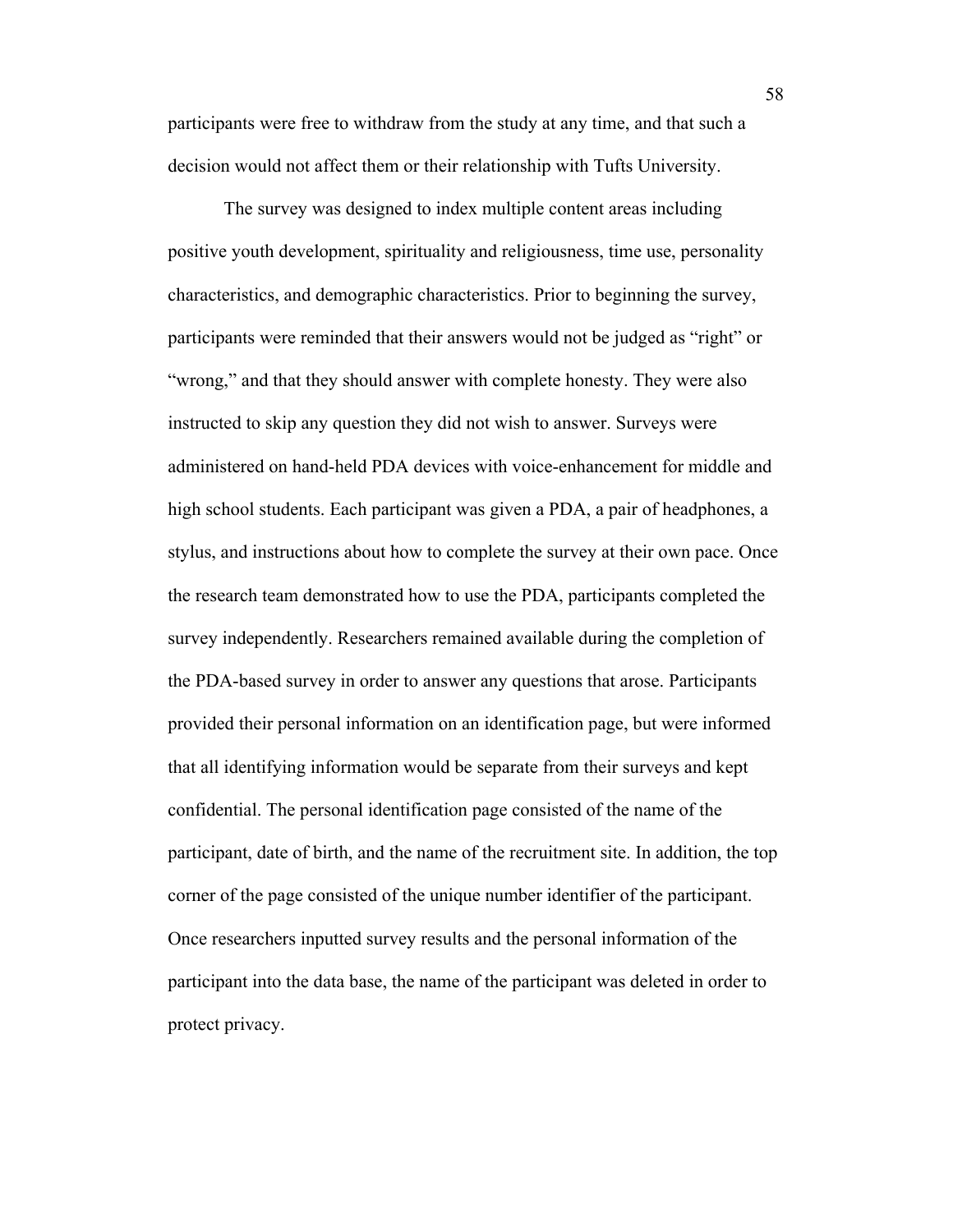participants were free to withdraw from the study at any time, and that such a decision would not affect them or their relationship with Tufts University.

The survey was designed to index multiple content areas including positive youth development, spirituality and religiousness, time use, personality characteristics, and demographic characteristics. Prior to beginning the survey, participants were reminded that their answers would not be judged as "right" or "wrong," and that they should answer with complete honesty. They were also instructed to skip any question they did not wish to answer. Surveys were administered on hand-held PDA devices with voice-enhancement for middle and high school students. Each participant was given a PDA, a pair of headphones, a stylus, and instructions about how to complete the survey at their own pace. Once the research team demonstrated how to use the PDA, participants completed the survey independently. Researchers remained available during the completion of the PDA-based survey in order to answer any questions that arose. Participants provided their personal information on an identification page, but were informed that all identifying information would be separate from their surveys and kept confidential. The personal identification page consisted of the name of the participant, date of birth, and the name of the recruitment site. In addition, the top corner of the page consisted of the unique number identifier of the participant. Once researchers inputted survey results and the personal information of the participant into the data base, the name of the participant was deleted in order to protect privacy.

58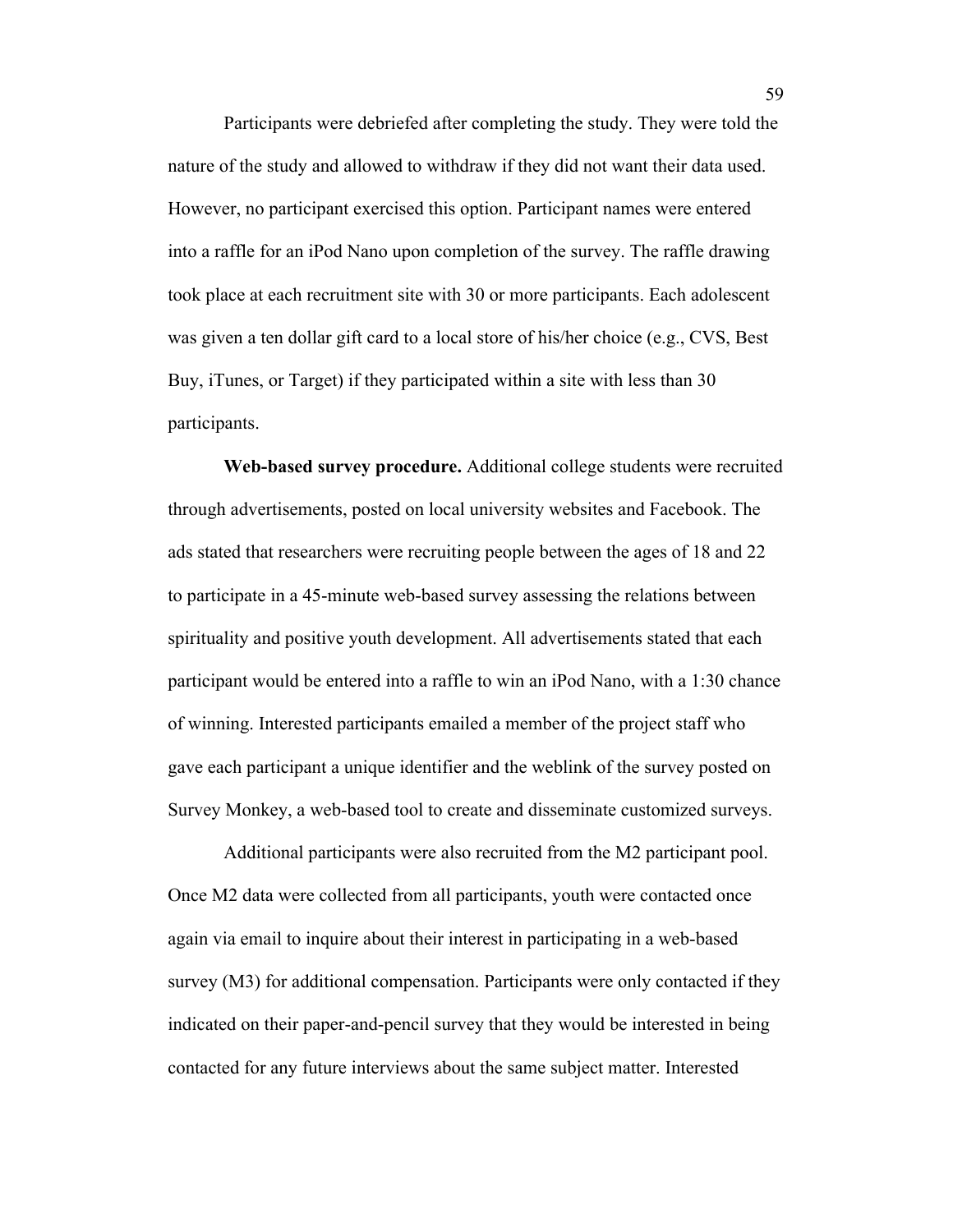Participants were debriefed after completing the study. They were told the nature of the study and allowed to withdraw if they did not want their data used. However, no participant exercised this option. Participant names were entered into a raffle for an iPod Nano upon completion of the survey. The raffle drawing took place at each recruitment site with 30 or more participants. Each adolescent was given a ten dollar gift card to a local store of his/her choice (e.g., CVS, Best Buy, iTunes, or Target) if they participated within a site with less than 30 participants.

**Web-based survey procedure.** Additional college students were recruited through advertisements, posted on local university websites and Facebook. The ads stated that researchers were recruiting people between the ages of 18 and 22 to participate in a 45-minute web-based survey assessing the relations between spirituality and positive youth development. All advertisements stated that each participant would be entered into a raffle to win an iPod Nano, with a 1:30 chance of winning. Interested participants emailed a member of the project staff who gave each participant a unique identifier and the weblink of the survey posted on Survey Monkey, a web-based tool to create and disseminate customized surveys.

Additional participants were also recruited from the M2 participant pool. Once M2 data were collected from all participants, youth were contacted once again via email to inquire about their interest in participating in a web-based survey (M3) for additional compensation. Participants were only contacted if they indicated on their paper-and-pencil survey that they would be interested in being contacted for any future interviews about the same subject matter. Interested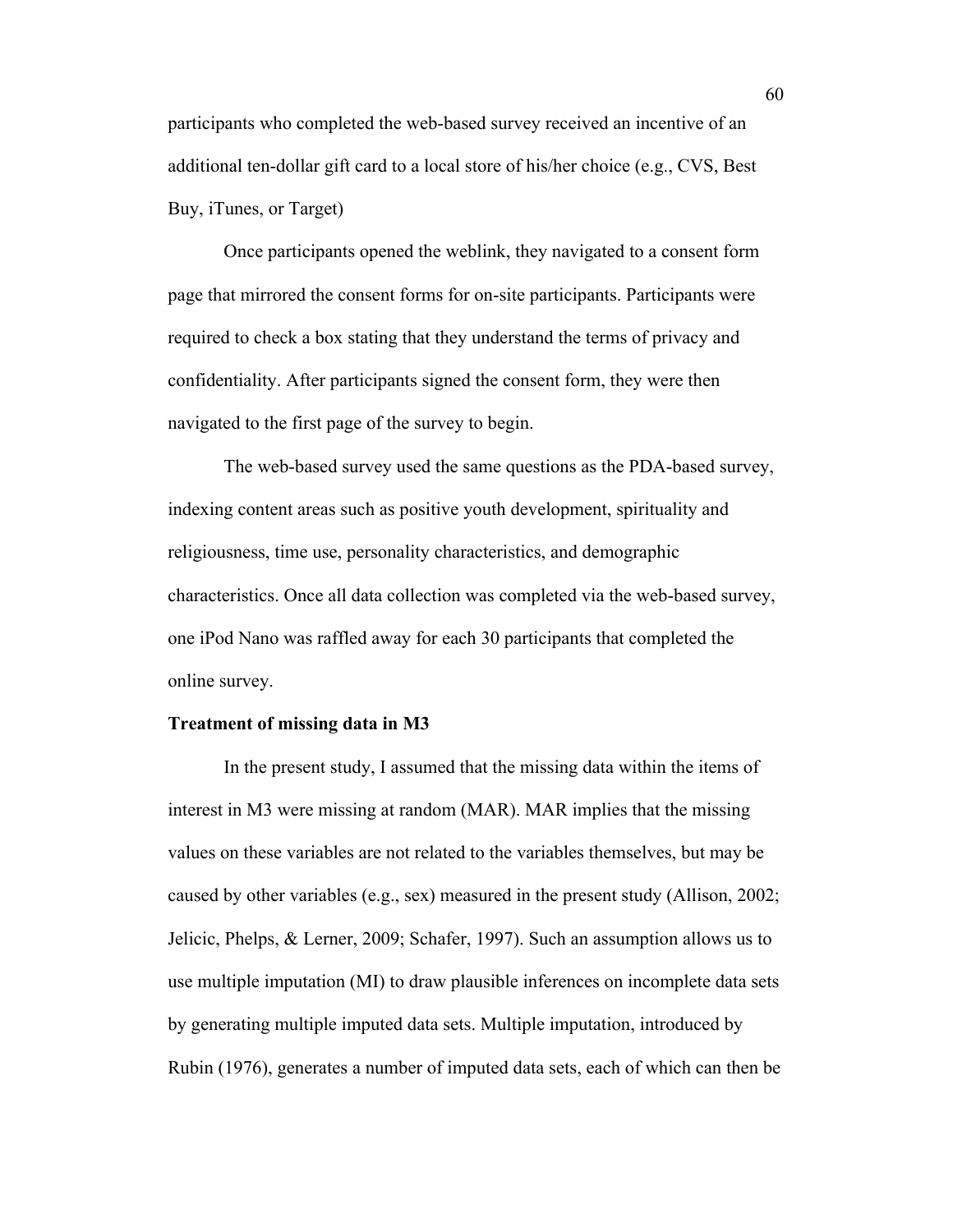participants who completed the web-based survey received an incentive of an additional ten-dollar gift card to a local store of his/her choice (e.g., CVS, Best Buy, iTunes, or Target)

Once participants opened the weblink, they navigated to a consent form page that mirrored the consent forms for on-site participants. Participants were required to check a box stating that they understand the terms of privacy and confidentiality. After participants signed the consent form, they were then navigated to the first page of the survey to begin.

The web-based survey used the same questions as the PDA-based survey, indexing content areas such as positive youth development, spirituality and religiousness, time use, personality characteristics, and demographic characteristics. Once all data collection was completed via the web-based survey, one iPod Nano was raffled away for each 30 participants that completed the online survey.

### **Treatment of missing data in M3**

In the present study, I assumed that the missing data within the items of interest in M3 were missing at random (MAR). MAR implies that the missing values on these variables are not related to the variables themselves, but may be caused by other variables (e.g., sex) measured in the present study (Allison, 2002; Jelicic, Phelps, & Lerner, 2009; Schafer, 1997). Such an assumption allows us to use multiple imputation (MI) to draw plausible inferences on incomplete data sets by generating multiple imputed data sets. Multiple imputation, introduced by Rubin (1976), generates a number of imputed data sets, each of which can then be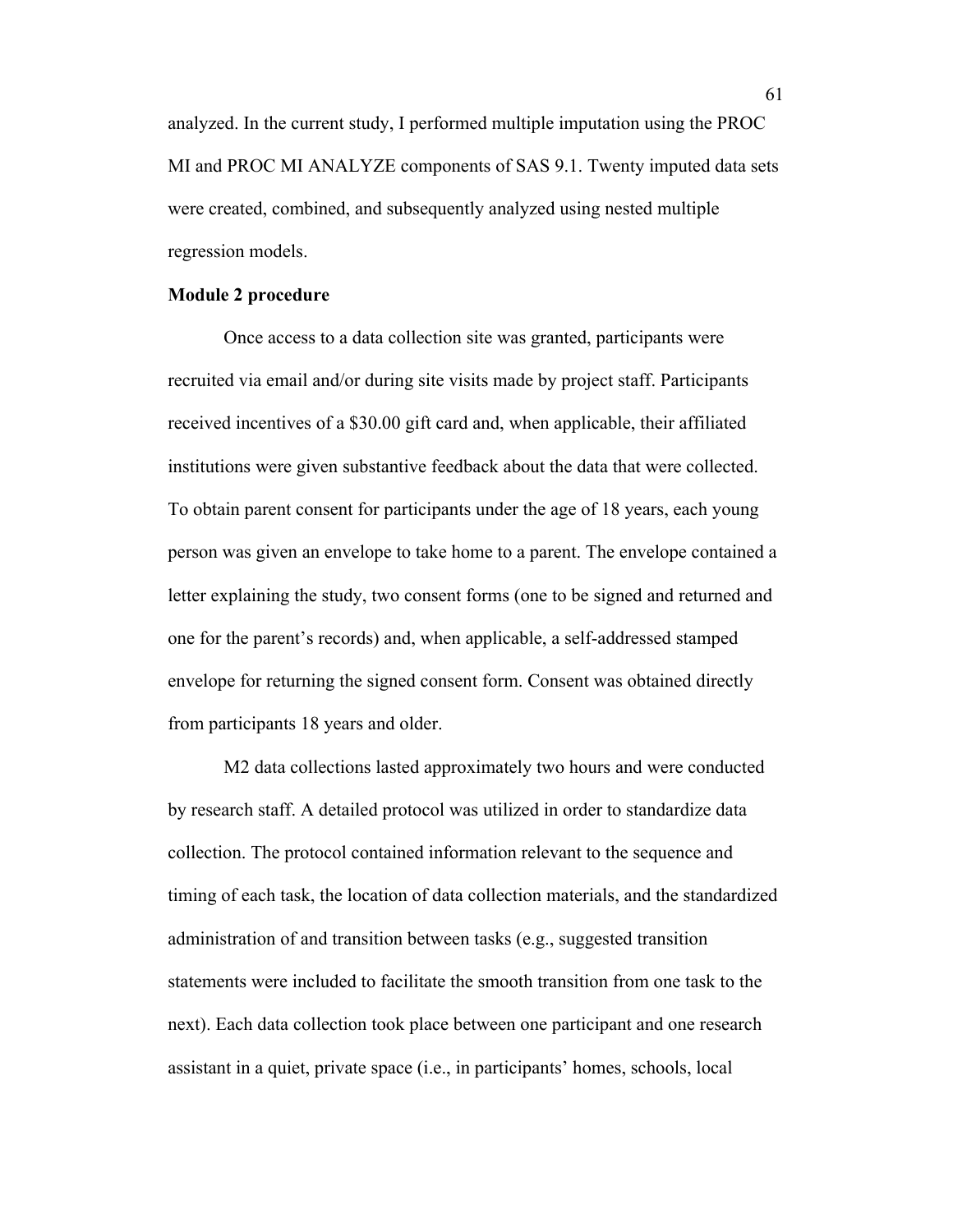analyzed. In the current study, I performed multiple imputation using the PROC MI and PROC MI ANALYZE components of SAS 9.1. Twenty imputed data sets were created, combined, and subsequently analyzed using nested multiple regression models.

### **Module 2 procedure**

Once access to a data collection site was granted, participants were recruited via email and/or during site visits made by project staff. Participants received incentives of a \$30.00 gift card and, when applicable, their affiliated institutions were given substantive feedback about the data that were collected. To obtain parent consent for participants under the age of 18 years, each young person was given an envelope to take home to a parent. The envelope contained a letter explaining the study, two consent forms (one to be signed and returned and one for the parent's records) and, when applicable, a self-addressed stamped envelope for returning the signed consent form. Consent was obtained directly from participants 18 years and older.

M2 data collections lasted approximately two hours and were conducted by research staff. A detailed protocol was utilized in order to standardize data collection. The protocol contained information relevant to the sequence and timing of each task, the location of data collection materials, and the standardized administration of and transition between tasks (e.g., suggested transition statements were included to facilitate the smooth transition from one task to the next). Each data collection took place between one participant and one research assistant in a quiet, private space (i.e., in participants' homes, schools, local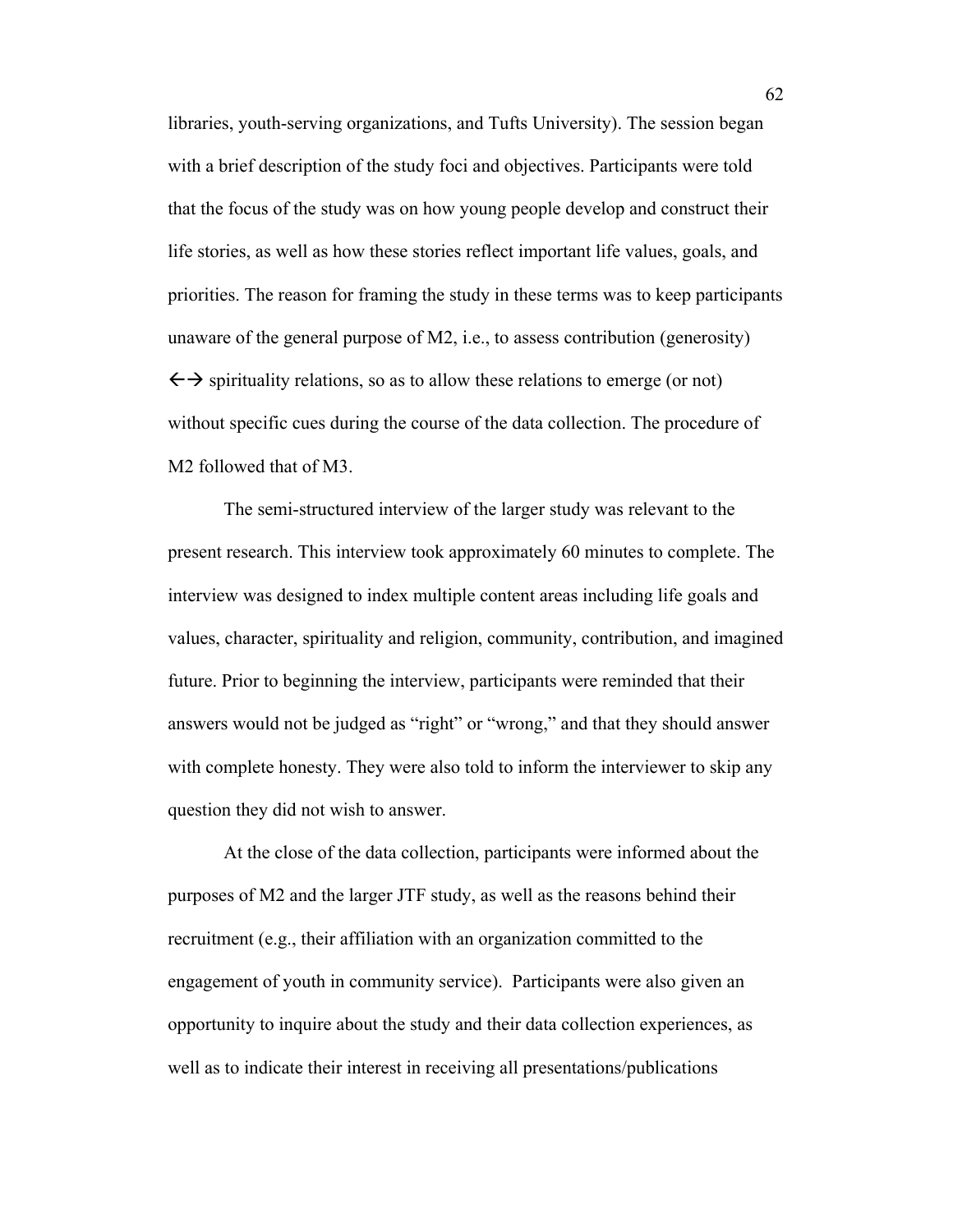libraries, youth-serving organizations, and Tufts University). The session began with a brief description of the study foci and objectives. Participants were told that the focus of the study was on how young people develop and construct their life stories, as well as how these stories reflect important life values, goals, and priorities. The reason for framing the study in these terms was to keep participants unaware of the general purpose of M2, i.e., to assess contribution (generosity)  $\leftrightarrow$  spirituality relations, so as to allow these relations to emerge (or not) without specific cues during the course of the data collection. The procedure of M2 followed that of M3.

The semi-structured interview of the larger study was relevant to the present research. This interview took approximately 60 minutes to complete. The interview was designed to index multiple content areas including life goals and values, character, spirituality and religion, community, contribution, and imagined future. Prior to beginning the interview, participants were reminded that their answers would not be judged as "right" or "wrong," and that they should answer with complete honesty. They were also told to inform the interviewer to skip any question they did not wish to answer.

At the close of the data collection, participants were informed about the purposes of M2 and the larger JTF study, as well as the reasons behind their recruitment (e.g., their affiliation with an organization committed to the engagement of youth in community service). Participants were also given an opportunity to inquire about the study and their data collection experiences, as well as to indicate their interest in receiving all presentations/publications

62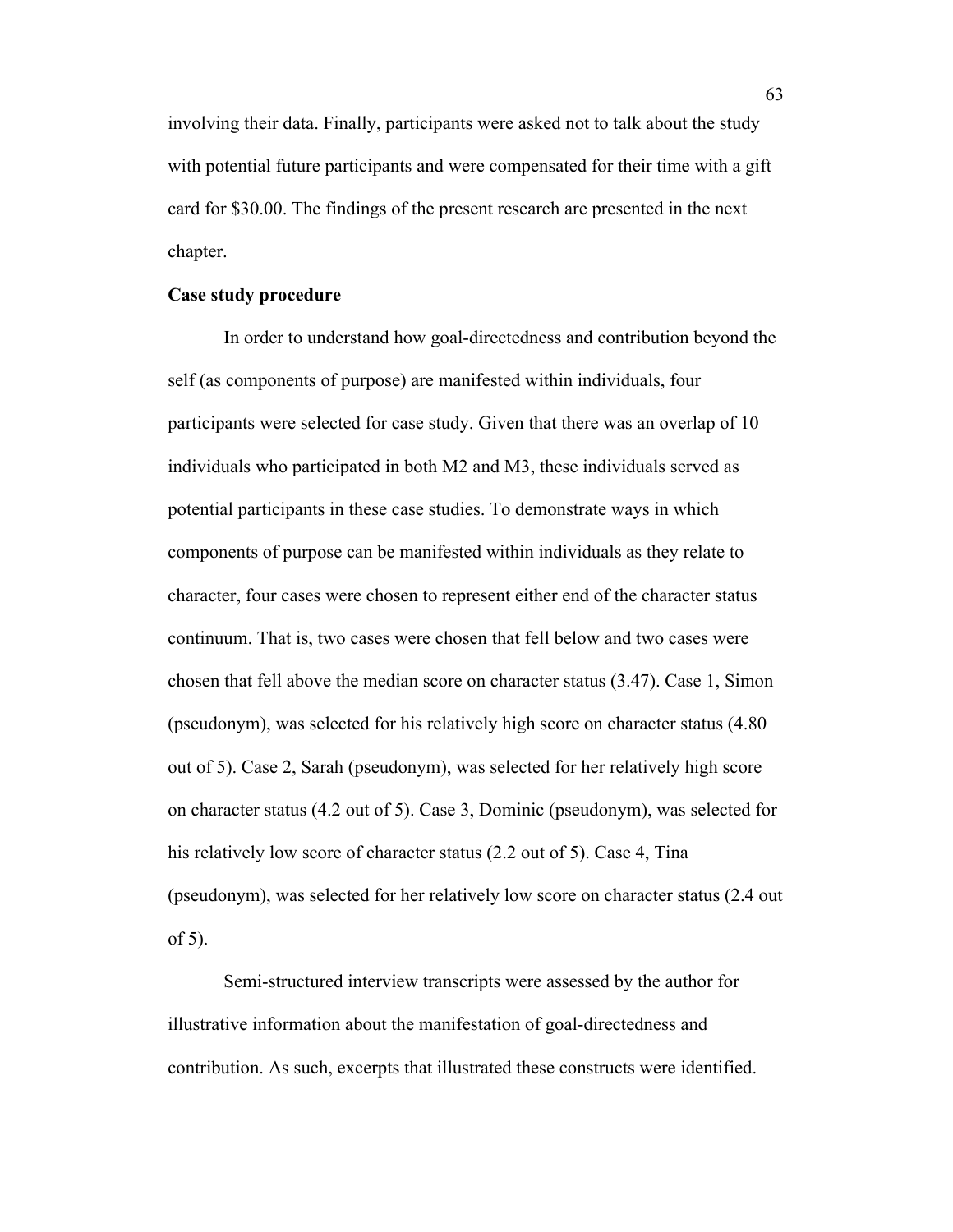involving their data. Finally, participants were asked not to talk about the study with potential future participants and were compensated for their time with a gift card for \$30.00. The findings of the present research are presented in the next chapter.

### **Case study procedure**

In order to understand how goal-directedness and contribution beyond the self (as components of purpose) are manifested within individuals, four participants were selected for case study. Given that there was an overlap of 10 individuals who participated in both M2 and M3, these individuals served as potential participants in these case studies. To demonstrate ways in which components of purpose can be manifested within individuals as they relate to character, four cases were chosen to represent either end of the character status continuum. That is, two cases were chosen that fell below and two cases were chosen that fell above the median score on character status (3.47). Case 1, Simon (pseudonym), was selected for his relatively high score on character status (4.80 out of 5). Case 2, Sarah (pseudonym), was selected for her relatively high score on character status (4.2 out of 5). Case 3, Dominic (pseudonym), was selected for his relatively low score of character status (2.2 out of 5). Case 4, Tina (pseudonym), was selected for her relatively low score on character status (2.4 out of 5).

Semi-structured interview transcripts were assessed by the author for illustrative information about the manifestation of goal-directedness and contribution. As such, excerpts that illustrated these constructs were identified.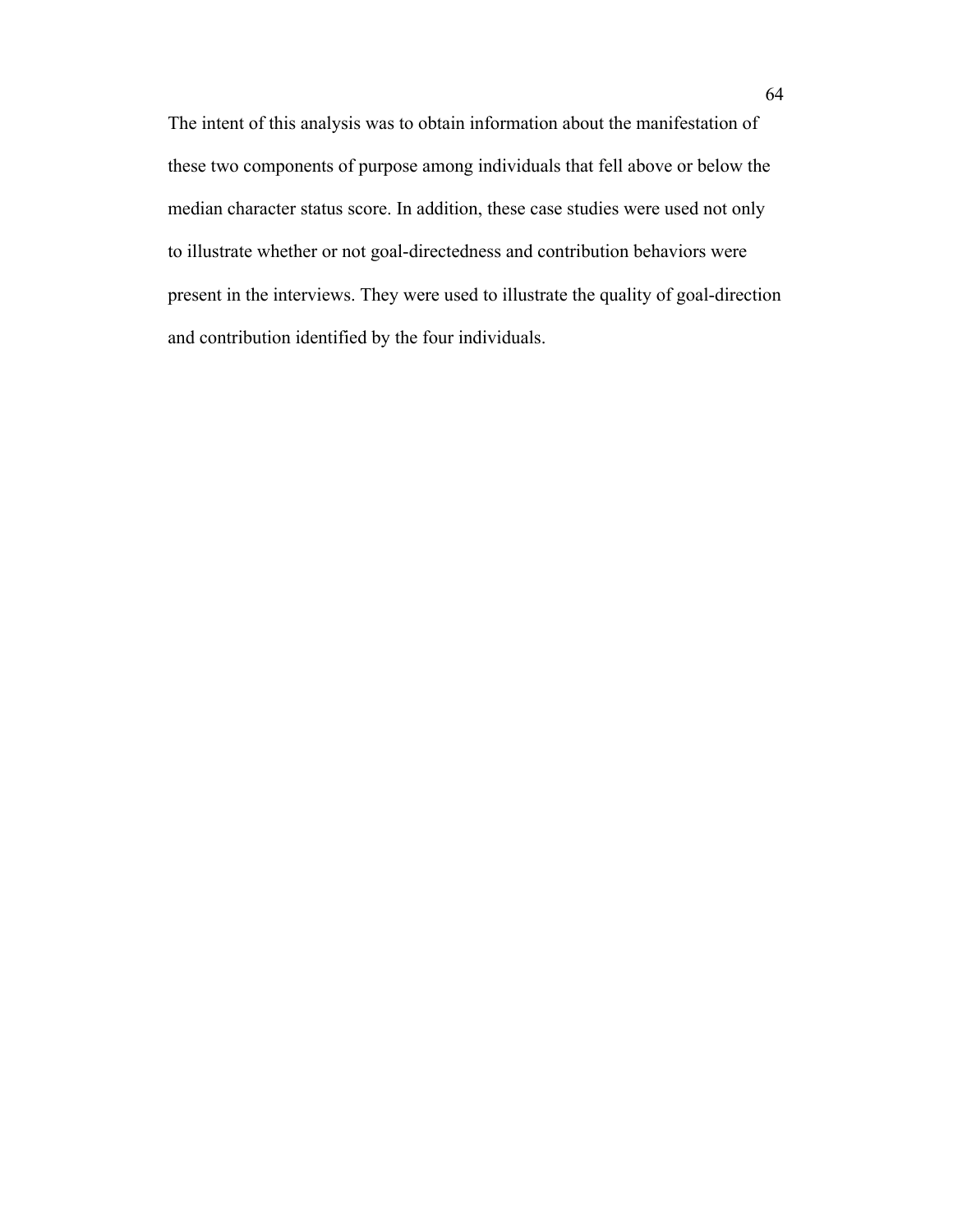The intent of this analysis was to obtain information about the manifestation of these two components of purpose among individuals that fell above or below the median character status score. In addition, these case studies were used not only to illustrate whether or not goal-directedness and contribution behaviors were present in the interviews. They were used to illustrate the quality of goal-direction and contribution identified by the four individuals.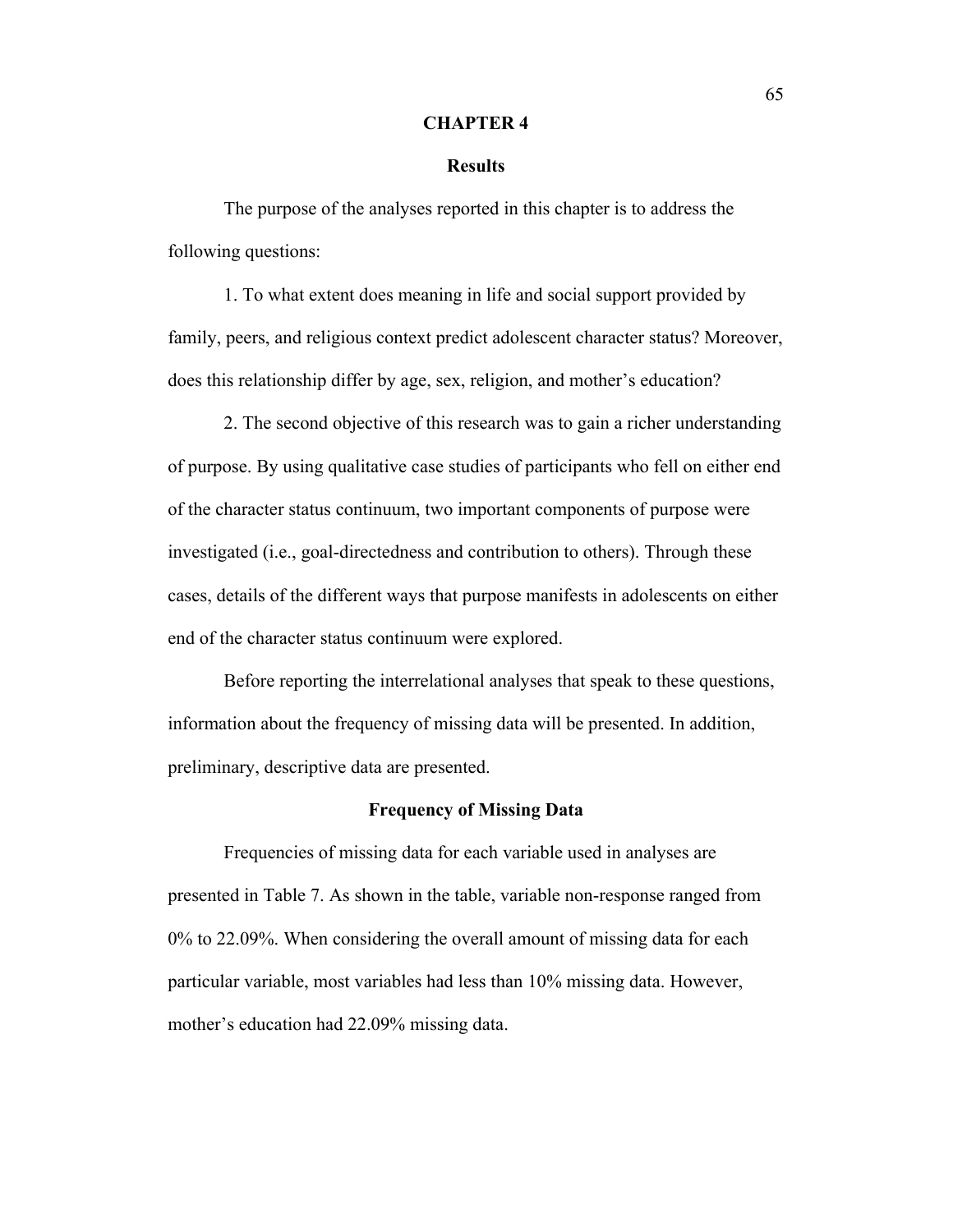#### **CHAPTER 4**

### **Results**

The purpose of the analyses reported in this chapter is to address the following questions:

1. To what extent does meaning in life and social support provided by family, peers, and religious context predict adolescent character status? Moreover, does this relationship differ by age, sex, religion, and mother's education?

2. The second objective of this research was to gain a richer understanding of purpose. By using qualitative case studies of participants who fell on either end of the character status continuum, two important components of purpose were investigated (i.e., goal-directedness and contribution to others). Through these cases, details of the different ways that purpose manifests in adolescents on either end of the character status continuum were explored.

Before reporting the interrelational analyses that speak to these questions, information about the frequency of missing data will be presented. In addition, preliminary, descriptive data are presented.

#### **Frequency of Missing Data**

Frequencies of missing data for each variable used in analyses are presented in Table 7. As shown in the table, variable non-response ranged from 0% to 22.09%. When considering the overall amount of missing data for each particular variable, most variables had less than 10% missing data. However, mother's education had 22.09% missing data.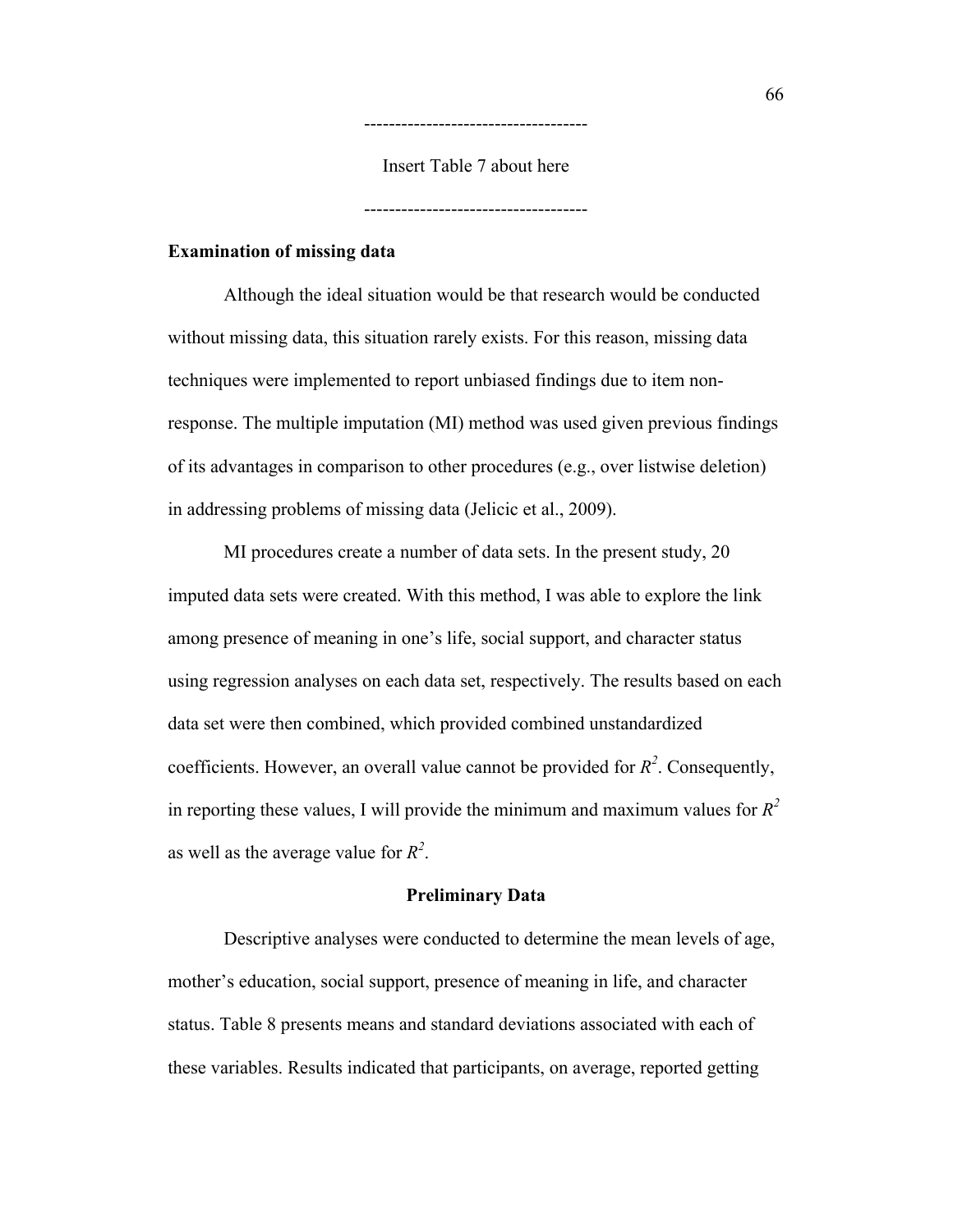Insert Table 7 about here

------------------------------------

------------------------------------

## **Examination of missing data**

Although the ideal situation would be that research would be conducted without missing data, this situation rarely exists. For this reason, missing data techniques were implemented to report unbiased findings due to item nonresponse. The multiple imputation (MI) method was used given previous findings of its advantages in comparison to other procedures (e.g., over listwise deletion) in addressing problems of missing data (Jelicic et al., 2009).

MI procedures create a number of data sets. In the present study, 20 imputed data sets were created. With this method, I was able to explore the link among presence of meaning in one's life, social support, and character status using regression analyses on each data set, respectively. The results based on each data set were then combined, which provided combined unstandardized coefficients. However, an overall value cannot be provided for  $R^2$ . Consequently, in reporting these values, I will provide the minimum and maximum values for  $R^2$ as well as the average value for  $R^2$ .

#### **Preliminary Data**

Descriptive analyses were conducted to determine the mean levels of age, mother's education, social support, presence of meaning in life, and character status. Table 8 presents means and standard deviations associated with each of these variables. Results indicated that participants, on average, reported getting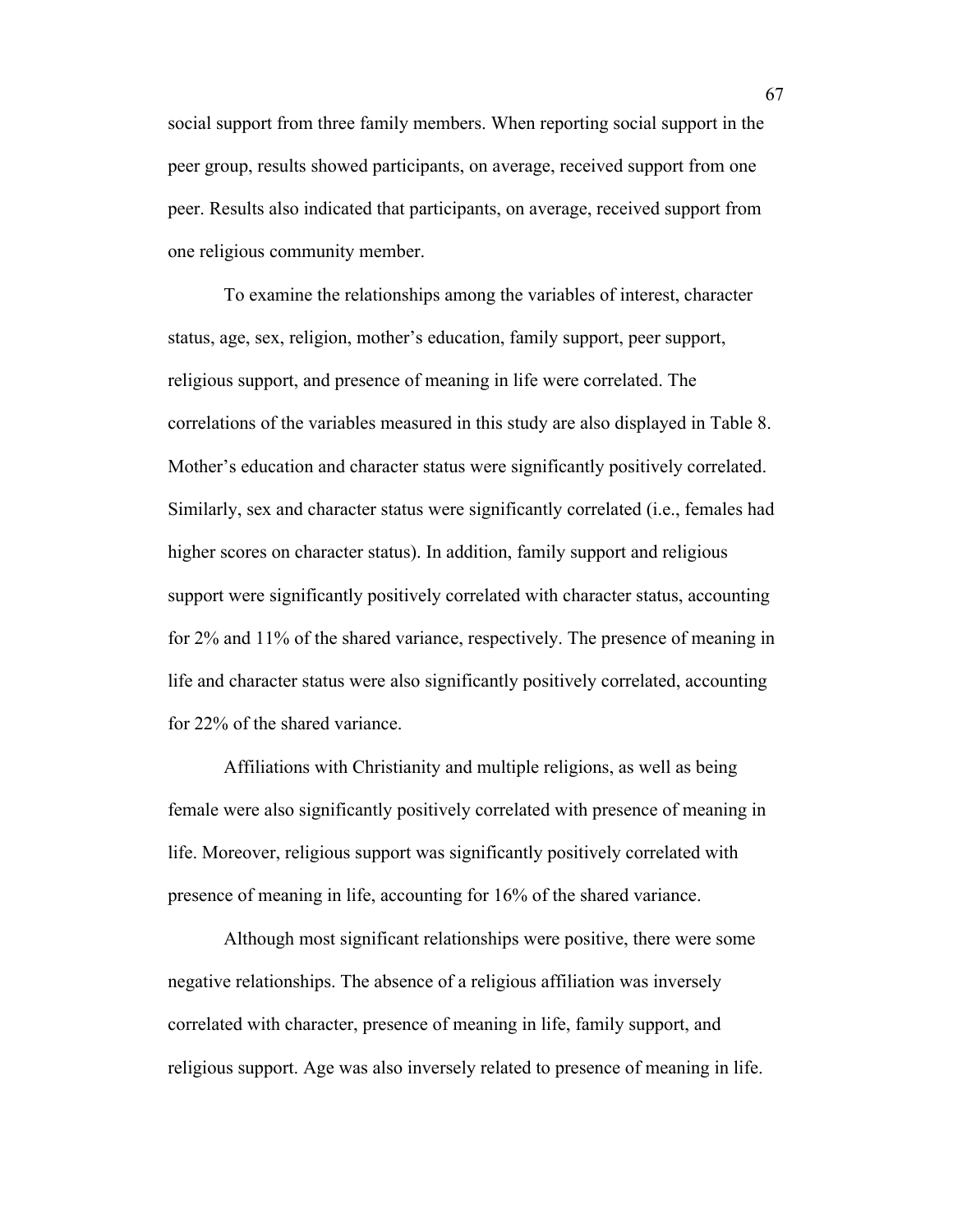social support from three family members. When reporting social support in the peer group, results showed participants, on average, received support from one peer. Results also indicated that participants, on average, received support from one religious community member.

To examine the relationships among the variables of interest, character status, age, sex, religion, mother's education, family support, peer support, religious support, and presence of meaning in life were correlated. The correlations of the variables measured in this study are also displayed in Table 8. Mother's education and character status were significantly positively correlated. Similarly, sex and character status were significantly correlated (i.e., females had higher scores on character status). In addition, family support and religious support were significantly positively correlated with character status, accounting for 2% and 11% of the shared variance, respectively. The presence of meaning in life and character status were also significantly positively correlated, accounting for 22% of the shared variance.

Affiliations with Christianity and multiple religions, as well as being female were also significantly positively correlated with presence of meaning in life. Moreover, religious support was significantly positively correlated with presence of meaning in life, accounting for 16% of the shared variance.

Although most significant relationships were positive, there were some negative relationships. The absence of a religious affiliation was inversely correlated with character, presence of meaning in life, family support, and religious support. Age was also inversely related to presence of meaning in life.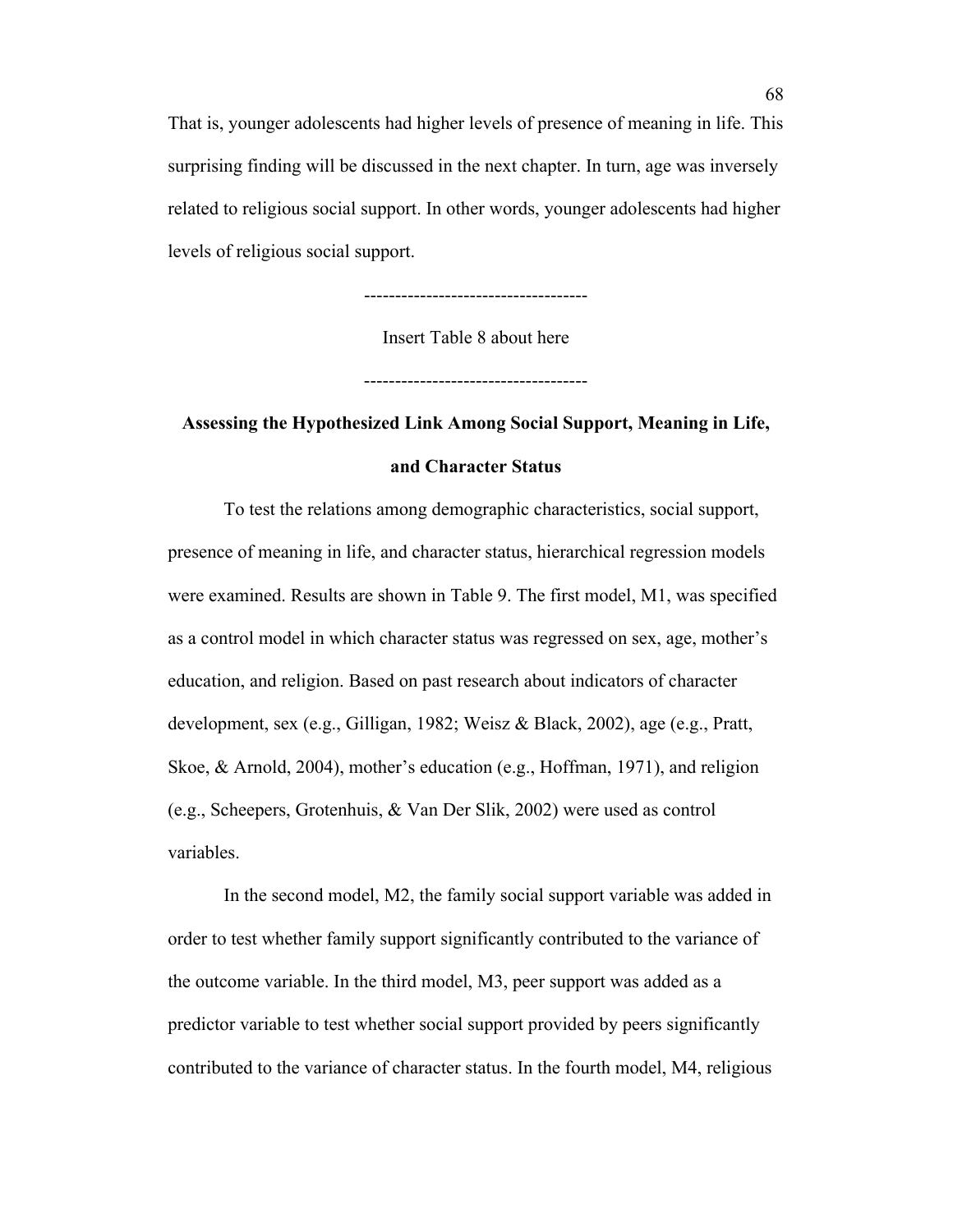That is, younger adolescents had higher levels of presence of meaning in life. This surprising finding will be discussed in the next chapter. In turn, age was inversely related to religious social support. In other words, younger adolescents had higher levels of religious social support.

------------------------------------

Insert Table 8 about here

------------------------------------

# **Assessing the Hypothesized Link Among Social Support, Meaning in Life, and Character Status**

To test the relations among demographic characteristics, social support, presence of meaning in life, and character status, hierarchical regression models were examined. Results are shown in Table 9. The first model, M1, was specified as a control model in which character status was regressed on sex, age, mother's education, and religion. Based on past research about indicators of character development, sex (e.g., Gilligan, 1982; Weisz & Black, 2002), age (e.g., Pratt, Skoe, & Arnold, 2004), mother's education (e.g., Hoffman, 1971), and religion (e.g., Scheepers, Grotenhuis, & Van Der Slik, 2002) were used as control variables.

In the second model, M2, the family social support variable was added in order to test whether family support significantly contributed to the variance of the outcome variable. In the third model, M3, peer support was added as a predictor variable to test whether social support provided by peers significantly contributed to the variance of character status. In the fourth model, M4, religious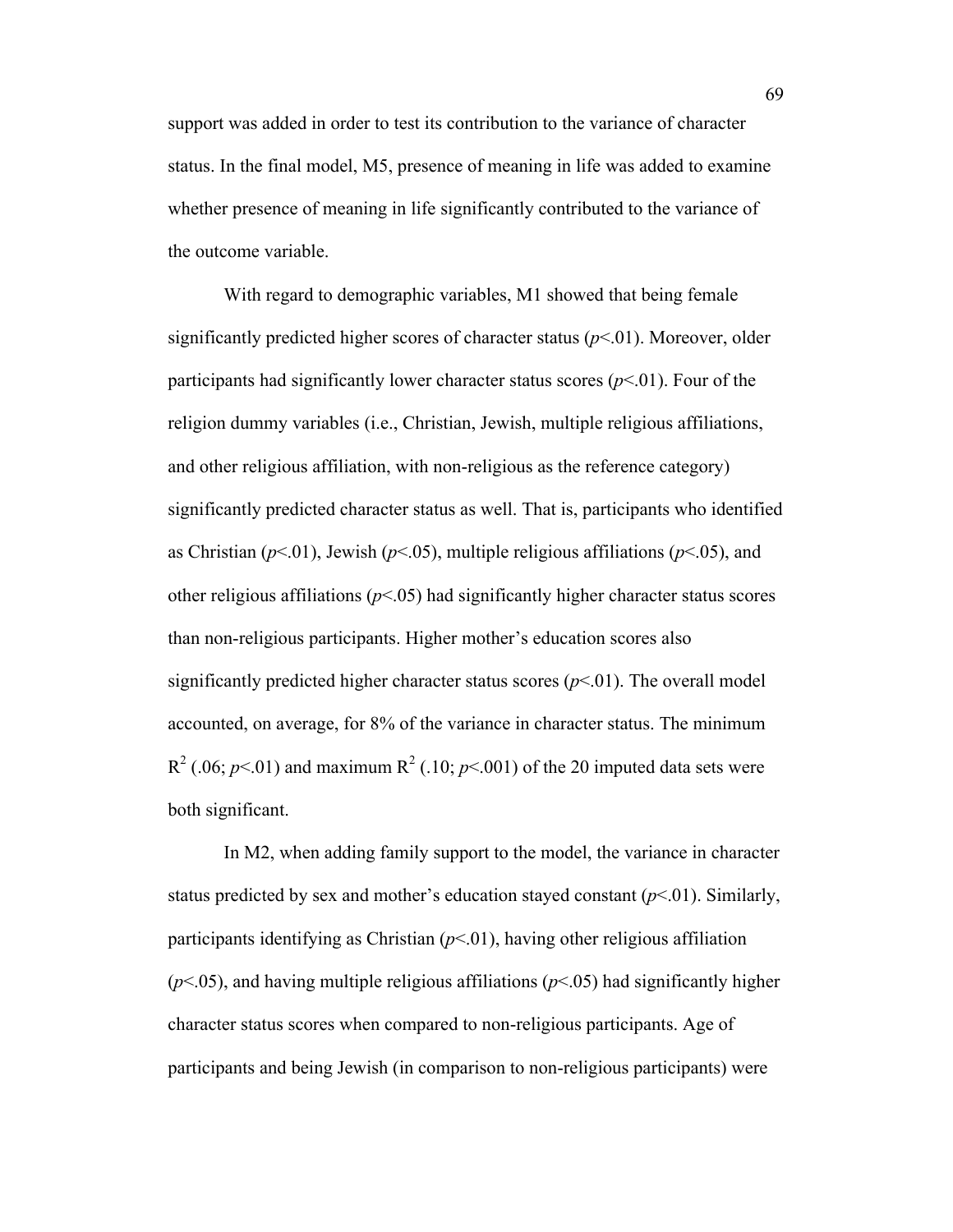support was added in order to test its contribution to the variance of character status. In the final model, M5, presence of meaning in life was added to examine whether presence of meaning in life significantly contributed to the variance of the outcome variable.

With regard to demographic variables, M1 showed that being female significantly predicted higher scores of character status  $(p<0.01)$ . Moreover, older participants had significantly lower character status scores  $(p<01)$ . Four of the religion dummy variables (i.e., Christian, Jewish, multiple religious affiliations, and other religious affiliation, with non-religious as the reference category) significantly predicted character status as well. That is, participants who identified as Christian ( $p$ <.01), Jewish ( $p$ <.05), multiple religious affiliations ( $p$ <.05), and other religious affiliations  $(p<0.05)$  had significantly higher character status scores than non-religious participants. Higher mother's education scores also significantly predicted higher character status scores  $(p<01)$ . The overall model accounted, on average, for 8% of the variance in character status. The minimum  $R^2$  (.06;  $p$ <.01) and maximum  $R^2$  (.10;  $p$ <.001) of the 20 imputed data sets were both significant.

In M2, when adding family support to the model, the variance in character status predicted by sex and mother's education stayed constant  $(p<01)$ . Similarly, participants identifying as Christian  $(p<01)$ , having other religious affiliation  $(p<.05)$ , and having multiple religious affiliations  $(p<.05)$  had significantly higher character status scores when compared to non-religious participants. Age of participants and being Jewish (in comparison to non-religious participants) were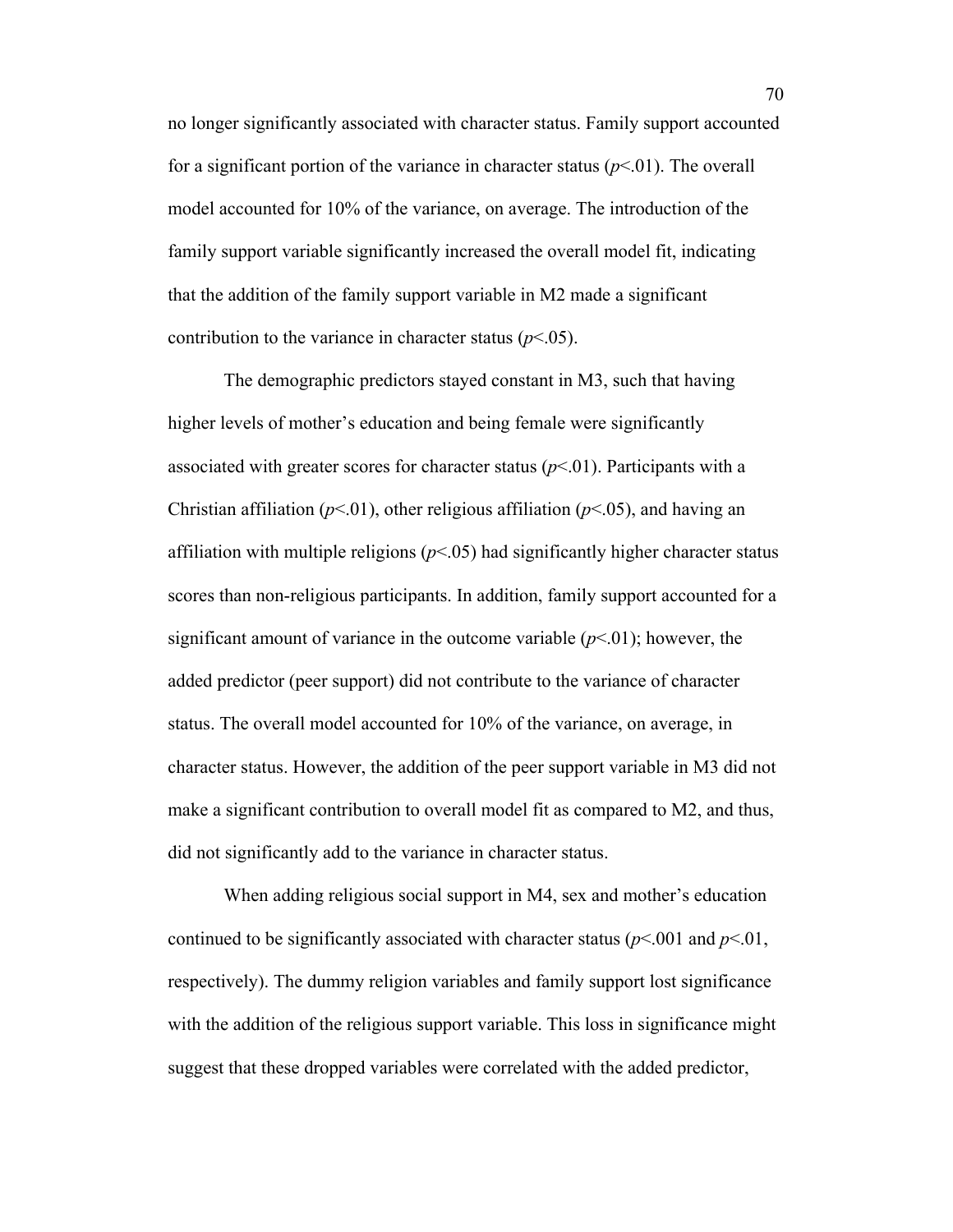no longer significantly associated with character status. Family support accounted for a significant portion of the variance in character status  $(p<01)$ . The overall model accounted for 10% of the variance, on average. The introduction of the family support variable significantly increased the overall model fit, indicating that the addition of the family support variable in M2 made a significant contribution to the variance in character status  $(p<.05)$ .

The demographic predictors stayed constant in M3, such that having higher levels of mother's education and being female were significantly associated with greater scores for character status  $(p<0.01)$ . Participants with a Christian affiliation ( $p<01$ ), other religious affiliation ( $p<05$ ), and having an affiliation with multiple religions  $(p<0.05)$  had significantly higher character status scores than non-religious participants. In addition, family support accounted for a significant amount of variance in the outcome variable  $(p<.01)$ ; however, the added predictor (peer support) did not contribute to the variance of character status. The overall model accounted for 10% of the variance, on average, in character status. However, the addition of the peer support variable in M3 did not make a significant contribution to overall model fit as compared to M2, and thus, did not significantly add to the variance in character status.

When adding religious social support in M4, sex and mother's education continued to be significantly associated with character status ( $p$ <.001 and  $p$ <.01, respectively). The dummy religion variables and family support lost significance with the addition of the religious support variable. This loss in significance might suggest that these dropped variables were correlated with the added predictor,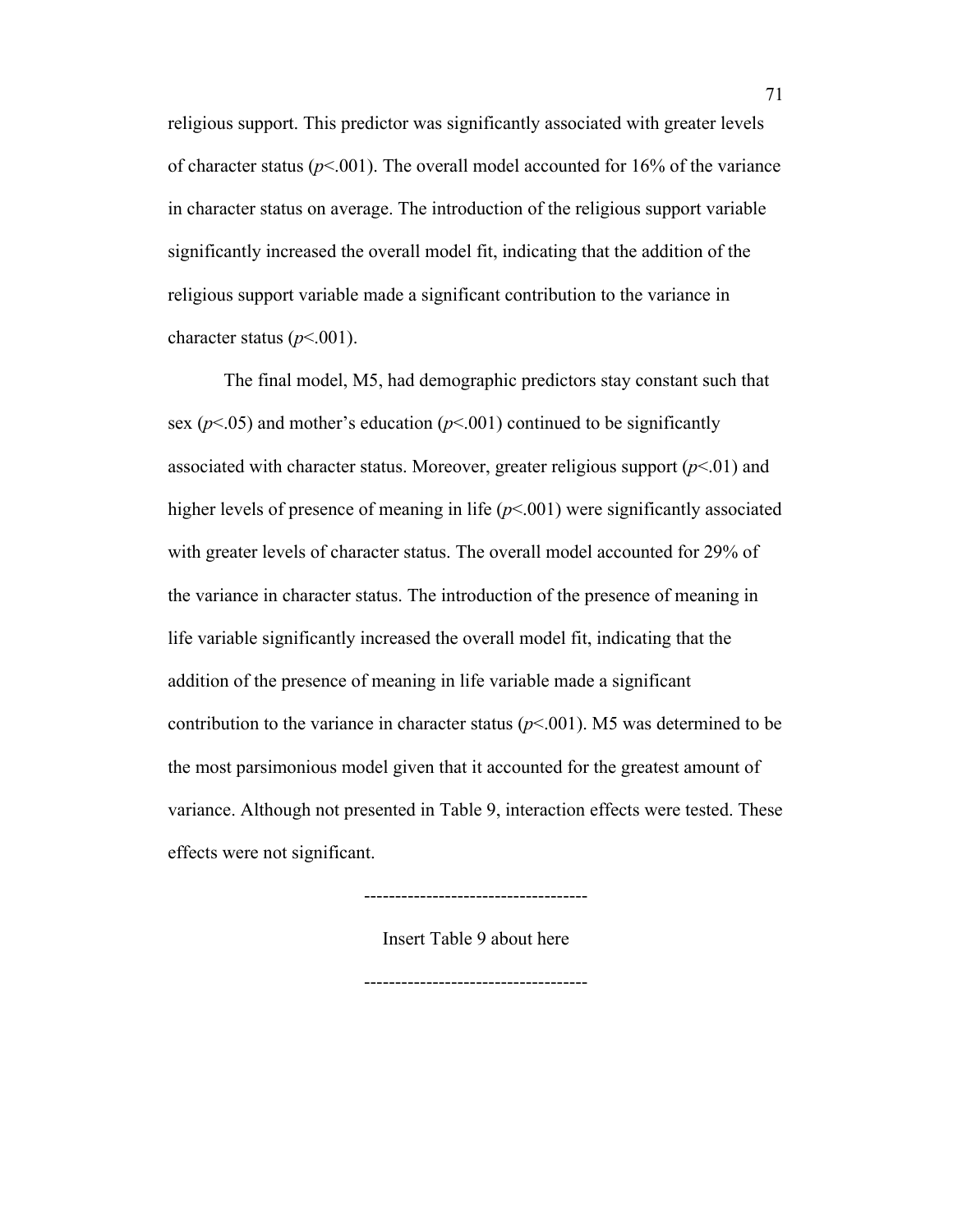religious support. This predictor was significantly associated with greater levels of character status ( $p$ <.001). The overall model accounted for 16% of the variance in character status on average. The introduction of the religious support variable significantly increased the overall model fit, indicating that the addition of the religious support variable made a significant contribution to the variance in character status  $(p<.001)$ .

The final model, M5, had demographic predictors stay constant such that sex ( $p$ <.05) and mother's education ( $p$ <.001) continued to be significantly associated with character status. Moreover, greater religious support  $(p<01)$  and higher levels of presence of meaning in life ( $p$ <.001) were significantly associated with greater levels of character status. The overall model accounted for 29% of the variance in character status. The introduction of the presence of meaning in life variable significantly increased the overall model fit, indicating that the addition of the presence of meaning in life variable made a significant contribution to the variance in character status  $(p<.001)$ . M5 was determined to be the most parsimonious model given that it accounted for the greatest amount of variance. Although not presented in Table 9, interaction effects were tested. These effects were not significant.

Insert Table 9 about here

------------------------------------

------------------------------------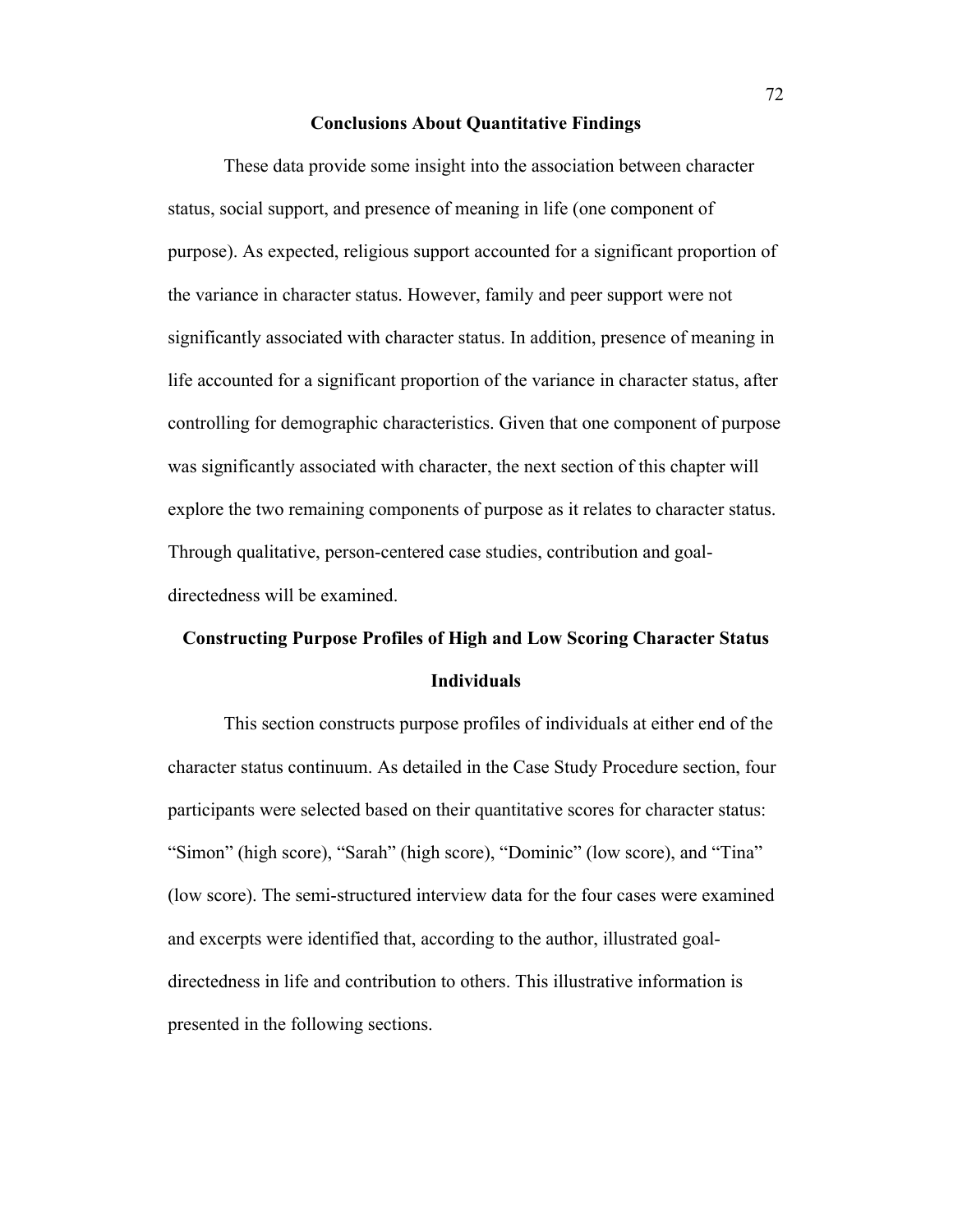### **Conclusions About Quantitative Findings**

These data provide some insight into the association between character status, social support, and presence of meaning in life (one component of purpose). As expected, religious support accounted for a significant proportion of the variance in character status. However, family and peer support were not significantly associated with character status. In addition, presence of meaning in life accounted for a significant proportion of the variance in character status, after controlling for demographic characteristics. Given that one component of purpose was significantly associated with character, the next section of this chapter will explore the two remaining components of purpose as it relates to character status. Through qualitative, person-centered case studies, contribution and goaldirectedness will be examined.

# **Constructing Purpose Profiles of High and Low Scoring Character Status Individuals**

This section constructs purpose profiles of individuals at either end of the character status continuum. As detailed in the Case Study Procedure section, four participants were selected based on their quantitative scores for character status: "Simon" (high score), "Sarah" (high score), "Dominic" (low score), and "Tina" (low score). The semi-structured interview data for the four cases were examined and excerpts were identified that, according to the author, illustrated goaldirectedness in life and contribution to others. This illustrative information is presented in the following sections.

72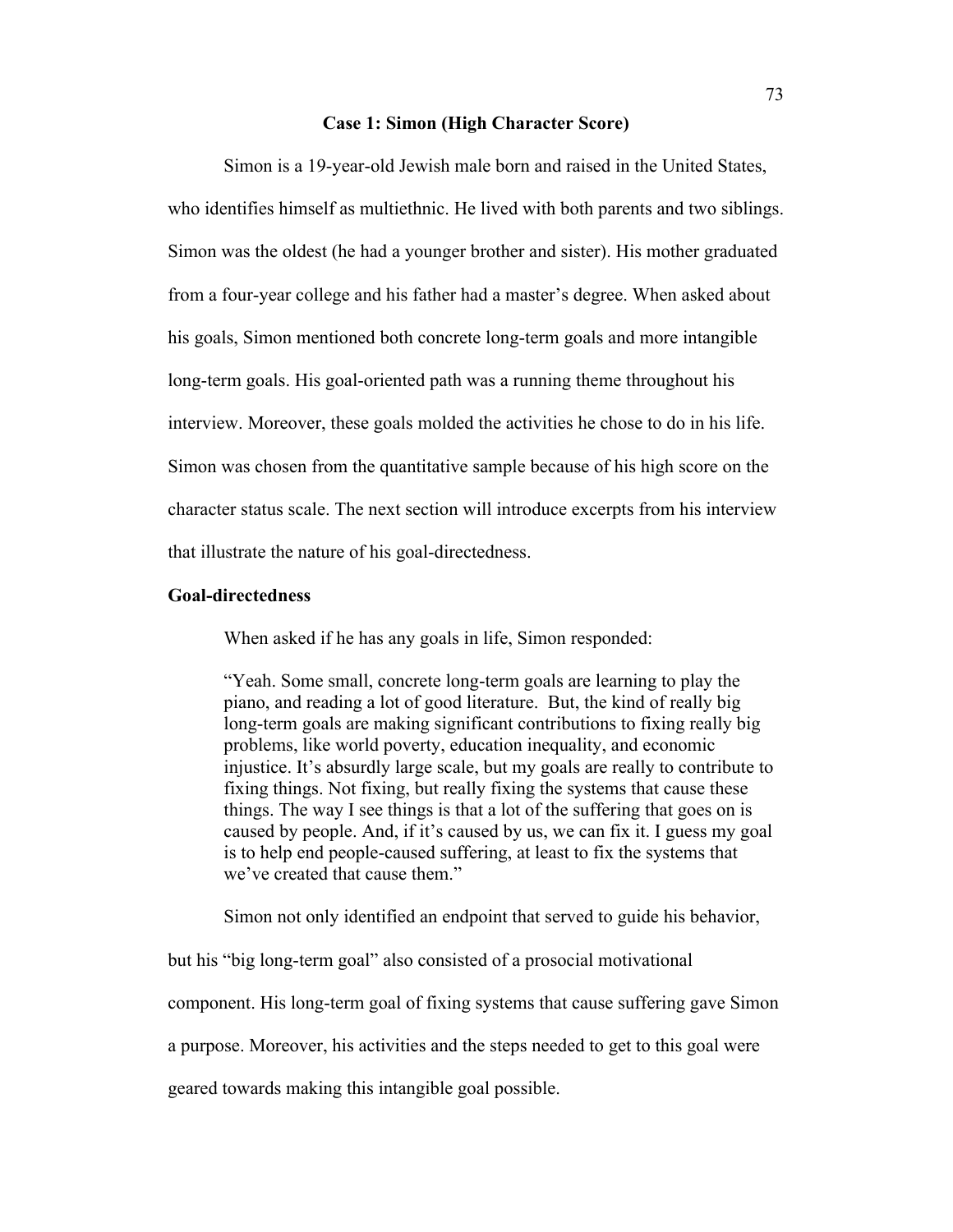## **Case 1: Simon (High Character Score)**

Simon is a 19-year-old Jewish male born and raised in the United States, who identifies himself as multiethnic. He lived with both parents and two siblings. Simon was the oldest (he had a younger brother and sister). His mother graduated from a four-year college and his father had a master's degree. When asked about his goals, Simon mentioned both concrete long-term goals and more intangible long-term goals. His goal-oriented path was a running theme throughout his interview. Moreover, these goals molded the activities he chose to do in his life. Simon was chosen from the quantitative sample because of his high score on the character status scale. The next section will introduce excerpts from his interview that illustrate the nature of his goal-directedness.

## **Goal-directedness**

When asked if he has any goals in life, Simon responded:

"Yeah. Some small, concrete long-term goals are learning to play the piano, and reading a lot of good literature. But, the kind of really big long-term goals are making significant contributions to fixing really big problems, like world poverty, education inequality, and economic injustice. It's absurdly large scale, but my goals are really to contribute to fixing things. Not fixing, but really fixing the systems that cause these things. The way I see things is that a lot of the suffering that goes on is caused by people. And, if it's caused by us, we can fix it. I guess my goal is to help end people-caused suffering, at least to fix the systems that we've created that cause them."

Simon not only identified an endpoint that served to guide his behavior,

but his "big long-term goal" also consisted of a prosocial motivational

component. His long-term goal of fixing systems that cause suffering gave Simon

a purpose. Moreover, his activities and the steps needed to get to this goal were

geared towards making this intangible goal possible.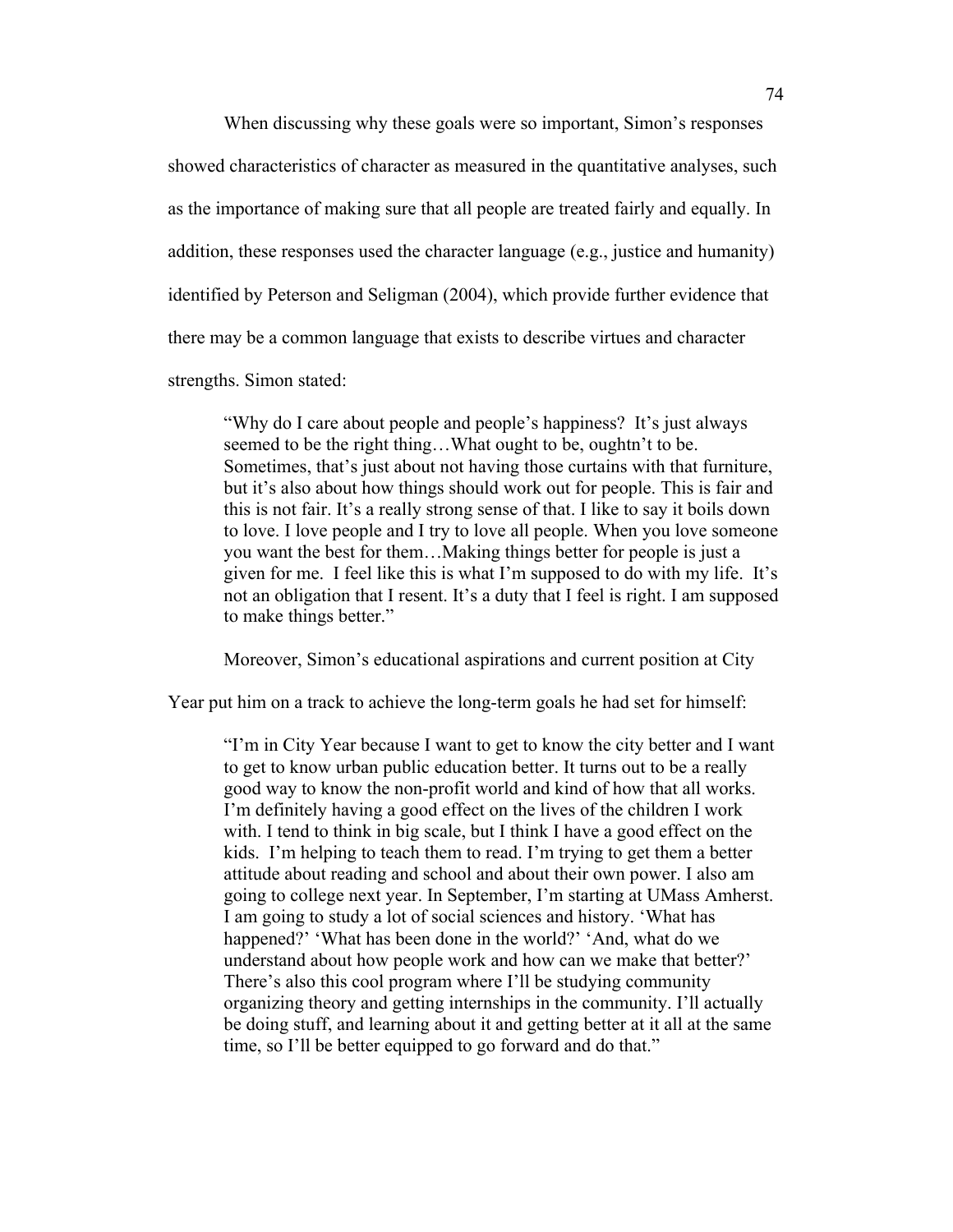When discussing why these goals were so important, Simon's responses

showed characteristics of character as measured in the quantitative analyses, such as the importance of making sure that all people are treated fairly and equally. In addition, these responses used the character language (e.g., justice and humanity) identified by Peterson and Seligman (2004), which provide further evidence that there may be a common language that exists to describe virtues and character strengths. Simon stated:

"Why do I care about people and people's happiness? It's just always seemed to be the right thing…What ought to be, oughtn't to be. Sometimes, that's just about not having those curtains with that furniture, but it's also about how things should work out for people. This is fair and this is not fair. It's a really strong sense of that. I like to say it boils down to love. I love people and I try to love all people. When you love someone you want the best for them…Making things better for people is just a given for me. I feel like this is what I'm supposed to do with my life. It's not an obligation that I resent. It's a duty that I feel is right. I am supposed to make things better."

Moreover, Simon's educational aspirations and current position at City

Year put him on a track to achieve the long-term goals he had set for himself:

"I'm in City Year because I want to get to know the city better and I want to get to know urban public education better. It turns out to be a really good way to know the non-profit world and kind of how that all works. I'm definitely having a good effect on the lives of the children I work with. I tend to think in big scale, but I think I have a good effect on the kids. I'm helping to teach them to read. I'm trying to get them a better attitude about reading and school and about their own power. I also am going to college next year. In September, I'm starting at UMass Amherst. I am going to study a lot of social sciences and history. 'What has happened?' 'What has been done in the world?' 'And, what do we understand about how people work and how can we make that better?' There's also this cool program where I'll be studying community organizing theory and getting internships in the community. I'll actually be doing stuff, and learning about it and getting better at it all at the same time, so I'll be better equipped to go forward and do that."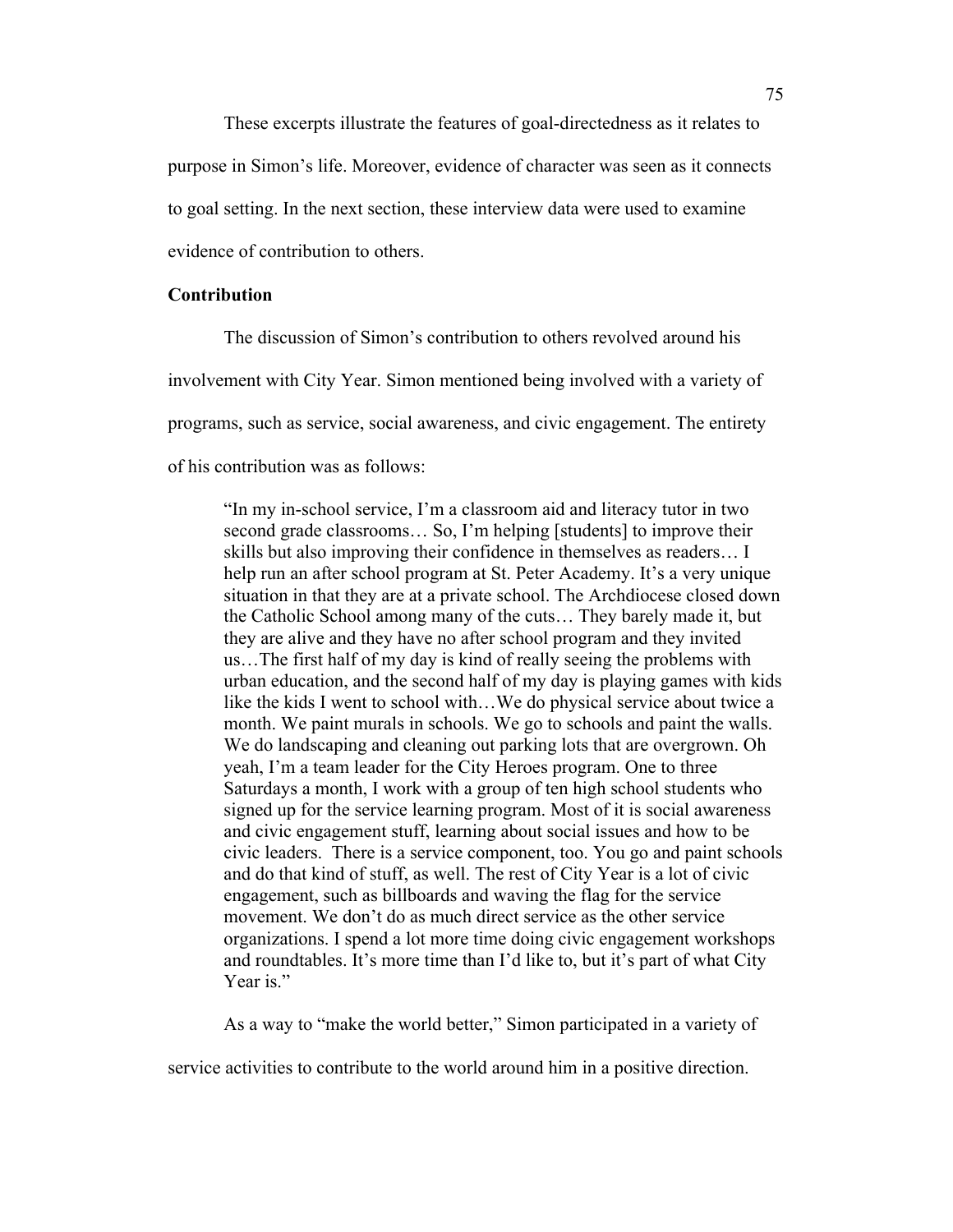These excerpts illustrate the features of goal-directedness as it relates to purpose in Simon's life. Moreover, evidence of character was seen as it connects to goal setting. In the next section, these interview data were used to examine evidence of contribution to others.

## **Contribution**

The discussion of Simon's contribution to others revolved around his involvement with City Year. Simon mentioned being involved with a variety of programs, such as service, social awareness, and civic engagement. The entirety of his contribution was as follows:

"In my in-school service, I'm a classroom aid and literacy tutor in two second grade classrooms… So, I'm helping [students] to improve their skills but also improving their confidence in themselves as readers… I help run an after school program at St. Peter Academy. It's a very unique situation in that they are at a private school. The Archdiocese closed down the Catholic School among many of the cuts… They barely made it, but they are alive and they have no after school program and they invited us…The first half of my day is kind of really seeing the problems with urban education, and the second half of my day is playing games with kids like the kids I went to school with…We do physical service about twice a month. We paint murals in schools. We go to schools and paint the walls. We do landscaping and cleaning out parking lots that are overgrown. Oh yeah, I'm a team leader for the City Heroes program. One to three Saturdays a month, I work with a group of ten high school students who signed up for the service learning program. Most of it is social awareness and civic engagement stuff, learning about social issues and how to be civic leaders. There is a service component, too. You go and paint schools and do that kind of stuff, as well. The rest of City Year is a lot of civic engagement, such as billboards and waving the flag for the service movement. We don't do as much direct service as the other service organizations. I spend a lot more time doing civic engagement workshops and roundtables. It's more time than I'd like to, but it's part of what City Year is."

As a way to "make the world better," Simon participated in a variety of

service activities to contribute to the world around him in a positive direction.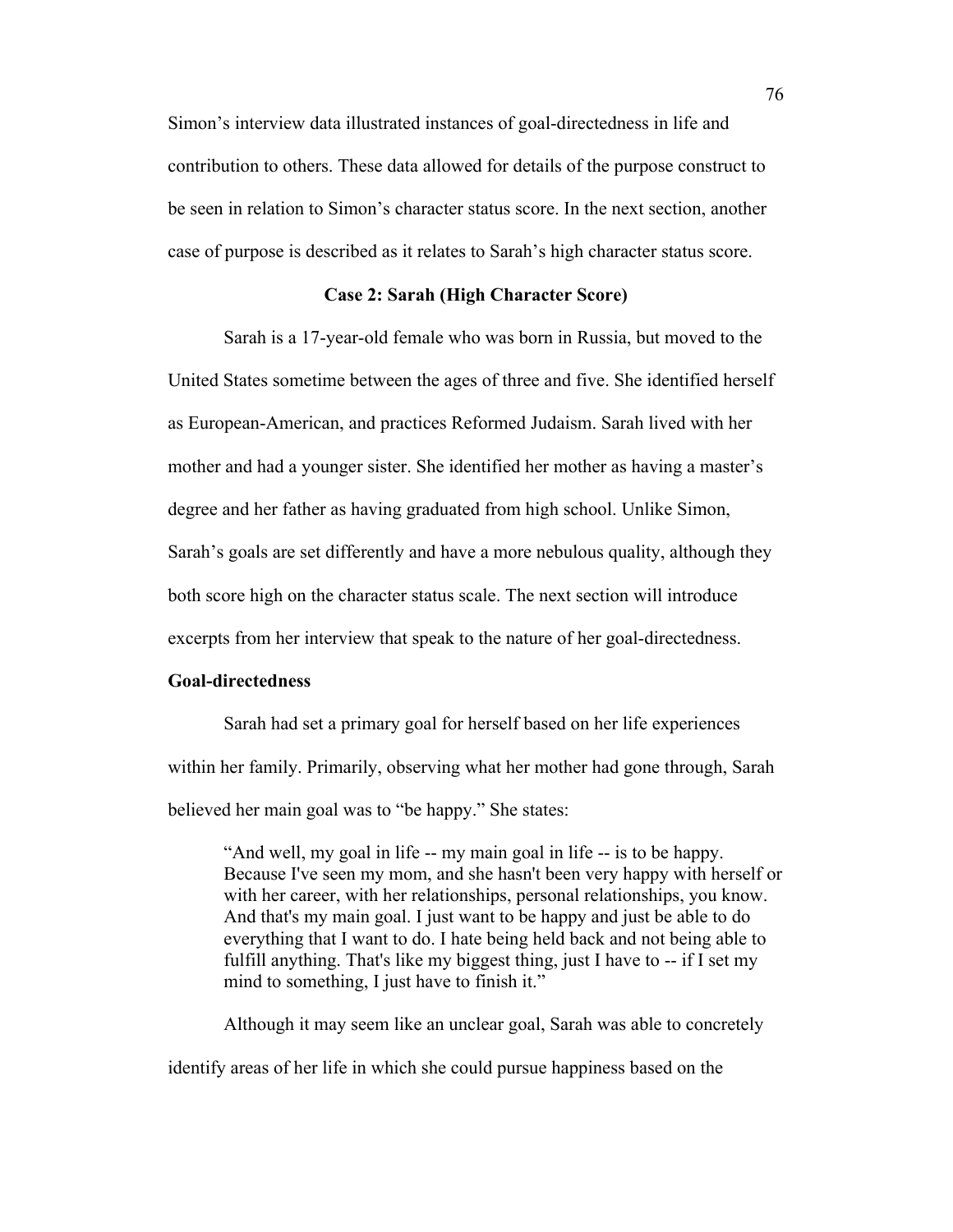Simon's interview data illustrated instances of goal-directedness in life and contribution to others. These data allowed for details of the purpose construct to be seen in relation to Simon's character status score. In the next section, another case of purpose is described as it relates to Sarah's high character status score.

## **Case 2: Sarah (High Character Score)**

Sarah is a 17-year-old female who was born in Russia, but moved to the United States sometime between the ages of three and five. She identified herself as European-American, and practices Reformed Judaism. Sarah lived with her mother and had a younger sister. She identified her mother as having a master's degree and her father as having graduated from high school. Unlike Simon, Sarah's goals are set differently and have a more nebulous quality, although they both score high on the character status scale. The next section will introduce excerpts from her interview that speak to the nature of her goal-directedness.

## **Goal-directedness**

Sarah had set a primary goal for herself based on her life experiences within her family. Primarily, observing what her mother had gone through, Sarah believed her main goal was to "be happy." She states:

"And well, my goal in life -- my main goal in life -- is to be happy. Because I've seen my mom, and she hasn't been very happy with herself or with her career, with her relationships, personal relationships, you know. And that's my main goal. I just want to be happy and just be able to do everything that I want to do. I hate being held back and not being able to fulfill anything. That's like my biggest thing, just I have to -- if I set my mind to something, I just have to finish it."

Although it may seem like an unclear goal, Sarah was able to concretely identify areas of her life in which she could pursue happiness based on the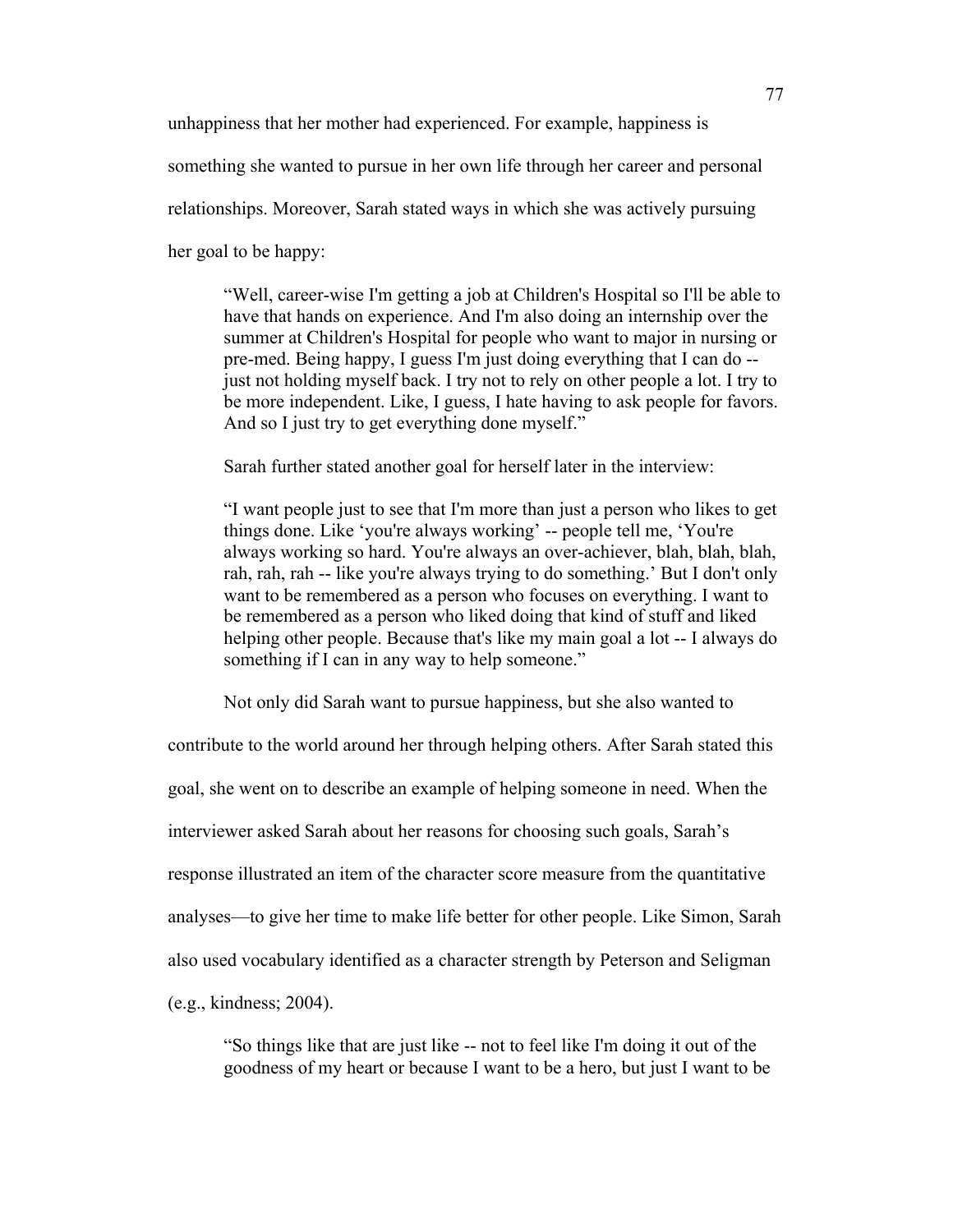unhappiness that her mother had experienced. For example, happiness is

something she wanted to pursue in her own life through her career and personal

relationships. Moreover, Sarah stated ways in which she was actively pursuing

her goal to be happy:

"Well, career-wise I'm getting a job at Children's Hospital so I'll be able to have that hands on experience. And I'm also doing an internship over the summer at Children's Hospital for people who want to major in nursing or pre-med. Being happy, I guess I'm just doing everything that I can do - just not holding myself back. I try not to rely on other people a lot. I try to be more independent. Like, I guess, I hate having to ask people for favors. And so I just try to get everything done myself."

Sarah further stated another goal for herself later in the interview:

"I want people just to see that I'm more than just a person who likes to get things done. Like 'you're always working' -- people tell me, 'You're always working so hard. You're always an over-achiever, blah, blah, blah, rah, rah, rah -- like you're always trying to do something.' But I don't only want to be remembered as a person who focuses on everything. I want to be remembered as a person who liked doing that kind of stuff and liked helping other people. Because that's like my main goal a lot -- I always do something if I can in any way to help someone."

Not only did Sarah want to pursue happiness, but she also wanted to

contribute to the world around her through helping others. After Sarah stated this

goal, she went on to describe an example of helping someone in need. When the

interviewer asked Sarah about her reasons for choosing such goals, Sarah's

response illustrated an item of the character score measure from the quantitative

analyses—to give her time to make life better for other people. Like Simon, Sarah

also used vocabulary identified as a character strength by Peterson and Seligman

(e.g., kindness; 2004).

"So things like that are just like -- not to feel like I'm doing it out of the goodness of my heart or because I want to be a hero, but just I want to be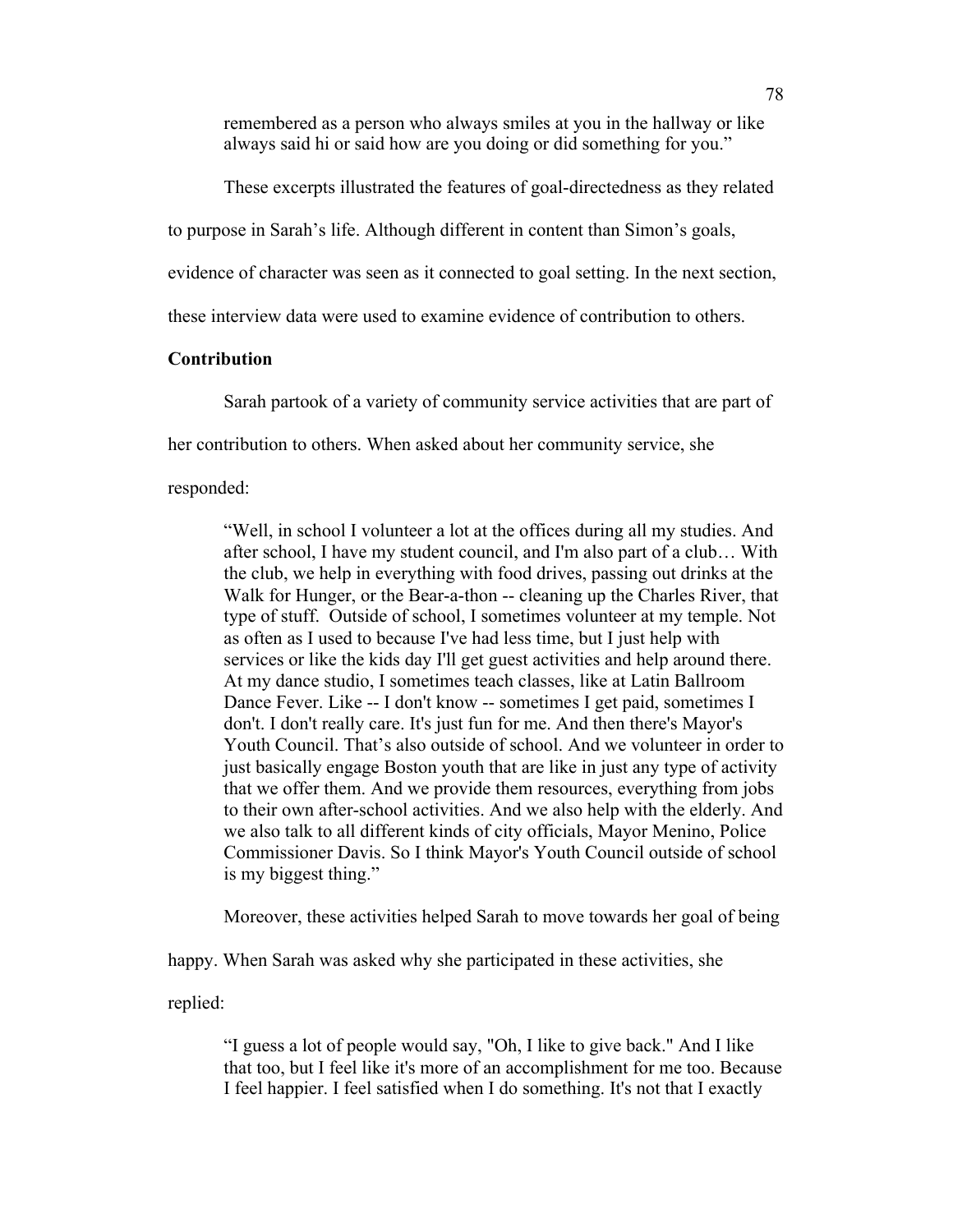remembered as a person who always smiles at you in the hallway or like always said hi or said how are you doing or did something for you."

These excerpts illustrated the features of goal-directedness as they related

to purpose in Sarah's life. Although different in content than Simon's goals,

evidence of character was seen as it connected to goal setting. In the next section,

these interview data were used to examine evidence of contribution to others.

# **Contribution**

Sarah partook of a variety of community service activities that are part of

her contribution to others. When asked about her community service, she

responded:

"Well, in school I volunteer a lot at the offices during all my studies. And after school, I have my student council, and I'm also part of a club… With the club, we help in everything with food drives, passing out drinks at the Walk for Hunger, or the Bear-a-thon -- cleaning up the Charles River, that type of stuff. Outside of school, I sometimes volunteer at my temple. Not as often as I used to because I've had less time, but I just help with services or like the kids day I'll get guest activities and help around there. At my dance studio, I sometimes teach classes, like at Latin Ballroom Dance Fever. Like -- I don't know -- sometimes I get paid, sometimes I don't. I don't really care. It's just fun for me. And then there's Mayor's Youth Council. That's also outside of school. And we volunteer in order to just basically engage Boston youth that are like in just any type of activity that we offer them. And we provide them resources, everything from jobs to their own after-school activities. And we also help with the elderly. And we also talk to all different kinds of city officials, Mayor Menino, Police Commissioner Davis. So I think Mayor's Youth Council outside of school is my biggest thing."

Moreover, these activities helped Sarah to move towards her goal of being

happy. When Sarah was asked why she participated in these activities, she

replied:

"I guess a lot of people would say, "Oh, I like to give back." And I like that too, but I feel like it's more of an accomplishment for me too. Because I feel happier. I feel satisfied when I do something. It's not that I exactly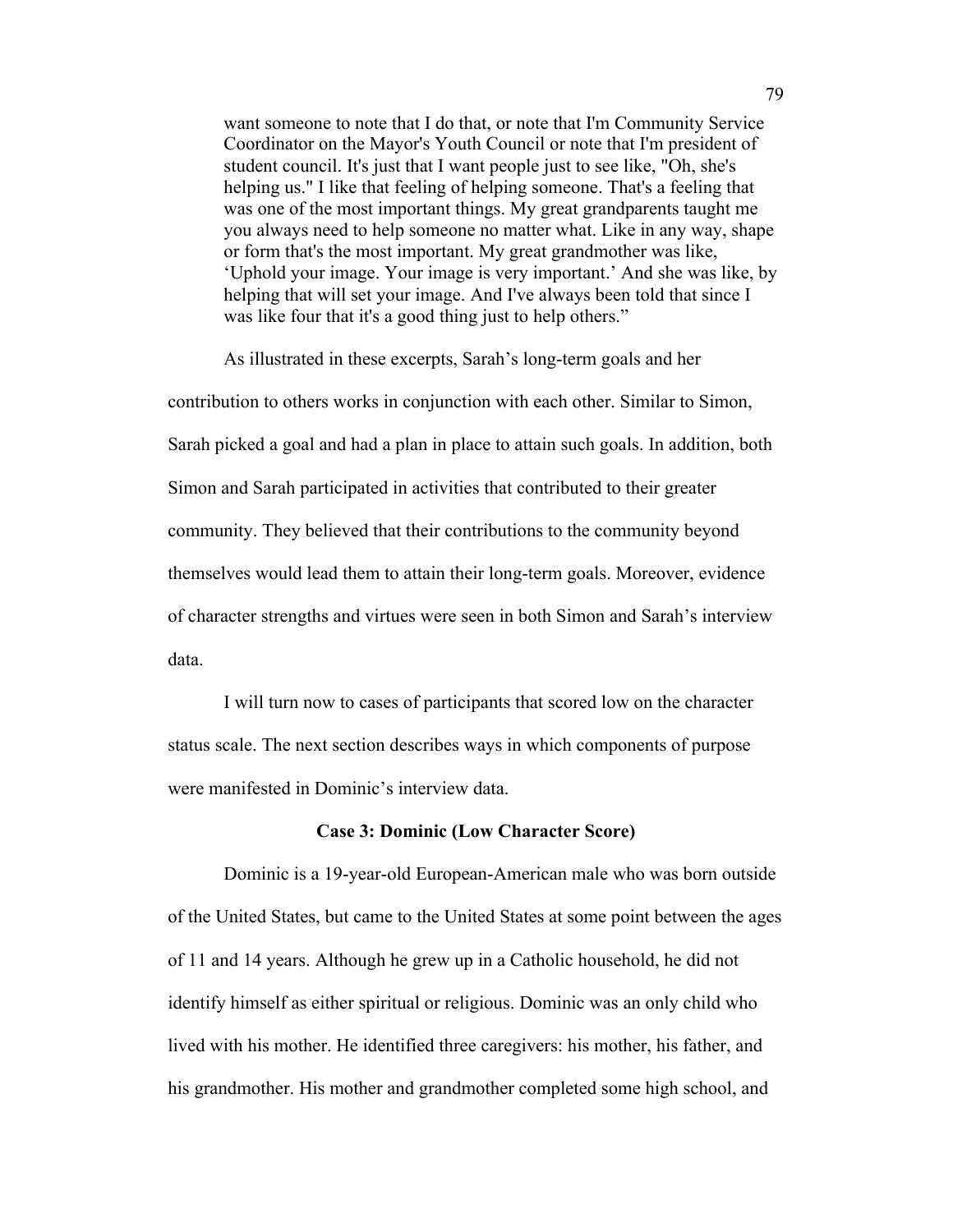want someone to note that I do that, or note that I'm Community Service Coordinator on the Mayor's Youth Council or note that I'm president of student council. It's just that I want people just to see like, "Oh, she's helping us." I like that feeling of helping someone. That's a feeling that was one of the most important things. My great grandparents taught me you always need to help someone no matter what. Like in any way, shape or form that's the most important. My great grandmother was like, 'Uphold your image. Your image is very important.' And she was like, by helping that will set your image. And I've always been told that since I was like four that it's a good thing just to help others."

As illustrated in these excerpts, Sarah's long-term goals and her contribution to others works in conjunction with each other. Similar to Simon, Sarah picked a goal and had a plan in place to attain such goals. In addition, both Simon and Sarah participated in activities that contributed to their greater community. They believed that their contributions to the community beyond themselves would lead them to attain their long-term goals. Moreover, evidence of character strengths and virtues were seen in both Simon and Sarah's interview data.

I will turn now to cases of participants that scored low on the character status scale. The next section describes ways in which components of purpose were manifested in Dominic's interview data.

## **Case 3: Dominic (Low Character Score)**

Dominic is a 19-year-old European-American male who was born outside of the United States, but came to the United States at some point between the ages of 11 and 14 years. Although he grew up in a Catholic household, he did not identify himself as either spiritual or religious. Dominic was an only child who lived with his mother. He identified three caregivers: his mother, his father, and his grandmother. His mother and grandmother completed some high school, and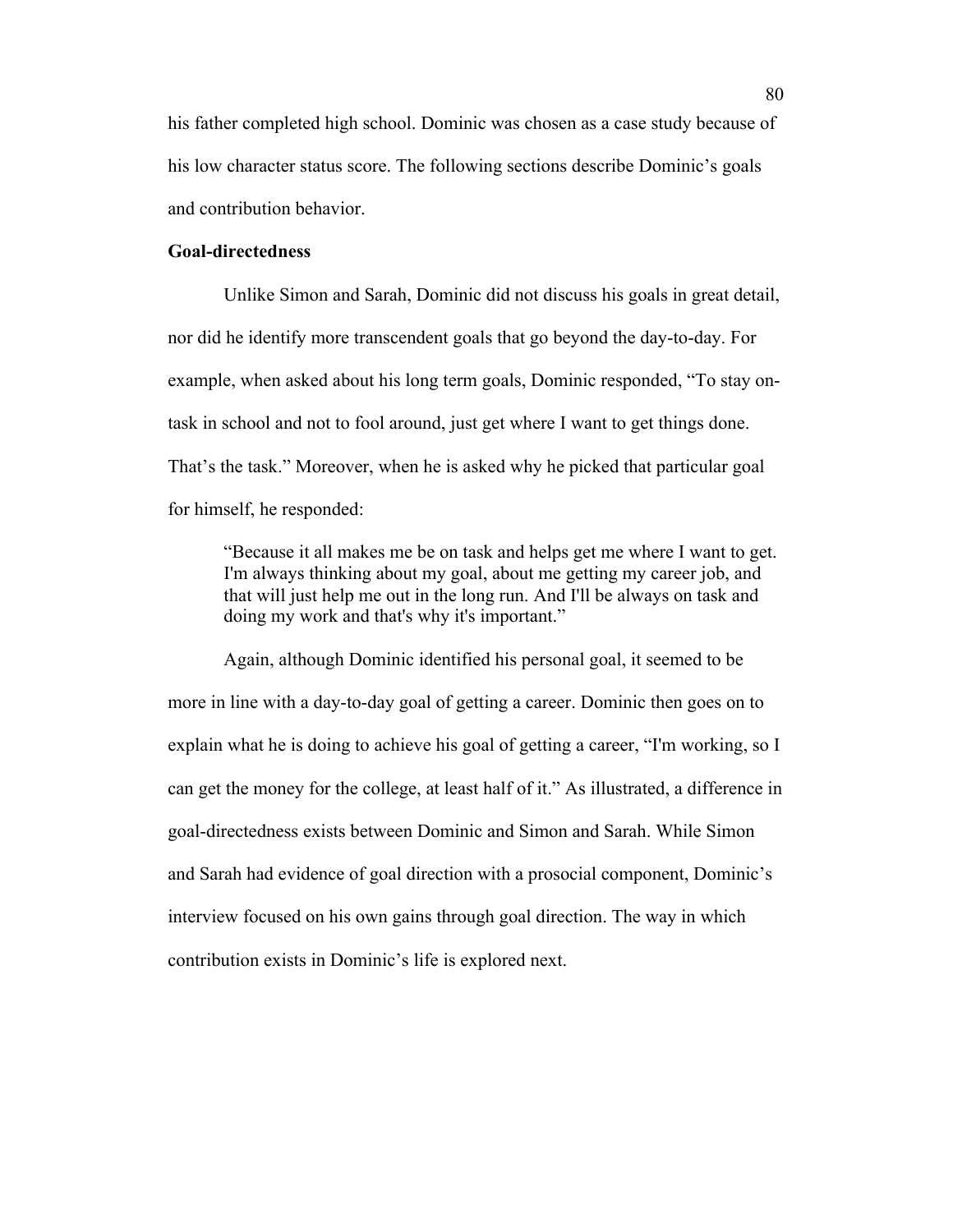his father completed high school. Dominic was chosen as a case study because of his low character status score. The following sections describe Dominic's goals and contribution behavior.

## **Goal-directedness**

Unlike Simon and Sarah, Dominic did not discuss his goals in great detail, nor did he identify more transcendent goals that go beyond the day-to-day. For example, when asked about his long term goals, Dominic responded, "To stay ontask in school and not to fool around, just get where I want to get things done. That's the task." Moreover, when he is asked why he picked that particular goal for himself, he responded:

"Because it all makes me be on task and helps get me where I want to get. I'm always thinking about my goal, about me getting my career job, and that will just help me out in the long run. And I'll be always on task and doing my work and that's why it's important."

Again, although Dominic identified his personal goal, it seemed to be more in line with a day-to-day goal of getting a career. Dominic then goes on to explain what he is doing to achieve his goal of getting a career, "I'm working, so I can get the money for the college, at least half of it." As illustrated, a difference in goal-directedness exists between Dominic and Simon and Sarah. While Simon and Sarah had evidence of goal direction with a prosocial component, Dominic's interview focused on his own gains through goal direction. The way in which contribution exists in Dominic's life is explored next.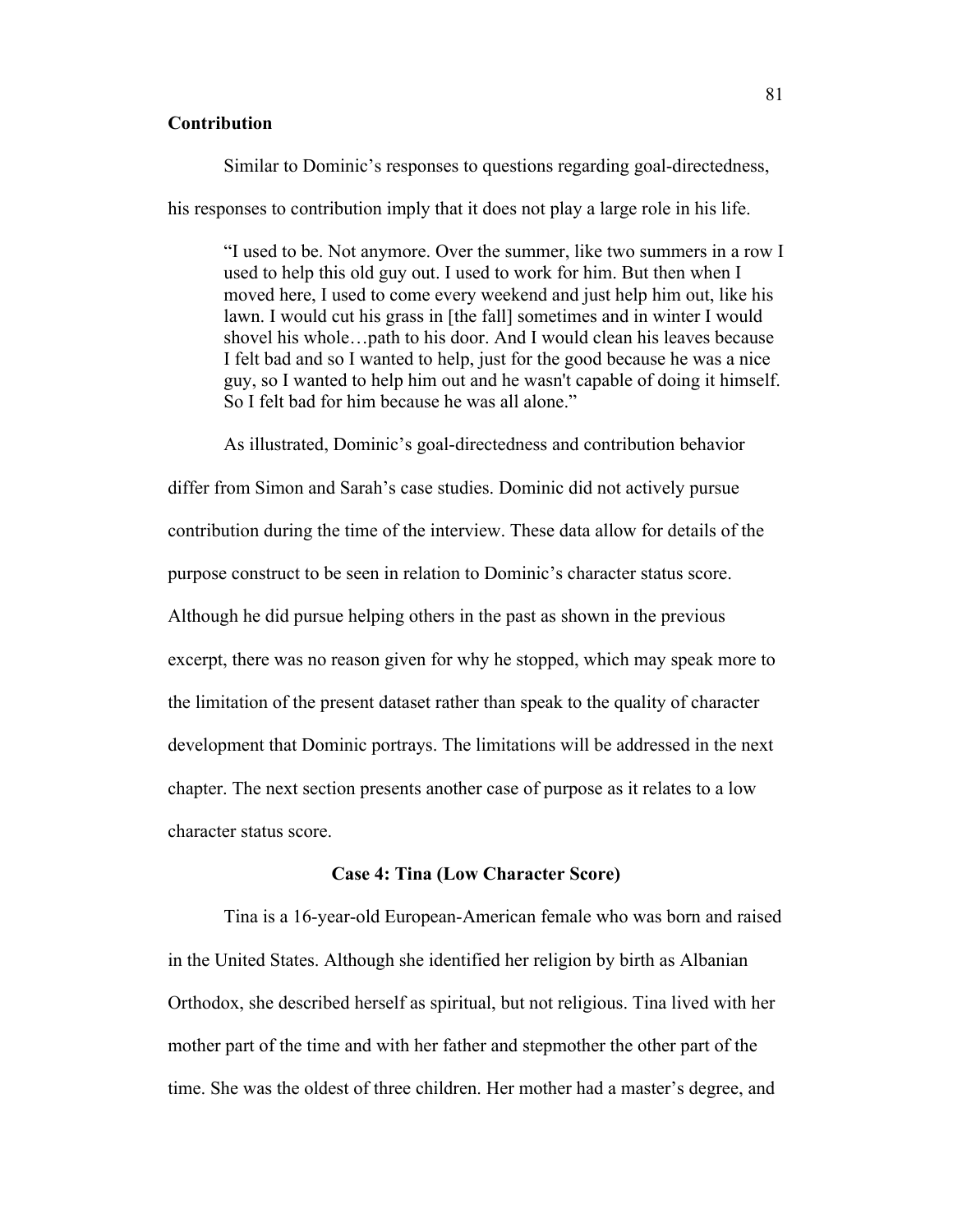# **Contribution**

Similar to Dominic's responses to questions regarding goal-directedness,

his responses to contribution imply that it does not play a large role in his life.

"I used to be. Not anymore. Over the summer, like two summers in a row I used to help this old guy out. I used to work for him. But then when I moved here, I used to come every weekend and just help him out, like his lawn. I would cut his grass in [the fall] sometimes and in winter I would shovel his whole…path to his door. And I would clean his leaves because I felt bad and so I wanted to help, just for the good because he was a nice guy, so I wanted to help him out and he wasn't capable of doing it himself. So I felt bad for him because he was all alone."

As illustrated, Dominic's goal-directedness and contribution behavior

differ from Simon and Sarah's case studies. Dominic did not actively pursue contribution during the time of the interview. These data allow for details of the purpose construct to be seen in relation to Dominic's character status score. Although he did pursue helping others in the past as shown in the previous excerpt, there was no reason given for why he stopped, which may speak more to the limitation of the present dataset rather than speak to the quality of character development that Dominic portrays. The limitations will be addressed in the next chapter. The next section presents another case of purpose as it relates to a low character status score.

## **Case 4: Tina (Low Character Score)**

Tina is a 16-year-old European-American female who was born and raised in the United States. Although she identified her religion by birth as Albanian Orthodox, she described herself as spiritual, but not religious. Tina lived with her mother part of the time and with her father and stepmother the other part of the time. She was the oldest of three children. Her mother had a master's degree, and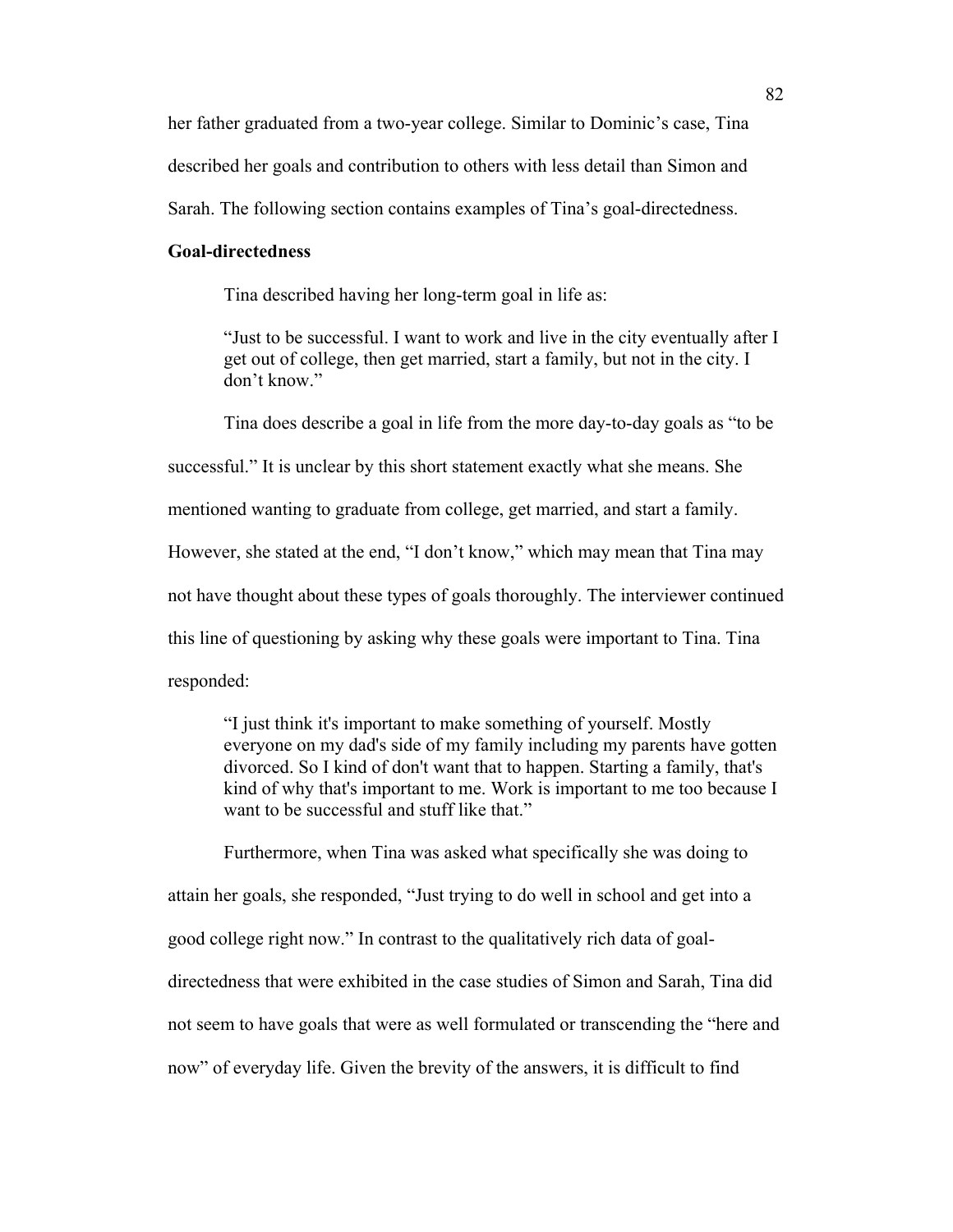her father graduated from a two-year college. Similar to Dominic's case, Tina described her goals and contribution to others with less detail than Simon and Sarah. The following section contains examples of Tina's goal-directedness.

## **Goal-directedness**

Tina described having her long-term goal in life as:

"Just to be successful. I want to work and live in the city eventually after I get out of college, then get married, start a family, but not in the city. I don't know."

Tina does describe a goal in life from the more day-to-day goals as "to be

successful." It is unclear by this short statement exactly what she means. She

mentioned wanting to graduate from college, get married, and start a family.

However, she stated at the end, "I don't know," which may mean that Tina may

not have thought about these types of goals thoroughly. The interviewer continued

this line of questioning by asking why these goals were important to Tina. Tina

responded:

"I just think it's important to make something of yourself. Mostly everyone on my dad's side of my family including my parents have gotten divorced. So I kind of don't want that to happen. Starting a family, that's kind of why that's important to me. Work is important to me too because I want to be successful and stuff like that."

Furthermore, when Tina was asked what specifically she was doing to attain her goals, she responded, "Just trying to do well in school and get into a good college right now." In contrast to the qualitatively rich data of goaldirectedness that were exhibited in the case studies of Simon and Sarah, Tina did not seem to have goals that were as well formulated or transcending the "here and now" of everyday life. Given the brevity of the answers, it is difficult to find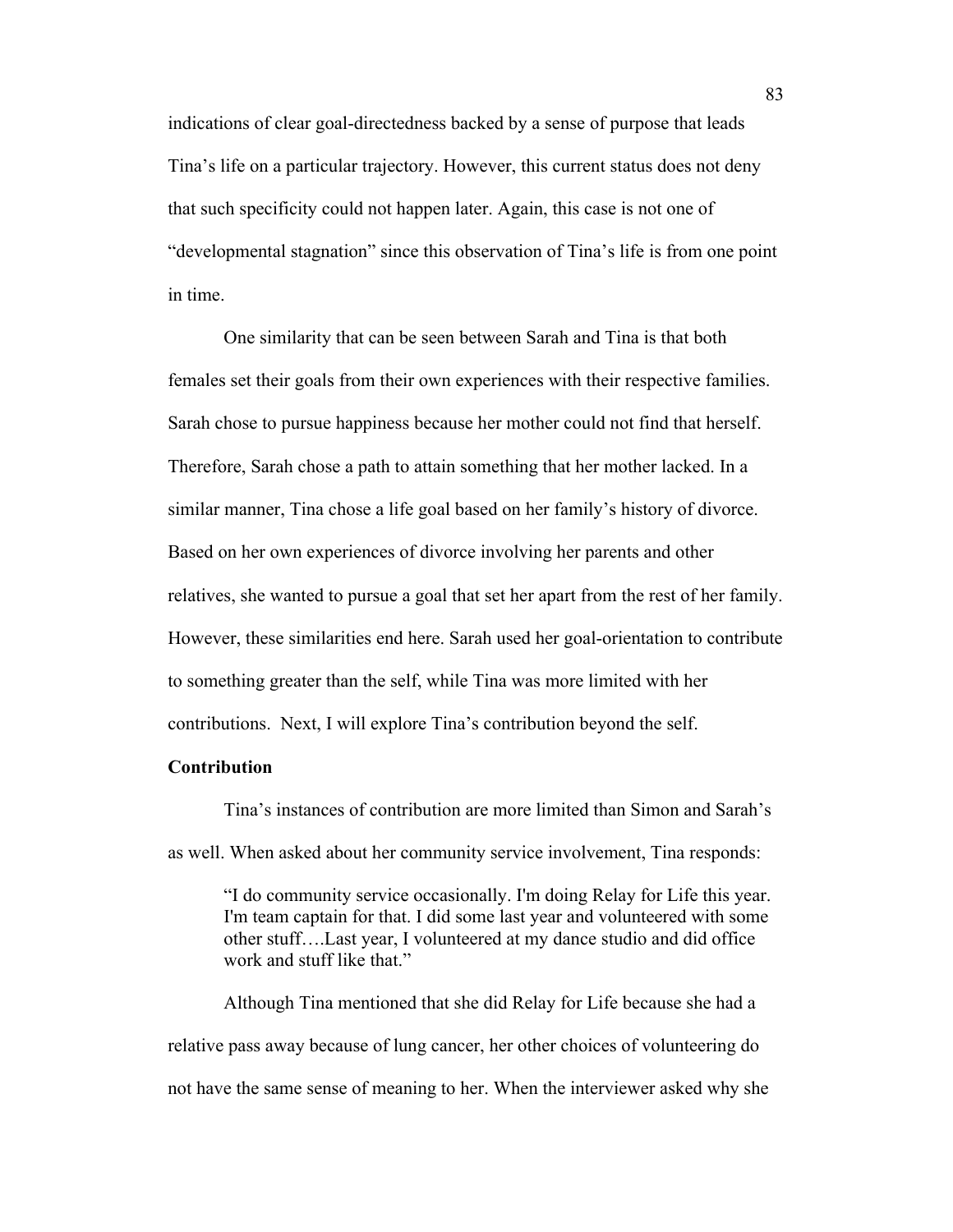indications of clear goal-directedness backed by a sense of purpose that leads Tina's life on a particular trajectory. However, this current status does not deny that such specificity could not happen later. Again, this case is not one of "developmental stagnation" since this observation of Tina's life is from one point in time.

One similarity that can be seen between Sarah and Tina is that both females set their goals from their own experiences with their respective families. Sarah chose to pursue happiness because her mother could not find that herself. Therefore, Sarah chose a path to attain something that her mother lacked. In a similar manner, Tina chose a life goal based on her family's history of divorce. Based on her own experiences of divorce involving her parents and other relatives, she wanted to pursue a goal that set her apart from the rest of her family. However, these similarities end here. Sarah used her goal-orientation to contribute to something greater than the self, while Tina was more limited with her contributions. Next, I will explore Tina's contribution beyond the self.

# **Contribution**

Tina's instances of contribution are more limited than Simon and Sarah's as well. When asked about her community service involvement, Tina responds:

"I do community service occasionally. I'm doing Relay for Life this year. I'm team captain for that. I did some last year and volunteered with some other stuff….Last year, I volunteered at my dance studio and did office work and stuff like that."

Although Tina mentioned that she did Relay for Life because she had a relative pass away because of lung cancer, her other choices of volunteering do not have the same sense of meaning to her. When the interviewer asked why she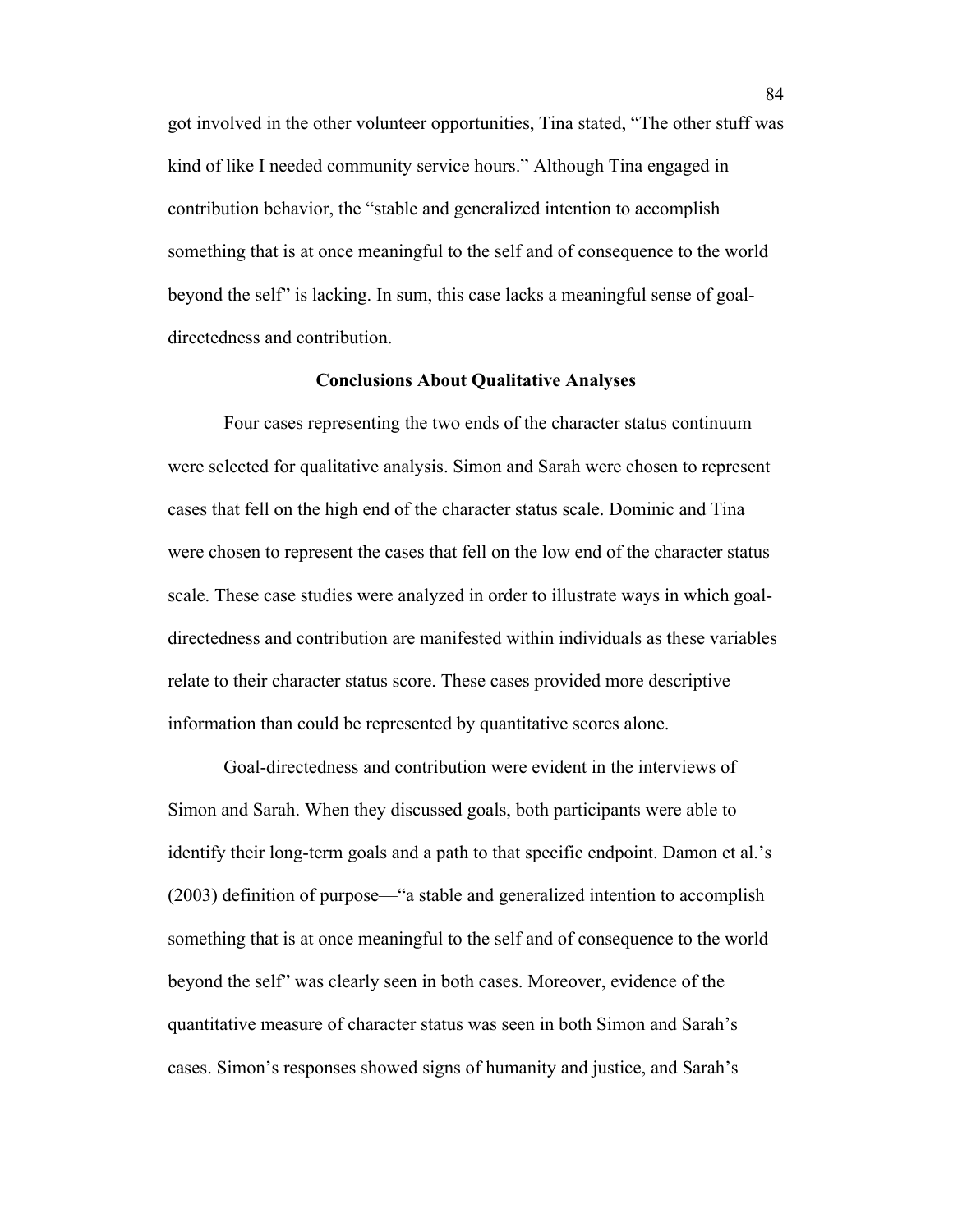got involved in the other volunteer opportunities, Tina stated, "The other stuff was kind of like I needed community service hours." Although Tina engaged in contribution behavior, the "stable and generalized intention to accomplish something that is at once meaningful to the self and of consequence to the world beyond the self" is lacking. In sum, this case lacks a meaningful sense of goaldirectedness and contribution.

#### **Conclusions About Qualitative Analyses**

Four cases representing the two ends of the character status continuum were selected for qualitative analysis. Simon and Sarah were chosen to represent cases that fell on the high end of the character status scale. Dominic and Tina were chosen to represent the cases that fell on the low end of the character status scale. These case studies were analyzed in order to illustrate ways in which goaldirectedness and contribution are manifested within individuals as these variables relate to their character status score. These cases provided more descriptive information than could be represented by quantitative scores alone.

Goal-directedness and contribution were evident in the interviews of Simon and Sarah. When they discussed goals, both participants were able to identify their long-term goals and a path to that specific endpoint. Damon et al.'s (2003) definition of purpose—"a stable and generalized intention to accomplish something that is at once meaningful to the self and of consequence to the world beyond the self" was clearly seen in both cases. Moreover, evidence of the quantitative measure of character status was seen in both Simon and Sarah's cases. Simon's responses showed signs of humanity and justice, and Sarah's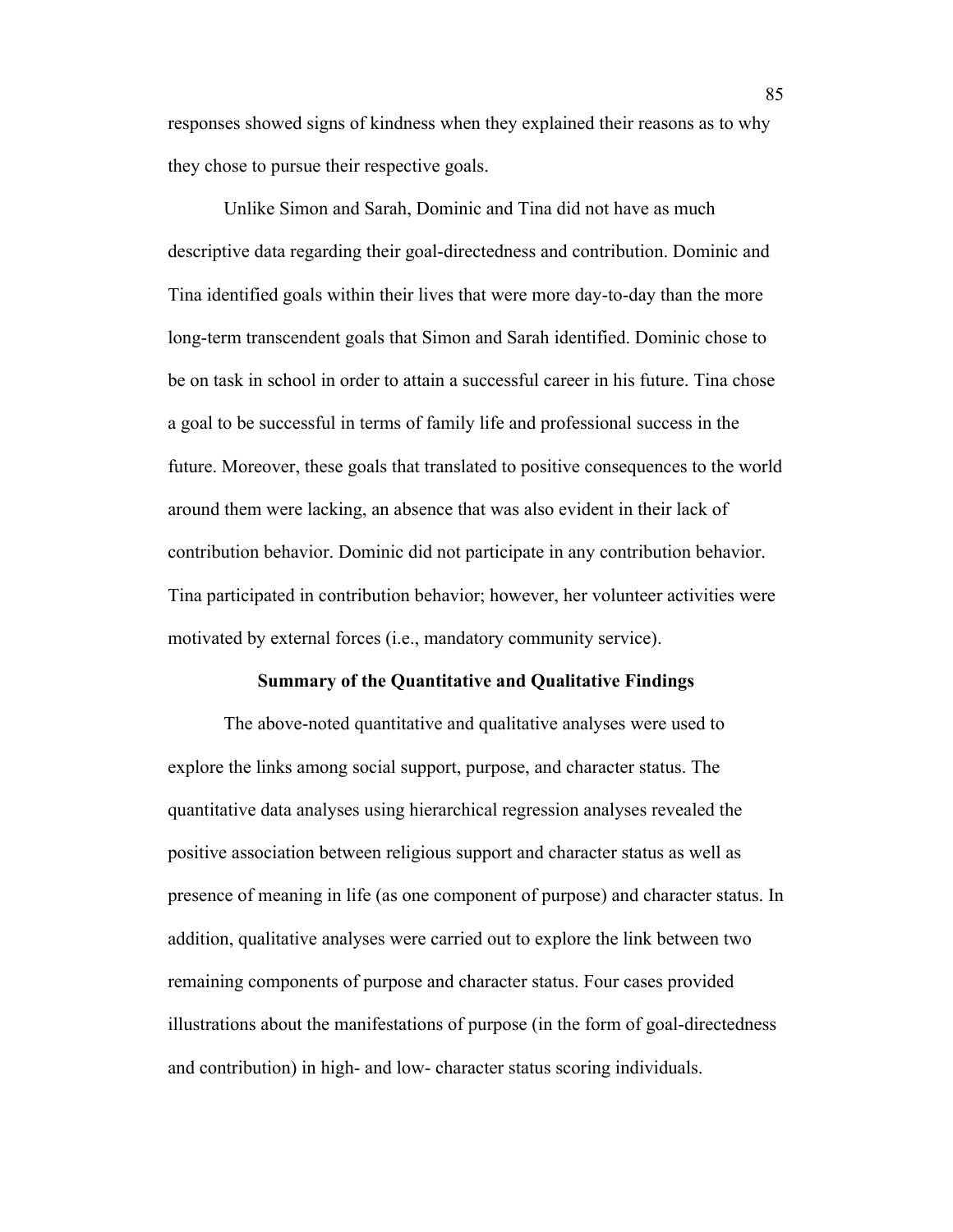responses showed signs of kindness when they explained their reasons as to why they chose to pursue their respective goals.

Unlike Simon and Sarah, Dominic and Tina did not have as much descriptive data regarding their goal-directedness and contribution. Dominic and Tina identified goals within their lives that were more day-to-day than the more long-term transcendent goals that Simon and Sarah identified. Dominic chose to be on task in school in order to attain a successful career in his future. Tina chose a goal to be successful in terms of family life and professional success in the future. Moreover, these goals that translated to positive consequences to the world around them were lacking, an absence that was also evident in their lack of contribution behavior. Dominic did not participate in any contribution behavior. Tina participated in contribution behavior; however, her volunteer activities were motivated by external forces (i.e., mandatory community service).

#### **Summary of the Quantitative and Qualitative Findings**

The above-noted quantitative and qualitative analyses were used to explore the links among social support, purpose, and character status. The quantitative data analyses using hierarchical regression analyses revealed the positive association between religious support and character status as well as presence of meaning in life (as one component of purpose) and character status. In addition, qualitative analyses were carried out to explore the link between two remaining components of purpose and character status. Four cases provided illustrations about the manifestations of purpose (in the form of goal-directedness and contribution) in high- and low- character status scoring individuals.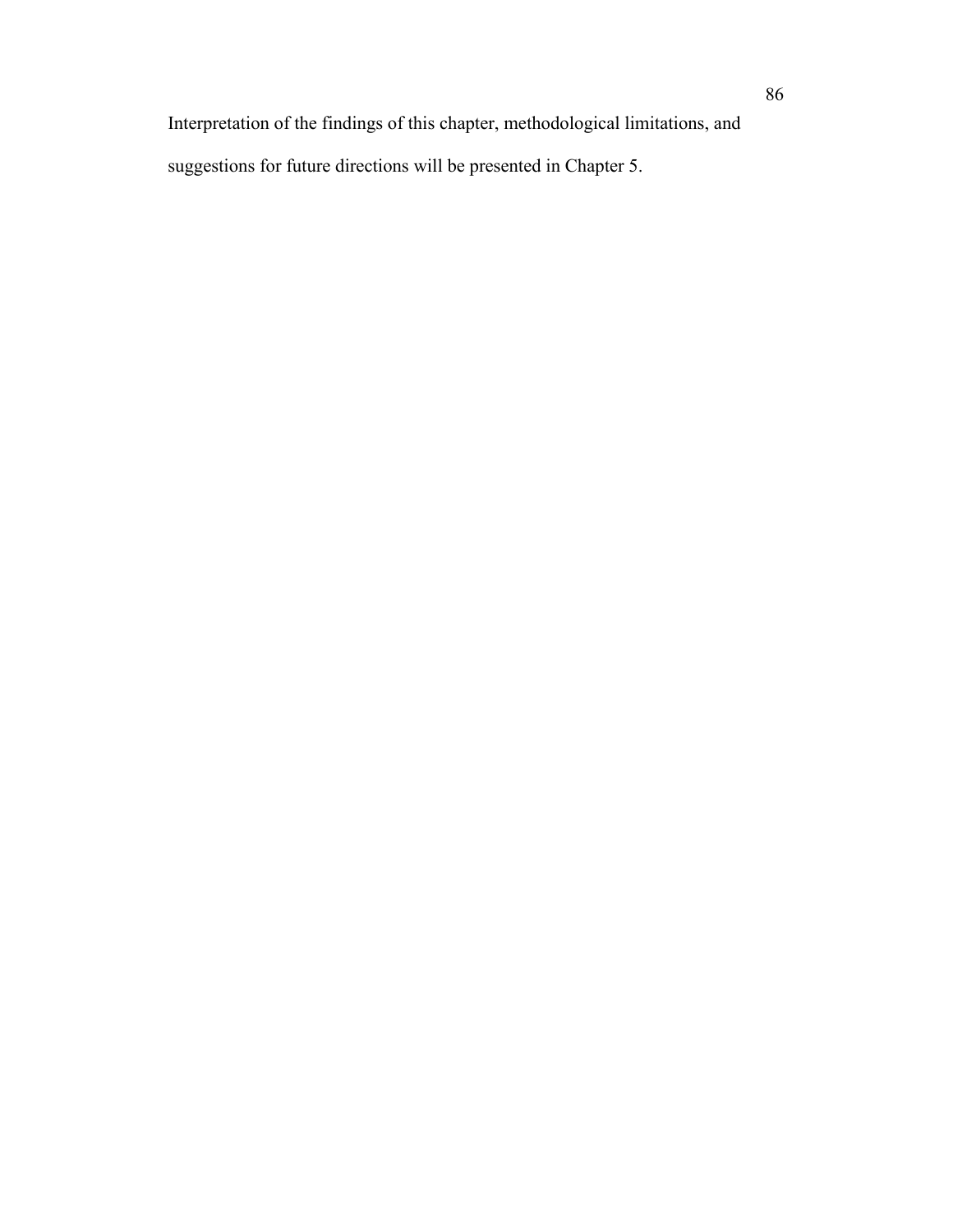Interpretation of the findings of this chapter, methodological limitations, and suggestions for future directions will be presented in Chapter 5.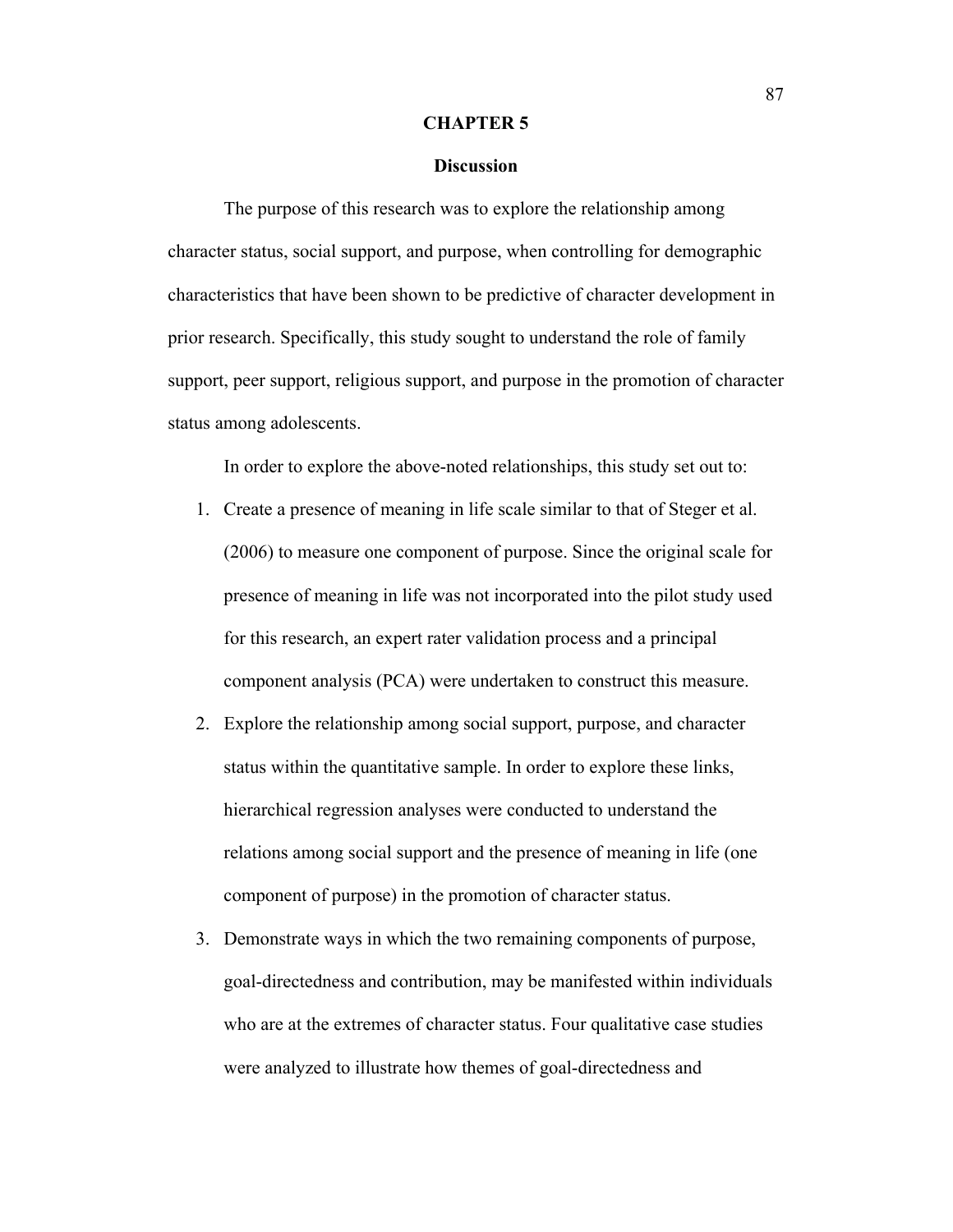#### **CHAPTER 5**

### **Discussion**

The purpose of this research was to explore the relationship among character status, social support, and purpose, when controlling for demographic characteristics that have been shown to be predictive of character development in prior research. Specifically, this study sought to understand the role of family support, peer support, religious support, and purpose in the promotion of character status among adolescents.

In order to explore the above-noted relationships, this study set out to:

- 1. Create a presence of meaning in life scale similar to that of Steger et al. (2006) to measure one component of purpose. Since the original scale for presence of meaning in life was not incorporated into the pilot study used for this research, an expert rater validation process and a principal component analysis (PCA) were undertaken to construct this measure.
- 2. Explore the relationship among social support, purpose, and character status within the quantitative sample. In order to explore these links, hierarchical regression analyses were conducted to understand the relations among social support and the presence of meaning in life (one component of purpose) in the promotion of character status.
- 3. Demonstrate ways in which the two remaining components of purpose, goal-directedness and contribution, may be manifested within individuals who are at the extremes of character status. Four qualitative case studies were analyzed to illustrate how themes of goal-directedness and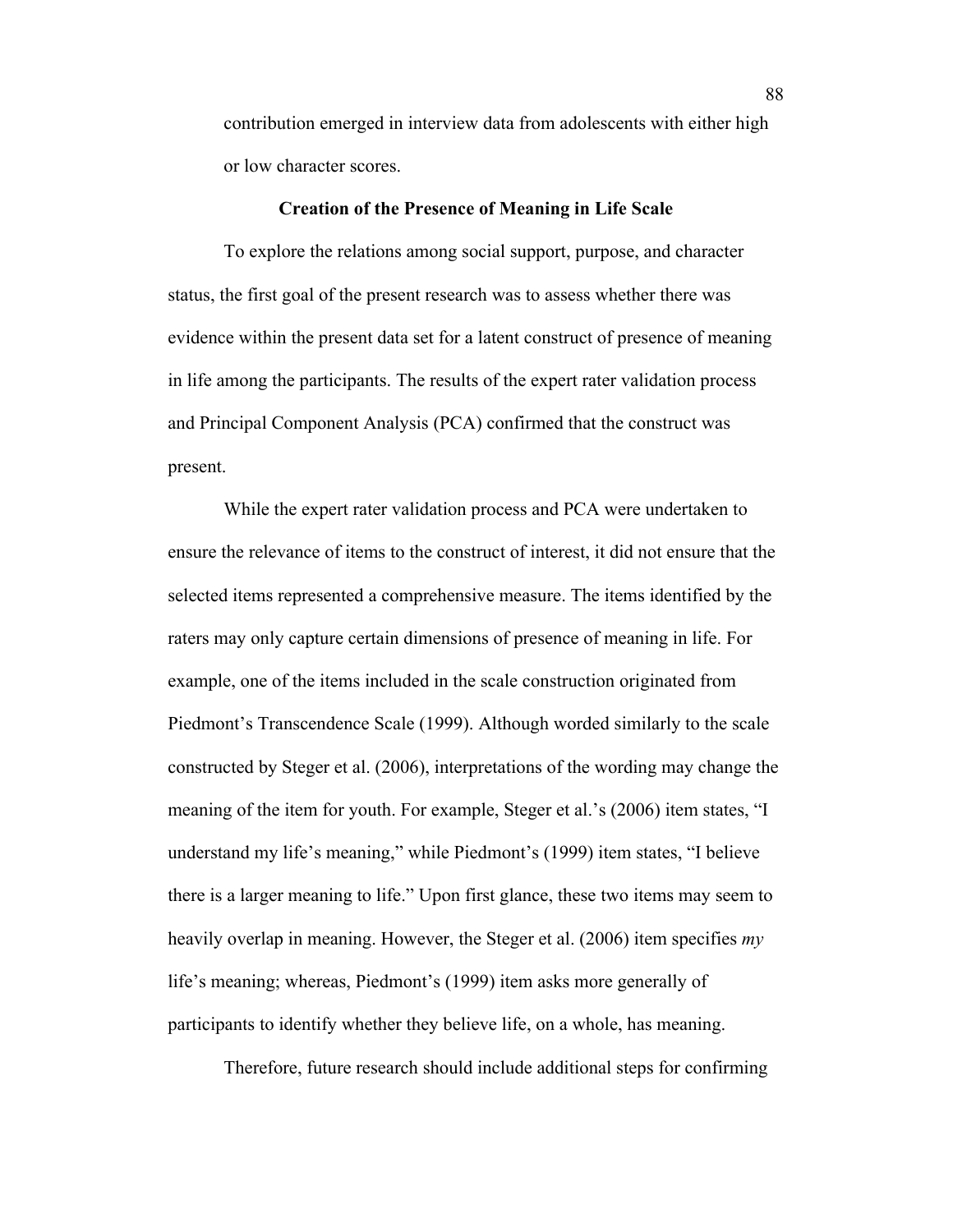contribution emerged in interview data from adolescents with either high or low character scores.

### **Creation of the Presence of Meaning in Life Scale**

To explore the relations among social support, purpose, and character status, the first goal of the present research was to assess whether there was evidence within the present data set for a latent construct of presence of meaning in life among the participants. The results of the expert rater validation process and Principal Component Analysis (PCA) confirmed that the construct was present.

While the expert rater validation process and PCA were undertaken to ensure the relevance of items to the construct of interest, it did not ensure that the selected items represented a comprehensive measure. The items identified by the raters may only capture certain dimensions of presence of meaning in life. For example, one of the items included in the scale construction originated from Piedmont's Transcendence Scale (1999). Although worded similarly to the scale constructed by Steger et al. (2006), interpretations of the wording may change the meaning of the item for youth. For example, Steger et al.'s (2006) item states, "I understand my life's meaning," while Piedmont's (1999) item states, "I believe there is a larger meaning to life." Upon first glance, these two items may seem to heavily overlap in meaning. However, the Steger et al. (2006) item specifies *my*  life's meaning; whereas, Piedmont's (1999) item asks more generally of participants to identify whether they believe life, on a whole, has meaning.

Therefore, future research should include additional steps for confirming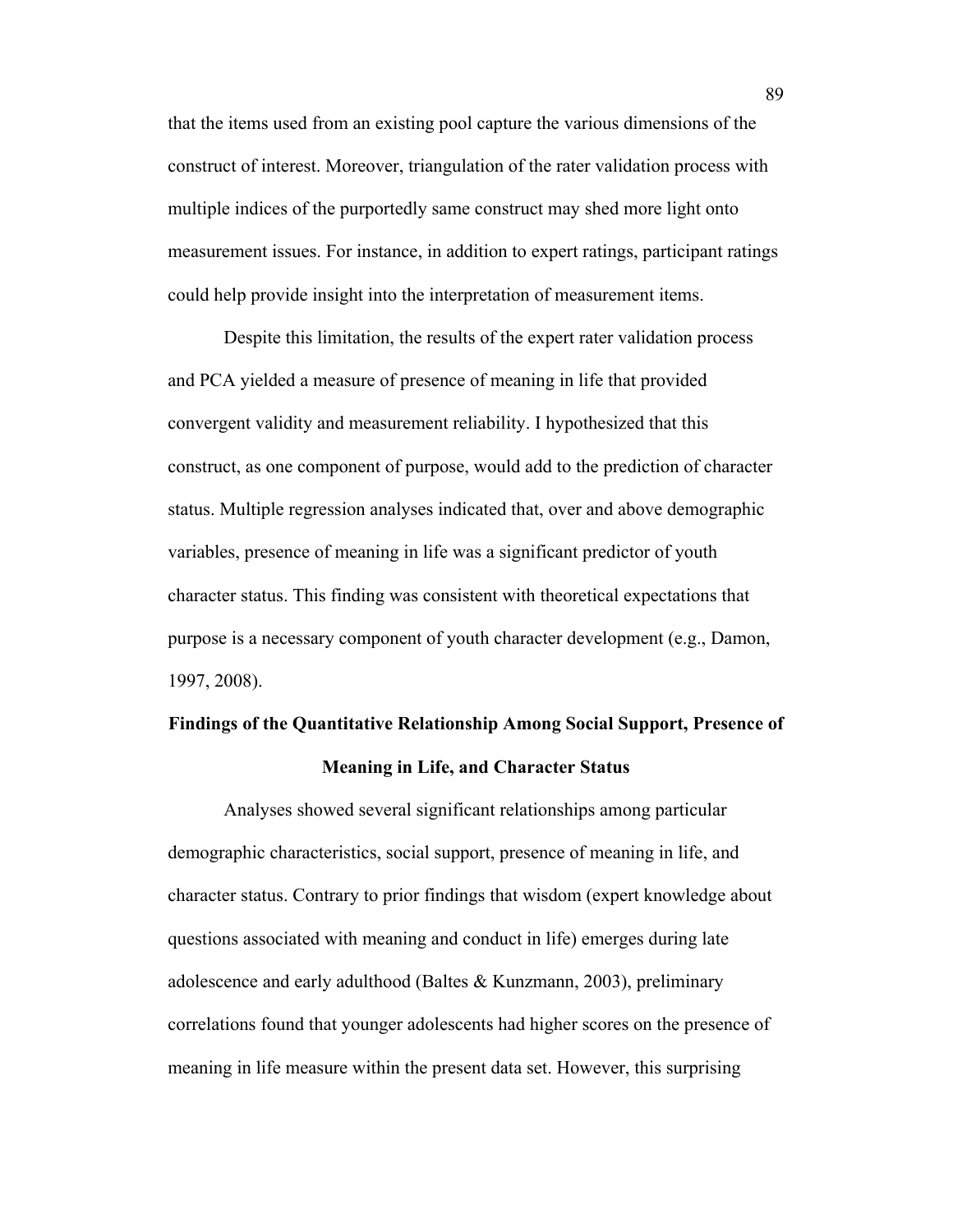that the items used from an existing pool capture the various dimensions of the construct of interest. Moreover, triangulation of the rater validation process with multiple indices of the purportedly same construct may shed more light onto measurement issues. For instance, in addition to expert ratings, participant ratings could help provide insight into the interpretation of measurement items.

Despite this limitation, the results of the expert rater validation process and PCA yielded a measure of presence of meaning in life that provided convergent validity and measurement reliability. I hypothesized that this construct, as one component of purpose, would add to the prediction of character status. Multiple regression analyses indicated that, over and above demographic variables, presence of meaning in life was a significant predictor of youth character status. This finding was consistent with theoretical expectations that purpose is a necessary component of youth character development (e.g., Damon, 1997, 2008).

# **Findings of the Quantitative Relationship Among Social Support, Presence of Meaning in Life, and Character Status**

Analyses showed several significant relationships among particular demographic characteristics, social support, presence of meaning in life, and character status. Contrary to prior findings that wisdom (expert knowledge about questions associated with meaning and conduct in life) emerges during late adolescence and early adulthood (Baltes & Kunzmann, 2003), preliminary correlations found that younger adolescents had higher scores on the presence of meaning in life measure within the present data set. However, this surprising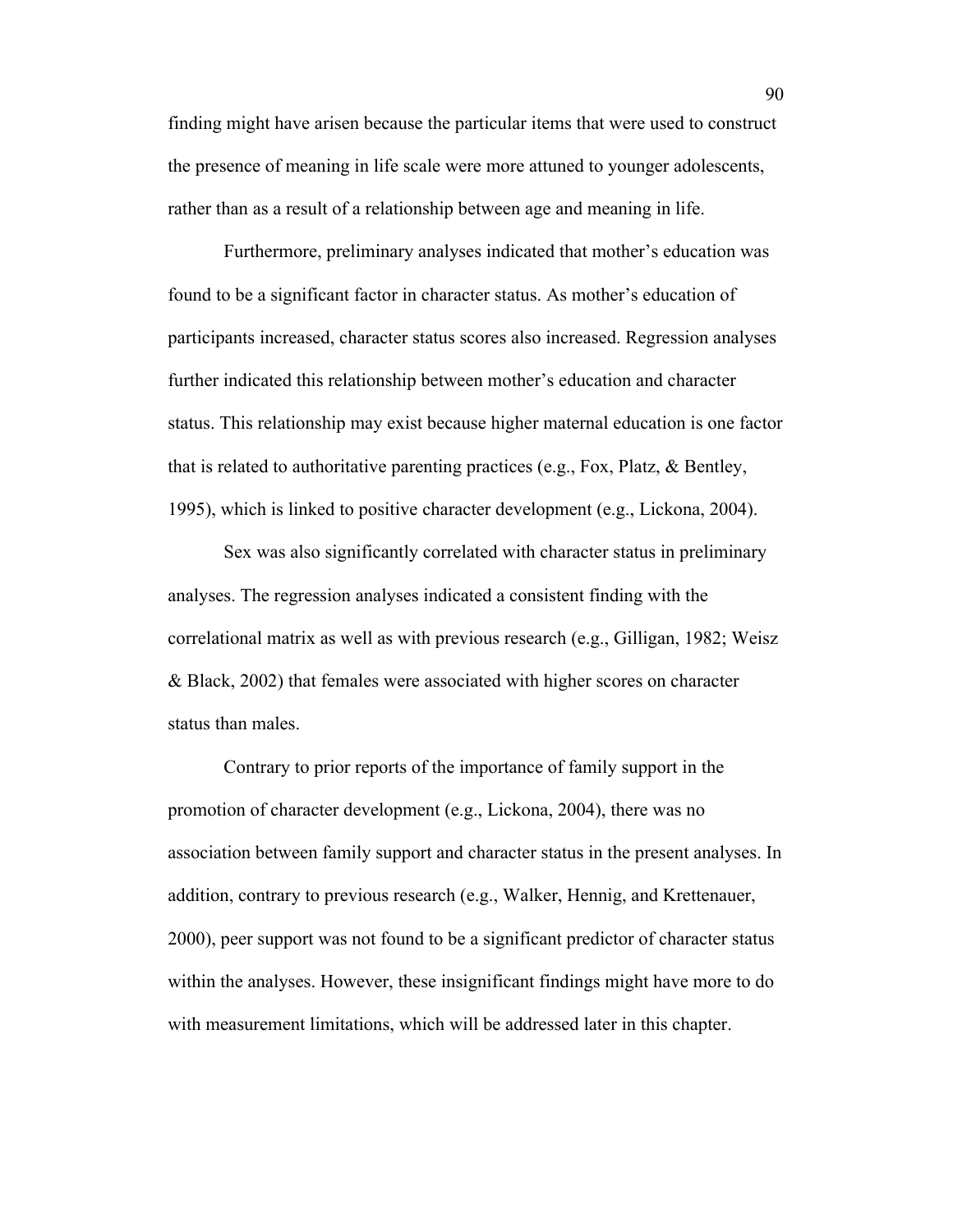finding might have arisen because the particular items that were used to construct the presence of meaning in life scale were more attuned to younger adolescents, rather than as a result of a relationship between age and meaning in life.

Furthermore, preliminary analyses indicated that mother's education was found to be a significant factor in character status. As mother's education of participants increased, character status scores also increased. Regression analyses further indicated this relationship between mother's education and character status. This relationship may exist because higher maternal education is one factor that is related to authoritative parenting practices (e.g., Fox, Platz, & Bentley, 1995), which is linked to positive character development (e.g., Lickona, 2004).

Sex was also significantly correlated with character status in preliminary analyses. The regression analyses indicated a consistent finding with the correlational matrix as well as with previous research (e.g., Gilligan, 1982; Weisz & Black, 2002) that females were associated with higher scores on character status than males.

Contrary to prior reports of the importance of family support in the promotion of character development (e.g., Lickona, 2004), there was no association between family support and character status in the present analyses. In addition, contrary to previous research (e.g., Walker, Hennig, and Krettenauer, 2000), peer support was not found to be a significant predictor of character status within the analyses. However, these insignificant findings might have more to do with measurement limitations, which will be addressed later in this chapter.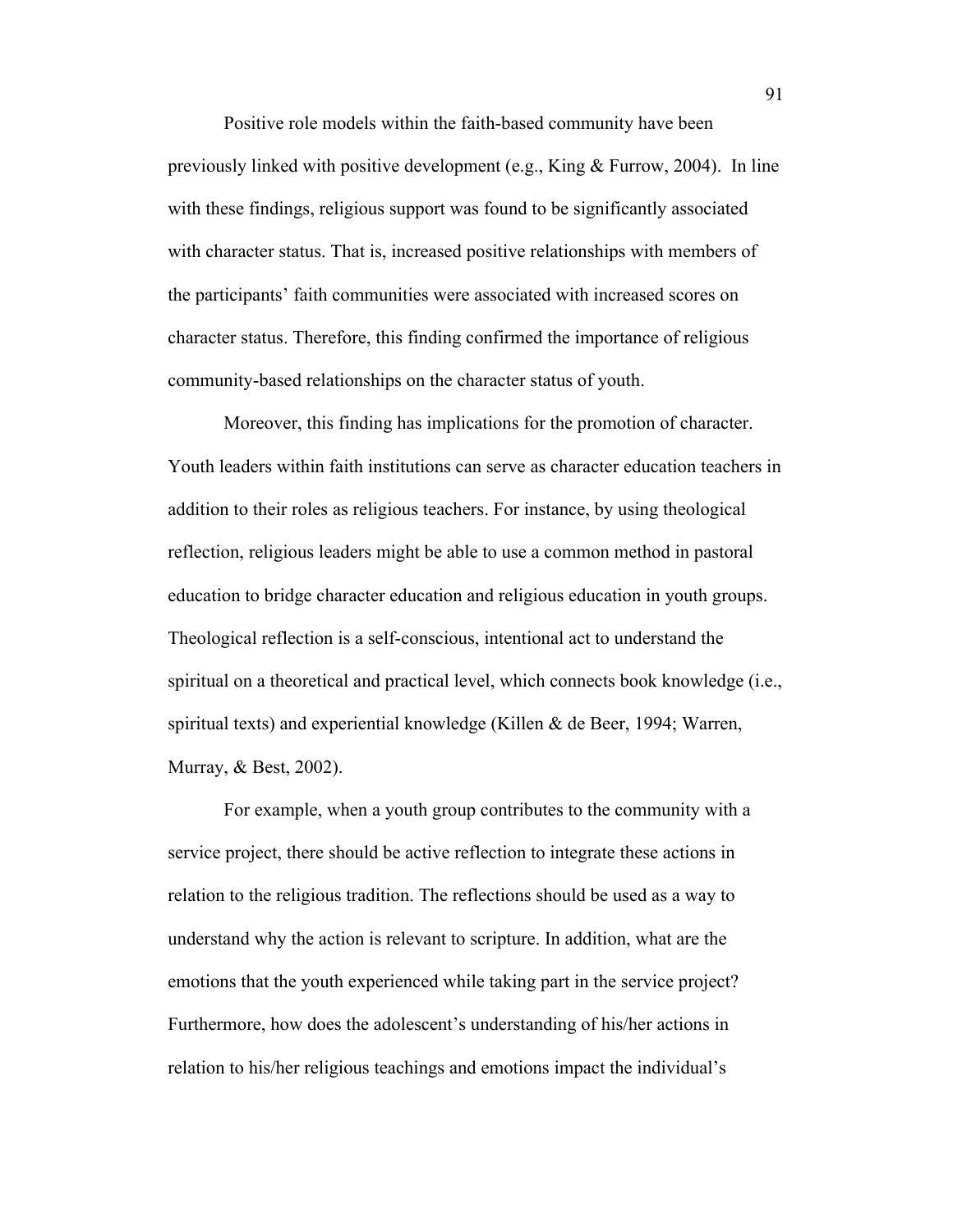Positive role models within the faith-based community have been previously linked with positive development (e.g., King & Furrow, 2004). In line with these findings, religious support was found to be significantly associated with character status. That is, increased positive relationships with members of the participants' faith communities were associated with increased scores on character status. Therefore, this finding confirmed the importance of religious community-based relationships on the character status of youth.

Moreover, this finding has implications for the promotion of character. Youth leaders within faith institutions can serve as character education teachers in addition to their roles as religious teachers. For instance, by using theological reflection, religious leaders might be able to use a common method in pastoral education to bridge character education and religious education in youth groups. Theological reflection is a self-conscious, intentional act to understand the spiritual on a theoretical and practical level, which connects book knowledge (i.e., spiritual texts) and experiential knowledge (Killen & de Beer, 1994; Warren, Murray, & Best, 2002).

For example, when a youth group contributes to the community with a service project, there should be active reflection to integrate these actions in relation to the religious tradition. The reflections should be used as a way to understand why the action is relevant to scripture. In addition, what are the emotions that the youth experienced while taking part in the service project? Furthermore, how does the adolescent's understanding of his/her actions in relation to his/her religious teachings and emotions impact the individual's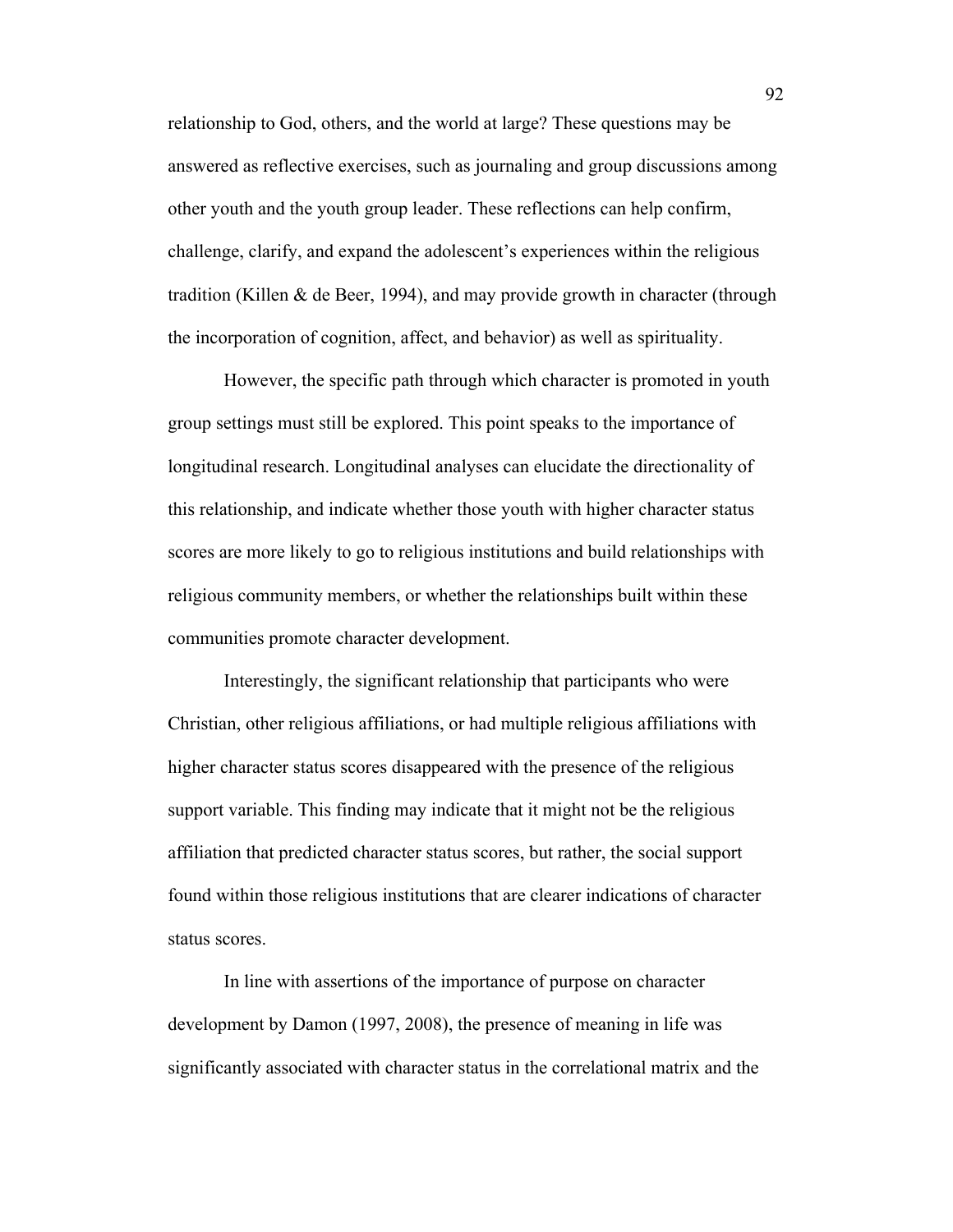relationship to God, others, and the world at large? These questions may be answered as reflective exercises, such as journaling and group discussions among other youth and the youth group leader. These reflections can help confirm, challenge, clarify, and expand the adolescent's experiences within the religious tradition (Killen & de Beer, 1994), and may provide growth in character (through the incorporation of cognition, affect, and behavior) as well as spirituality.

However, the specific path through which character is promoted in youth group settings must still be explored. This point speaks to the importance of longitudinal research. Longitudinal analyses can elucidate the directionality of this relationship, and indicate whether those youth with higher character status scores are more likely to go to religious institutions and build relationships with religious community members, or whether the relationships built within these communities promote character development.

Interestingly, the significant relationship that participants who were Christian, other religious affiliations, or had multiple religious affiliations with higher character status scores disappeared with the presence of the religious support variable. This finding may indicate that it might not be the religious affiliation that predicted character status scores, but rather, the social support found within those religious institutions that are clearer indications of character status scores.

In line with assertions of the importance of purpose on character development by Damon (1997, 2008), the presence of meaning in life was significantly associated with character status in the correlational matrix and the

92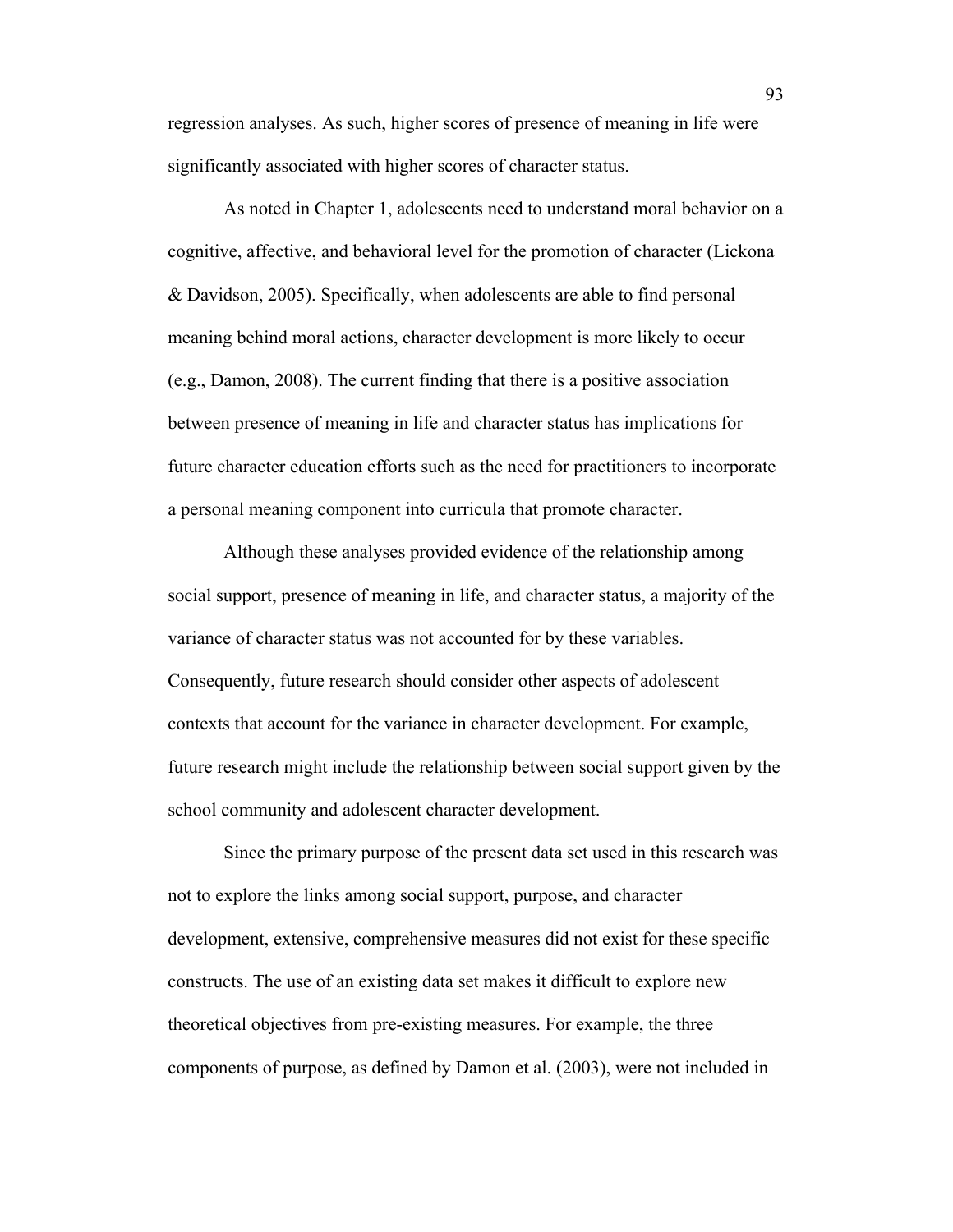regression analyses. As such, higher scores of presence of meaning in life were significantly associated with higher scores of character status.

As noted in Chapter 1, adolescents need to understand moral behavior on a cognitive, affective, and behavioral level for the promotion of character (Lickona & Davidson, 2005). Specifically, when adolescents are able to find personal meaning behind moral actions, character development is more likely to occur (e.g., Damon, 2008). The current finding that there is a positive association between presence of meaning in life and character status has implications for future character education efforts such as the need for practitioners to incorporate a personal meaning component into curricula that promote character.

Although these analyses provided evidence of the relationship among social support, presence of meaning in life, and character status, a majority of the variance of character status was not accounted for by these variables. Consequently, future research should consider other aspects of adolescent contexts that account for the variance in character development. For example, future research might include the relationship between social support given by the school community and adolescent character development.

Since the primary purpose of the present data set used in this research was not to explore the links among social support, purpose, and character development, extensive, comprehensive measures did not exist for these specific constructs. The use of an existing data set makes it difficult to explore new theoretical objectives from pre-existing measures. For example, the three components of purpose, as defined by Damon et al. (2003), were not included in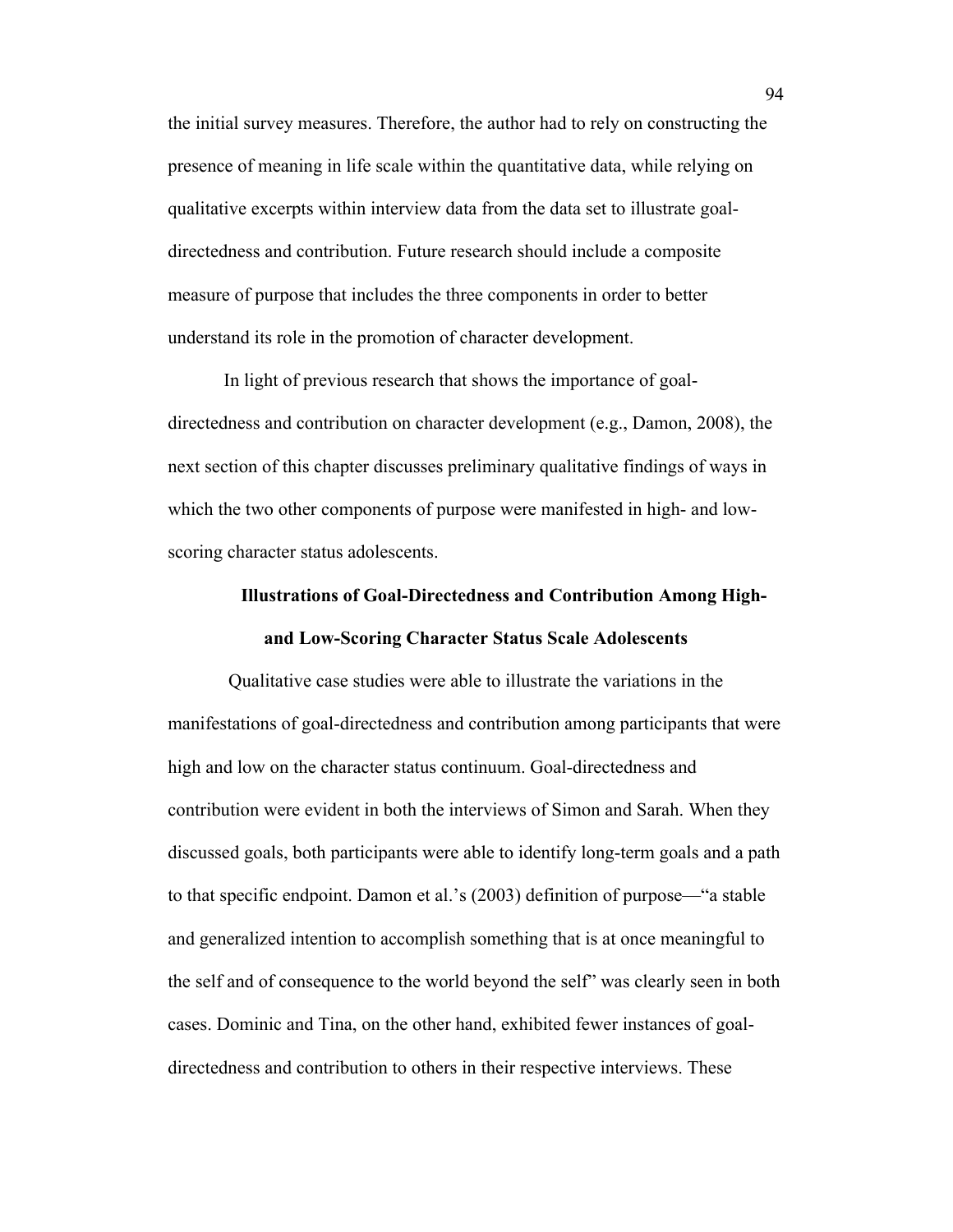the initial survey measures. Therefore, the author had to rely on constructing the presence of meaning in life scale within the quantitative data, while relying on qualitative excerpts within interview data from the data set to illustrate goaldirectedness and contribution. Future research should include a composite measure of purpose that includes the three components in order to better understand its role in the promotion of character development.

In light of previous research that shows the importance of goaldirectedness and contribution on character development (e.g., Damon, 2008), the next section of this chapter discusses preliminary qualitative findings of ways in which the two other components of purpose were manifested in high- and lowscoring character status adolescents.

# **Illustrations of Goal-Directedness and Contribution Among Highand Low-Scoring Character Status Scale Adolescents**

Qualitative case studies were able to illustrate the variations in the manifestations of goal-directedness and contribution among participants that were high and low on the character status continuum. Goal-directedness and contribution were evident in both the interviews of Simon and Sarah. When they discussed goals, both participants were able to identify long-term goals and a path to that specific endpoint. Damon et al.'s (2003) definition of purpose—"a stable and generalized intention to accomplish something that is at once meaningful to the self and of consequence to the world beyond the self" was clearly seen in both cases. Dominic and Tina, on the other hand, exhibited fewer instances of goaldirectedness and contribution to others in their respective interviews. These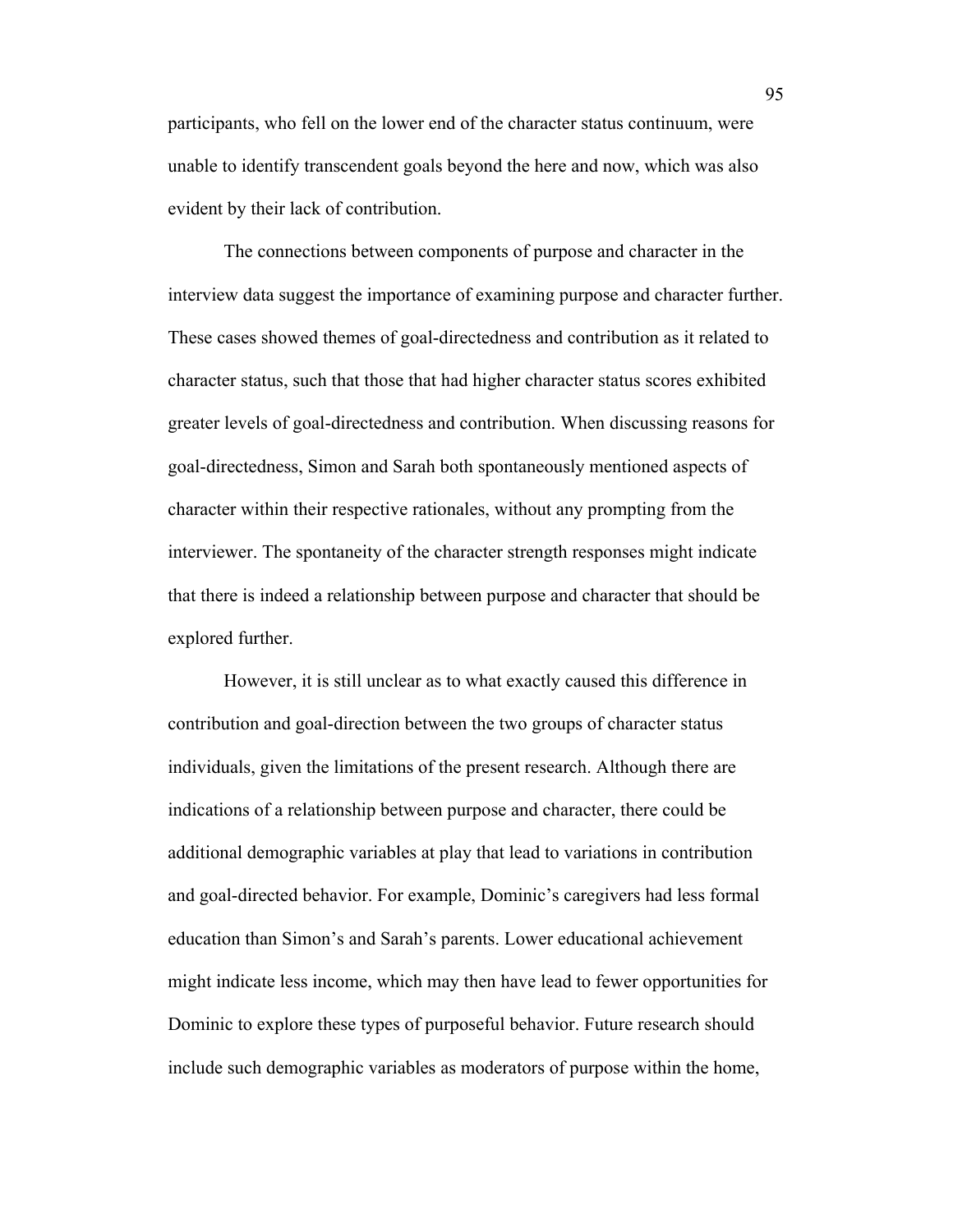participants, who fell on the lower end of the character status continuum, were unable to identify transcendent goals beyond the here and now, which was also evident by their lack of contribution.

The connections between components of purpose and character in the interview data suggest the importance of examining purpose and character further. These cases showed themes of goal-directedness and contribution as it related to character status, such that those that had higher character status scores exhibited greater levels of goal-directedness and contribution. When discussing reasons for goal-directedness, Simon and Sarah both spontaneously mentioned aspects of character within their respective rationales, without any prompting from the interviewer. The spontaneity of the character strength responses might indicate that there is indeed a relationship between purpose and character that should be explored further.

However, it is still unclear as to what exactly caused this difference in contribution and goal-direction between the two groups of character status individuals, given the limitations of the present research. Although there are indications of a relationship between purpose and character, there could be additional demographic variables at play that lead to variations in contribution and goal-directed behavior. For example, Dominic's caregivers had less formal education than Simon's and Sarah's parents. Lower educational achievement might indicate less income, which may then have lead to fewer opportunities for Dominic to explore these types of purposeful behavior. Future research should include such demographic variables as moderators of purpose within the home,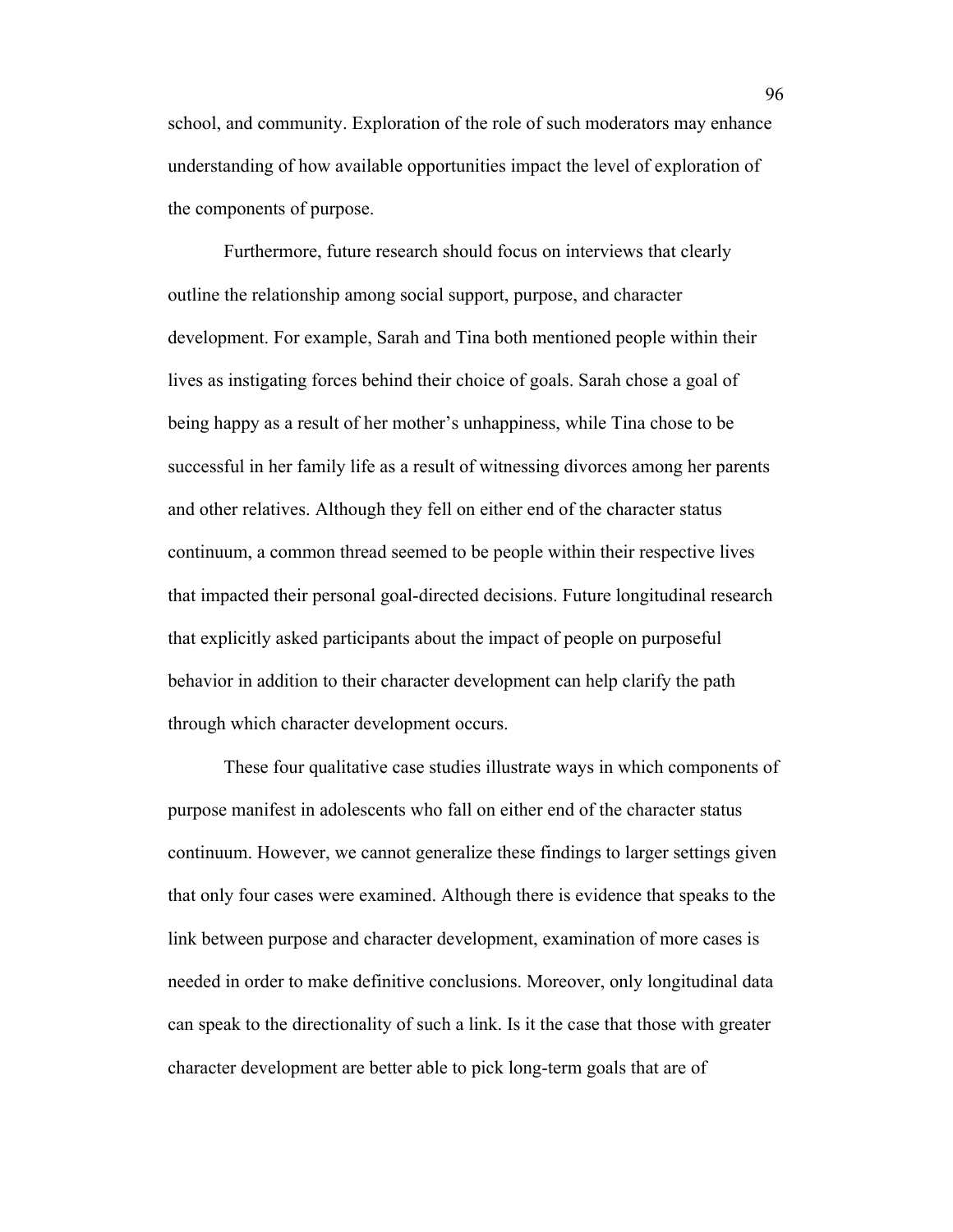school, and community. Exploration of the role of such moderators may enhance understanding of how available opportunities impact the level of exploration of the components of purpose.

Furthermore, future research should focus on interviews that clearly outline the relationship among social support, purpose, and character development. For example, Sarah and Tina both mentioned people within their lives as instigating forces behind their choice of goals. Sarah chose a goal of being happy as a result of her mother's unhappiness, while Tina chose to be successful in her family life as a result of witnessing divorces among her parents and other relatives. Although they fell on either end of the character status continuum, a common thread seemed to be people within their respective lives that impacted their personal goal-directed decisions. Future longitudinal research that explicitly asked participants about the impact of people on purposeful behavior in addition to their character development can help clarify the path through which character development occurs.

These four qualitative case studies illustrate ways in which components of purpose manifest in adolescents who fall on either end of the character status continuum. However, we cannot generalize these findings to larger settings given that only four cases were examined. Although there is evidence that speaks to the link between purpose and character development, examination of more cases is needed in order to make definitive conclusions. Moreover, only longitudinal data can speak to the directionality of such a link. Is it the case that those with greater character development are better able to pick long-term goals that are of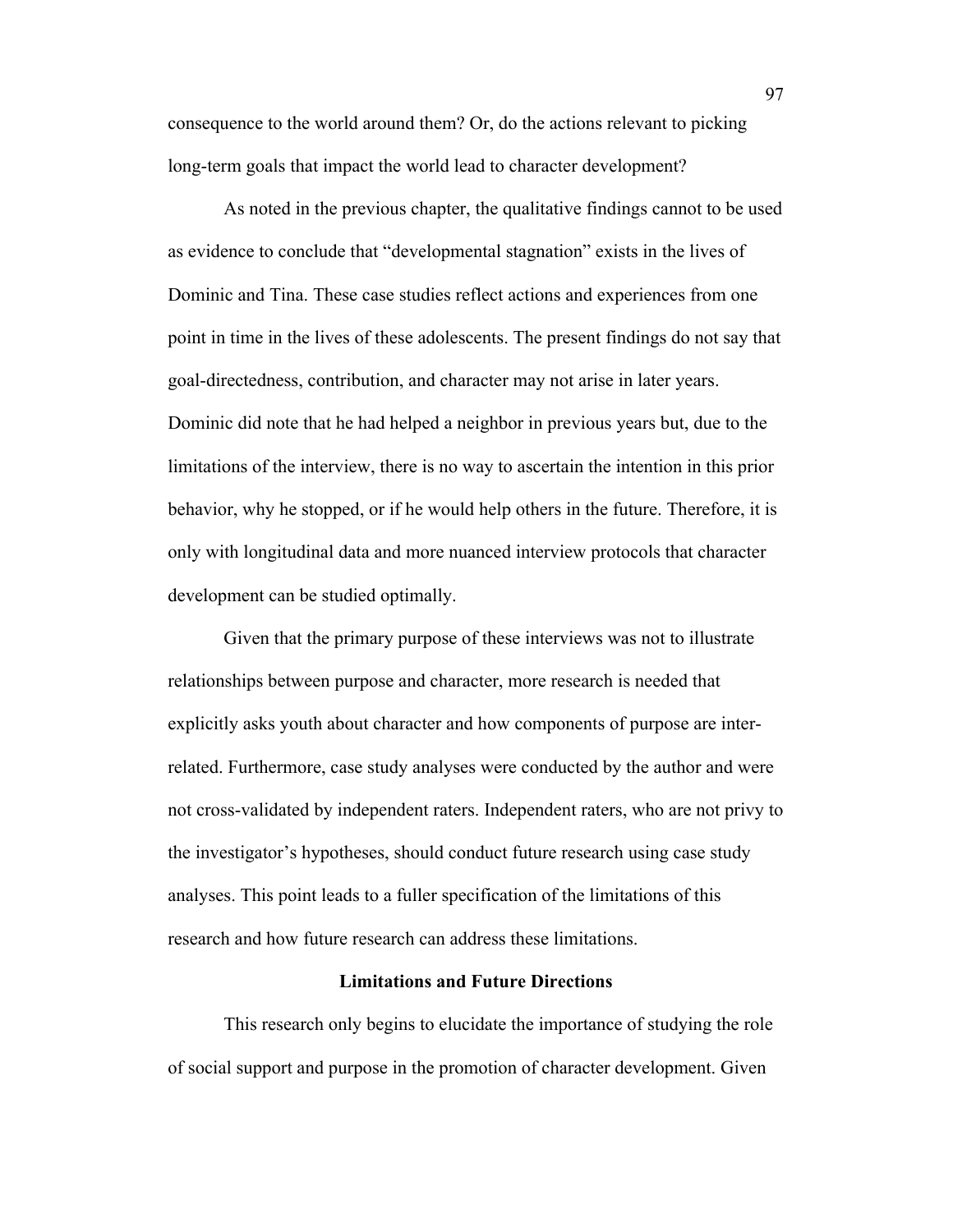consequence to the world around them? Or, do the actions relevant to picking long-term goals that impact the world lead to character development?

As noted in the previous chapter, the qualitative findings cannot to be used as evidence to conclude that "developmental stagnation" exists in the lives of Dominic and Tina. These case studies reflect actions and experiences from one point in time in the lives of these adolescents. The present findings do not say that goal-directedness, contribution, and character may not arise in later years. Dominic did note that he had helped a neighbor in previous years but, due to the limitations of the interview, there is no way to ascertain the intention in this prior behavior, why he stopped, or if he would help others in the future. Therefore, it is only with longitudinal data and more nuanced interview protocols that character development can be studied optimally.

Given that the primary purpose of these interviews was not to illustrate relationships between purpose and character, more research is needed that explicitly asks youth about character and how components of purpose are interrelated. Furthermore, case study analyses were conducted by the author and were not cross-validated by independent raters. Independent raters, who are not privy to the investigator's hypotheses, should conduct future research using case study analyses. This point leads to a fuller specification of the limitations of this research and how future research can address these limitations.

## **Limitations and Future Directions**

This research only begins to elucidate the importance of studying the role of social support and purpose in the promotion of character development. Given

97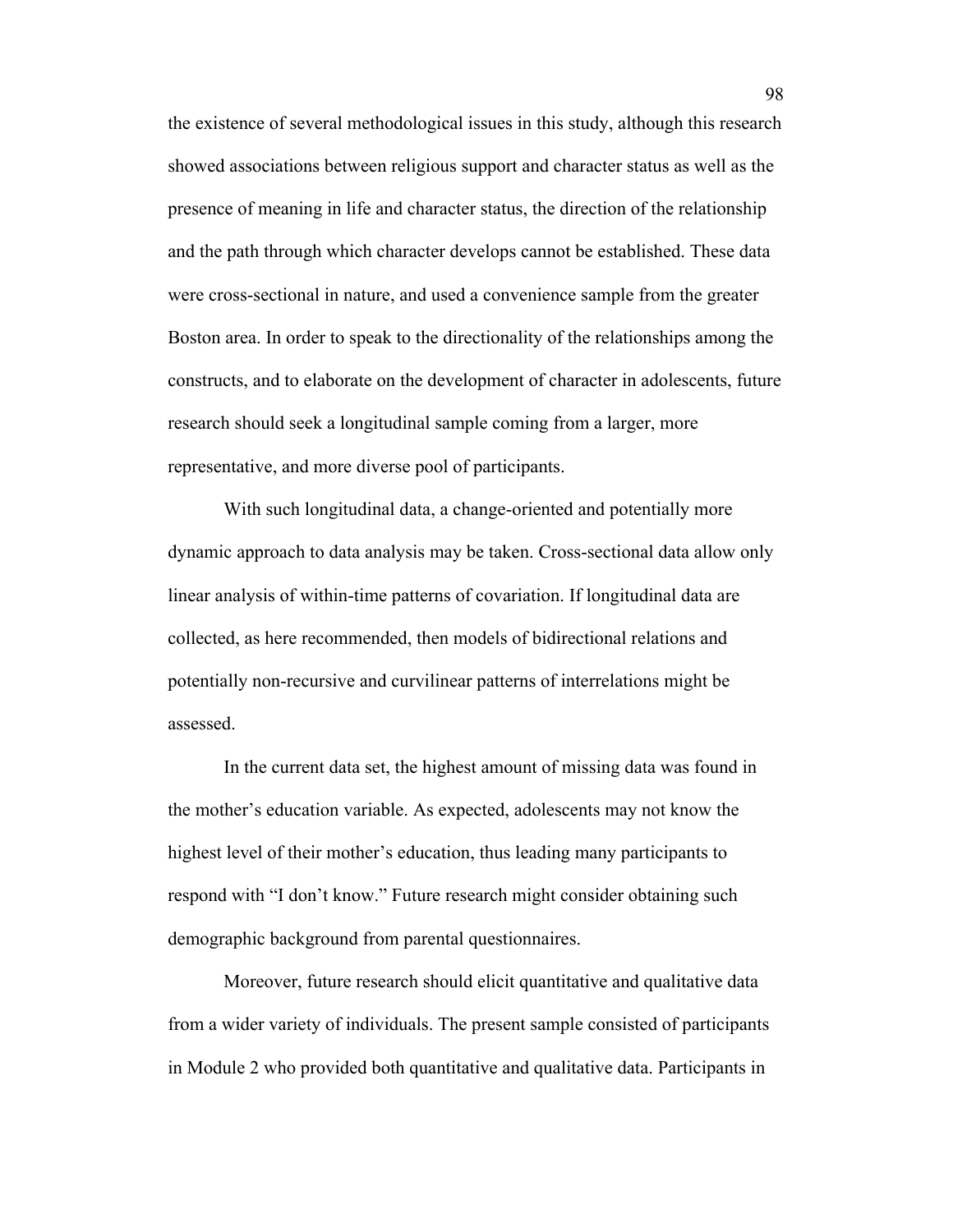the existence of several methodological issues in this study, although this research showed associations between religious support and character status as well as the presence of meaning in life and character status, the direction of the relationship and the path through which character develops cannot be established. These data were cross-sectional in nature, and used a convenience sample from the greater Boston area. In order to speak to the directionality of the relationships among the constructs, and to elaborate on the development of character in adolescents, future research should seek a longitudinal sample coming from a larger, more representative, and more diverse pool of participants.

With such longitudinal data, a change-oriented and potentially more dynamic approach to data analysis may be taken. Cross-sectional data allow only linear analysis of within-time patterns of covariation. If longitudinal data are collected, as here recommended, then models of bidirectional relations and potentially non-recursive and curvilinear patterns of interrelations might be assessed.

In the current data set, the highest amount of missing data was found in the mother's education variable. As expected, adolescents may not know the highest level of their mother's education, thus leading many participants to respond with "I don't know." Future research might consider obtaining such demographic background from parental questionnaires.

Moreover, future research should elicit quantitative and qualitative data from a wider variety of individuals. The present sample consisted of participants in Module 2 who provided both quantitative and qualitative data. Participants in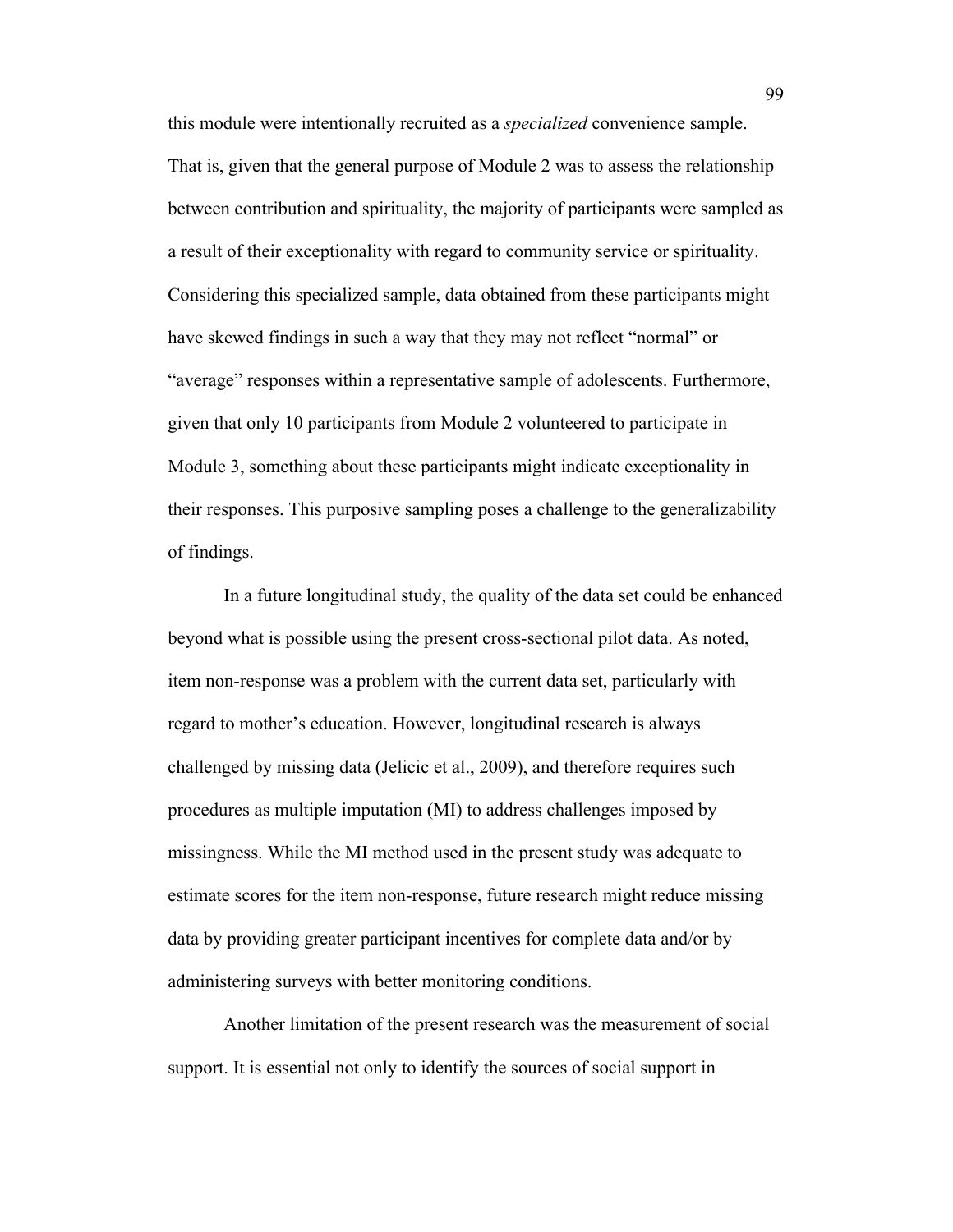this module were intentionally recruited as a *specialized* convenience sample. That is, given that the general purpose of Module 2 was to assess the relationship between contribution and spirituality, the majority of participants were sampled as a result of their exceptionality with regard to community service or spirituality. Considering this specialized sample, data obtained from these participants might have skewed findings in such a way that they may not reflect "normal" or "average" responses within a representative sample of adolescents. Furthermore, given that only 10 participants from Module 2 volunteered to participate in Module 3, something about these participants might indicate exceptionality in their responses. This purposive sampling poses a challenge to the generalizability of findings.

In a future longitudinal study, the quality of the data set could be enhanced beyond what is possible using the present cross-sectional pilot data. As noted, item non-response was a problem with the current data set, particularly with regard to mother's education. However, longitudinal research is always challenged by missing data (Jelicic et al., 2009), and therefore requires such procedures as multiple imputation (MI) to address challenges imposed by missingness. While the MI method used in the present study was adequate to estimate scores for the item non-response, future research might reduce missing data by providing greater participant incentives for complete data and/or by administering surveys with better monitoring conditions.

Another limitation of the present research was the measurement of social support. It is essential not only to identify the sources of social support in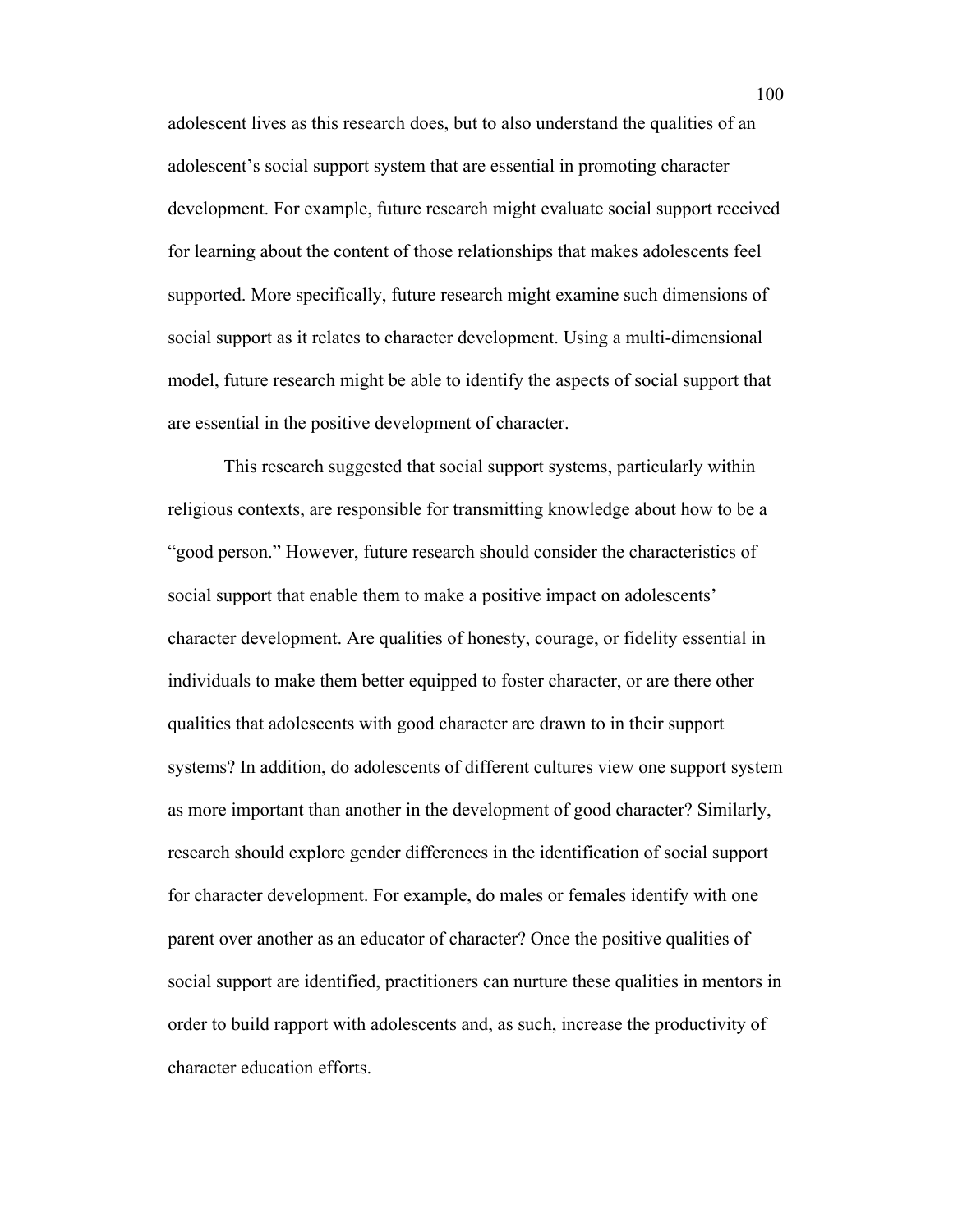adolescent lives as this research does, but to also understand the qualities of an adolescent's social support system that are essential in promoting character development. For example, future research might evaluate social support received for learning about the content of those relationships that makes adolescents feel supported. More specifically, future research might examine such dimensions of social support as it relates to character development. Using a multi-dimensional model, future research might be able to identify the aspects of social support that are essential in the positive development of character.

This research suggested that social support systems, particularly within religious contexts, are responsible for transmitting knowledge about how to be a "good person." However, future research should consider the characteristics of social support that enable them to make a positive impact on adolescents' character development. Are qualities of honesty, courage, or fidelity essential in individuals to make them better equipped to foster character, or are there other qualities that adolescents with good character are drawn to in their support systems? In addition, do adolescents of different cultures view one support system as more important than another in the development of good character? Similarly, research should explore gender differences in the identification of social support for character development. For example, do males or females identify with one parent over another as an educator of character? Once the positive qualities of social support are identified, practitioners can nurture these qualities in mentors in order to build rapport with adolescents and, as such, increase the productivity of character education efforts.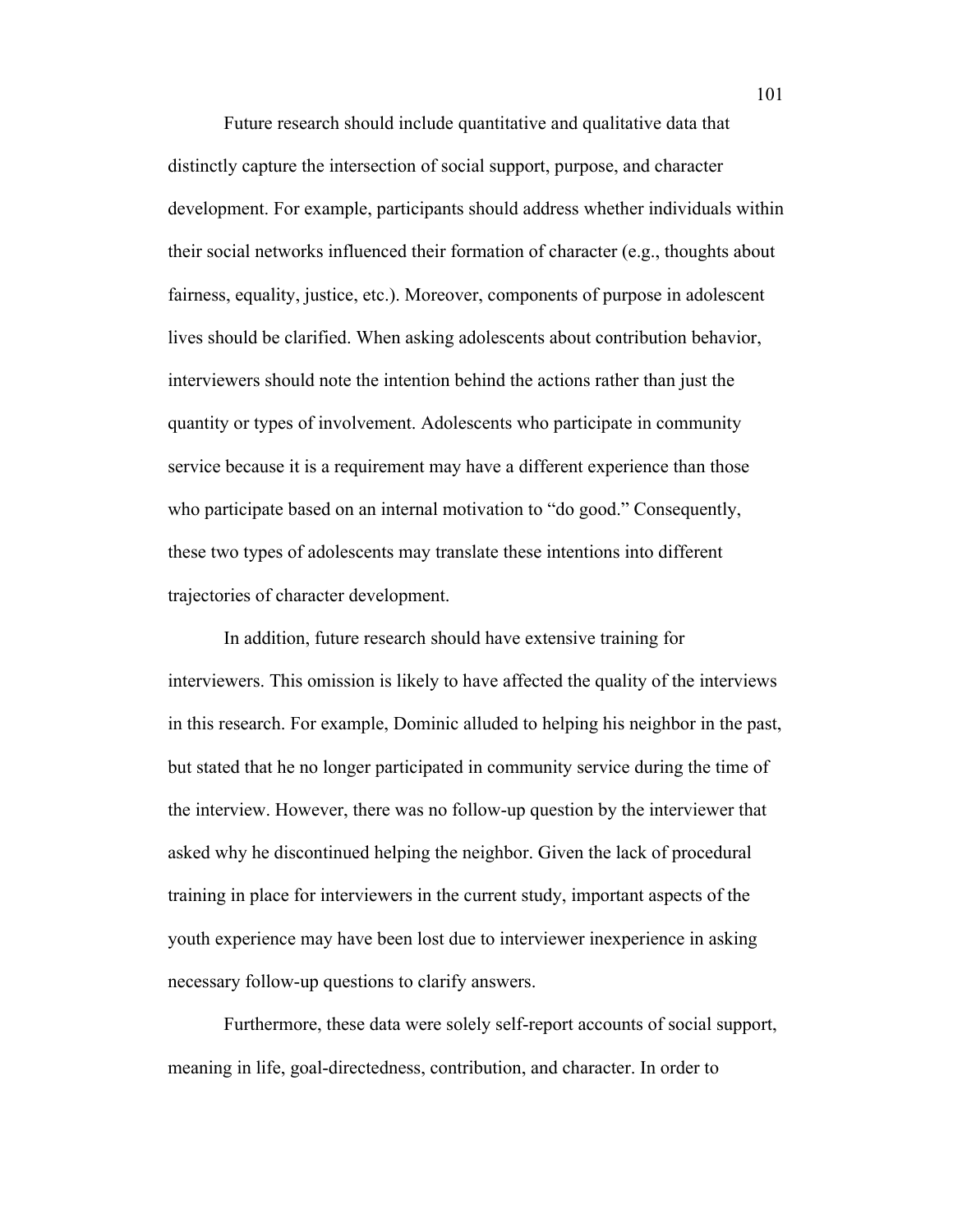Future research should include quantitative and qualitative data that distinctly capture the intersection of social support, purpose, and character development. For example, participants should address whether individuals within their social networks influenced their formation of character (e.g., thoughts about fairness, equality, justice, etc.). Moreover, components of purpose in adolescent lives should be clarified. When asking adolescents about contribution behavior, interviewers should note the intention behind the actions rather than just the quantity or types of involvement. Adolescents who participate in community service because it is a requirement may have a different experience than those who participate based on an internal motivation to "do good." Consequently, these two types of adolescents may translate these intentions into different trajectories of character development.

In addition, future research should have extensive training for interviewers. This omission is likely to have affected the quality of the interviews in this research. For example, Dominic alluded to helping his neighbor in the past, but stated that he no longer participated in community service during the time of the interview. However, there was no follow-up question by the interviewer that asked why he discontinued helping the neighbor. Given the lack of procedural training in place for interviewers in the current study, important aspects of the youth experience may have been lost due to interviewer inexperience in asking necessary follow-up questions to clarify answers.

Furthermore, these data were solely self-report accounts of social support, meaning in life, goal-directedness, contribution, and character. In order to

101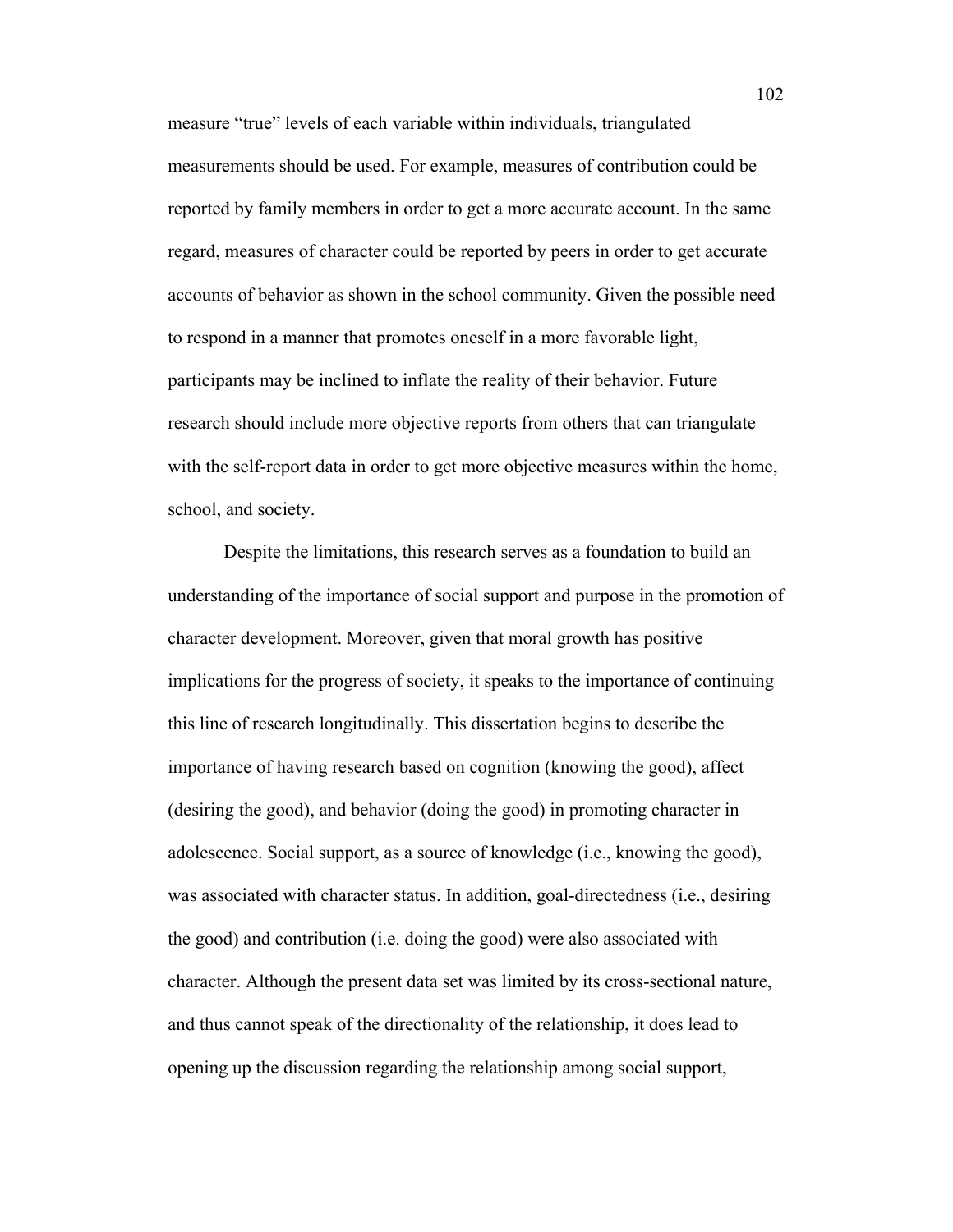measure "true" levels of each variable within individuals, triangulated measurements should be used. For example, measures of contribution could be reported by family members in order to get a more accurate account. In the same regard, measures of character could be reported by peers in order to get accurate accounts of behavior as shown in the school community. Given the possible need to respond in a manner that promotes oneself in a more favorable light, participants may be inclined to inflate the reality of their behavior. Future research should include more objective reports from others that can triangulate with the self-report data in order to get more objective measures within the home, school, and society.

Despite the limitations, this research serves as a foundation to build an understanding of the importance of social support and purpose in the promotion of character development. Moreover, given that moral growth has positive implications for the progress of society, it speaks to the importance of continuing this line of research longitudinally. This dissertation begins to describe the importance of having research based on cognition (knowing the good), affect (desiring the good), and behavior (doing the good) in promoting character in adolescence. Social support, as a source of knowledge (i.e., knowing the good), was associated with character status. In addition, goal-directedness (i.e., desiring the good) and contribution (i.e. doing the good) were also associated with character. Although the present data set was limited by its cross-sectional nature, and thus cannot speak of the directionality of the relationship, it does lead to opening up the discussion regarding the relationship among social support,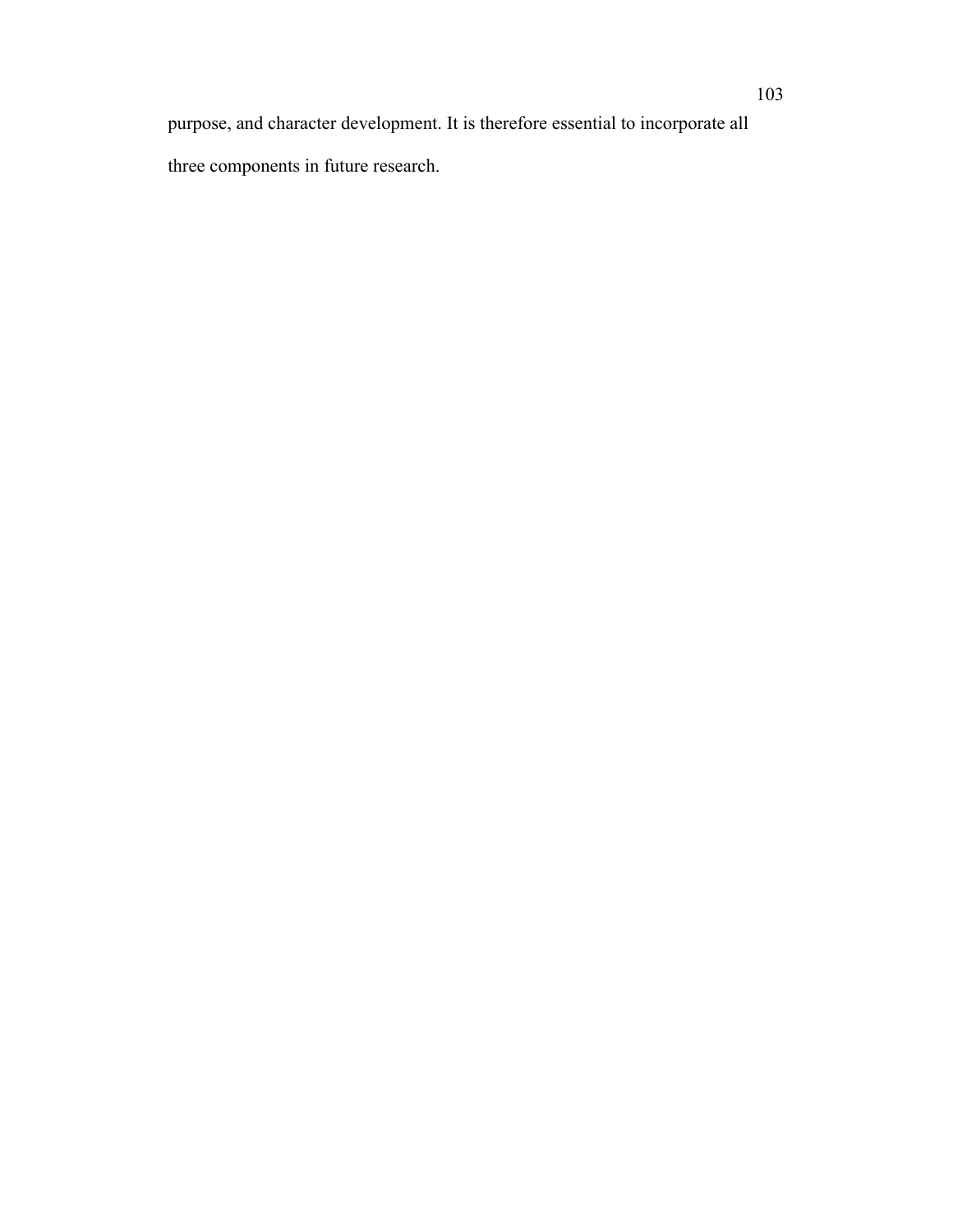purpose, and character development. It is therefore essential to incorporate all three components in future research.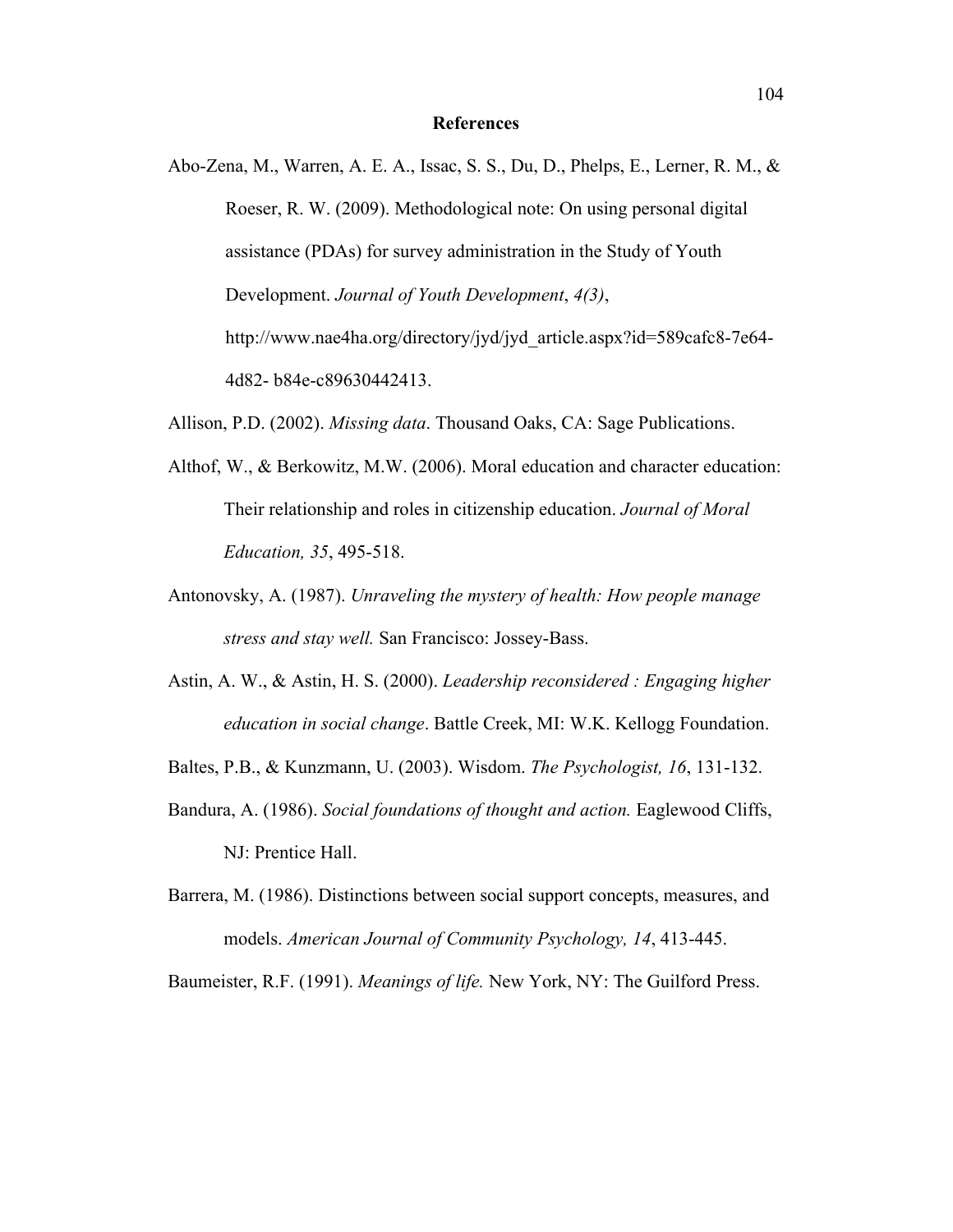## **References**

Abo-Zena, M., Warren, A. E. A., Issac, S. S., Du, D., Phelps, E., Lerner, R. M., & Roeser, R. W. (2009). Methodological note: On using personal digital assistance (PDAs) for survey administration in the Study of Youth Development. *Journal of Youth Development*, *4(3)*, http://www.nae4ha.org/directory/jyd/jyd\_article.aspx?id=589cafc8-7e64- 4d82- b84e-c89630442413.

Allison, P.D. (2002). *Missing data*. Thousand Oaks, CA: Sage Publications.

- Althof, W., & Berkowitz, M.W. (2006). Moral education and character education: Their relationship and roles in citizenship education. *Journal of Moral Education, 35*, 495-518.
- Antonovsky, A. (1987). *Unraveling the mystery of health: How people manage stress and stay well.* San Francisco: Jossey-Bass.
- Astin, A. W., & Astin, H. S. (2000). *Leadership reconsidered : Engaging higher education in social change*. Battle Creek, MI: W.K. Kellogg Foundation.
- Baltes, P.B., & Kunzmann, U. (2003). Wisdom. *The Psychologist, 16*, 131-132.
- Bandura, A. (1986). *Social foundations of thought and action.* Eaglewood Cliffs, NJ: Prentice Hall.
- Barrera, M. (1986). Distinctions between social support concepts, measures, and models. *American Journal of Community Psychology, 14*, 413-445.

Baumeister, R.F. (1991). *Meanings of life.* New York, NY: The Guilford Press.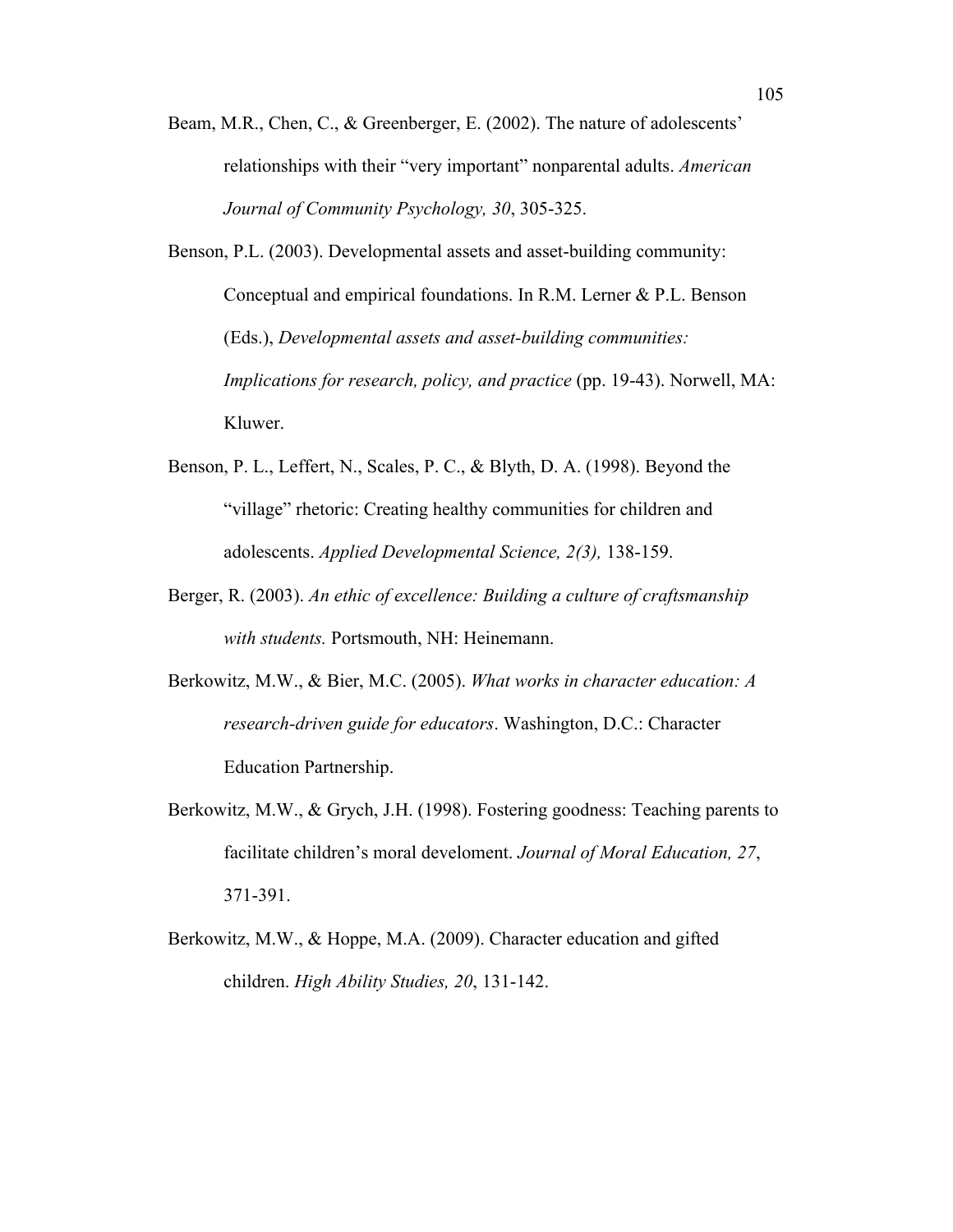- Beam, M.R., Chen, C., & Greenberger, E. (2002). The nature of adolescents' relationships with their "very important" nonparental adults. *American Journal of Community Psychology, 30*, 305-325.
- Benson, P.L. (2003). Developmental assets and asset-building community: Conceptual and empirical foundations. In R.M. Lerner & P.L. Benson (Eds.), *Developmental assets and asset-building communities: Implications for research, policy, and practice* (pp. 19-43). Norwell, MA: Kluwer.
- Benson, P. L., Leffert, N., Scales, P. C., & Blyth, D. A. (1998). Beyond the "village" rhetoric: Creating healthy communities for children and adolescents. *Applied Developmental Science, 2(3),* 138-159.
- Berger, R. (2003). *An ethic of excellence: Building a culture of craftsmanship with students.* Portsmouth, NH: Heinemann.
- Berkowitz, M.W., & Bier, M.C. (2005). *What works in character education: A research-driven guide for educators*. Washington, D.C.: Character Education Partnership.
- Berkowitz, M.W., & Grych, J.H. (1998). Fostering goodness: Teaching parents to facilitate children's moral develoment. *Journal of Moral Education, 27*, 371-391.
- Berkowitz, M.W., & Hoppe, M.A. (2009). Character education and gifted children. *High Ability Studies, 20*, 131-142.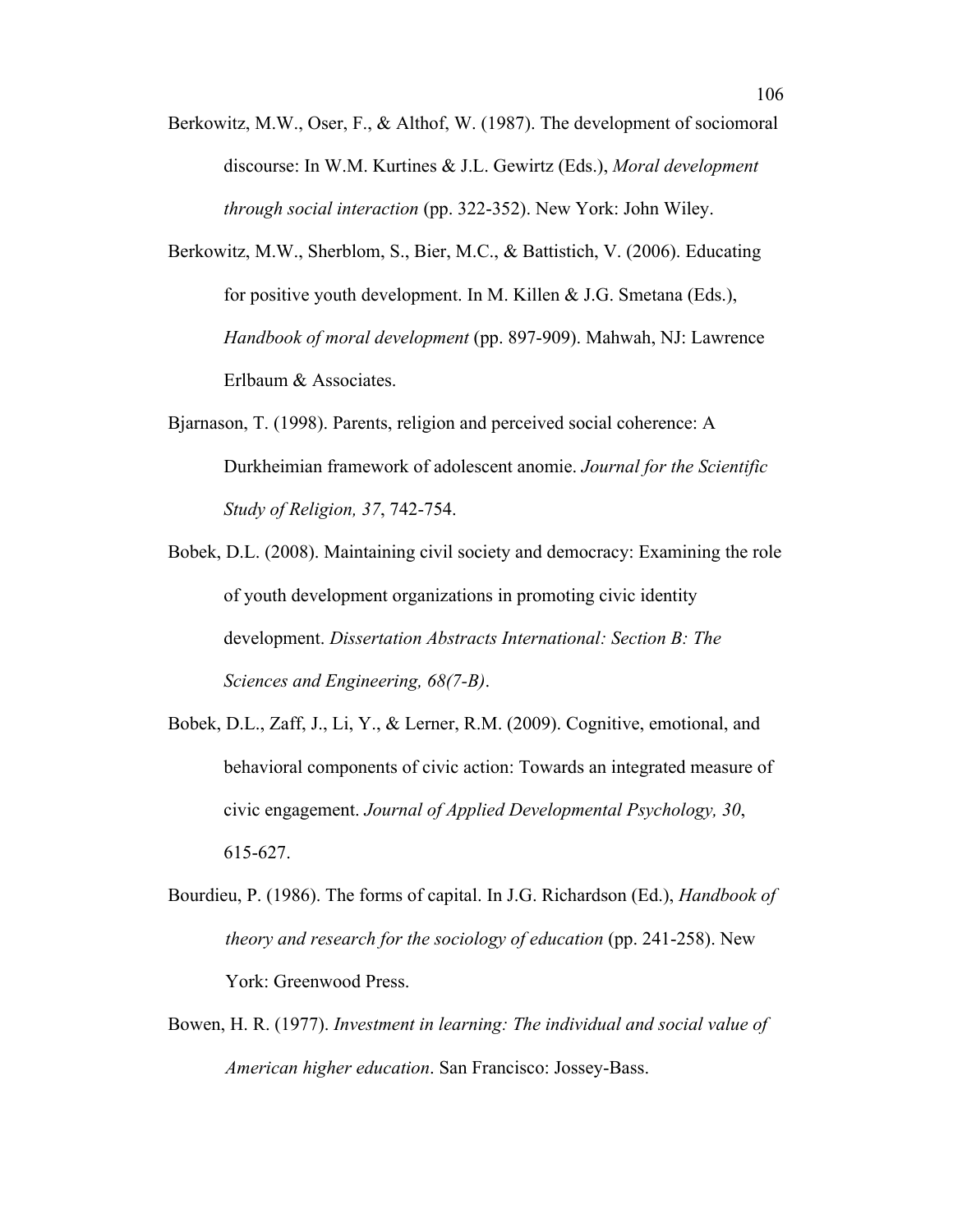- Berkowitz, M.W., Oser, F., & Althof, W. (1987). The development of sociomoral discourse: In W.M. Kurtines & J.L. Gewirtz (Eds.), *Moral development through social interaction* (pp. 322-352). New York: John Wiley.
- Berkowitz, M.W., Sherblom, S., Bier, M.C., & Battistich, V. (2006). Educating for positive youth development. In M. Killen & J.G. Smetana (Eds.), *Handbook of moral development* (pp. 897-909). Mahwah, NJ: Lawrence Erlbaum & Associates.
- Bjarnason, T. (1998). Parents, religion and perceived social coherence: A Durkheimian framework of adolescent anomie. *Journal for the Scientific Study of Religion, 37*, 742-754.
- Bobek, D.L. (2008). Maintaining civil society and democracy: Examining the role of youth development organizations in promoting civic identity development. *Dissertation Abstracts International: Section B: The Sciences and Engineering, 68(7-B)*.
- Bobek, D.L., Zaff, J., Li, Y., & Lerner, R.M. (2009). Cognitive, emotional, and behavioral components of civic action: Towards an integrated measure of civic engagement. *Journal of Applied Developmental Psychology, 30*, 615-627.
- Bourdieu, P. (1986). The forms of capital. In J.G. Richardson (Ed.), *Handbook of theory and research for the sociology of education (pp. 241-258).* New York: Greenwood Press.
- Bowen, H. R. (1977). *Investment in learning: The individual and social value of American higher education*. San Francisco: Jossey-Bass.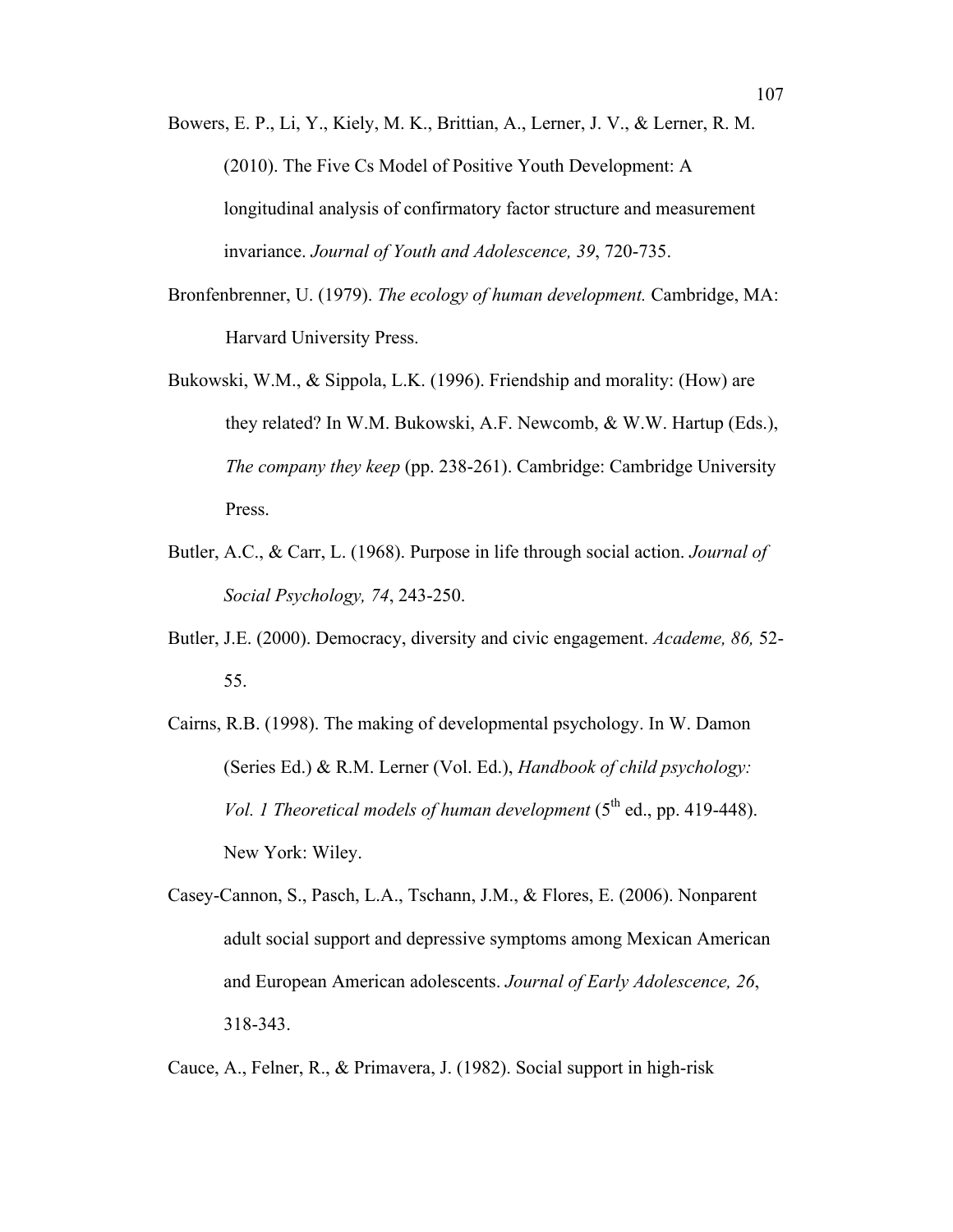Bowers, E. P., Li, Y., Kiely, M. K., Brittian, A., Lerner, J. V., & Lerner, R. M. (2010). The Five Cs Model of Positive Youth Development: A longitudinal analysis of confirmatory factor structure and measurement invariance. *Journal of Youth and Adolescence, 39*, 720-735.

- Bronfenbrenner, U. (1979). *The ecology of human development.* Cambridge, MA: Harvard University Press.
- Bukowski, W.M., & Sippola, L.K. (1996). Friendship and morality: (How) are they related? In W.M. Bukowski, A.F. Newcomb, & W.W. Hartup (Eds.), *The company they keep* (pp. 238-261). Cambridge: Cambridge University Press.
- Butler, A.C., & Carr, L. (1968). Purpose in life through social action. *Journal of Social Psychology, 74*, 243-250.
- Butler, J.E. (2000). Democracy, diversity and civic engagement. *Academe, 86,* 52- 55.
- Cairns, R.B. (1998). The making of developmental psychology. In W. Damon (Series Ed.) & R.M. Lerner (Vol. Ed.), *Handbook of child psychology: Vol. 1 Theoretical models of human development*  $(5<sup>th</sup>$  ed., pp. 419-448). New York: Wiley.
- Casey-Cannon, S., Pasch, L.A., Tschann, J.M., & Flores, E. (2006). Nonparent adult social support and depressive symptoms among Mexican American and European American adolescents. *Journal of Early Adolescence, 26*, 318-343.

Cauce, A., Felner, R., & Primavera, J. (1982). Social support in high-risk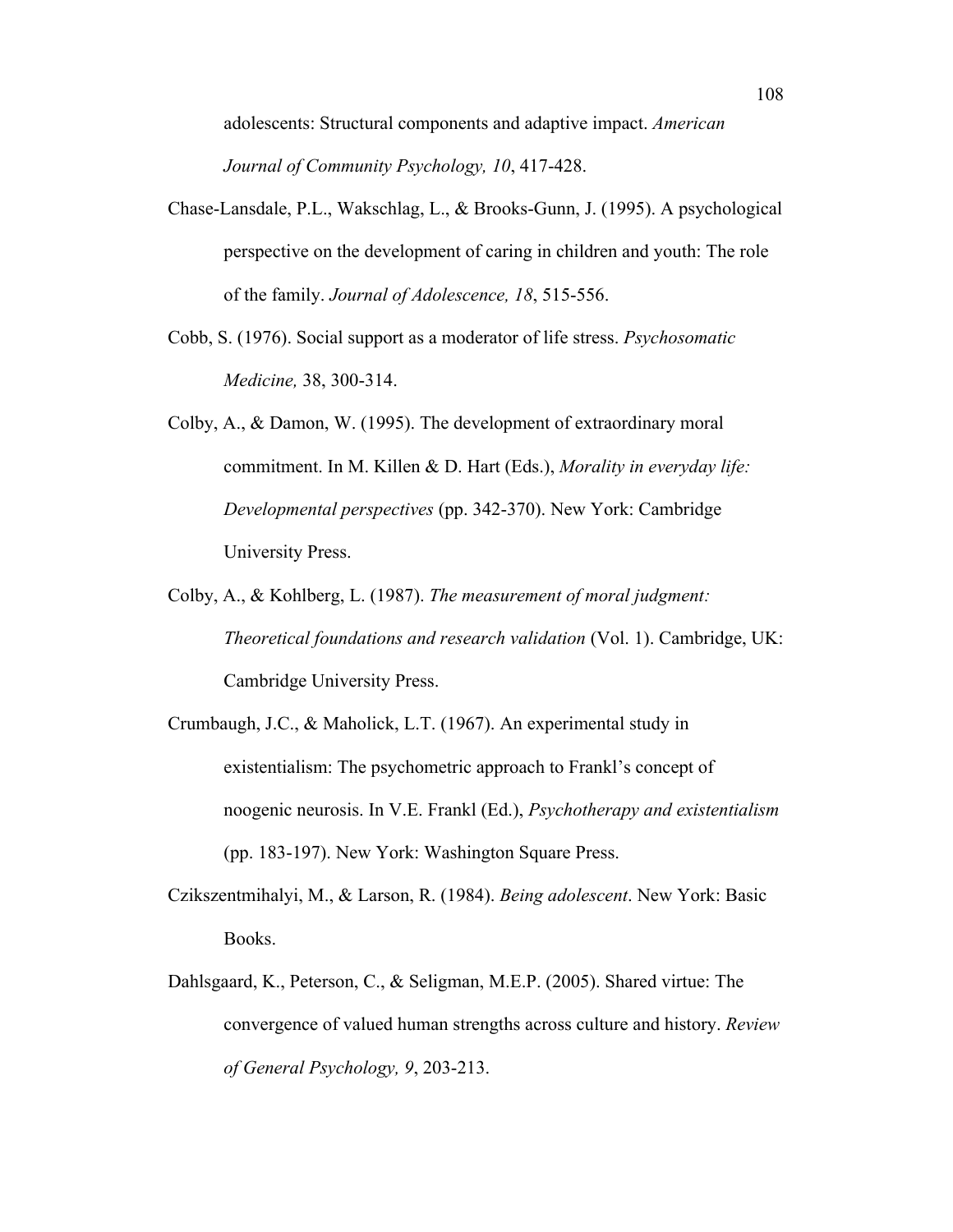adolescents: Structural components and adaptive impact. *American Journal of Community Psychology, 10*, 417-428.

- Chase-Lansdale, P.L., Wakschlag, L., & Brooks-Gunn, J. (1995). A psychological perspective on the development of caring in children and youth: The role of the family. *Journal of Adolescence, 18*, 515-556.
- Cobb, S. (1976). Social support as a moderator of life stress. *Psychosomatic Medicine,* 38, 300-314.
- Colby, A., & Damon, W. (1995). The development of extraordinary moral commitment. In M. Killen & D. Hart (Eds.), *Morality in everyday life: Developmental perspectives* (pp. 342-370). New York: Cambridge University Press.
- Colby, A., & Kohlberg, L. (1987). *The measurement of moral judgment: Theoretical foundations and research validation* (Vol. 1). Cambridge, UK: Cambridge University Press.
- Crumbaugh, J.C., & Maholick, L.T. (1967). An experimental study in existentialism: The psychometric approach to Frankl's concept of noogenic neurosis. In V.E. Frankl (Ed.), *Psychotherapy and existentialism* (pp. 183-197). New York: Washington Square Press.
- Czikszentmihalyi, M., & Larson, R. (1984). *Being adolescent*. New York: Basic Books.
- Dahlsgaard, K., Peterson, C., & Seligman, M.E.P. (2005). Shared virtue: The convergence of valued human strengths across culture and history. *Review of General Psychology, 9*, 203-213.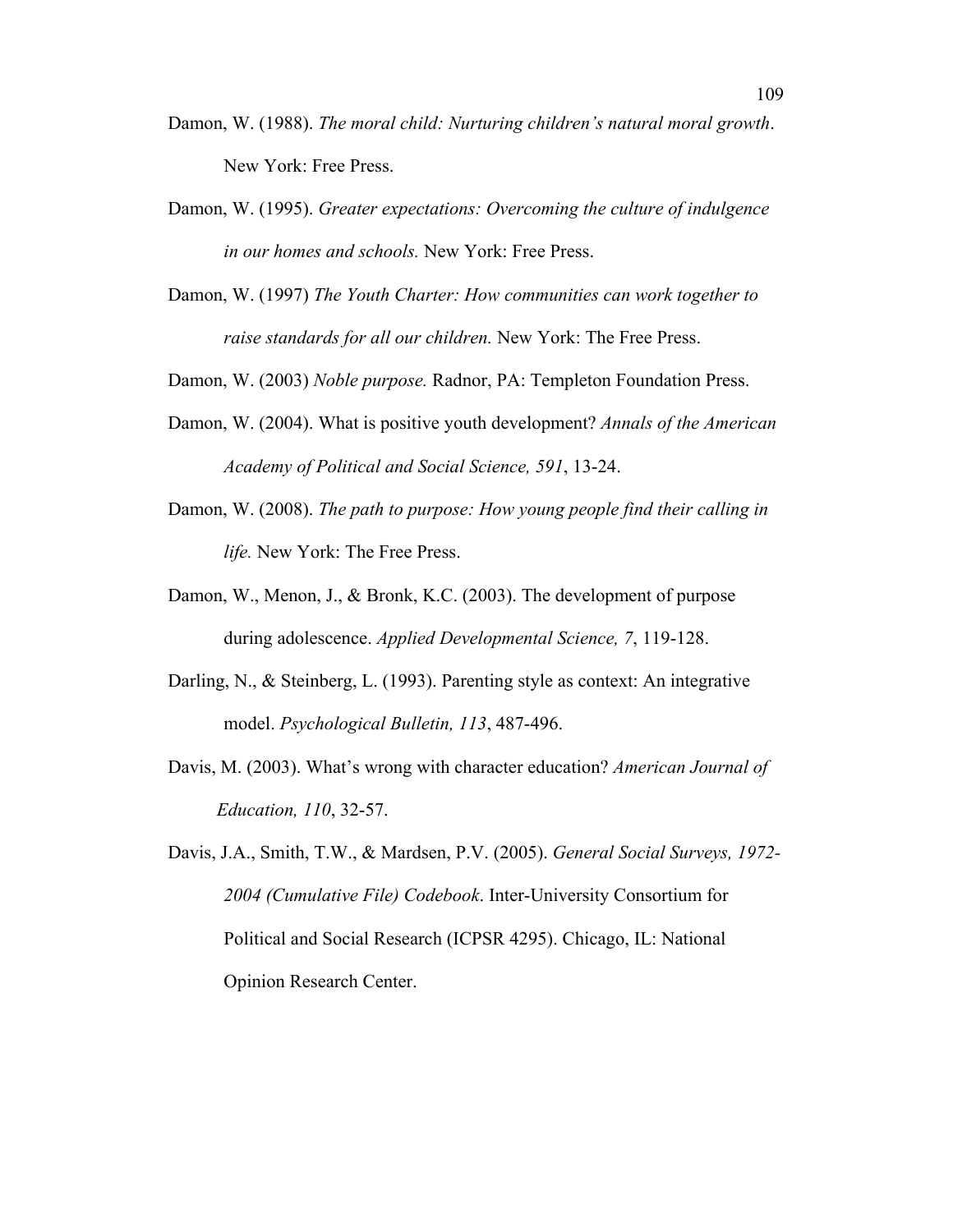- Damon, W. (1988). *The moral child: Nurturing children's natural moral growth*. New York: Free Press.
- Damon, W. (1995). *Greater expectations: Overcoming the culture of indulgence in our homes and schools.* New York: Free Press.
- Damon, W. (1997) *The Youth Charter: How communities can work together to raise standards for all our children.* New York: The Free Press.
- Damon, W. (2003) *Noble purpose.* Radnor, PA: Templeton Foundation Press.
- Damon, W. (2004). What is positive youth development? *Annals of the American Academy of Political and Social Science, 591*, 13-24.
- Damon, W. (2008). *The path to purpose: How young people find their calling in life.* New York: The Free Press.
- Damon, W., Menon, J., & Bronk, K.C. (2003). The development of purpose during adolescence. *Applied Developmental Science, 7*, 119-128.
- Darling, N., & Steinberg, L. (1993). Parenting style as context: An integrative model. *Psychological Bulletin, 113*, 487-496.
- Davis, M. (2003). What's wrong with character education? *American Journal of Education, 110*, 32-57.
- Davis, J.A., Smith, T.W., & Mardsen, P.V. (2005). *General Social Surveys, 1972- 2004 (Cumulative File) Codebook*. Inter-University Consortium for Political and Social Research (ICPSR 4295). Chicago, IL: National Opinion Research Center.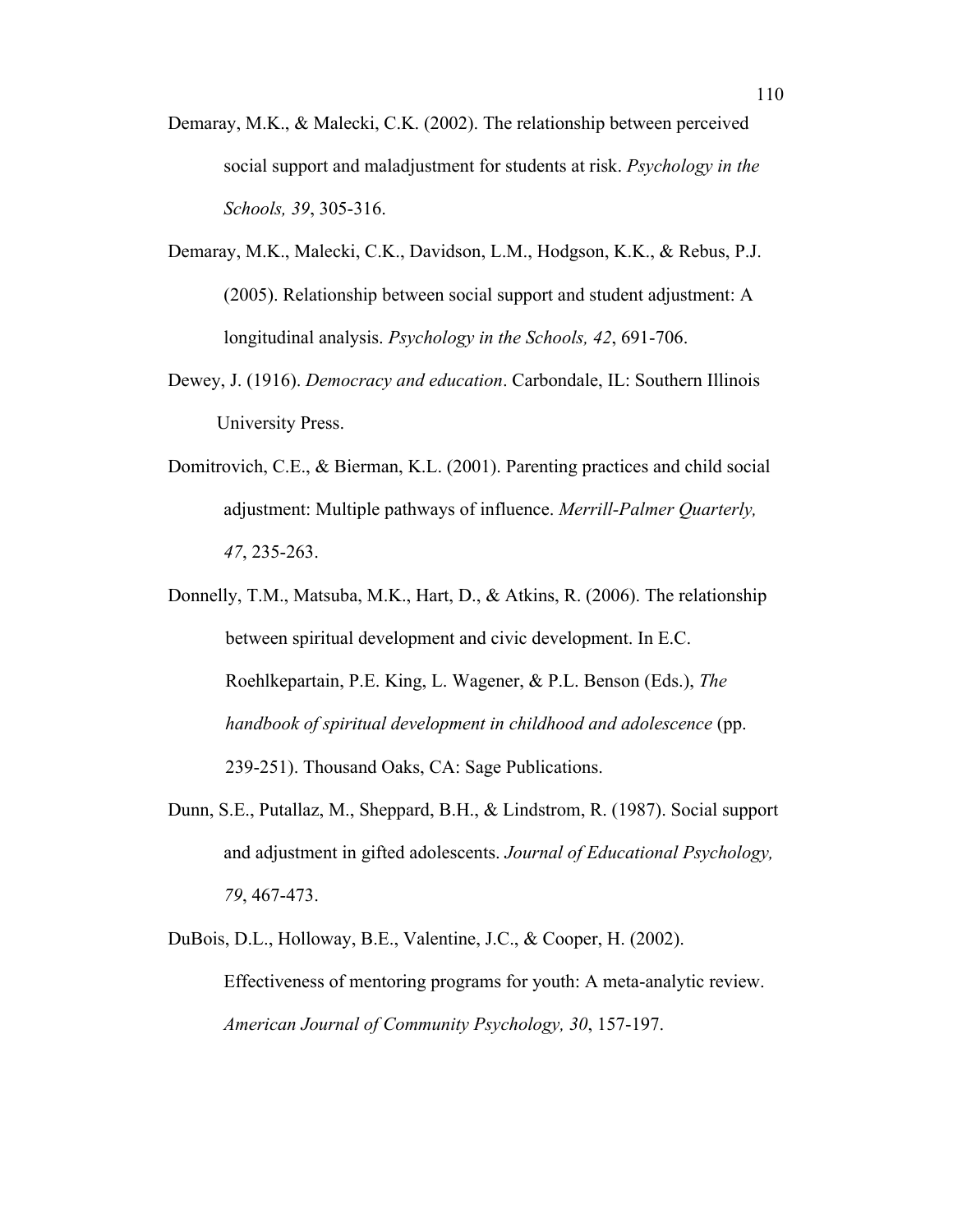- Demaray, M.K., & Malecki, C.K. (2002). The relationship between perceived social support and maladjustment for students at risk. *Psychology in the Schools, 39*, 305-316.
- Demaray, M.K., Malecki, C.K., Davidson, L.M., Hodgson, K.K., & Rebus, P.J. (2005). Relationship between social support and student adjustment: A longitudinal analysis. *Psychology in the Schools, 42*, 691-706.
- Dewey, J. (1916). *Democracy and education*. Carbondale, IL: Southern Illinois University Press.
- Domitrovich, C.E., & Bierman, K.L. (2001). Parenting practices and child social adjustment: Multiple pathways of influence. *Merrill-Palmer Quarterly, 47*, 235-263.
- Donnelly, T.M., Matsuba, M.K., Hart, D., & Atkins, R. (2006). The relationship between spiritual development and civic development. In E.C. Roehlkepartain, P.E. King, L. Wagener, & P.L. Benson (Eds.), *The handbook of spiritual development in childhood and adolescence* (pp. 239-251). Thousand Oaks, CA: Sage Publications.
- Dunn, S.E., Putallaz, M., Sheppard, B.H., & Lindstrom, R. (1987). Social support and adjustment in gifted adolescents. *Journal of Educational Psychology, 79*, 467-473.
- DuBois, D.L., Holloway, B.E., Valentine, J.C., & Cooper, H. (2002). Effectiveness of mentoring programs for youth: A meta-analytic review. *American Journal of Community Psychology, 30*, 157-197.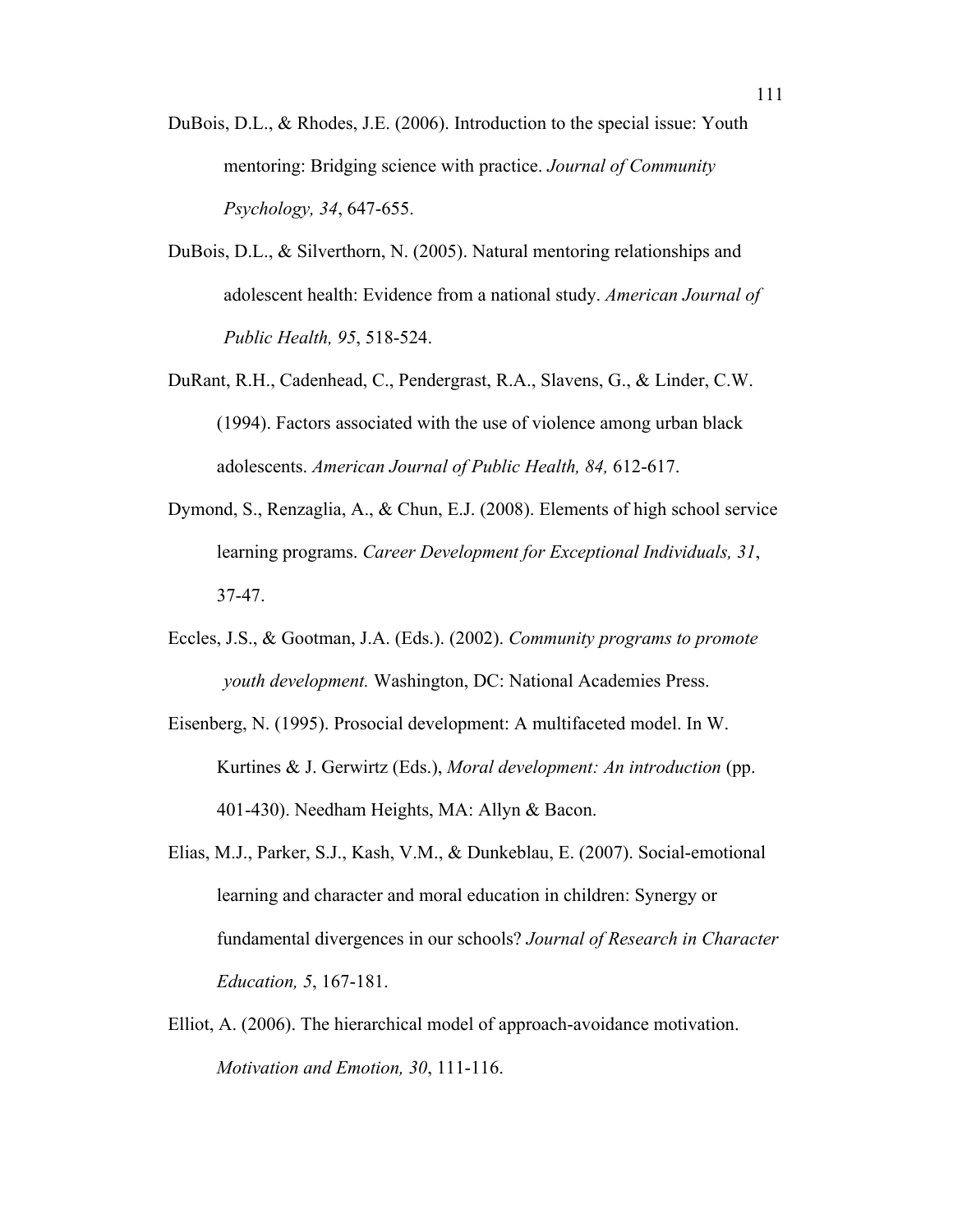- DuBois, D.L., & Rhodes, J.E. (2006). Introduction to the special issue: Youth mentoring: Bridging science with practice. *Journal of Community Psychology, 34*, 647-655.
- DuBois, D.L., & Silverthorn, N. (2005). Natural mentoring relationships and adolescent health: Evidence from a national study. *American Journal of Public Health, 95*, 518-524.
- DuRant, R.H., Cadenhead, C., Pendergrast, R.A., Slavens, G., & Linder, C.W. (1994). Factors associated with the use of violence among urban black adolescents. *American Journal of Public Health, 84,* 612-617.
- Dymond, S., Renzaglia, A., & Chun, E.J. (2008). Elements of high school service learning programs. *Career Development for Exceptional Individuals, 31*, 37-47.
- Eccles, J.S., & Gootman, J.A. (Eds.). (2002). *Community programs to promote youth development.* Washington, DC: National Academies Press.
- Eisenberg, N. (1995). Prosocial development: A multifaceted model. In W. Kurtines & J. Gerwirtz (Eds.), *Moral development: An introduction* (pp. 401-430). Needham Heights, MA: Allyn & Bacon.
- Elias, M.J., Parker, S.J., Kash, V.M., & Dunkeblau, E. (2007). Social-emotional learning and character and moral education in children: Synergy or fundamental divergences in our schools? *Journal of Research in Character Education, 5*, 167-181.
- Elliot, A. (2006). The hierarchical model of approach-avoidance motivation. *Motivation and Emotion, 30*, 111-116.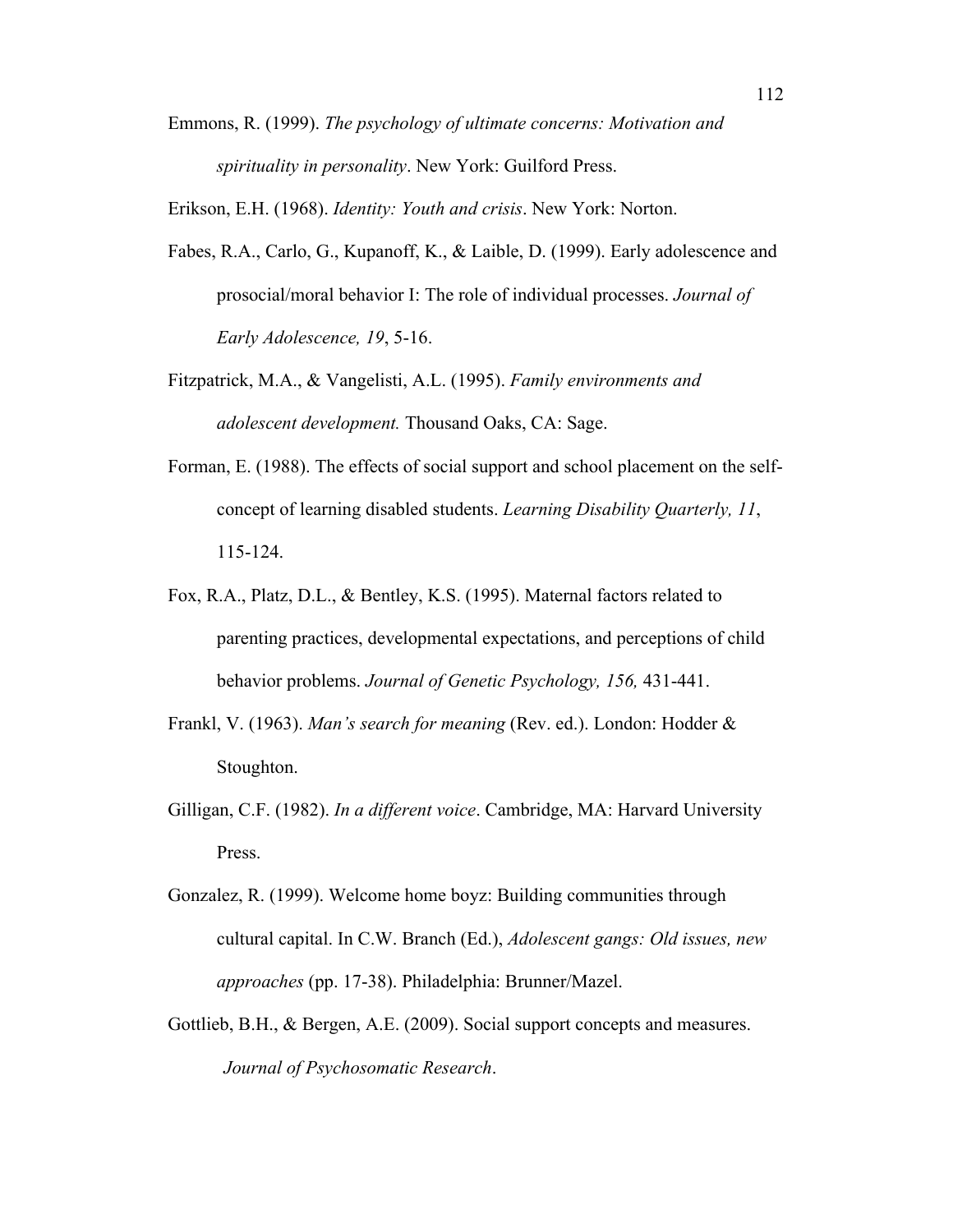Emmons, R. (1999). *The psychology of ultimate concerns: Motivation and spirituality in personality*. New York: Guilford Press.

Erikson, E.H. (1968). *Identity: Youth and crisis*. New York: Norton.

- Fabes, R.A., Carlo, G., Kupanoff, K., & Laible, D. (1999). Early adolescence and prosocial/moral behavior I: The role of individual processes. *Journal of Early Adolescence, 19*, 5-16.
- Fitzpatrick, M.A., & Vangelisti, A.L. (1995). *Family environments and adolescent development.* Thousand Oaks, CA: Sage.
- Forman, E. (1988). The effects of social support and school placement on the selfconcept of learning disabled students. *Learning Disability Quarterly, 11*, 115-124.
- Fox, R.A., Platz, D.L., & Bentley, K.S. (1995). Maternal factors related to parenting practices, developmental expectations, and perceptions of child behavior problems. *Journal of Genetic Psychology, 156,* 431-441.
- Frankl, V. (1963). *Man's search for meaning* (Rev. ed.). London: Hodder & Stoughton.
- Gilligan, C.F. (1982). *In a different voice*. Cambridge, MA: Harvard University Press.
- Gonzalez, R. (1999). Welcome home boyz: Building communities through cultural capital. In C.W. Branch (Ed.), *Adolescent gangs: Old issues, new approaches* (pp. 17-38). Philadelphia: Brunner/Mazel.
- Gottlieb, B.H., & Bergen, A.E. (2009). Social support concepts and measures. *Journal of Psychosomatic Research*.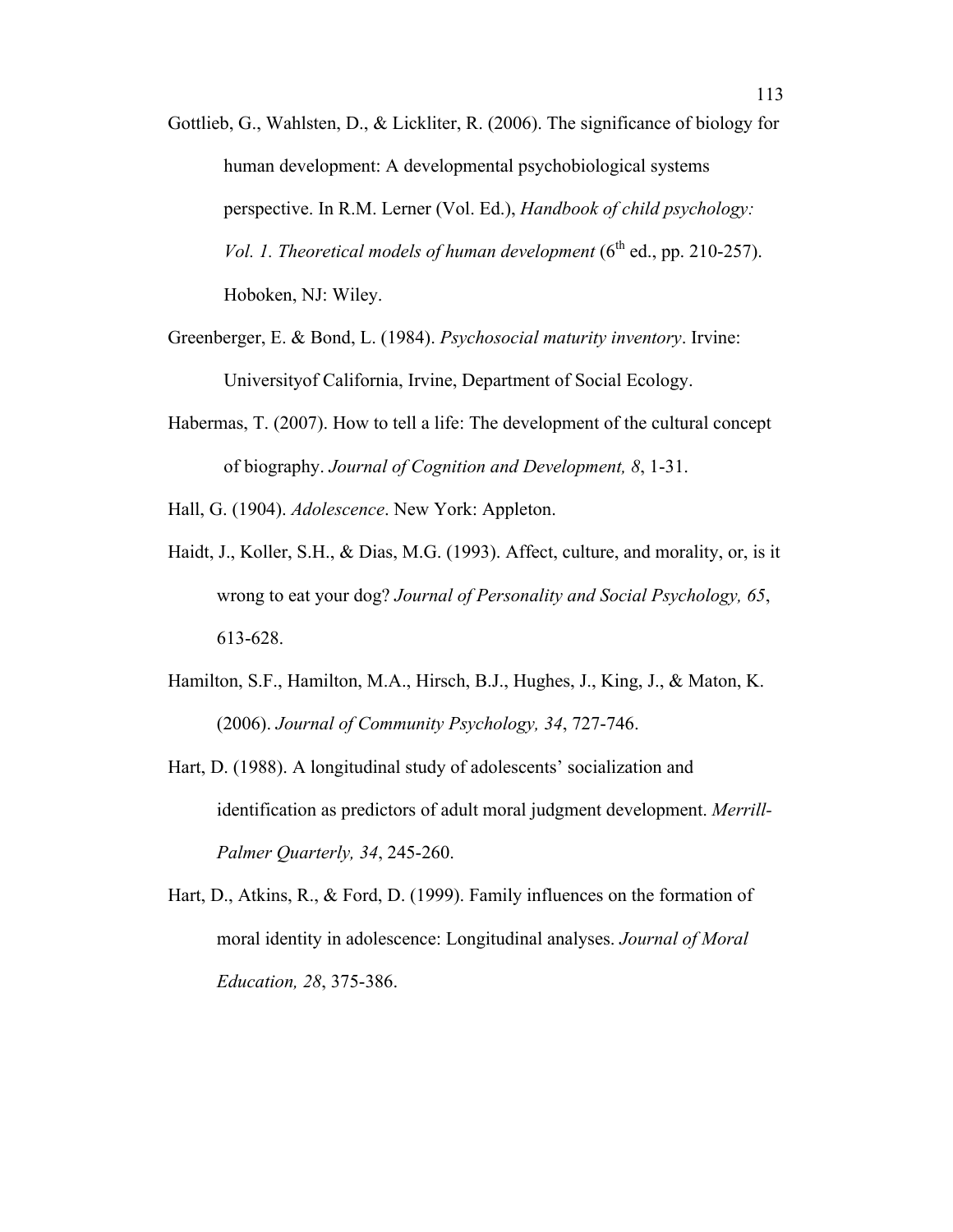- Gottlieb, G., Wahlsten, D., & Lickliter, R. (2006). The significance of biology for human development: A developmental psychobiological systems perspective. In R.M. Lerner (Vol. Ed.), *Handbook of child psychology: Vol. 1. Theoretical models of human development*  $(6^{th}$  ed., pp. 210-257). Hoboken, NJ: Wiley.
- Greenberger, E. & Bond, L. (1984). *Psychosocial maturity inventory*. Irvine: Universityof California, Irvine, Department of Social Ecology.
- Habermas, T. (2007). How to tell a life: The development of the cultural concept of biography. *Journal of Cognition and Development, 8*, 1-31.
- Hall, G. (1904). *Adolescence*. New York: Appleton.
- Haidt, J., Koller, S.H., & Dias, M.G. (1993). Affect, culture, and morality, or, is it wrong to eat your dog? *Journal of Personality and Social Psychology, 65*, 613-628.
- Hamilton, S.F., Hamilton, M.A., Hirsch, B.J., Hughes, J., King, J., & Maton, K. (2006). *Journal of Community Psychology, 34*, 727-746.
- Hart, D. (1988). A longitudinal study of adolescents' socialization and identification as predictors of adult moral judgment development. *Merrill-Palmer Quarterly, 34*, 245-260.
- Hart, D., Atkins, R., & Ford, D. (1999). Family influences on the formation of moral identity in adolescence: Longitudinal analyses. *Journal of Moral Education, 28*, 375-386.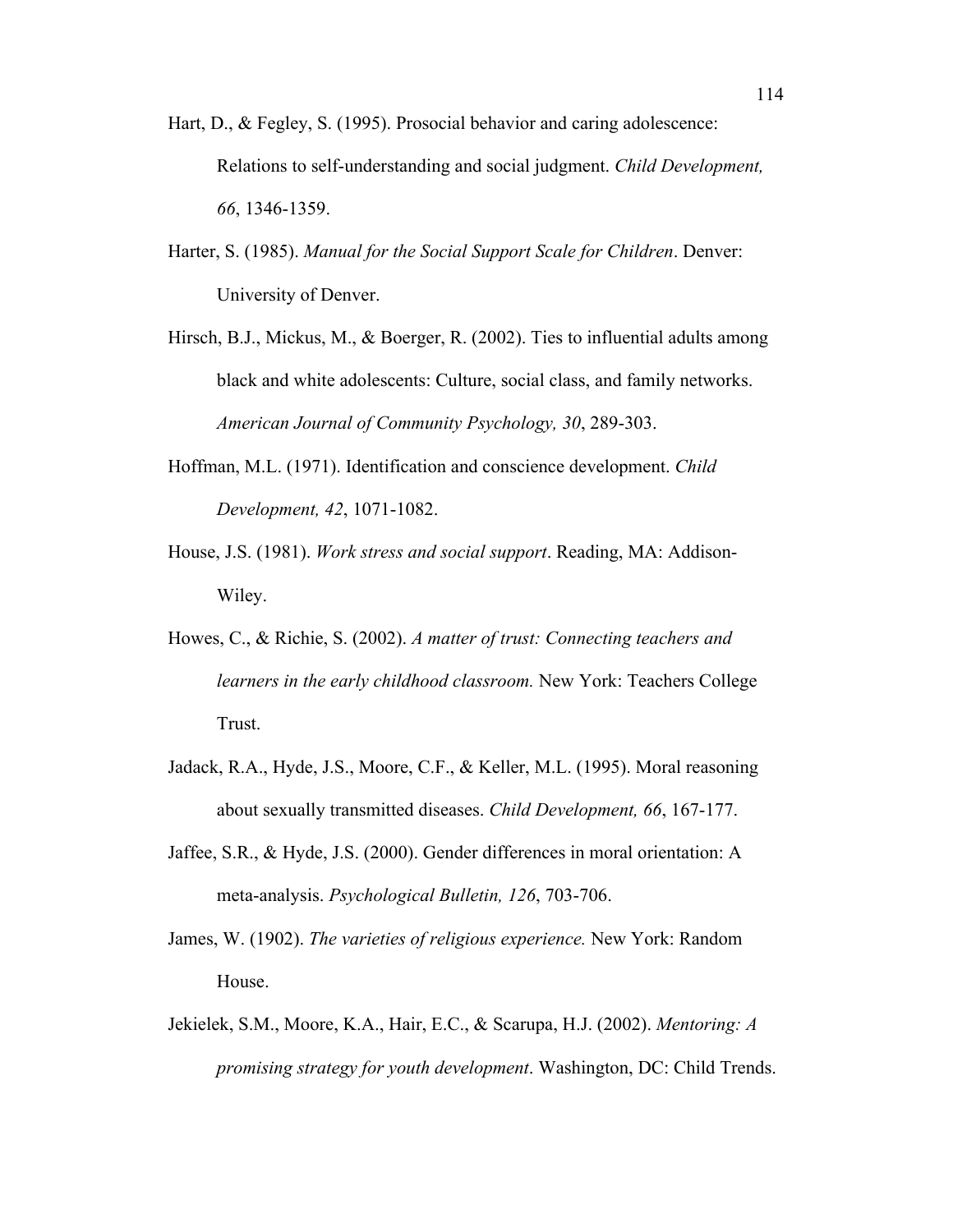- Hart, D., & Fegley, S. (1995). Prosocial behavior and caring adolescence: Relations to self-understanding and social judgment. *Child Development, 66*, 1346-1359.
- Harter, S. (1985). *Manual for the Social Support Scale for Children*. Denver: University of Denver.
- Hirsch, B.J., Mickus, M., & Boerger, R. (2002). Ties to influential adults among black and white adolescents: Culture, social class, and family networks. *American Journal of Community Psychology, 30*, 289-303.
- Hoffman, M.L. (1971). Identification and conscience development. *Child Development, 42*, 1071-1082.
- House, J.S. (1981). *Work stress and social support*. Reading, MA: Addison-Wiley.
- Howes, C., & Richie, S. (2002). *A matter of trust: Connecting teachers and learners in the early childhood classroom.* New York: Teachers College Trust.
- Jadack, R.A., Hyde, J.S., Moore, C.F., & Keller, M.L. (1995). Moral reasoning about sexually transmitted diseases. *Child Development, 66*, 167-177.
- Jaffee, S.R., & Hyde, J.S. (2000). Gender differences in moral orientation: A meta-analysis. *Psychological Bulletin, 126*, 703-706.
- James, W. (1902). *The varieties of religious experience.* New York: Random House.
- Jekielek, S.M., Moore, K.A., Hair, E.C., & Scarupa, H.J. (2002). *Mentoring: A promising strategy for youth development*. Washington, DC: Child Trends.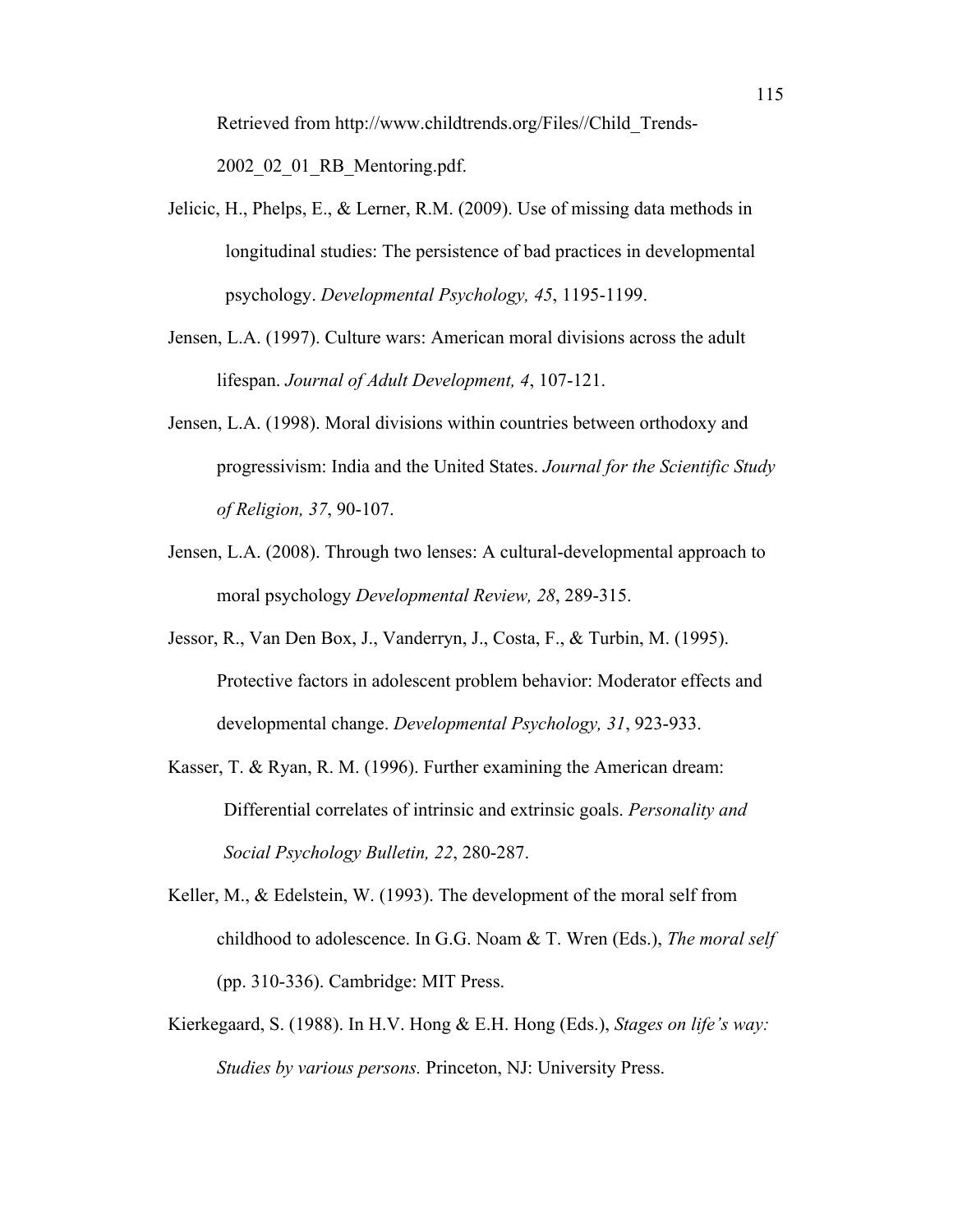Retrieved from http://www.childtrends.org/Files//Child\_Trends-2002\_02\_01\_RB\_Mentoring.pdf.

- Jelicic, H., Phelps, E., & Lerner, R.M. (2009). Use of missing data methods in longitudinal studies: The persistence of bad practices in developmental psychology. *Developmental Psychology, 45*, 1195-1199.
- Jensen, L.A. (1997). Culture wars: American moral divisions across the adult lifespan. *Journal of Adult Development, 4*, 107-121.
- Jensen, L.A. (1998). Moral divisions within countries between orthodoxy and progressivism: India and the United States. *Journal for the Scientific Study of Religion, 37*, 90-107.
- Jensen, L.A. (2008). Through two lenses: A cultural-developmental approach to moral psychology *Developmental Review, 28*, 289-315.
- Jessor, R., Van Den Box, J., Vanderryn, J., Costa, F., & Turbin, M. (1995). Protective factors in adolescent problem behavior: Moderator effects and developmental change. *Developmental Psychology, 31*, 923-933.
- Kasser, T. & Ryan, R. M. (1996). Further examining the American dream: Differential correlates of intrinsic and extrinsic goals. *Personality and Social Psychology Bulletin, 22*, 280-287.
- Keller, M., & Edelstein, W. (1993). The development of the moral self from childhood to adolescence. In G.G. Noam & T. Wren (Eds.), *The moral self* (pp. 310-336). Cambridge: MIT Press.
- Kierkegaard, S. (1988). In H.V. Hong & E.H. Hong (Eds.), *Stages on life's way: Studies by various persons.* Princeton, NJ: University Press.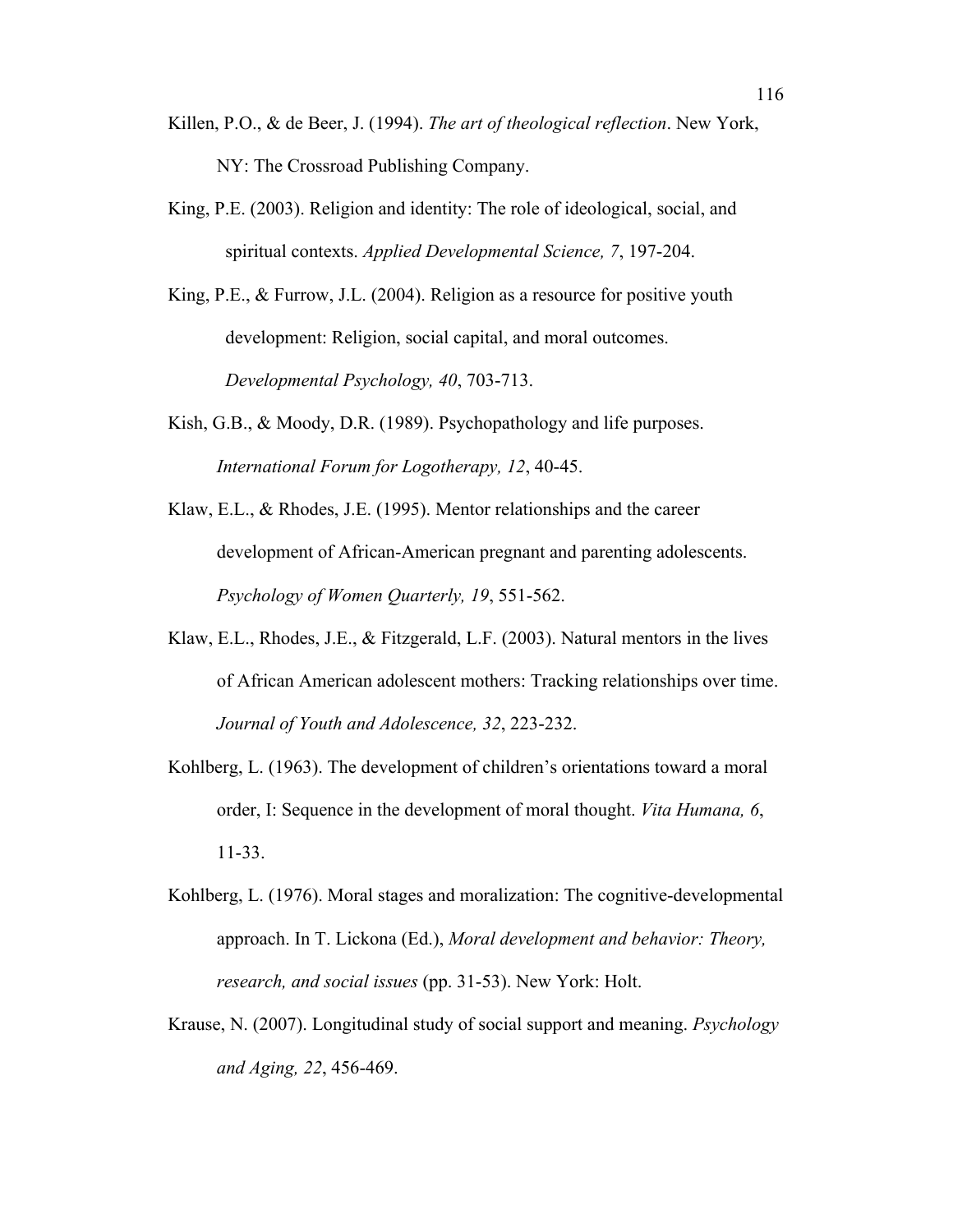- Killen, P.O., & de Beer, J. (1994). *The art of theological reflection*. New York, NY: The Crossroad Publishing Company.
- King, P.E. (2003). Religion and identity: The role of ideological, social, and spiritual contexts. *Applied Developmental Science, 7*, 197-204.
- King, P.E., & Furrow, J.L. (2004). Religion as a resource for positive youth development: Religion, social capital, and moral outcomes. *Developmental Psychology, 40*, 703-713.
- Kish, G.B., & Moody, D.R. (1989). Psychopathology and life purposes. *International Forum for Logotherapy, 12*, 40-45.
- Klaw, E.L., & Rhodes, J.E. (1995). Mentor relationships and the career development of African-American pregnant and parenting adolescents. *Psychology of Women Quarterly, 19*, 551-562.
- Klaw, E.L., Rhodes, J.E., & Fitzgerald, L.F. (2003). Natural mentors in the lives of African American adolescent mothers: Tracking relationships over time. *Journal of Youth and Adolescence, 32*, 223-232.
- Kohlberg, L. (1963). The development of children's orientations toward a moral order, I: Sequence in the development of moral thought. *Vita Humana, 6*, 11-33.
- Kohlberg, L. (1976). Moral stages and moralization: The cognitive-developmental approach. In T. Lickona (Ed.), *Moral development and behavior: Theory, research, and social issues* (pp. 31-53). New York: Holt.
- Krause, N. (2007). Longitudinal study of social support and meaning. *Psychology and Aging, 22*, 456-469.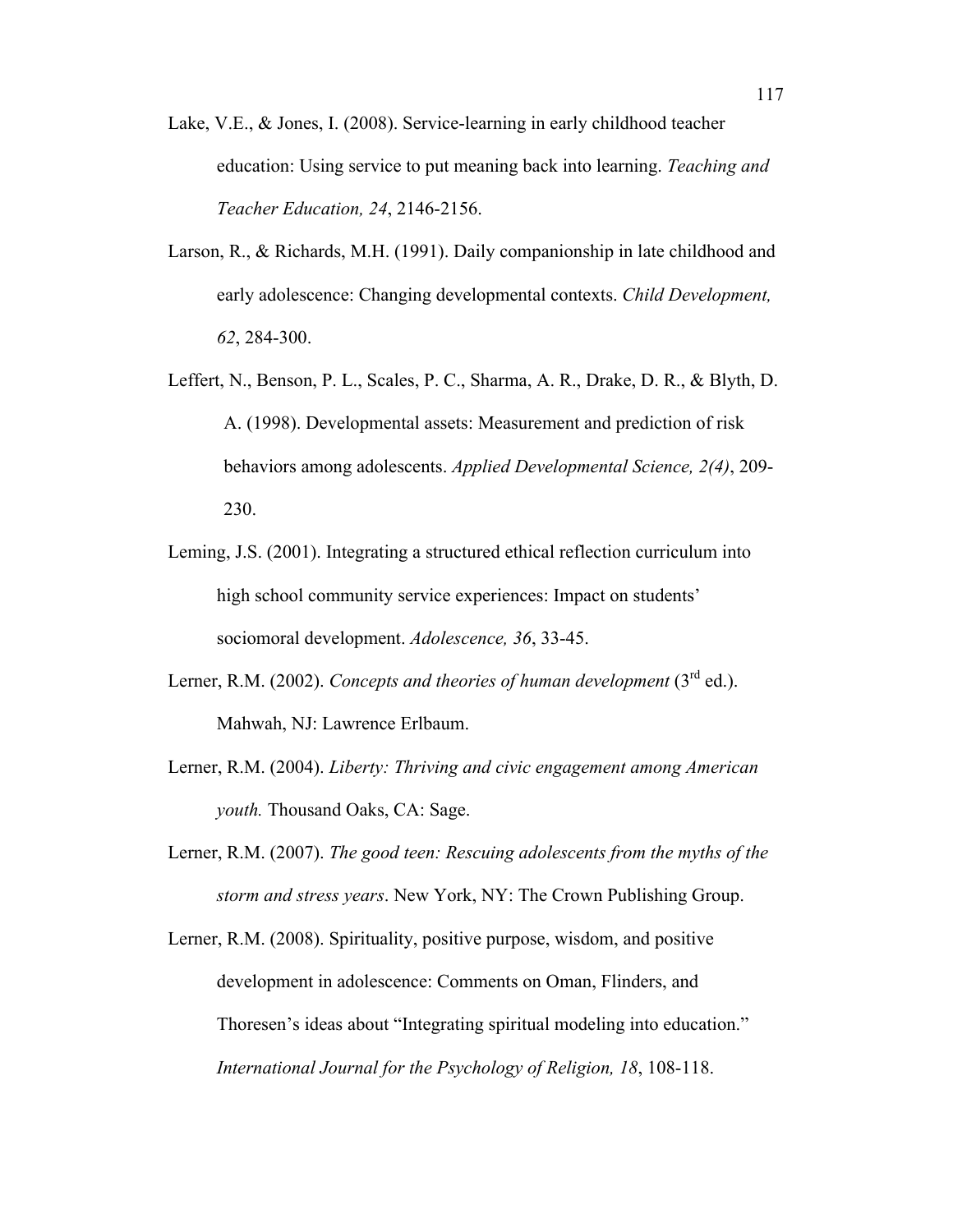- Lake, V.E., & Jones, I. (2008). Service-learning in early childhood teacher education: Using service to put meaning back into learning. *Teaching and Teacher Education, 24*, 2146-2156.
- Larson, R., & Richards, M.H. (1991). Daily companionship in late childhood and early adolescence: Changing developmental contexts. *Child Development, 62*, 284-300.
- Leffert, N., Benson, P. L., Scales, P. C., Sharma, A. R., Drake, D. R., & Blyth, D. A. (1998). Developmental assets: Measurement and prediction of risk behaviors among adolescents. *Applied Developmental Science, 2(4)*, 209- 230.
- Leming, J.S. (2001). Integrating a structured ethical reflection curriculum into high school community service experiences: Impact on students' sociomoral development. *Adolescence, 36*, 33-45.
- Lerner, R.M. (2002). *Concepts and theories of human development*  $(3<sup>rd</sup>$  ed.). Mahwah, NJ: Lawrence Erlbaum.
- Lerner, R.M. (2004). *Liberty: Thriving and civic engagement among American youth.* Thousand Oaks, CA: Sage.
- Lerner, R.M. (2007). *The good teen: Rescuing adolescents from the myths of the storm and stress years*. New York, NY: The Crown Publishing Group.
- Lerner, R.M. (2008). Spirituality, positive purpose, wisdom, and positive development in adolescence: Comments on Oman, Flinders, and Thoresen's ideas about "Integrating spiritual modeling into education." *International Journal for the Psychology of Religion, 18*, 108-118.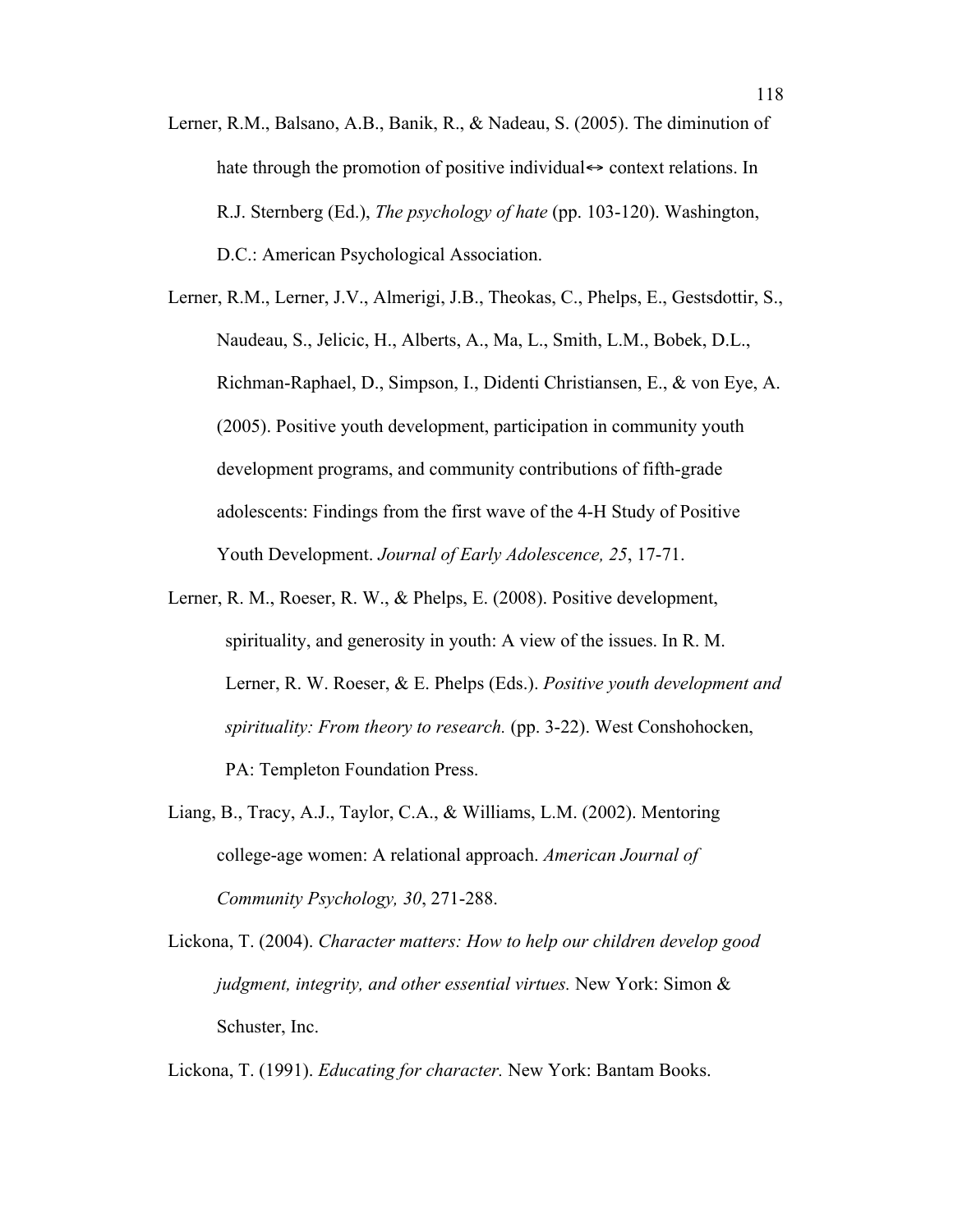- Lerner, R.M., Balsano, A.B., Banik, R., & Nadeau, S. (2005). The diminution of hate through the promotion of positive individual  $\leftrightarrow$  context relations. In R.J. Sternberg (Ed.), *The psychology of hate* (pp. 103-120). Washington, D.C.: American Psychological Association.
- Lerner, R.M., Lerner, J.V., Almerigi, J.B., Theokas, C., Phelps, E., Gestsdottir, S., Naudeau, S., Jelicic, H., Alberts, A., Ma, L., Smith, L.M., Bobek, D.L., Richman-Raphael, D., Simpson, I., Didenti Christiansen, E., & von Eye, A. (2005). Positive youth development, participation in community youth development programs, and community contributions of fifth-grade adolescents: Findings from the first wave of the 4-H Study of Positive Youth Development. *Journal of Early Adolescence, 25*, 17-71.
- Lerner, R. M., Roeser, R. W., & Phelps, E. (2008). Positive development, spirituality, and generosity in youth: A view of the issues. In R. M. Lerner, R. W. Roeser, & E. Phelps (Eds.). *Positive youth development and spirituality: From theory to research.* (pp. 3-22). West Conshohocken, PA: Templeton Foundation Press.
- Liang, B., Tracy, A.J., Taylor, C.A., & Williams, L.M. (2002). Mentoring college-age women: A relational approach. *American Journal of Community Psychology, 30*, 271-288.
- Lickona, T. (2004). *Character matters: How to help our children develop good judgment, integrity, and other essential virtues.* New York: Simon & Schuster, Inc.

Lickona, T. (1991). *Educating for character.* New York: Bantam Books.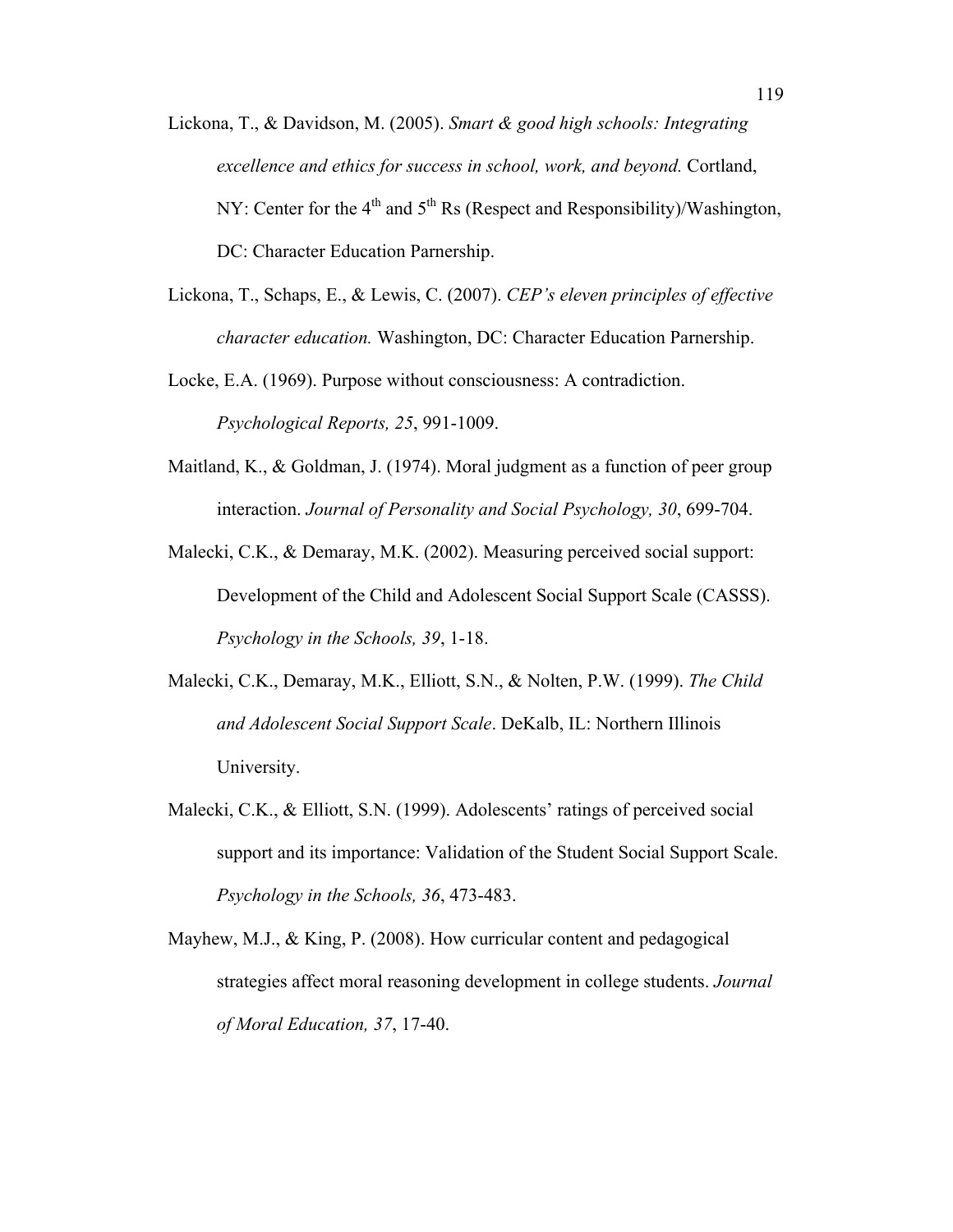- Lickona, T., & Davidson, M. (2005). *Smart & good high schools: Integrating excellence and ethics for success in school, work, and beyond.* Cortland, NY: Center for the  $4<sup>th</sup>$  and  $5<sup>th</sup>$  Rs (Respect and Responsibility)/Washington, DC: Character Education Parnership.
- Lickona, T., Schaps, E., & Lewis, C. (2007). *CEP's eleven principles of effective character education.* Washington, DC: Character Education Parnership.
- Locke, E.A. (1969). Purpose without consciousness: A contradiction. *Psychological Reports, 25*, 991-1009.
- Maitland, K., & Goldman, J. (1974). Moral judgment as a function of peer group interaction. *Journal of Personality and Social Psychology, 30*, 699-704.
- Malecki, C.K., & Demaray, M.K. (2002). Measuring perceived social support: Development of the Child and Adolescent Social Support Scale (CASSS). *Psychology in the Schools, 39*, 1-18.
- Malecki, C.K., Demaray, M.K., Elliott, S.N., & Nolten, P.W. (1999). *The Child and Adolescent Social Support Scale*. DeKalb, IL: Northern Illinois University.
- Malecki, C.K., & Elliott, S.N. (1999). Adolescents' ratings of perceived social support and its importance: Validation of the Student Social Support Scale. *Psychology in the Schools, 36*, 473-483.
- Mayhew, M.J., & King, P. (2008). How curricular content and pedagogical strategies affect moral reasoning development in college students. *Journal of Moral Education, 37*, 17-40.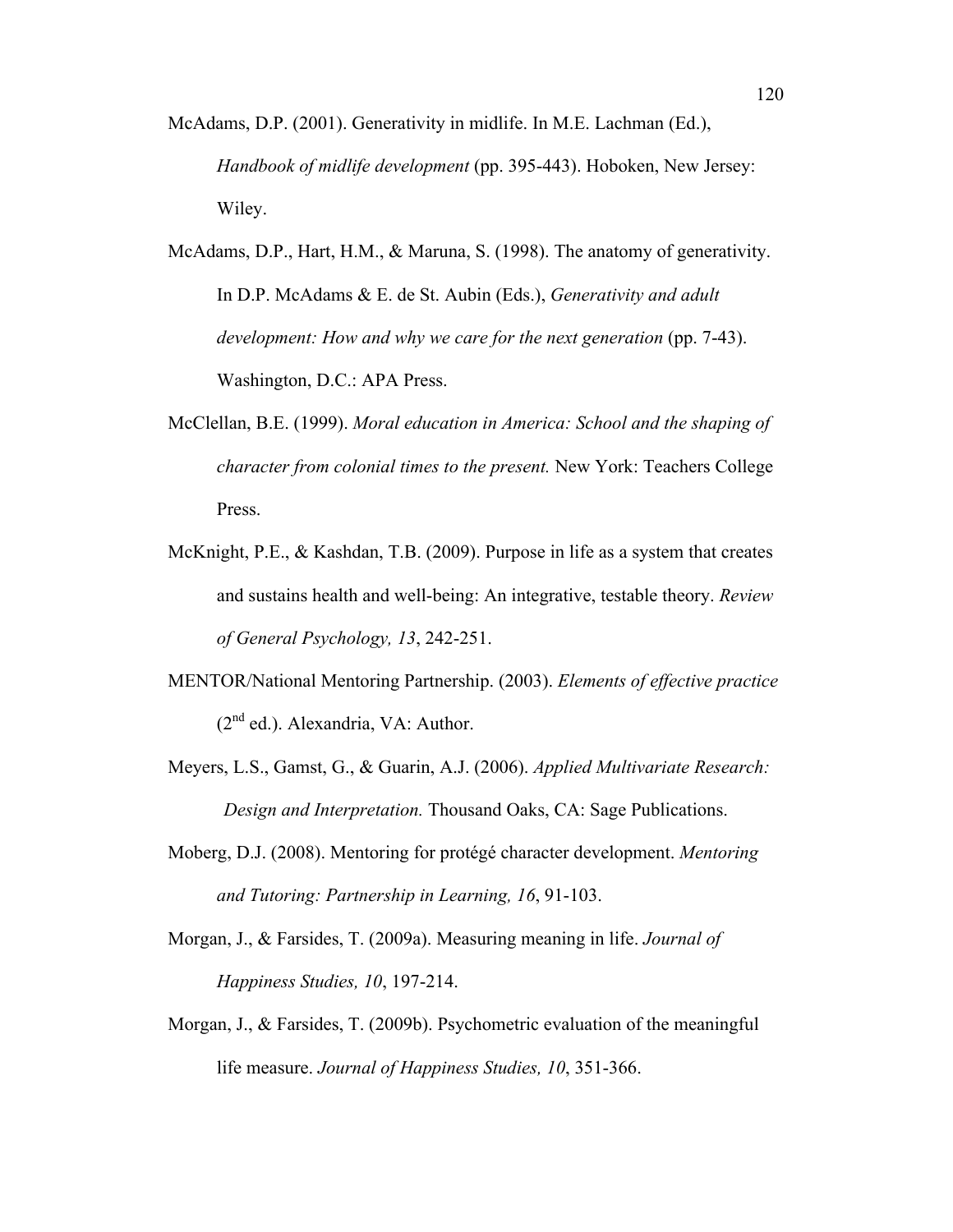- McAdams, D.P. (2001). Generativity in midlife. In M.E. Lachman (Ed.), *Handbook of midlife development* (pp. 395-443). Hoboken, New Jersey: Wiley.
- McAdams, D.P., Hart, H.M., & Maruna, S. (1998). The anatomy of generativity. In D.P. McAdams & E. de St. Aubin (Eds.), *Generativity and adult development: How and why we care for the next generation (pp. 7-43).* Washington, D.C.: APA Press.
- McClellan, B.E. (1999). *Moral education in America: School and the shaping of character from colonial times to the present.* New York: Teachers College Press.
- McKnight, P.E., & Kashdan, T.B. (2009). Purpose in life as a system that creates and sustains health and well-being: An integrative, testable theory. *Review of General Psychology, 13*, 242-251.
- MENTOR/National Mentoring Partnership. (2003). *Elements of effective practice*  $(2<sup>nd</sup>$  ed.). Alexandria, VA: Author.
- Meyers, L.S., Gamst, G., & Guarin, A.J. (2006). *Applied Multivariate Research: Design and Interpretation.* Thousand Oaks, CA: Sage Publications.
- Moberg, D.J. (2008). Mentoring for protégé character development. *Mentoring and Tutoring: Partnership in Learning, 16*, 91-103.
- Morgan, J., & Farsides, T. (2009a). Measuring meaning in life. *Journal of Happiness Studies, 10*, 197-214.
- Morgan, J., & Farsides, T. (2009b). Psychometric evaluation of the meaningful life measure. *Journal of Happiness Studies, 10*, 351-366.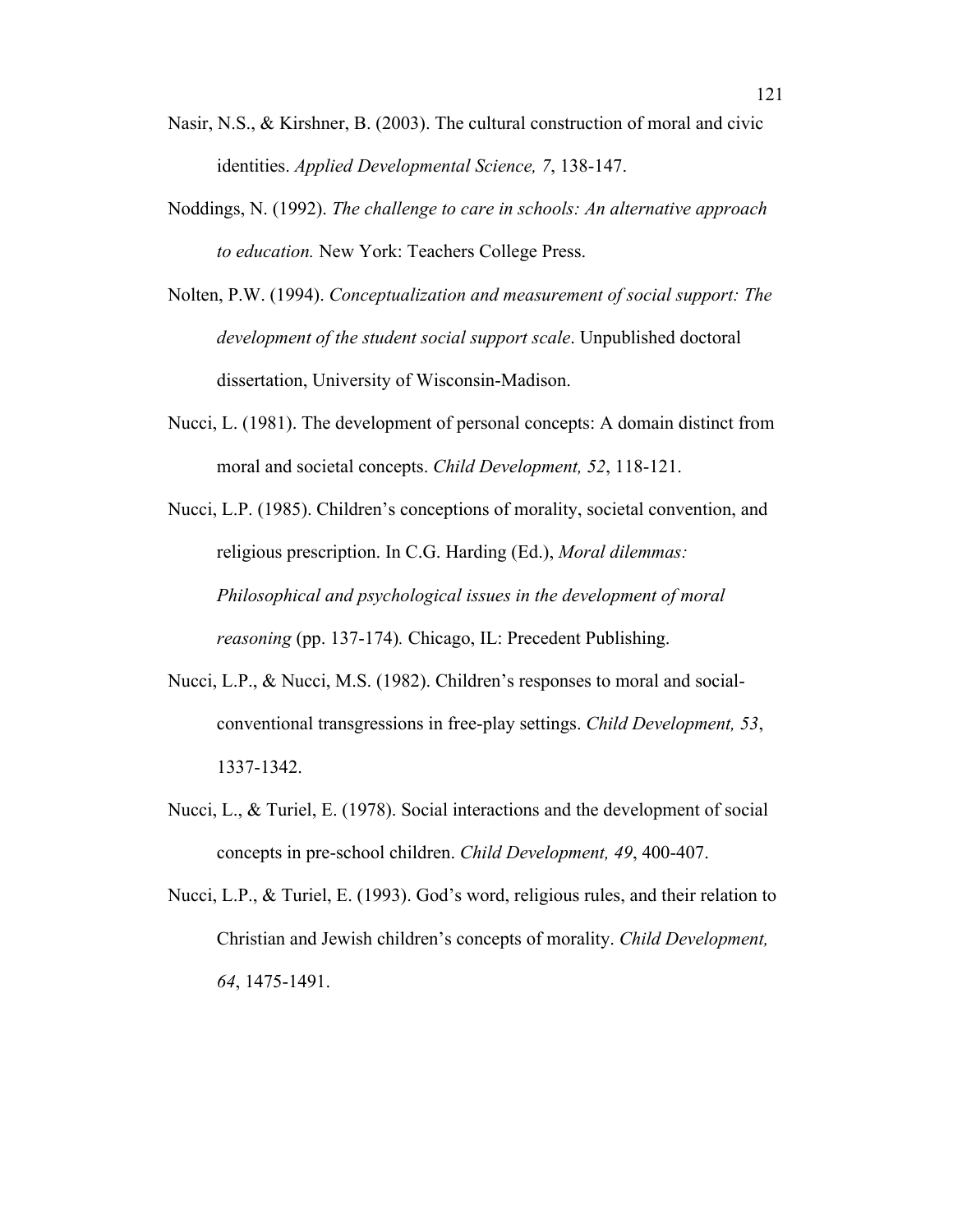- Nasir, N.S., & Kirshner, B. (2003). The cultural construction of moral and civic identities. *Applied Developmental Science, 7*, 138-147.
- Noddings, N. (1992). *The challenge to care in schools: An alternative approach to education.* New York: Teachers College Press.
- Nolten, P.W. (1994). *Conceptualization and measurement of social support: The development of the student social support scale*. Unpublished doctoral dissertation, University of Wisconsin-Madison.
- Nucci, L. (1981). The development of personal concepts: A domain distinct from moral and societal concepts. *Child Development, 52*, 118-121.
- Nucci, L.P. (1985). Children's conceptions of morality, societal convention, and religious prescription. In C.G. Harding (Ed.), *Moral dilemmas: Philosophical and psychological issues in the development of moral reasoning* (pp. 137-174)*.* Chicago, IL: Precedent Publishing.
- Nucci, L.P., & Nucci, M.S. (1982). Children's responses to moral and socialconventional transgressions in free-play settings. *Child Development, 53*, 1337-1342.
- Nucci, L., & Turiel, E. (1978). Social interactions and the development of social concepts in pre-school children. *Child Development, 49*, 400-407.
- Nucci, L.P., & Turiel, E. (1993). God's word, religious rules, and their relation to Christian and Jewish children's concepts of morality. *Child Development, 64*, 1475-1491.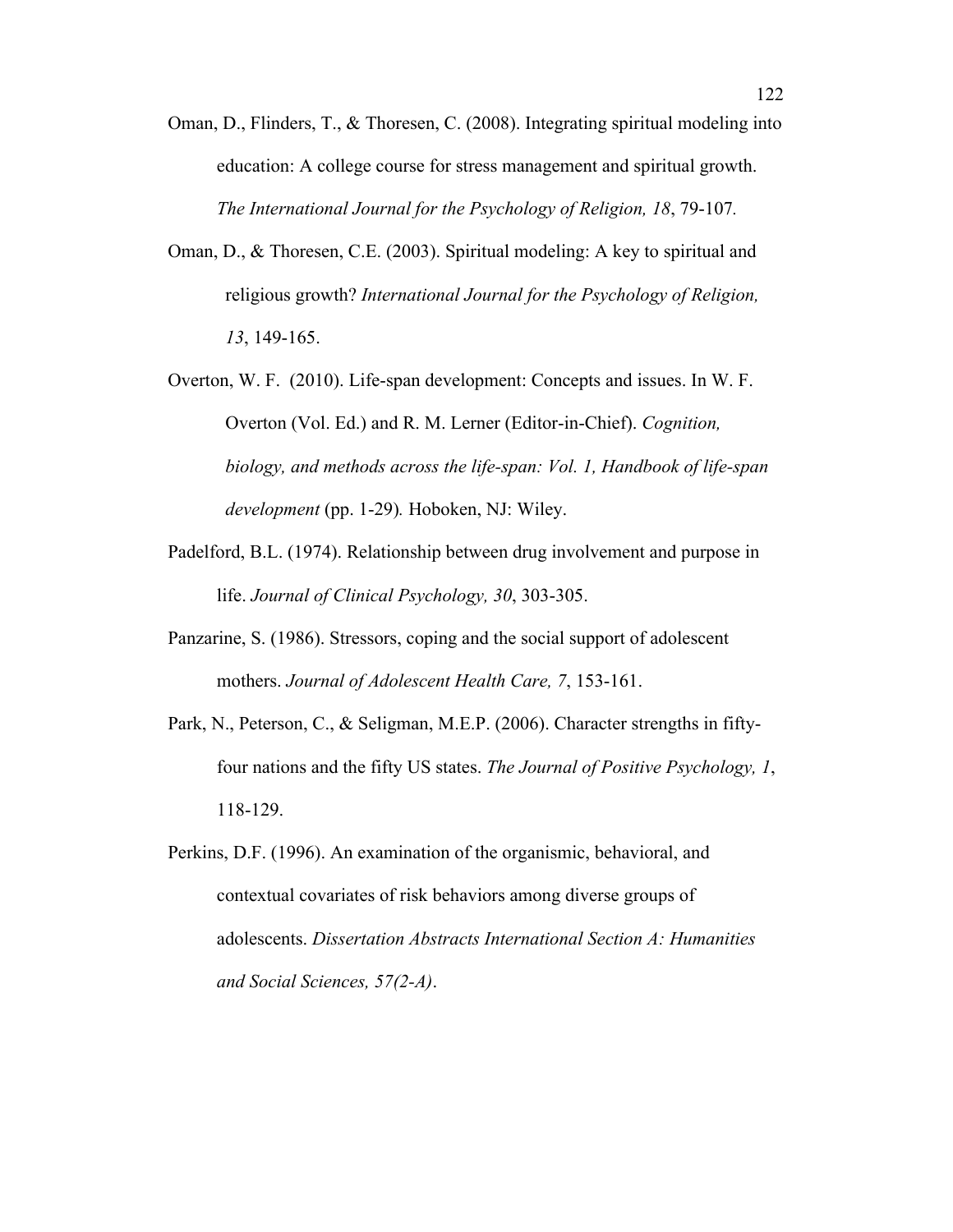- Oman, D., Flinders, T., & Thoresen, C. (2008). Integrating spiritual modeling into education: A college course for stress management and spiritual growth. *The International Journal for the Psychology of Religion, 18*, 79-107*.*
- Oman, D., & Thoresen, C.E. (2003). Spiritual modeling: A key to spiritual and religious growth? *International Journal for the Psychology of Religion, 13*, 149-165.
- Overton, W. F. (2010). Life-span development: Concepts and issues. In W. F. Overton (Vol. Ed.) and R. M. Lerner (Editor-in-Chief). *Cognition, biology, and methods across the life-span: Vol. 1, Handbook of life-span development* (pp. 1-29)*.* Hoboken, NJ: Wiley.
- Padelford, B.L. (1974). Relationship between drug involvement and purpose in life. *Journal of Clinical Psychology, 30*, 303-305.
- Panzarine, S. (1986). Stressors, coping and the social support of adolescent mothers. *Journal of Adolescent Health Care, 7*, 153-161.
- Park, N., Peterson, C., & Seligman, M.E.P. (2006). Character strengths in fiftyfour nations and the fifty US states. *The Journal of Positive Psychology, 1*, 118-129.
- Perkins, D.F. (1996). An examination of the organismic, behavioral, and contextual covariates of risk behaviors among diverse groups of adolescents. *Dissertation Abstracts International Section A: Humanities and Social Sciences, 57(2-A)*.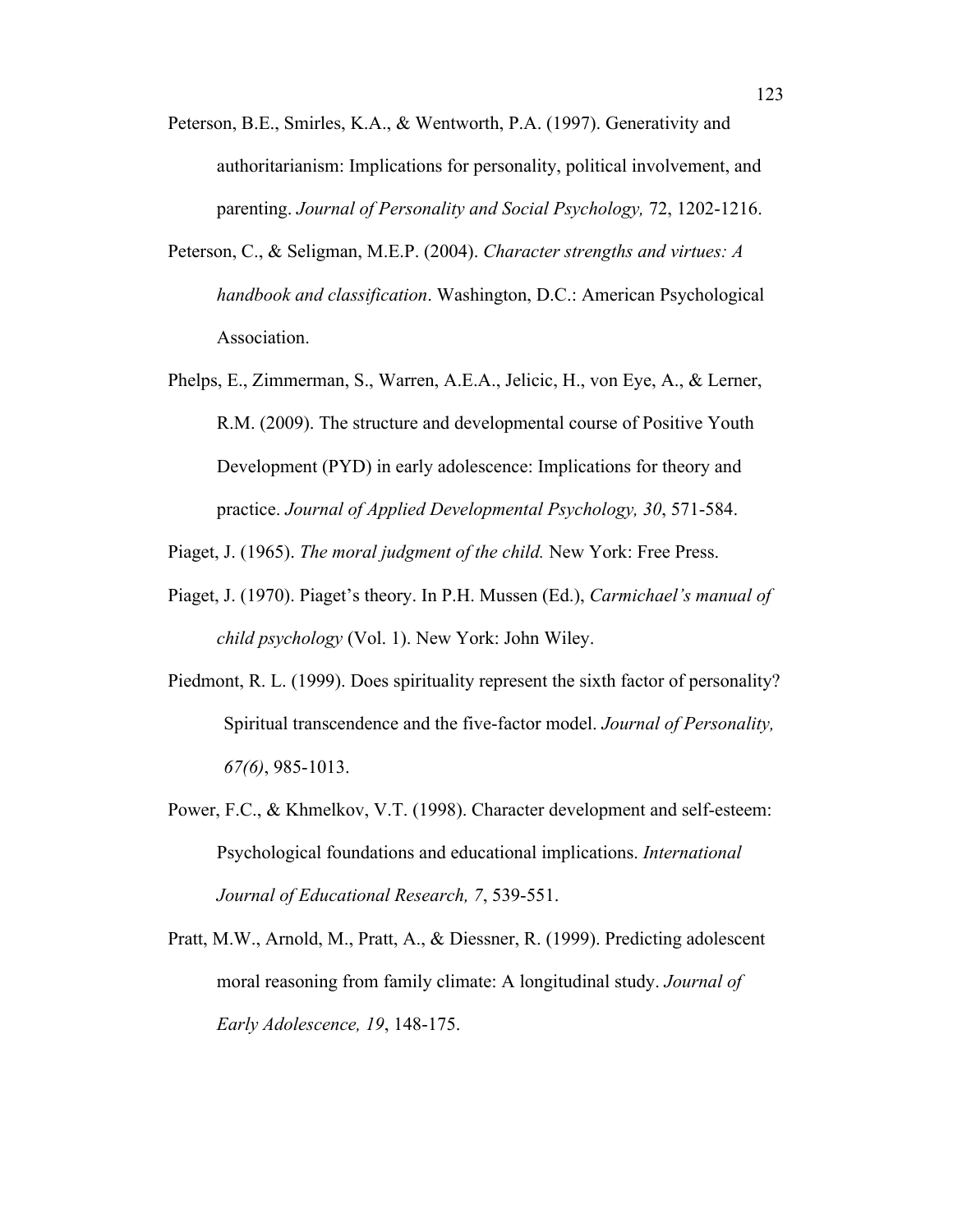- Peterson, B.E., Smirles, K.A., & Wentworth, P.A. (1997). Generativity and authoritarianism: Implications for personality, political involvement, and parenting. *Journal of Personality and Social Psychology,* 72, 1202-1216.
- Peterson, C., & Seligman, M.E.P. (2004). *Character strengths and virtues: A handbook and classification*. Washington, D.C.: American Psychological Association.
- Phelps, E., Zimmerman, S., Warren, A.E.A., Jelicic, H., von Eye, A., & Lerner, R.M. (2009). The structure and developmental course of Positive Youth Development (PYD) in early adolescence: Implications for theory and practice. *Journal of Applied Developmental Psychology, 30*, 571-584.

Piaget, J. (1965). *The moral judgment of the child.* New York: Free Press.

- Piaget, J. (1970). Piaget's theory. In P.H. Mussen (Ed.), *Carmichael's manual of child psychology* (Vol. 1). New York: John Wiley.
- Piedmont, R. L. (1999). Does spirituality represent the sixth factor of personality? Spiritual transcendence and the five-factor model. *Journal of Personality, 67(6)*, 985-1013.
- Power, F.C., & Khmelkov, V.T. (1998). Character development and self-esteem: Psychological foundations and educational implications. *International Journal of Educational Research, 7*, 539-551.
- Pratt, M.W., Arnold, M., Pratt, A., & Diessner, R. (1999). Predicting adolescent moral reasoning from family climate: A longitudinal study. *Journal of Early Adolescence, 19*, 148-175.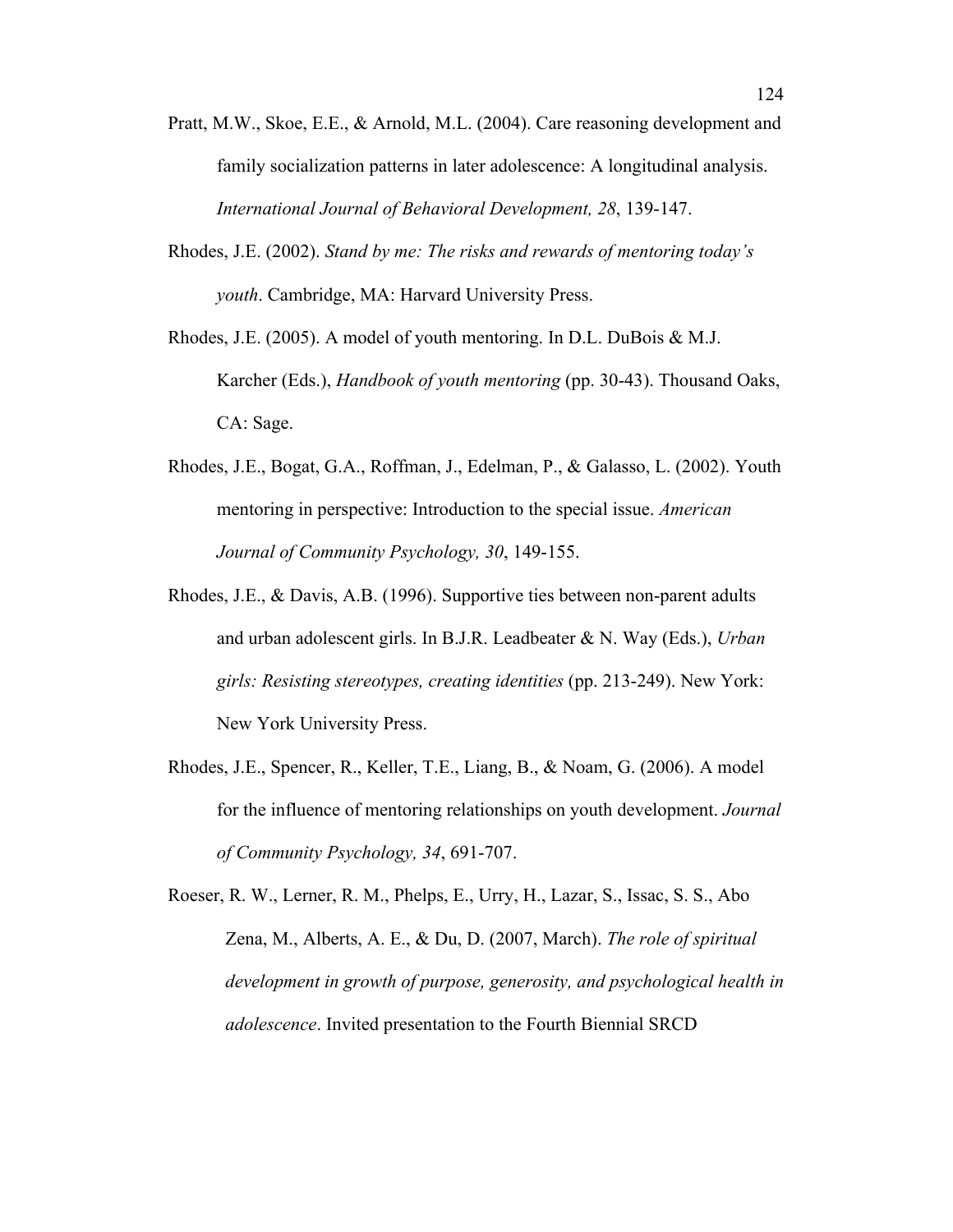- Pratt, M.W., Skoe, E.E., & Arnold, M.L. (2004). Care reasoning development and family socialization patterns in later adolescence: A longitudinal analysis. *International Journal of Behavioral Development, 28*, 139-147.
- Rhodes, J.E. (2002). *Stand by me: The risks and rewards of mentoring today's youth*. Cambridge, MA: Harvard University Press.
- Rhodes, J.E. (2005). A model of youth mentoring. In D.L. DuBois & M.J. Karcher (Eds.), *Handbook of youth mentoring* (pp. 30-43). Thousand Oaks, CA: Sage.
- Rhodes, J.E., Bogat, G.A., Roffman, J., Edelman, P., & Galasso, L. (2002). Youth mentoring in perspective: Introduction to the special issue. *American Journal of Community Psychology, 30*, 149-155.
- Rhodes, J.E., & Davis, A.B. (1996). Supportive ties between non-parent adults and urban adolescent girls. In B.J.R. Leadbeater & N. Way (Eds.), *Urban girls: Resisting stereotypes, creating identities* (pp. 213-249). New York: New York University Press.
- Rhodes, J.E., Spencer, R., Keller, T.E., Liang, B., & Noam, G. (2006). A model for the influence of mentoring relationships on youth development. *Journal of Community Psychology, 34*, 691-707.
- Roeser, R. W., Lerner, R. M., Phelps, E., Urry, H., Lazar, S., Issac, S. S., Abo Zena, M., Alberts, A. E., & Du, D. (2007, March). *The role of spiritual development in growth of purpose, generosity, and psychological health in adolescence*. Invited presentation to the Fourth Biennial SRCD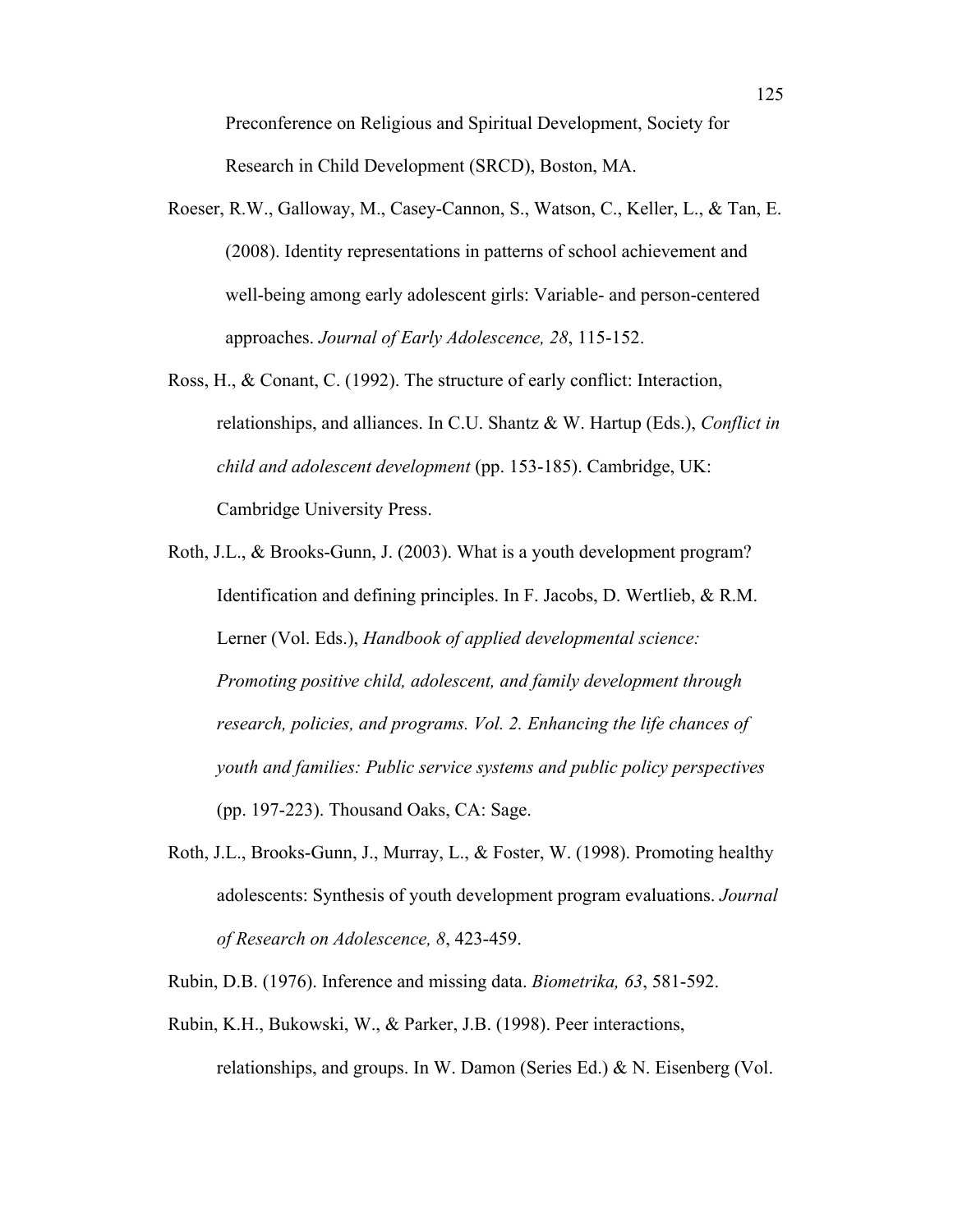Preconference on Religious and Spiritual Development, Society for Research in Child Development (SRCD), Boston, MA.

- Roeser, R.W., Galloway, M., Casey-Cannon, S., Watson, C., Keller, L., & Tan, E. (2008). Identity representations in patterns of school achievement and well-being among early adolescent girls: Variable- and person-centered approaches. *Journal of Early Adolescence, 28*, 115-152.
- Ross, H., & Conant, C. (1992). The structure of early conflict: Interaction, relationships, and alliances. In C.U. Shantz & W. Hartup (Eds.), *Conflict in child and adolescent development* (pp. 153-185). Cambridge, UK: Cambridge University Press.
- Roth, J.L., & Brooks-Gunn, J. (2003). What is a youth development program? Identification and defining principles. In F. Jacobs, D. Wertlieb, & R.M. Lerner (Vol. Eds.), *Handbook of applied developmental science: Promoting positive child, adolescent, and family development through research, policies, and programs. Vol. 2. Enhancing the life chances of youth and families: Public service systems and public policy perspectives*  (pp. 197-223). Thousand Oaks, CA: Sage.
- Roth, J.L., Brooks-Gunn, J., Murray, L., & Foster, W. (1998). Promoting healthy adolescents: Synthesis of youth development program evaluations. *Journal of Research on Adolescence, 8*, 423-459.
- Rubin, D.B. (1976). Inference and missing data. *Biometrika, 63*, 581-592.
- Rubin, K.H., Bukowski, W., & Parker, J.B. (1998). Peer interactions, relationships, and groups. In W. Damon (Series Ed.) & N. Eisenberg (Vol.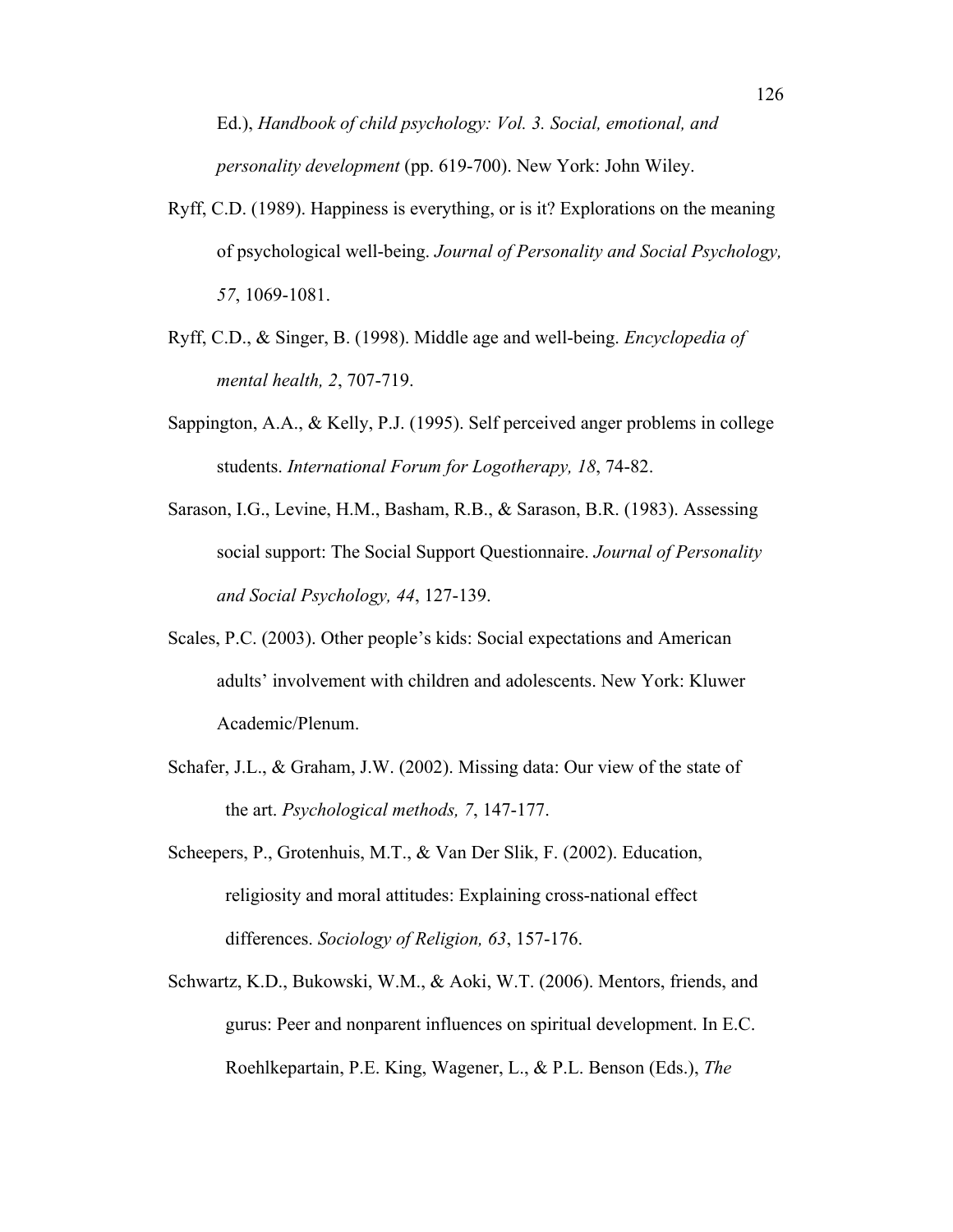Ed.), *Handbook of child psychology: Vol. 3. Social, emotional, and personality development* (pp. 619-700). New York: John Wiley.

- Ryff, C.D. (1989). Happiness is everything, or is it? Explorations on the meaning of psychological well-being. *Journal of Personality and Social Psychology, 57*, 1069-1081.
- Ryff, C.D., & Singer, B. (1998). Middle age and well-being. *Encyclopedia of mental health, 2*, 707-719.
- Sappington, A.A., & Kelly, P.J. (1995). Self perceived anger problems in college students. *International Forum for Logotherapy, 18*, 74-82.
- Sarason, I.G., Levine, H.M., Basham, R.B., & Sarason, B.R. (1983). Assessing social support: The Social Support Questionnaire. *Journal of Personality and Social Psychology, 44*, 127-139.
- Scales, P.C. (2003). Other people's kids: Social expectations and American adults' involvement with children and adolescents. New York: Kluwer Academic/Plenum.
- Schafer, J.L., & Graham, J.W. (2002). Missing data: Our view of the state of the art. *Psychological methods, 7*, 147-177.
- Scheepers, P., Grotenhuis, M.T., & Van Der Slik, F. (2002). Education, religiosity and moral attitudes: Explaining cross-national effect differences. *Sociology of Religion, 63*, 157-176.
- Schwartz, K.D., Bukowski, W.M., & Aoki, W.T. (2006). Mentors, friends, and gurus: Peer and nonparent influences on spiritual development. In E.C. Roehlkepartain, P.E. King, Wagener, L., & P.L. Benson (Eds.), *The*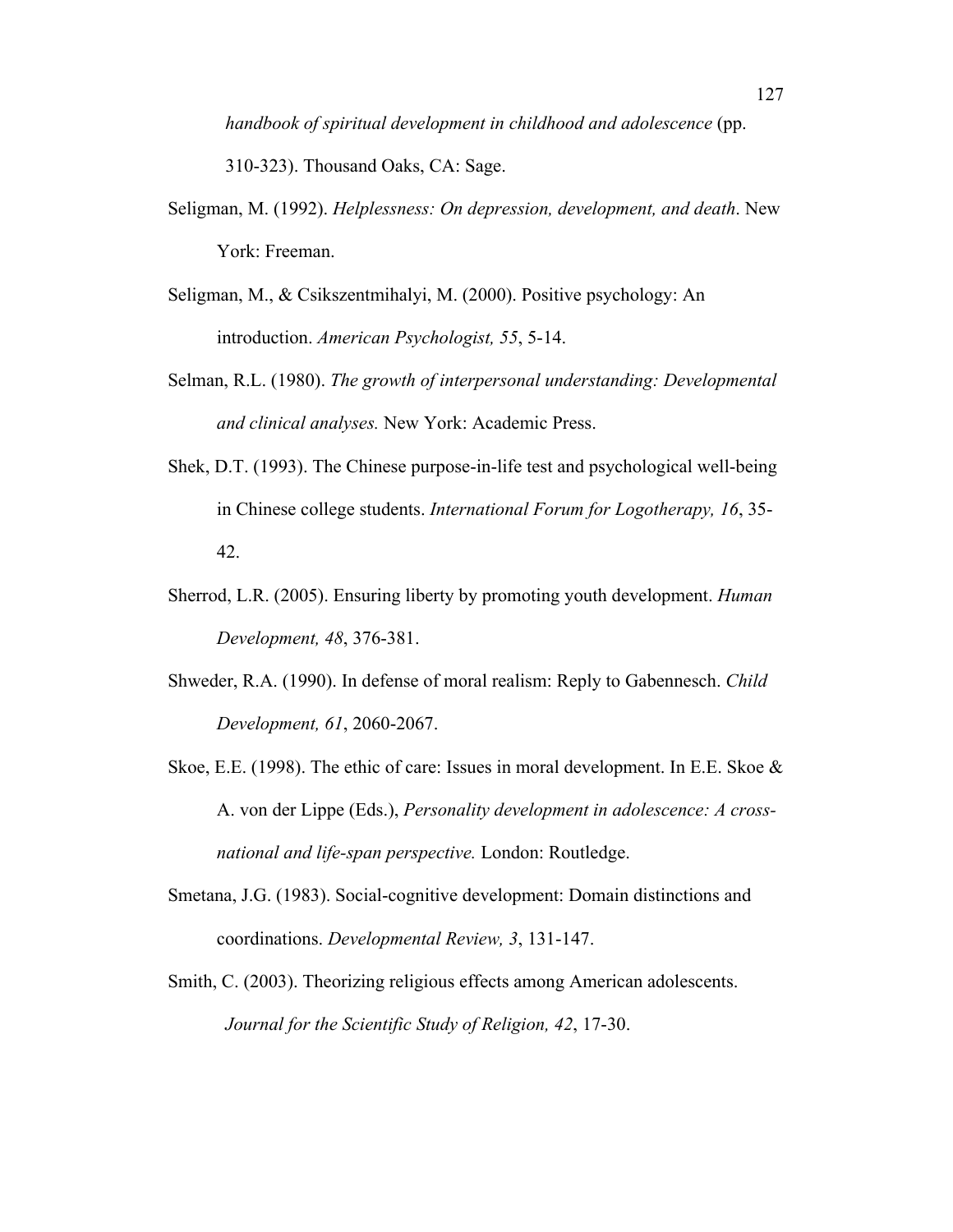*handbook of spiritual development in childhood and adolescence* (pp.

310-323). Thousand Oaks, CA: Sage.

- Seligman, M. (1992). *Helplessness: On depression, development, and death*. New York: Freeman.
- Seligman, M., & Csikszentmihalyi, M. (2000). Positive psychology: An introduction. *American Psychologist, 55*, 5-14.
- Selman, R.L. (1980). *The growth of interpersonal understanding: Developmental and clinical analyses.* New York: Academic Press.
- Shek, D.T. (1993). The Chinese purpose-in-life test and psychological well-being in Chinese college students. *International Forum for Logotherapy, 16*, 35- 42.
- Sherrod, L.R. (2005). Ensuring liberty by promoting youth development. *Human Development, 48*, 376-381.
- Shweder, R.A. (1990). In defense of moral realism: Reply to Gabennesch. *Child Development, 61*, 2060-2067.
- Skoe, E.E. (1998). The ethic of care: Issues in moral development. In E.E. Skoe  $\&$ A. von der Lippe (Eds.), *Personality development in adolescence: A crossnational and life-span perspective.* London: Routledge.
- Smetana, J.G. (1983). Social-cognitive development: Domain distinctions and coordinations. *Developmental Review, 3*, 131-147.
- Smith, C. (2003). Theorizing religious effects among American adolescents. *Journal for the Scientific Study of Religion, 42*, 17-30.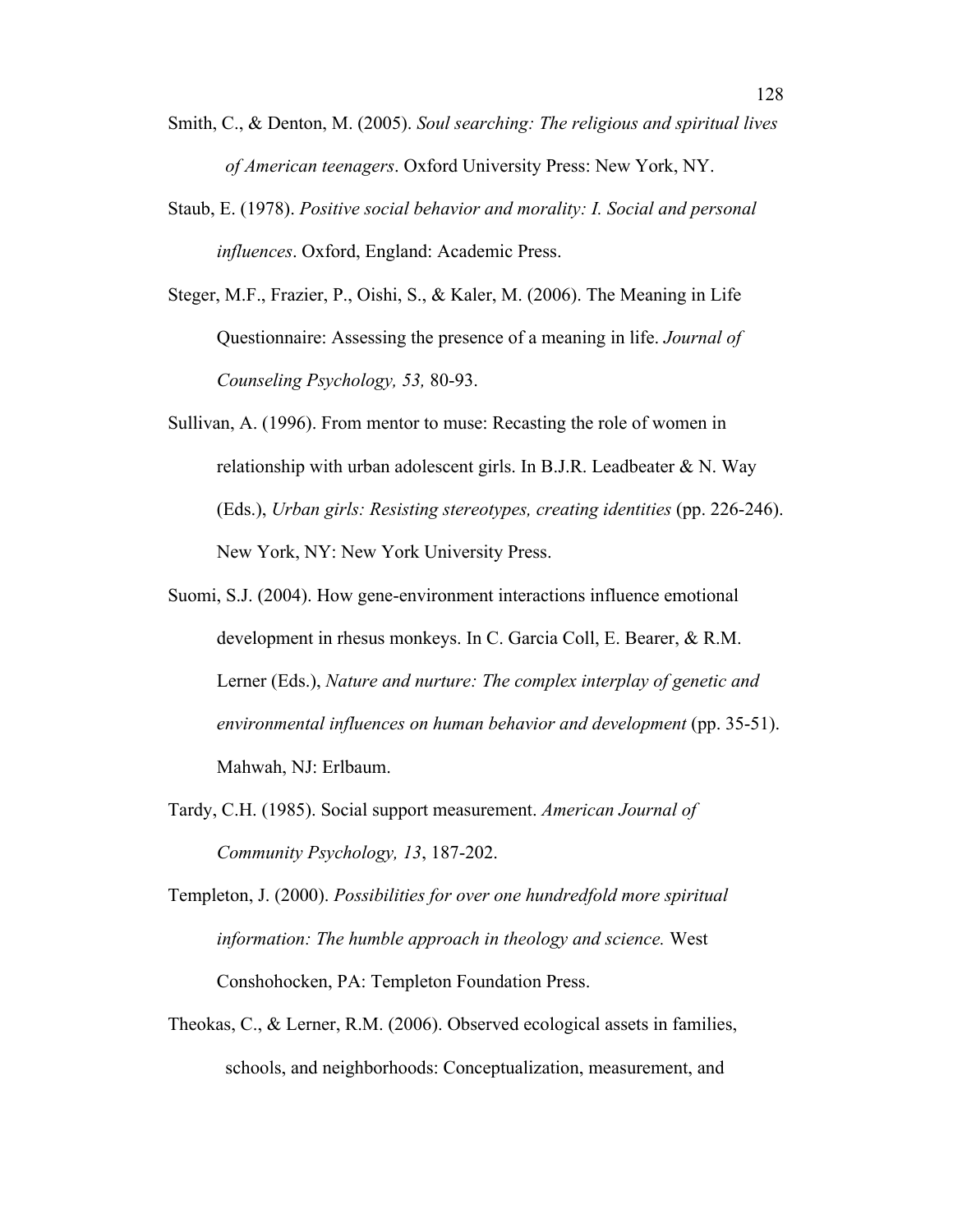- Smith, C., & Denton, M. (2005). *Soul searching: The religious and spiritual lives of American teenagers*. Oxford University Press: New York, NY.
- Staub, E. (1978). *Positive social behavior and morality: I. Social and personal influences*. Oxford, England: Academic Press.
- Steger, M.F., Frazier, P., Oishi, S., & Kaler, M. (2006). The Meaning in Life Questionnaire: Assessing the presence of a meaning in life. *Journal of Counseling Psychology, 53,* 80-93.
- Sullivan, A. (1996). From mentor to muse: Recasting the role of women in relationship with urban adolescent girls. In B.J.R. Leadbeater  $\&$  N. Way (Eds.), *Urban girls: Resisting stereotypes, creating identities* (pp. 226-246). New York, NY: New York University Press.
- Suomi, S.J. (2004). How gene-environment interactions influence emotional development in rhesus monkeys. In C. Garcia Coll, E. Bearer, & R.M. Lerner (Eds.), *Nature and nurture: The complex interplay of genetic and environmental influences on human behavior and development* (pp. 35-51). Mahwah, NJ: Erlbaum.
- Tardy, C.H. (1985). Social support measurement. *American Journal of Community Psychology, 13*, 187-202.
- Templeton, J. (2000). *Possibilities for over one hundredfold more spiritual information: The humble approach in theology and science.* West Conshohocken, PA: Templeton Foundation Press.
- Theokas, C., & Lerner, R.M. (2006). Observed ecological assets in families, schools, and neighborhoods: Conceptualization, measurement, and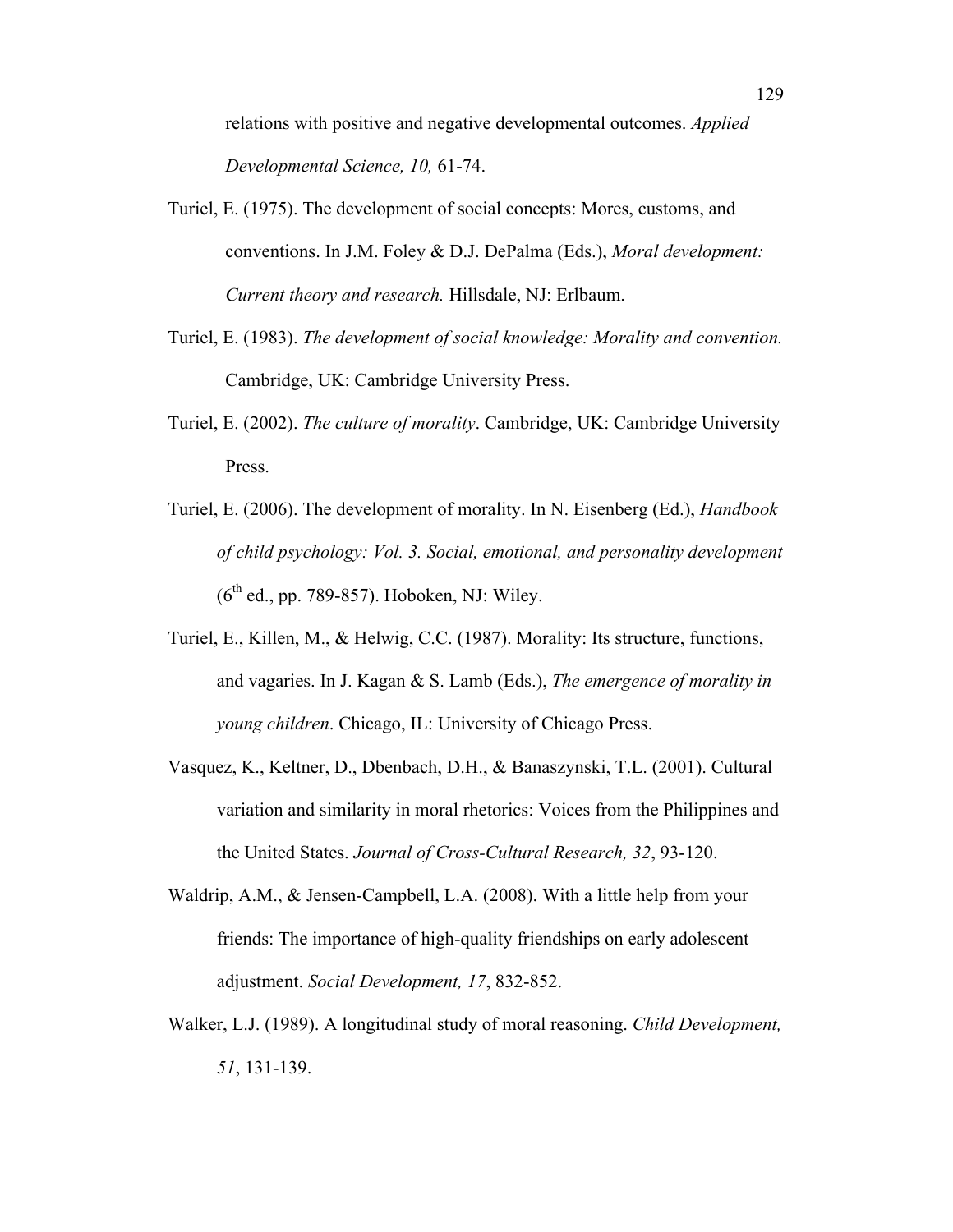relations with positive and negative developmental outcomes. *Applied Developmental Science, 10,* 61-74.

- Turiel, E. (1975). The development of social concepts: Mores, customs, and conventions. In J.M. Foley & D.J. DePalma (Eds.), *Moral development: Current theory and research.* Hillsdale, NJ: Erlbaum.
- Turiel, E. (1983). *The development of social knowledge: Morality and convention.*  Cambridge, UK: Cambridge University Press.
- Turiel, E. (2002). *The culture of morality*. Cambridge, UK: Cambridge University Press.
- Turiel, E. (2006). The development of morality. In N. Eisenberg (Ed.), *Handbook of child psychology: Vol. 3. Social, emotional, and personality development*   $(6<sup>th</sup>$  ed., pp. 789-857). Hoboken, NJ: Wiley.
- Turiel, E., Killen, M., & Helwig, C.C. (1987). Morality: Its structure, functions, and vagaries. In J. Kagan & S. Lamb (Eds.), *The emergence of morality in young children*. Chicago, IL: University of Chicago Press.
- Vasquez, K., Keltner, D., Dbenbach, D.H., & Banaszynski, T.L. (2001). Cultural variation and similarity in moral rhetorics: Voices from the Philippines and the United States. *Journal of Cross-Cultural Research, 32*, 93-120.
- Waldrip, A.M., & Jensen-Campbell, L.A. (2008). With a little help from your friends: The importance of high-quality friendships on early adolescent adjustment. *Social Development, 17*, 832-852.
- Walker, L.J. (1989). A longitudinal study of moral reasoning. *Child Development, 51*, 131-139.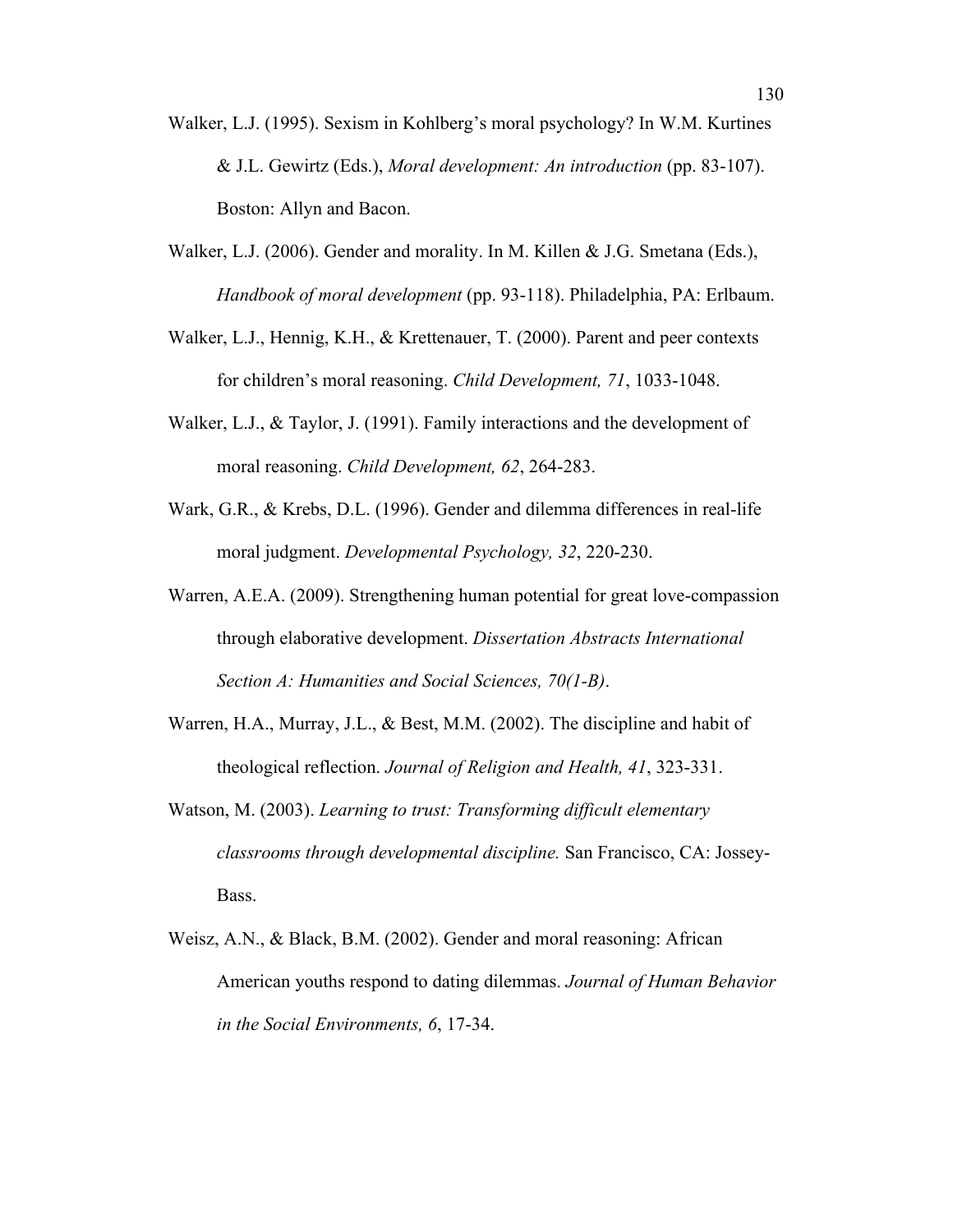- Walker, L.J. (1995). Sexism in Kohlberg's moral psychology? In W.M. Kurtines & J.L. Gewirtz (Eds.), *Moral development: An introduction* (pp. 83-107). Boston: Allyn and Bacon.
- Walker, L.J. (2006). Gender and morality. In M. Killen & J.G. Smetana (Eds.), *Handbook of moral development* (pp. 93-118). Philadelphia, PA: Erlbaum.
- Walker, L.J., Hennig, K.H., & Krettenauer, T. (2000). Parent and peer contexts for children's moral reasoning. *Child Development, 71*, 1033-1048.
- Walker, L.J., & Taylor, J. (1991). Family interactions and the development of moral reasoning. *Child Development, 62*, 264-283.
- Wark, G.R., & Krebs, D.L. (1996). Gender and dilemma differences in real-life moral judgment. *Developmental Psychology, 32*, 220-230.
- Warren, A.E.A. (2009). Strengthening human potential for great love-compassion through elaborative development. *Dissertation Abstracts International Section A: Humanities and Social Sciences, 70(1-B)*.
- Warren, H.A., Murray, J.L., & Best, M.M. (2002). The discipline and habit of theological reflection. *Journal of Religion and Health, 41*, 323-331.
- Watson, M. (2003). *Learning to trust: Transforming difficult elementary classrooms through developmental discipline.* San Francisco, CA: Jossey-Bass.
- Weisz, A.N., & Black, B.M. (2002). Gender and moral reasoning: African American youths respond to dating dilemmas. *Journal of Human Behavior in the Social Environments, 6*, 17-34.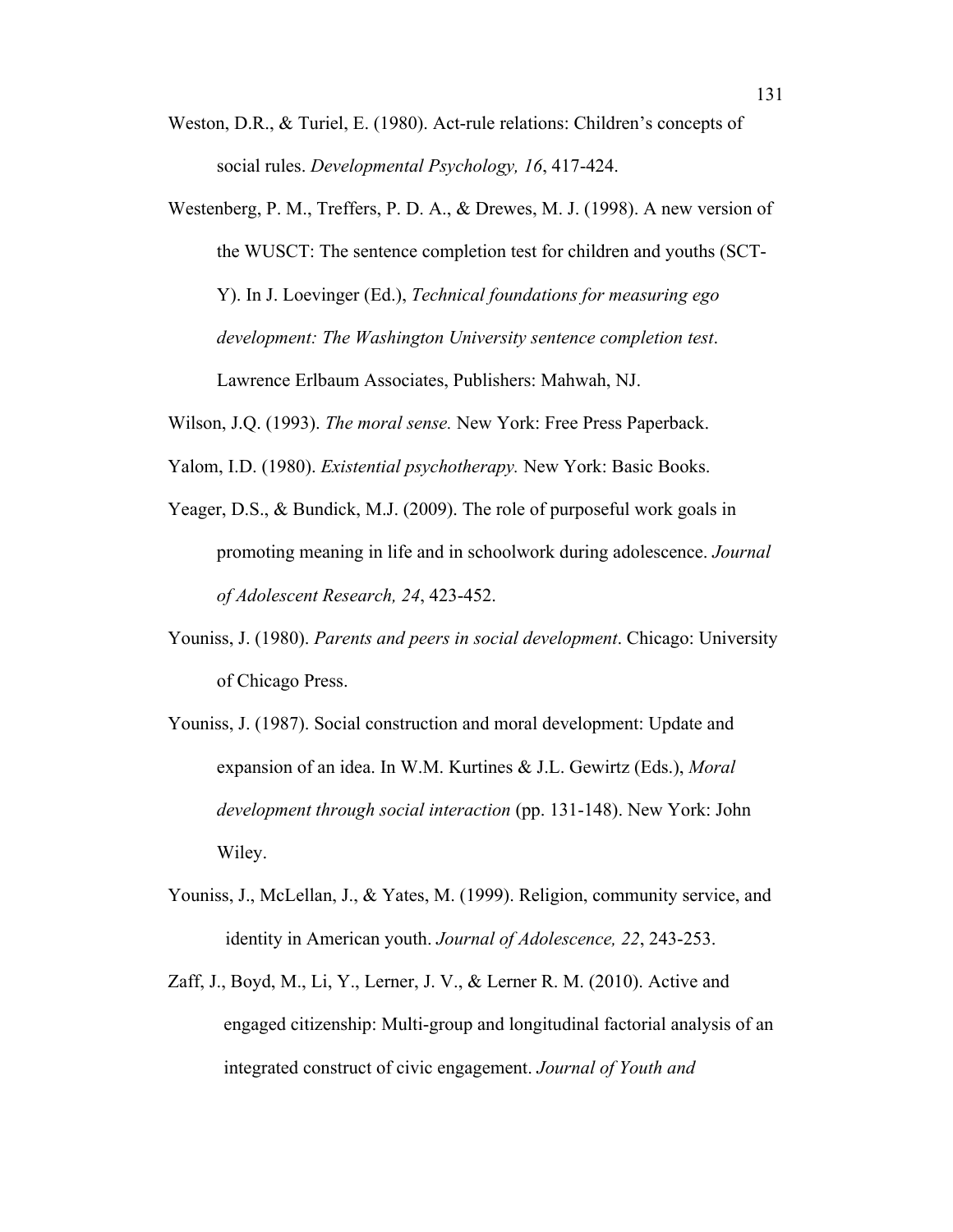- Weston, D.R., & Turiel, E. (1980). Act-rule relations: Children's concepts of social rules. *Developmental Psychology, 16*, 417-424.
- Westenberg, P. M., Treffers, P. D. A., & Drewes, M. J. (1998). A new version of the WUSCT: The sentence completion test for children and youths (SCT-Y). In J. Loevinger (Ed.), *Technical foundations for measuring ego development: The Washington University sentence completion test*. Lawrence Erlbaum Associates, Publishers: Mahwah, NJ.
- Wilson, J.Q. (1993). *The moral sense.* New York: Free Press Paperback.
- Yalom, I.D. (1980). *Existential psychotherapy.* New York: Basic Books.
- Yeager, D.S., & Bundick, M.J. (2009). The role of purposeful work goals in promoting meaning in life and in schoolwork during adolescence. *Journal of Adolescent Research, 24*, 423-452.
- Youniss, J. (1980). *Parents and peers in social development*. Chicago: University of Chicago Press.
- Youniss, J. (1987). Social construction and moral development: Update and expansion of an idea. In W.M. Kurtines & J.L. Gewirtz (Eds.), *Moral development through social interaction* (pp. 131-148). New York: John Wiley.
- Youniss, J., McLellan, J., & Yates, M. (1999). Religion, community service, and identity in American youth. *Journal of Adolescence, 22*, 243-253.
- Zaff, J., Boyd, M., Li, Y., Lerner, J. V., & Lerner R. M. (2010). Active and engaged citizenship: Multi-group and longitudinal factorial analysis of an integrated construct of civic engagement. *Journal of Youth and*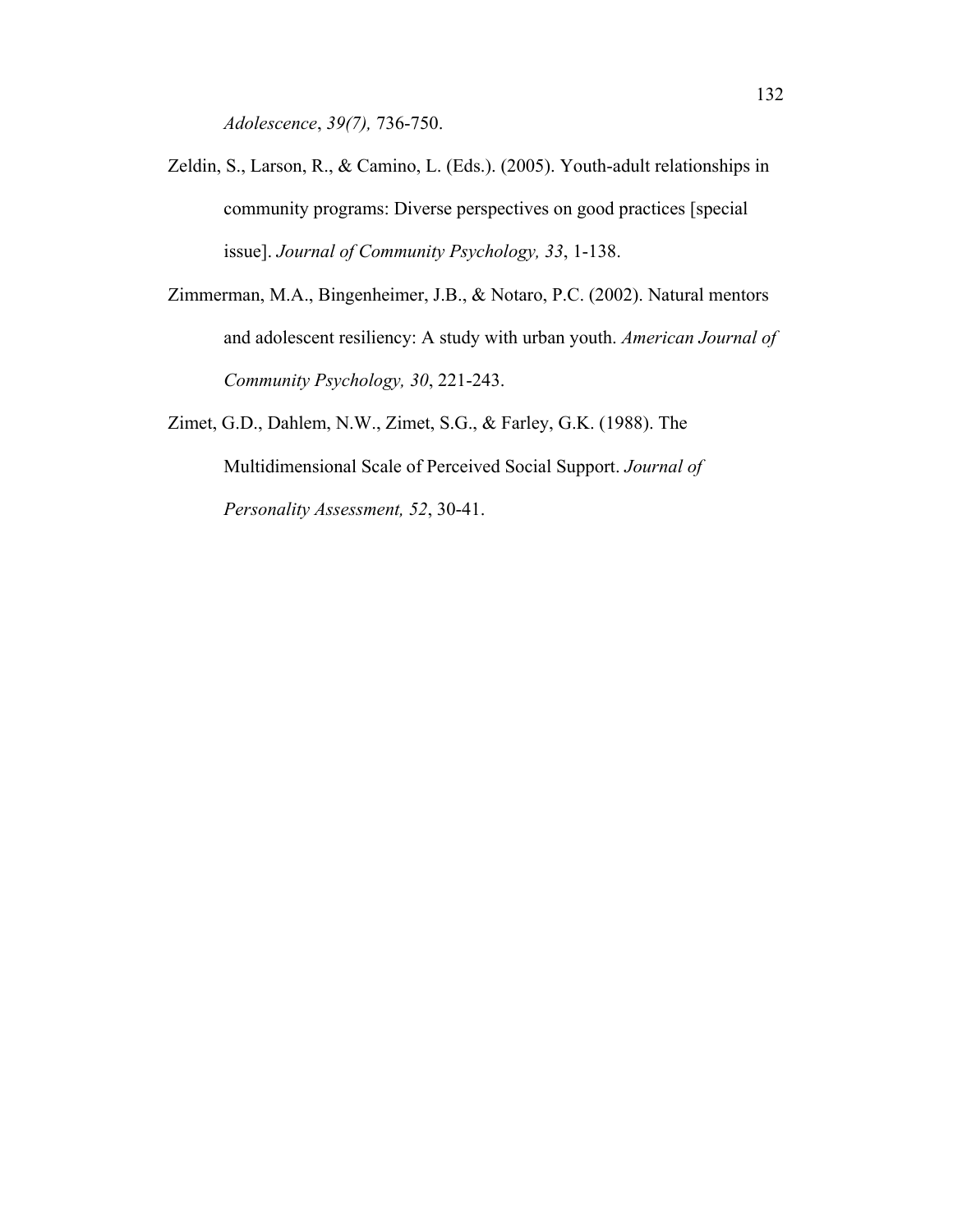*Adolescence*, *39(7),* 736-750.

- Zeldin, S., Larson, R., & Camino, L. (Eds.). (2005). Youth-adult relationships in community programs: Diverse perspectives on good practices [special issue]. *Journal of Community Psychology, 33*, 1-138.
- Zimmerman, M.A., Bingenheimer, J.B., & Notaro, P.C. (2002). Natural mentors and adolescent resiliency: A study with urban youth. *American Journal of Community Psychology, 30*, 221-243.
- Zimet, G.D., Dahlem, N.W., Zimet, S.G., & Farley, G.K. (1988). The Multidimensional Scale of Perceived Social Support. *Journal of Personality Assessment, 52*, 30-41.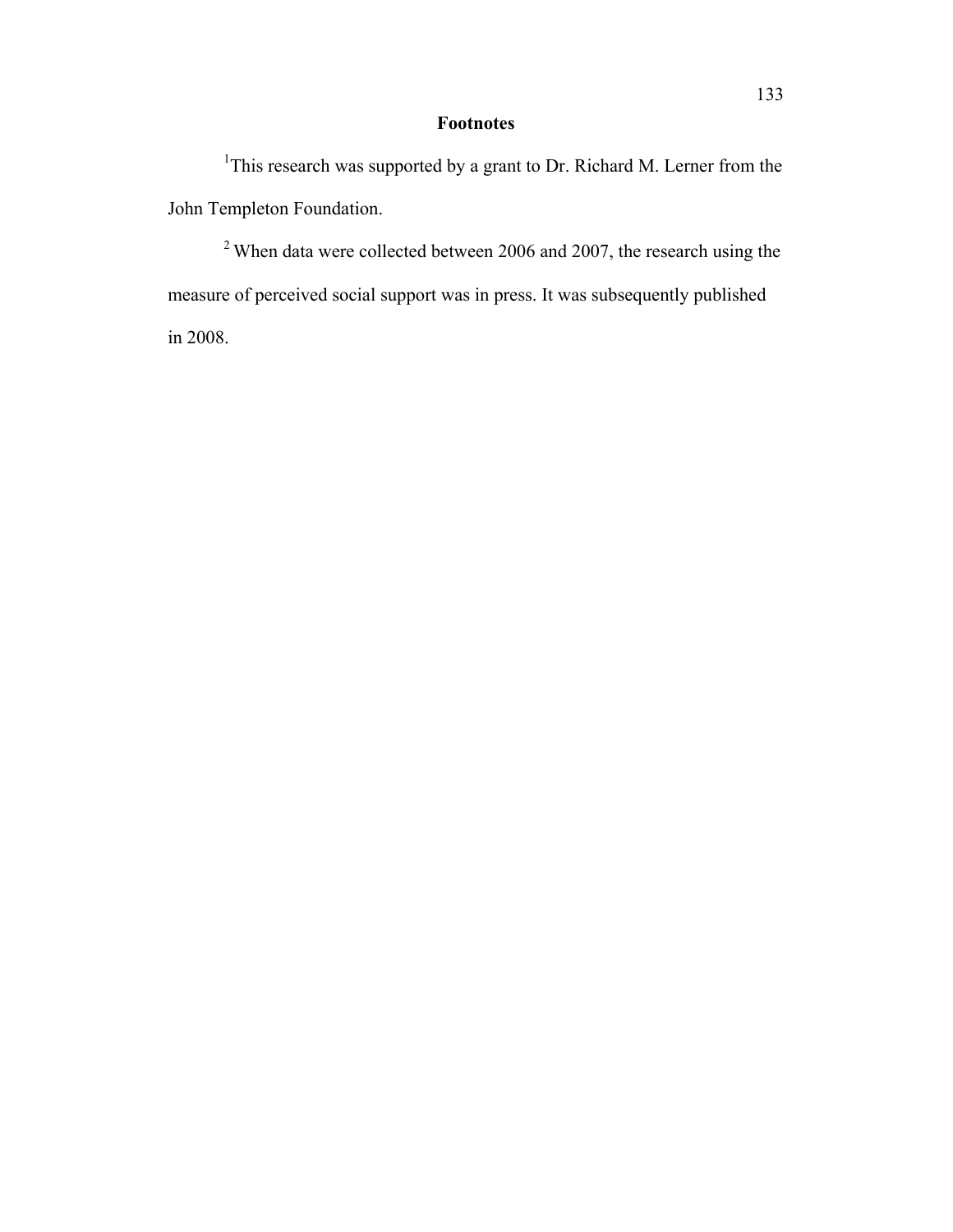## **Footnotes**

<sup>1</sup>This research was supported by a grant to Dr. Richard M. Lerner from the John Templeton Foundation.

 $2$  When data were collected between 2006 and 2007, the research using the measure of perceived social support was in press. It was subsequently published in 2008.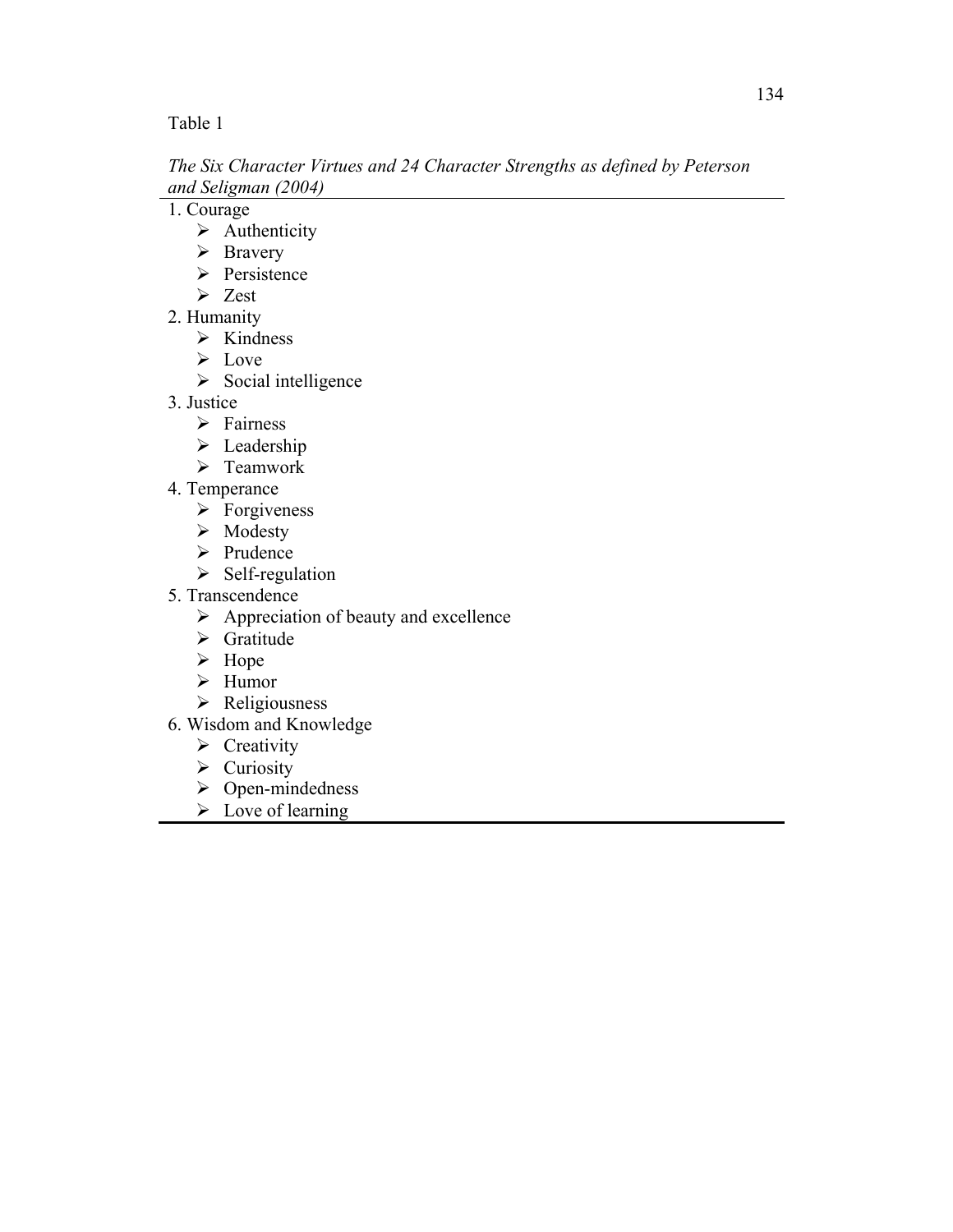*The Six Character Virtues and 24 Character Strengths as defined by Peterson and Seligman (2004)*

1. Courage

- $\triangleright$  Authenticity
- > Bravery
- > Persistence
- $\triangleright$  Zest
- 2. Humanity
	- $\triangleright$  Kindness
	- $\triangleright$  Love
	- $\triangleright$  Social intelligence
- 3. Justice
	- > Fairness
	- $\triangleright$  Leadership
	- > Teamwork
- 4. Temperance
	- $\triangleright$  Forgiveness
	- $\triangleright$  Modesty
	- > Prudence
	- $\triangleright$  Self-regulation
- 5. Transcendence
	- $\triangleright$  Appreciation of beauty and excellence
	- $\triangleright$  Gratitude
	- $\triangleright$  Hope
	- $\blacktriangleright$  Humor
	- $\triangleright$  Religiousness
- 6. Wisdom and Knowledge
	- $\triangleright$  Creativity
	- $\triangleright$  Curiosity
	- $\triangleright$  Open-mindedness
	- $\triangleright$  Love of learning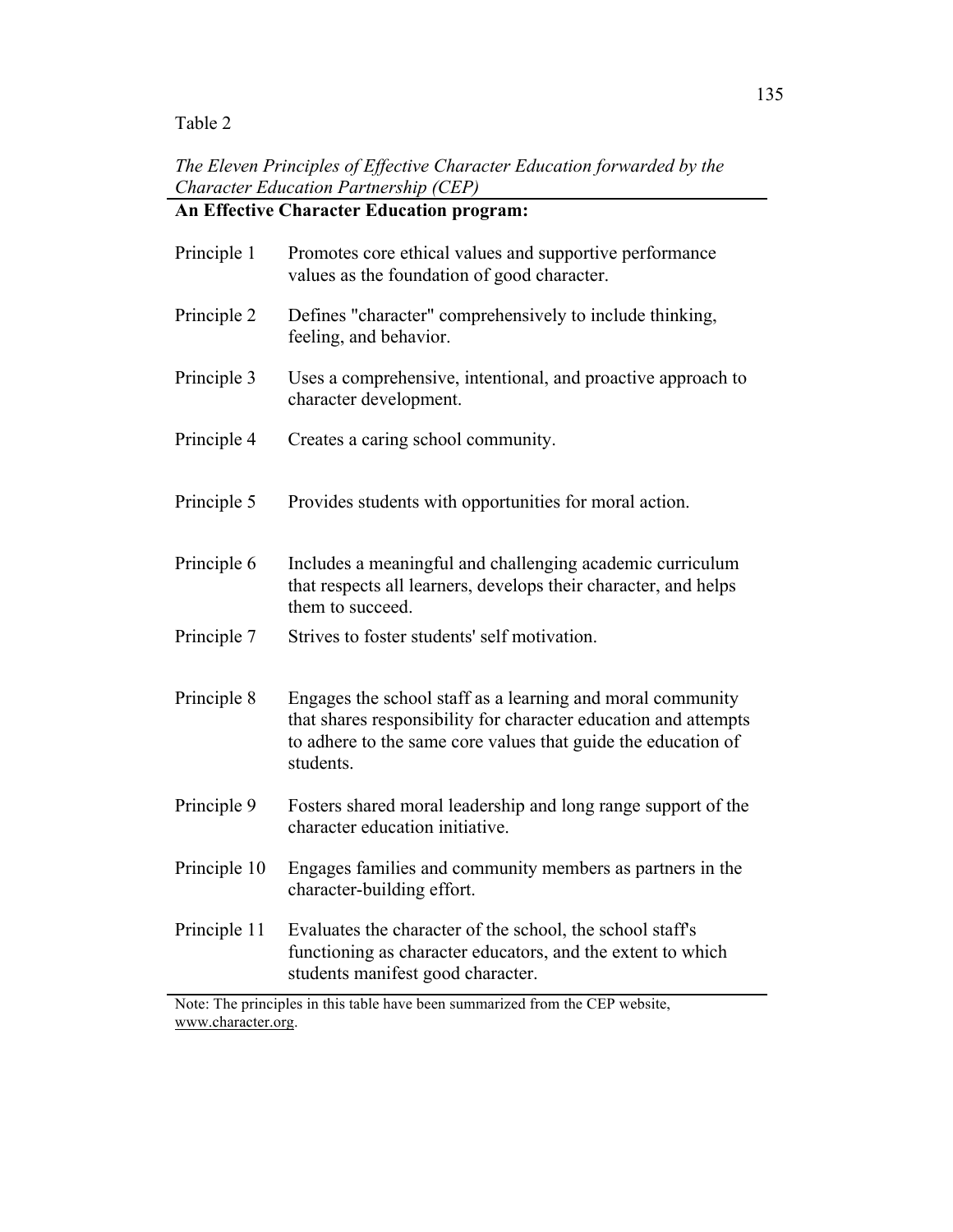*The Eleven Principles of Effective Character Education forwarded by the Character Education Partnership (CEP)*

|              | <b>An Effective Character Education program:</b>                                                                                                                                                            |
|--------------|-------------------------------------------------------------------------------------------------------------------------------------------------------------------------------------------------------------|
| Principle 1  | Promotes core ethical values and supportive performance<br>values as the foundation of good character.                                                                                                      |
| Principle 2  | Defines "character" comprehensively to include thinking,<br>feeling, and behavior.                                                                                                                          |
| Principle 3  | Uses a comprehensive, intentional, and proactive approach to<br>character development.                                                                                                                      |
| Principle 4  | Creates a caring school community.                                                                                                                                                                          |
| Principle 5  | Provides students with opportunities for moral action.                                                                                                                                                      |
| Principle 6  | Includes a meaningful and challenging academic curriculum<br>that respects all learners, develops their character, and helps<br>them to succeed.                                                            |
| Principle 7  | Strives to foster students' self motivation.                                                                                                                                                                |
| Principle 8  | Engages the school staff as a learning and moral community<br>that shares responsibility for character education and attempts<br>to adhere to the same core values that guide the education of<br>students. |
| Principle 9  | Fosters shared moral leadership and long range support of the<br>character education initiative.                                                                                                            |
| Principle 10 | Engages families and community members as partners in the<br>character-building effort.                                                                                                                     |
| Principle 11 | Evaluates the character of the school, the school staff's<br>functioning as character educators, and the extent to which<br>students manifest good character.                                               |

Note: The principles in this table have been summarized from the CEP website, www.character.org.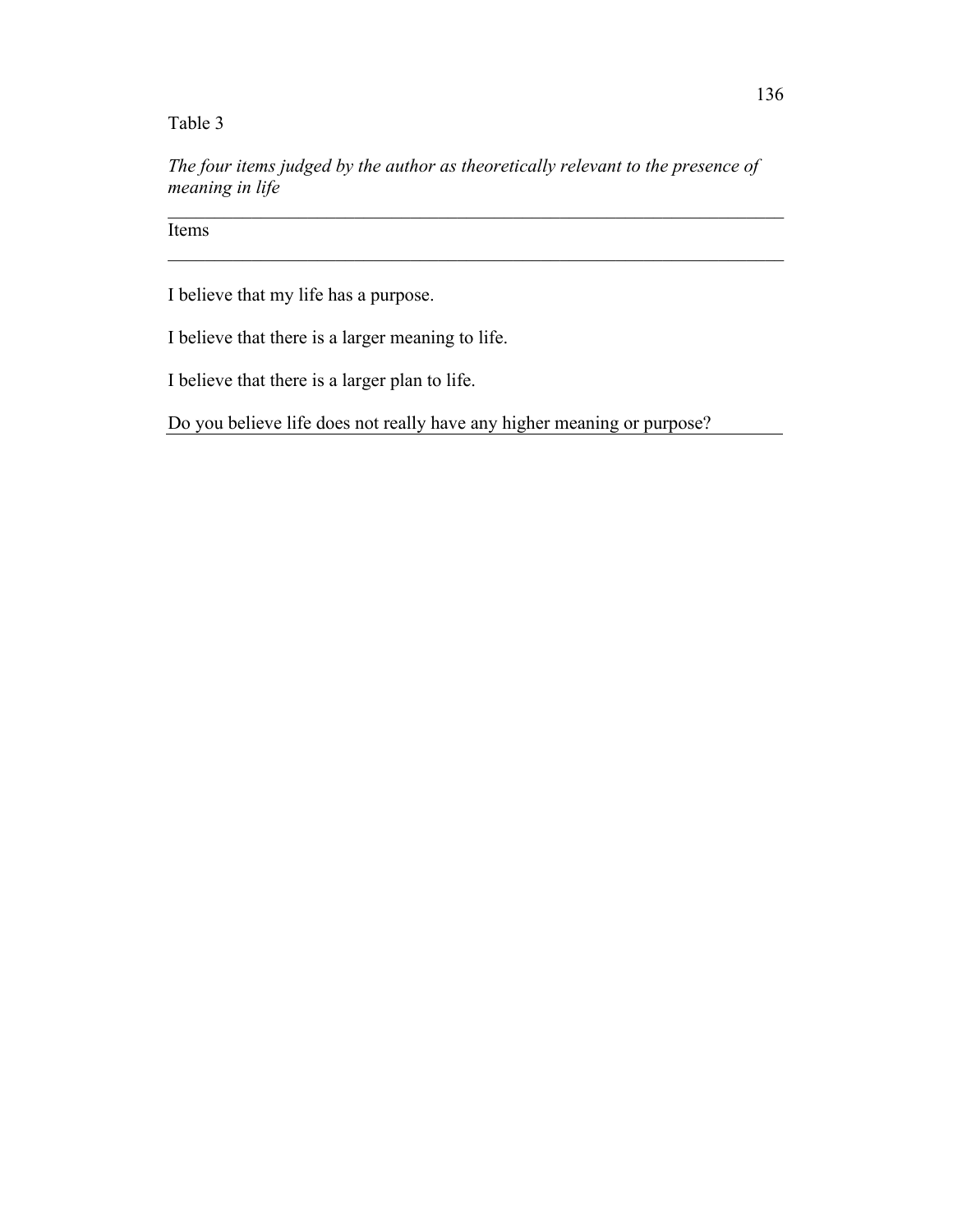*The four items judged by the author as theoretically relevant to the presence of meaning in life*

 $\mathcal{L}_\mathcal{L}$  , and the contribution of the contribution of the contribution of the contribution of the contribution of the contribution of the contribution of the contribution of the contribution of the contribution of

 $\mathcal{L}_\mathcal{L}$  , and the contribution of the contribution of the contribution of the contribution of the contribution of the contribution of the contribution of the contribution of the contribution of the contribution of

**Items** 

I believe that my life has a purpose.

I believe that there is a larger meaning to life.

I believe that there is a larger plan to life.

Do you believe life does not really have any higher meaning or purpose?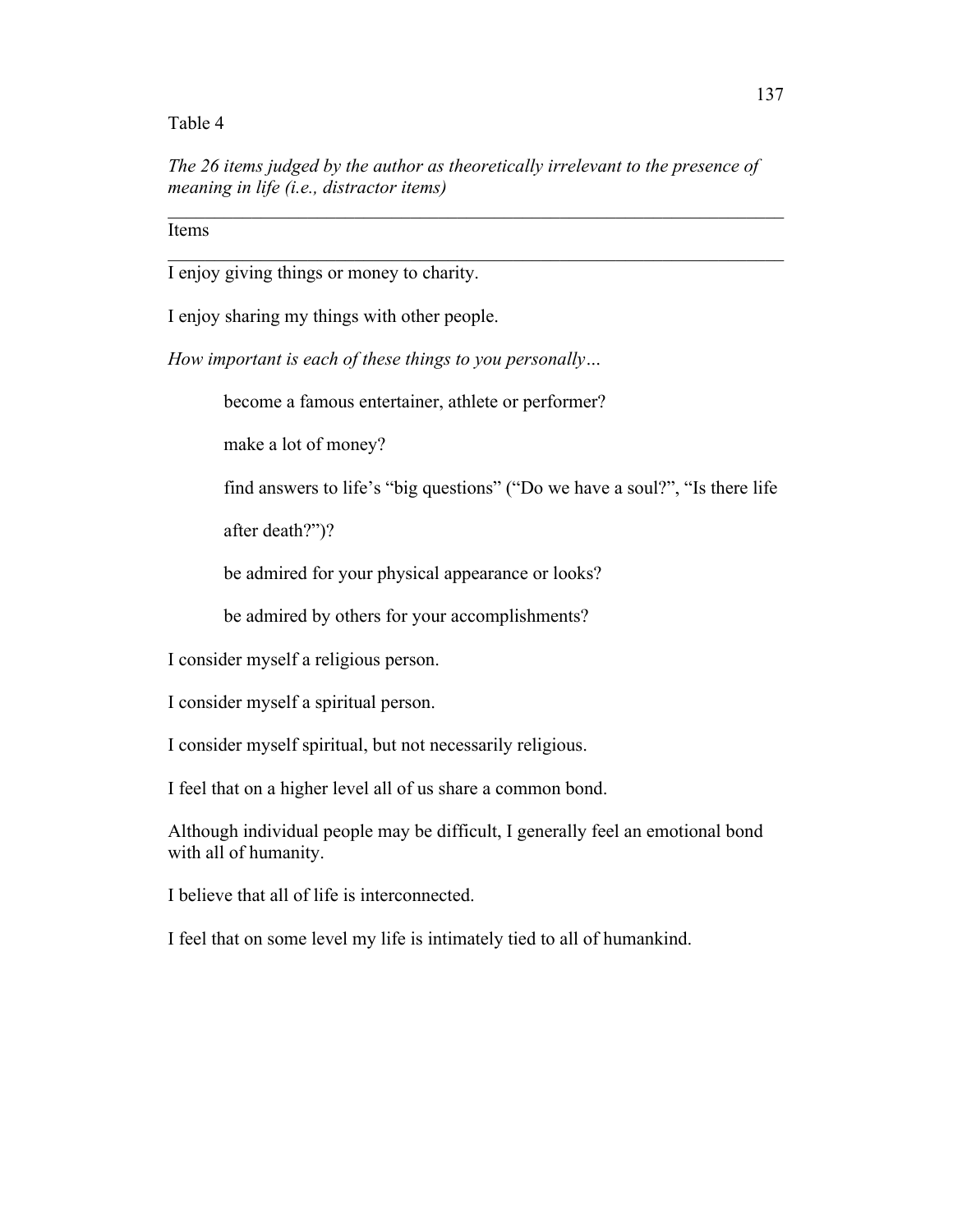*The 26 items judged by the author as theoretically irrelevant to the presence of meaning in life (i.e., distractor items)*

 $\mathcal{L}_\mathcal{L}$  , and the contribution of the contribution of the contribution of the contribution of the contribution of the contribution of the contribution of the contribution of the contribution of the contribution of

 $\mathcal{L}_\mathcal{L}$  , and the contribution of the contribution of the contribution of the contribution of the contribution of the contribution of the contribution of the contribution of the contribution of the contribution of

Items

I enjoy giving things or money to charity.

I enjoy sharing my things with other people.

*How important is each of these things to you personally…*

become a famous entertainer, athlete or performer?

make a lot of money?

find answers to life's "big questions" ("Do we have a soul?", "Is there life

after death?")?

be admired for your physical appearance or looks?

be admired by others for your accomplishments?

I consider myself a religious person.

I consider myself a spiritual person.

I consider myself spiritual, but not necessarily religious.

I feel that on a higher level all of us share a common bond.

Although individual people may be difficult, I generally feel an emotional bond with all of humanity.

I believe that all of life is interconnected.

I feel that on some level my life is intimately tied to all of humankind.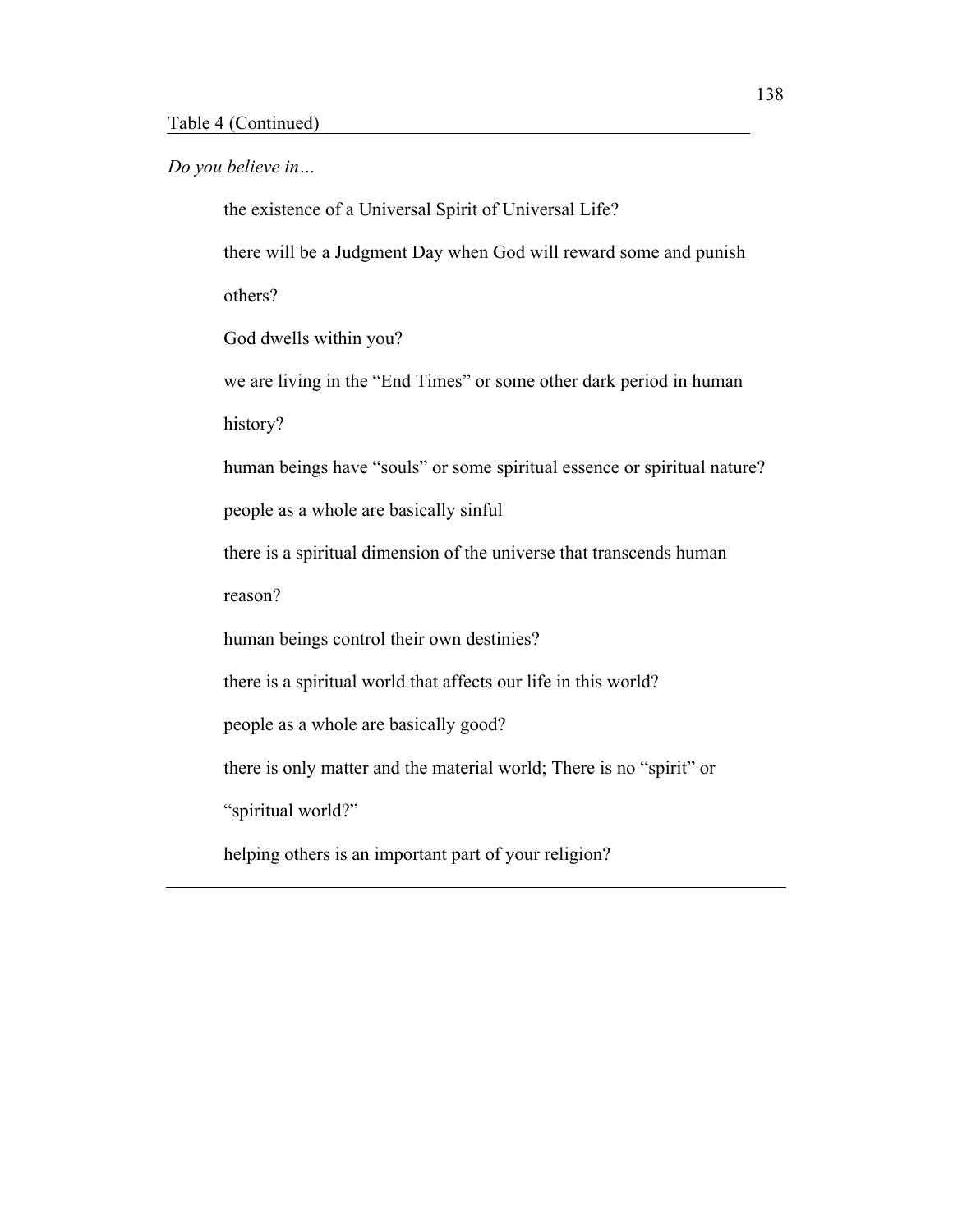*Do you believe in…*

the existence of a Universal Spirit of Universal Life?

there will be a Judgment Day when God will reward some and punish others?

God dwells within you?

we are living in the "End Times" or some other dark period in human

history?

human beings have "souls" or some spiritual essence or spiritual nature?

people as a whole are basically sinful

there is a spiritual dimension of the universe that transcends human

reason?

human beings control their own destinies?

there is a spiritual world that affects our life in this world?

people as a whole are basically good?

there is only matter and the material world; There is no "spirit" or

"spiritual world?"

helping others is an important part of your religion?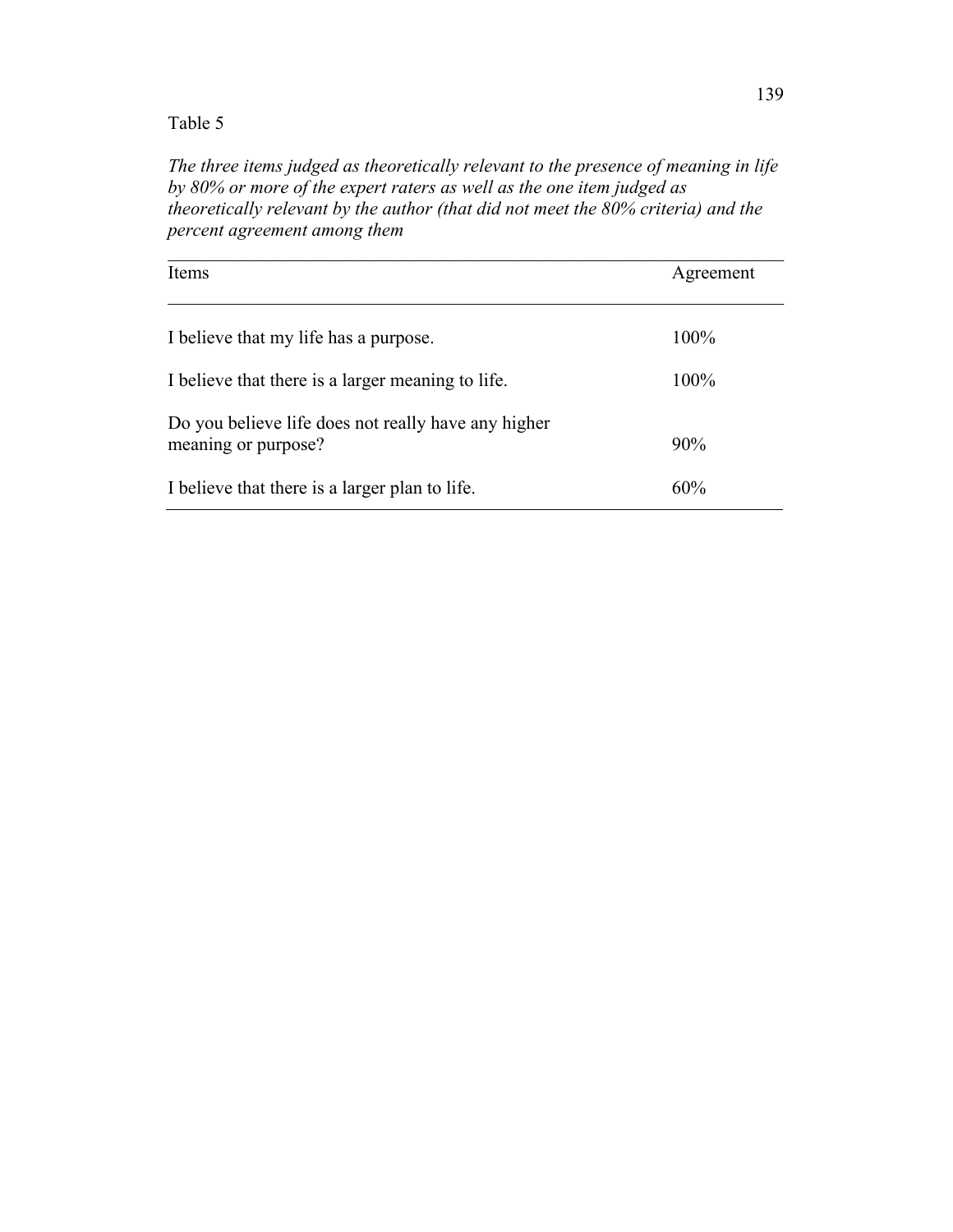*The three items judged as theoretically relevant to the presence of meaning in life by 80% or more of the expert raters as well as the one item judged as theoretically relevant by the author (that did not meet the 80% criteria) and the percent agreement among them*

| Items                                               | Agreement |
|-----------------------------------------------------|-----------|
|                                                     |           |
| I believe that my life has a purpose.               | 100%      |
| I believe that there is a larger meaning to life.   | 100%      |
| Do you believe life does not really have any higher |           |
| meaning or purpose?                                 | 90%       |
| I believe that there is a larger plan to life.      | 60%       |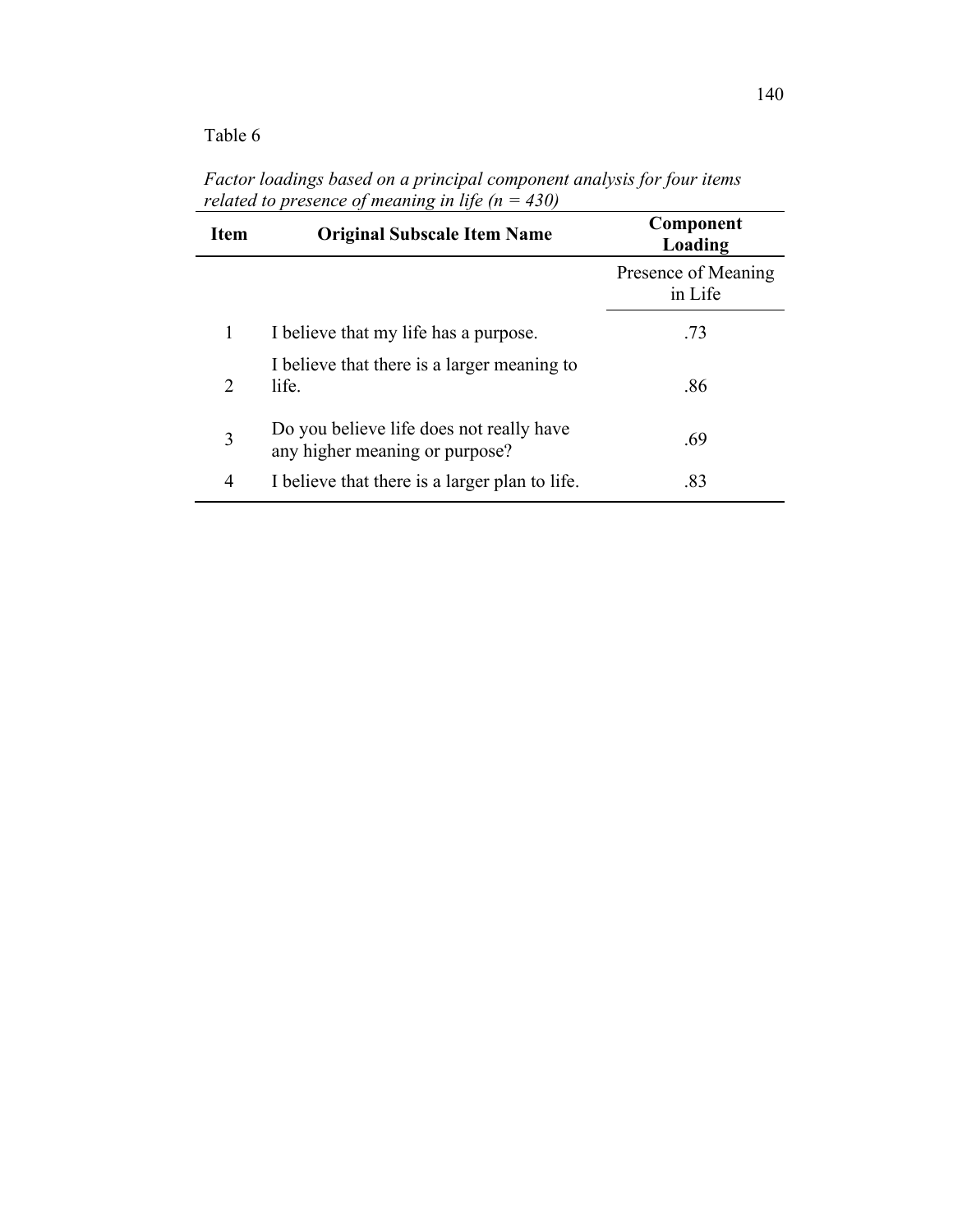| <b>Item</b>                 | <b>Original Subscale Item Name</b>                                         | Component<br>Loading           |
|-----------------------------|----------------------------------------------------------------------------|--------------------------------|
|                             |                                                                            | Presence of Meaning<br>in Life |
| 1                           | I believe that my life has a purpose.                                      | .73                            |
| $\mathcal{D}_{\mathcal{L}}$ | I believe that there is a larger meaning to<br>life.                       | .86                            |
| 3                           | Do you believe life does not really have<br>any higher meaning or purpose? | .69                            |
| $\overline{4}$              | I believe that there is a larger plan to life.                             | .83                            |

*Factor loadings based on a principal component analysis for four items related to presence of meaning in life (n = 430)*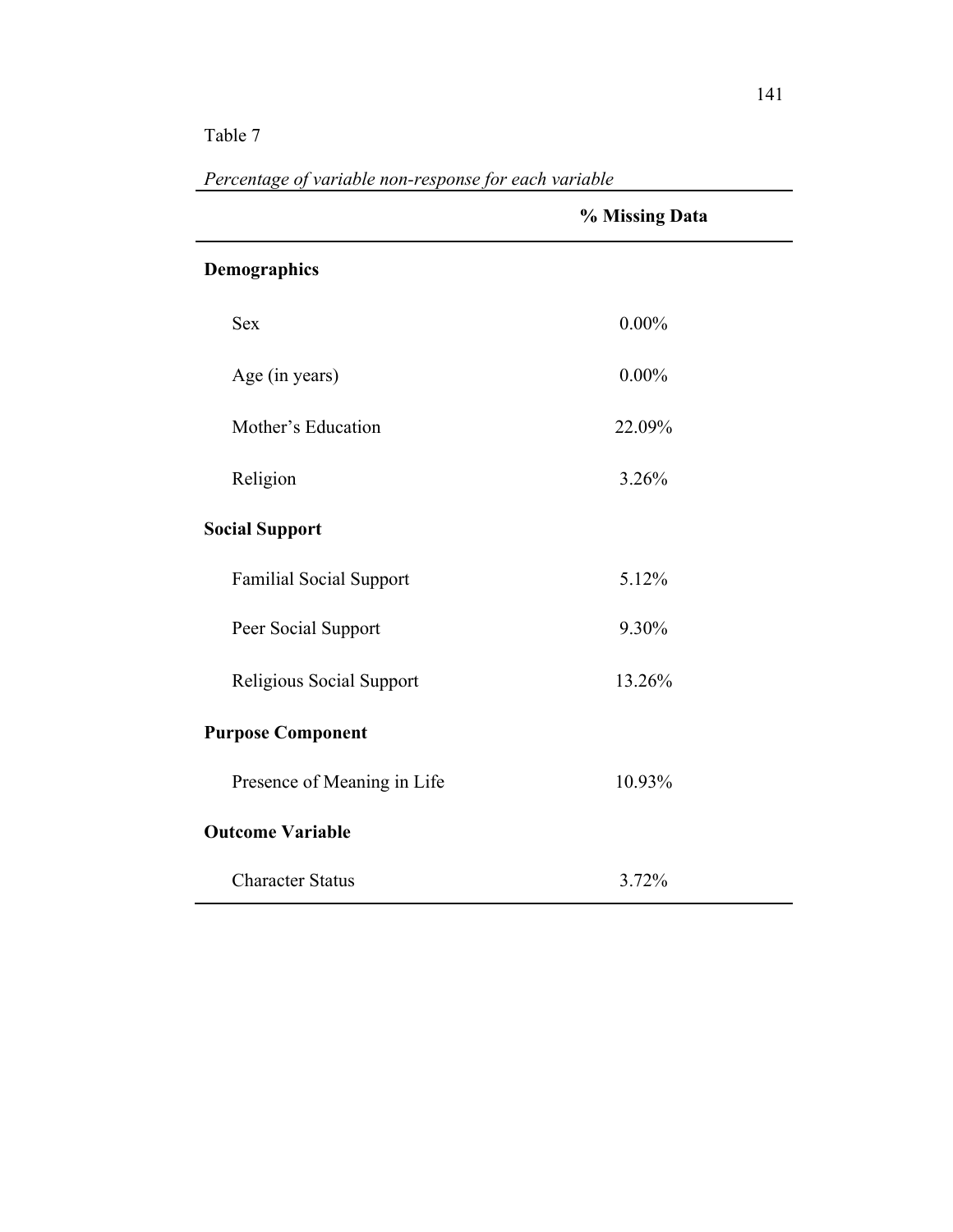|                                | % Missing Data |
|--------------------------------|----------------|
| Demographics                   |                |
| <b>Sex</b>                     | $0.00\%$       |
| Age (in years)                 | $0.00\%$       |
| Mother's Education             | 22.09%         |
| Religion                       | 3.26%          |
| <b>Social Support</b>          |                |
| <b>Familial Social Support</b> | 5.12%          |
| Peer Social Support            | 9.30%          |
| Religious Social Support       | 13.26%         |
| <b>Purpose Component</b>       |                |
| Presence of Meaning in Life    | 10.93%         |
| <b>Outcome Variable</b>        |                |
| <b>Character Status</b>        | 3.72%          |

*Percentage of variable non-response for each variable*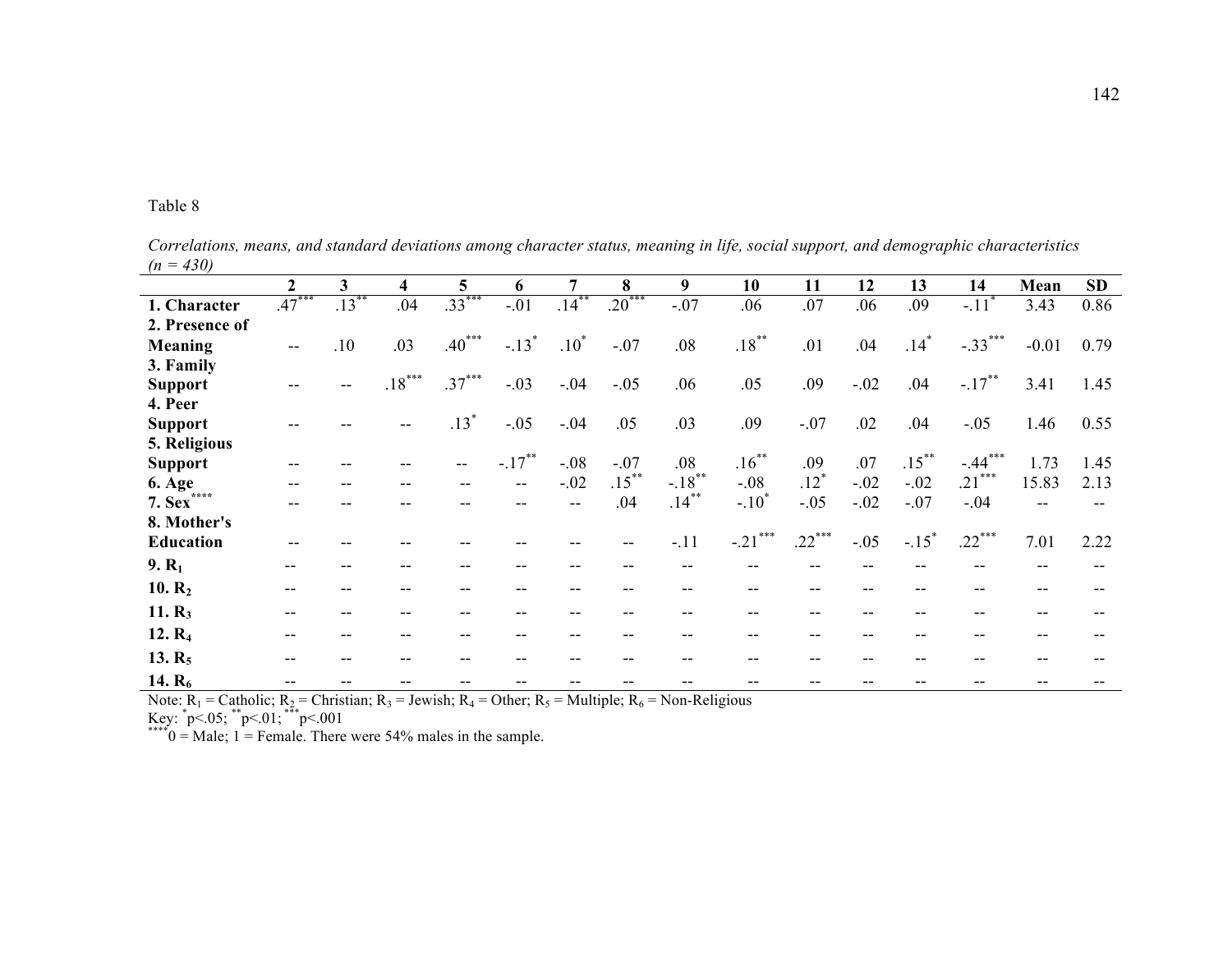| . . |  | к. |  |
|-----|--|----|--|
|-----|--|----|--|

|                            | $\mathbf{2}$ | 3        | 4        | 5                        | 6             | 7        | 8        | 9                   | 10            | 11                 | 12     | 13                  | 14                  | Mean    | <b>SD</b> |
|----------------------------|--------------|----------|----------|--------------------------|---------------|----------|----------|---------------------|---------------|--------------------|--------|---------------------|---------------------|---------|-----------|
| 1. Character               | $.47***$     | $.13***$ | .04      | $.33***$                 | $-.01$        | $.14***$ | $.20***$ | $-.07$              | .06           | .07                | .06    | .09                 | $-.11$ <sup>*</sup> | 3.43    | 0.86      |
| 2. Presence of             |              |          |          |                          |               |          |          |                     |               |                    |        |                     |                     |         |           |
| <b>Meaning</b>             | $-$          | .10      | .03      | $.40***$                 | $-.13*$       | $.10*$   | $-.07$   | .08                 | $.18***$      | .01                | .04    | $.14*$              | $-.33***$           | $-0.01$ | 0.79      |
| 3. Family                  |              |          |          |                          |               |          |          |                     |               |                    |        |                     |                     |         |           |
| <b>Support</b>             |              |          | $.18***$ | $.37***$                 | $-.03$        | $-.04$   | $-.05$   | .06                 | .05           | .09                | $-.02$ | .04                 | $-.17***$           | 3.41    | 1.45      |
| 4. Peer                    |              |          |          |                          |               |          |          |                     |               |                    |        |                     |                     |         |           |
| <b>Support</b>             |              |          |          | $.13*$                   | $-.05$        | $-.04$   | .05      | .03                 | .09           | $-.07$             | .02    | .04                 | $-.05$              | 1.46    | 0.55      |
| 5. Religious               |              |          |          |                          |               |          |          |                     |               |                    |        |                     |                     |         |           |
| <b>Support</b>             | --           |          |          | $\overline{\phantom{a}}$ | $-.17***$     | $-.08$   | $-.07$   | .08                 | $.16***$      | .09                | .07    | $.15***$            | $-.44***$           | 1.73    | 1.45      |
| <b>6. Age</b>              |              |          |          |                          | $\frac{1}{2}$ | $-.02$   | $.15***$ | $-18$ <sup>**</sup> | $-.08$        | $.12$ <sup>*</sup> | $-.02$ | $-.02$              | $.21***$            | 15.83   | 2.13      |
| ****<br>$7.$ Sex $\dot{ }$ |              |          |          |                          |               |          | .04      | $.14***$            | $-.10*$       | $-.05$             | $-.02$ | $-.07$              | $-.04$              |         |           |
| 8. Mother's                |              |          |          |                          |               |          |          |                     |               |                    |        |                     |                     |         |           |
| Education                  |              |          |          |                          |               |          |          | $-.11$              | ***<br>$-.21$ | $.22***$           | $-.05$ | $-.15$ <sup>*</sup> | $.22***$            | 7.01    | 2.22      |
| $9. R_1$                   | --           |          |          |                          |               |          |          |                     |               |                    |        |                     |                     |         |           |
| 10. $R_2$                  | $- -$        |          | --       |                          |               |          |          |                     |               | $- -$              |        |                     |                     |         |           |
| 11. $R_3$                  |              |          | --       |                          |               |          |          |                     |               | $- -$              |        |                     |                     |         |           |
| 12. R <sub>4</sub>         |              |          |          |                          |               |          |          |                     |               |                    |        |                     |                     |         |           |
| 13. $R_5$                  |              |          |          |                          |               |          |          |                     |               |                    |        |                     |                     |         |           |
| 14. $R_6$                  |              |          |          |                          |               |          |          |                     |               |                    |        |                     |                     |         |           |

*Correlations, means, and standard deviations among character status, meaning in life, social support, and demographic characteristics (n = 430)*

Note:  $R_1$  = Catholic;  $R_2$  = Christian;  $R_3$  = Jewish;  $R_4$  = Other;  $R_5$  = Multiple;  $R_6$  = Non-Religious

Key:  $p<.05$ ;  $p<.01$ ;  $p<.001$ <br>\*\*\*\*0 = Male; 1 = Female. There were 54% males in the sample.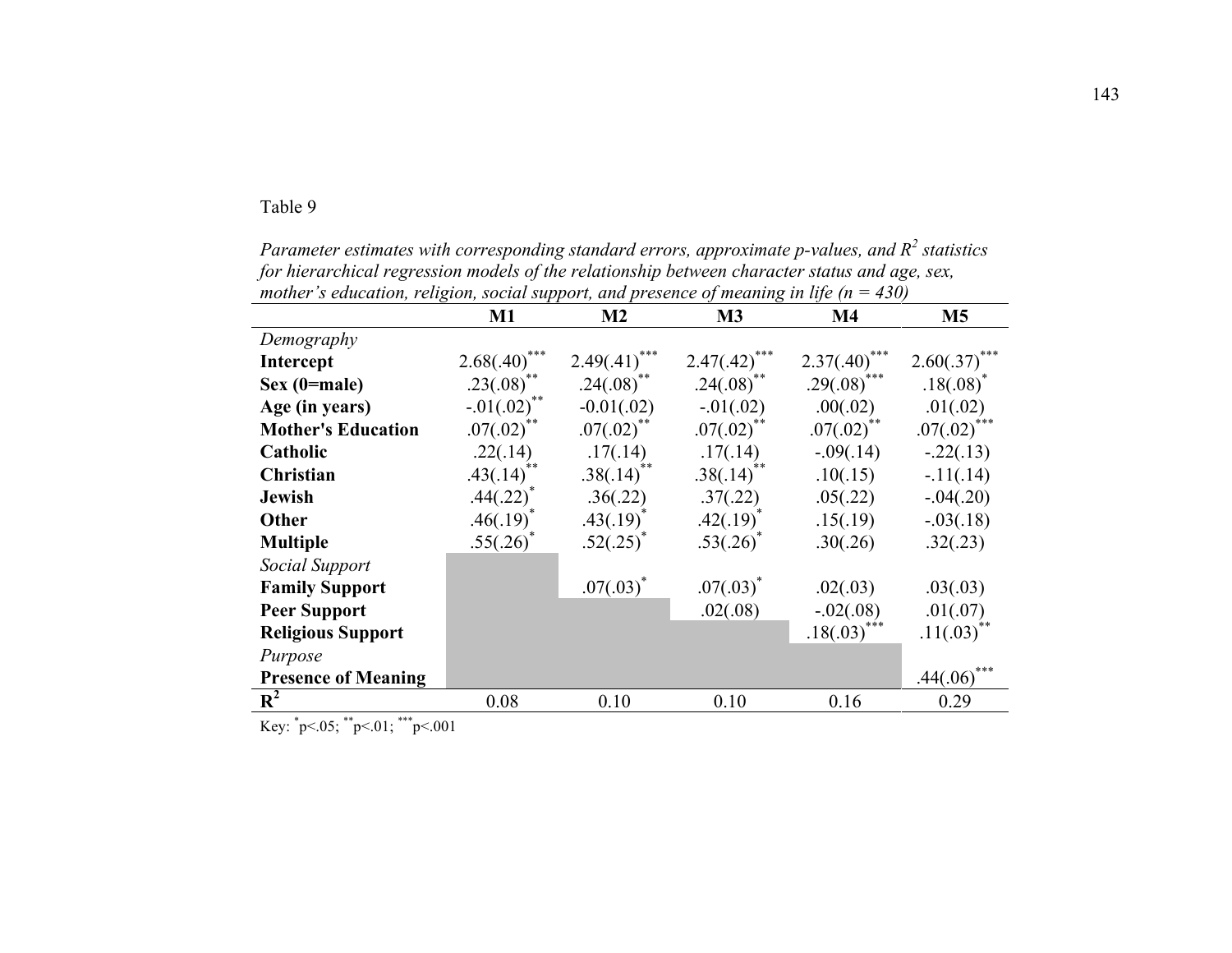| mother s education, religion, social support, and presence of meaning in life ( $n = 430$ ) |                         |                  |                        |                  |                           |  |  |  |
|---------------------------------------------------------------------------------------------|-------------------------|------------------|------------------------|------------------|---------------------------|--|--|--|
|                                                                                             | $M1$                    | M <sub>2</sub>   | M3                     | $\mathbf{M}4$    | M <sub>5</sub>            |  |  |  |
| Demography                                                                                  |                         |                  |                        |                  |                           |  |  |  |
| Intercept                                                                                   | ***<br>2.68(.40)        | ***<br>2.49(.41) | ***<br>$2.47(.42)^{*}$ | ***<br>2.37(.40) | 2.60(.37)                 |  |  |  |
| $Sex (0 = male)$                                                                            | $.23(.08)^{**}$         | $.24(.08)$ **    | $.24(.08)^*$           | $.29(.08)^{***}$ | $.18(.08)^*$              |  |  |  |
| Age (in years)                                                                              | **<br>$-.01(.02)$       | $-0.01(.02)$     | $-01(.02)$             | .00(.02)         | .01(.02)                  |  |  |  |
| <b>Mother's Education</b>                                                                   | $.07(.02)^{**}$         | $.07(.02)$ **    | $.07(.02)$ **          | $.07(.02)$ **    | $.07(.02)$ <sup>***</sup> |  |  |  |
| Catholic                                                                                    | .22(.14)                | .17(.14)         | .17(.14)               | $-.09(.14)$      | $-.22(.13)$               |  |  |  |
| Christian                                                                                   | .43(.14)                | .38(.14)         | .38(.14)               | .10(.15)         | $-11(.14)$                |  |  |  |
| <b>Jewish</b>                                                                               | $.44(.22)$ <sup>*</sup> | .36(.22)         | .37(.22)               | .05(.22)         | $-.04(.20)$               |  |  |  |
| Other                                                                                       | $.46(.19)^*$            | $.43(.19)^*$     | $.42(.19)^*$           | .15(.19)         | $-.03(.18)$               |  |  |  |
| <b>Multiple</b>                                                                             | $.55(.26)^*$            | $.52(.25)^*$     | $.53(.26)^*$           | .30(.26)         | .32(.23)                  |  |  |  |
| Social Support                                                                              |                         |                  |                        |                  |                           |  |  |  |
| <b>Family Support</b>                                                                       |                         | $.07(.03)^*$     | $.07(.03)^*$           | .02(.03)         | .03(.03)                  |  |  |  |
| <b>Peer Support</b>                                                                         |                         |                  | .02(.08)               | $-.02(.08)$      | .01(.07)                  |  |  |  |
| <b>Religious Support</b>                                                                    |                         |                  |                        | .18(.03)         | $.11(.03)$ <sup>**</sup>  |  |  |  |
| Purpose                                                                                     |                         |                  |                        |                  |                           |  |  |  |
| <b>Presence of Meaning</b>                                                                  |                         |                  |                        |                  | .44(.06)                  |  |  |  |
| $R^2$                                                                                       | 0.08                    | 0.10             | 0.10                   | 0.16             | 0.29                      |  |  |  |

*Parameter estimates with corresponding standard errors, approximate p-values, and R2 statistics for hierarchical regression models of the relationship between character status and age, sex, mother's education, religion, social support, and presence of meaning in life (n = 430)*

Key: \* p<.05; \*\*p<.01; \*\*\*p<.001